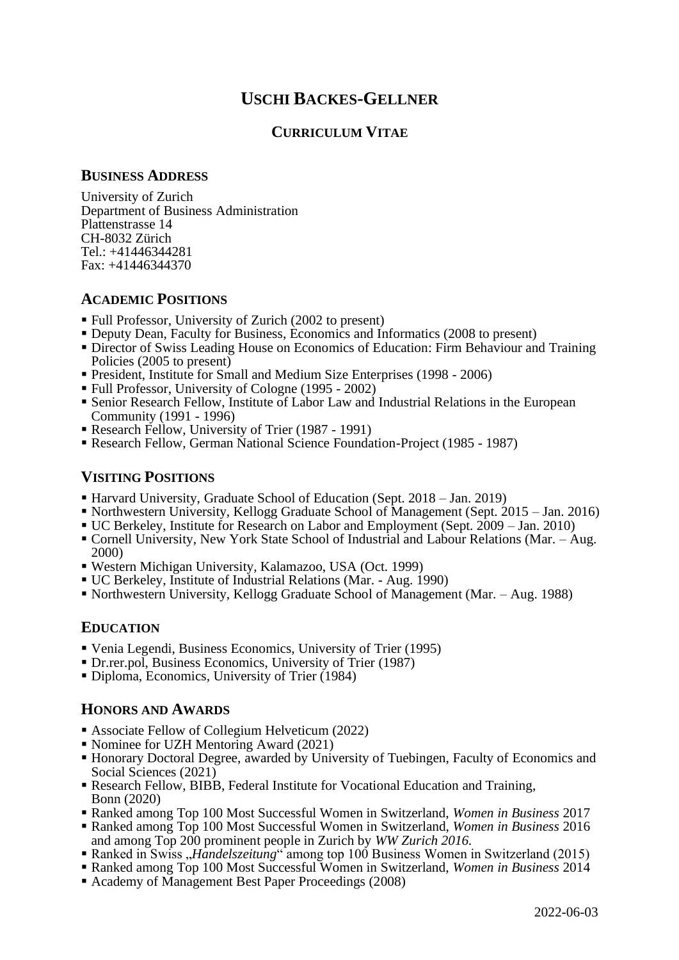# **USCHI BACKES-GELLNER**

# **CURRICULUM VITAE**

#### **BUSINESS ADDRESS**

University of Zurich Department of Business Administration Plattenstrasse 14 CH-8032 Zürich Tel.: +41446344281 Fax: +41446344370

# **ACADEMIC POSITIONS**

- Full Professor, University of Zurich (2002 to present)
- Deputy Dean, Faculty for Business, Economics and Informatics (2008 to present)
- **Exercise 1 Director of Swiss Leading House on Economics of Education: Firm Behaviour and Training** Policies (2005 to present)
- President, Institute for Small and Medium Size Enterprises (1998 2006)
- Full Professor, University of Cologne (1995 2002)
- Senior Research Fellow, Institute of Labor Law and Industrial Relations in the European Community (1991 - 1996)
- Research Fellow, University of Trier (1987 1991)
- Research Fellow, German National Science Foundation-Project (1985 1987)

# **VISITING POSITIONS**

- Harvard University, Graduate School of Education (Sept. 2018 Jan. 2019)
- Northwestern University, Kellogg Graduate School of Management (Sept. 2015 Jan. 2016)
- UC Berkeley, Institute for Research on Labor and Employment (Sept. 2009 Jan. 2010)
- Cornell University, New York State School of Industrial and Labour Relations (Mar. Aug. 2000)
- Western Michigan University, Kalamazoo, USA (Oct. 1999)
- UC Berkeley, Institute of Industrial Relations (Mar. Aug. 1990)
- Northwestern University, Kellogg Graduate School of Management (Mar. Aug. 1988)

# **EDUCATION**

- Venia Legendi, Business Economics, University of Trier (1995)
- Dr.rer.pol, Business Economics, University of Trier (1987)
- Diploma, Economics, University of Trier (1984)

# **HONORS AND AWARDS**

- Associate Fellow of Collegium Helveticum (2022)
- Nominee for UZH Mentoring Award (2021)
- Honorary Doctoral Degree, awarded by University of Tuebingen, Faculty of Economics and Social Sciences (2021)
- Research Fellow, BIBB, Federal Institute for Vocational Education and Training, Bonn (2020)
- Ranked among Top 100 Most Successful Women in Switzerland, *Women in Business* 2017
- Ranked among Top 100 Most Successful Women in Switzerland, *Women in Business* 2016 and among Top 200 prominent people in Zurich by *WW Zurich 2016.*
- Ranked in Swiss *"Handelszeitung*" among top 100 Business Women in Switzerland (2015)
- Ranked among Top 100 Most Successful Women in Switzerland, *Women in Business* 2014
- Academy of Management Best Paper Proceedings (2008)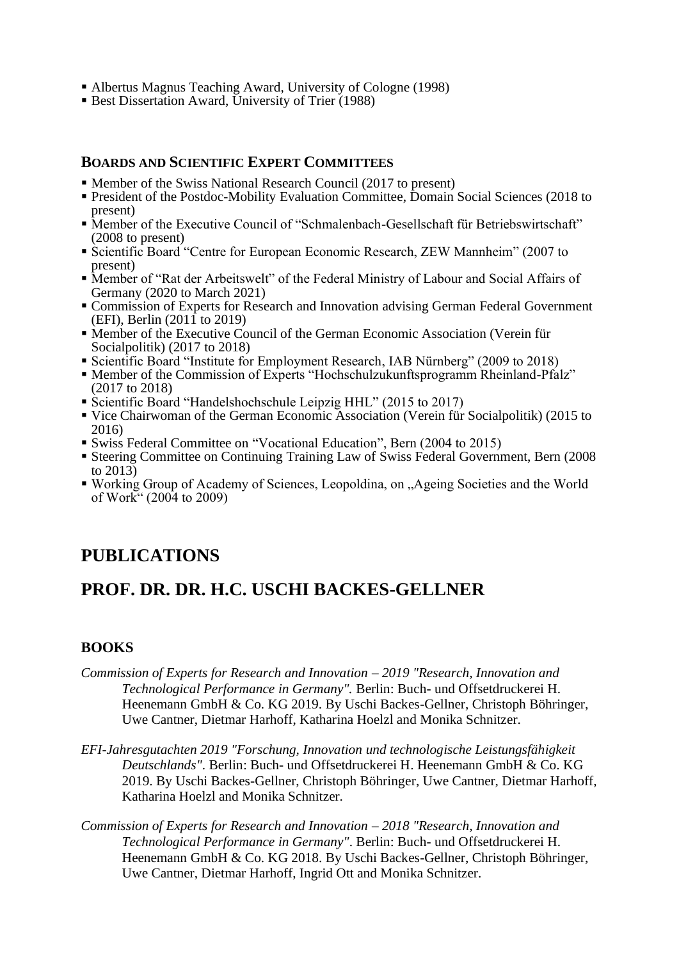- Albertus Magnus Teaching Award, University of Cologne (1998)
- Best Dissertation Award, University of Trier (1988)

# **BOARDS AND SCIENTIFIC EXPERT COMMITTEES**

- Member of the Swiss National Research Council (2017 to present)
- **President of the Postdoc-Mobility Evaluation Committee, Domain Social Sciences (2018 to** present)
- Member of the Executive Council of "Schmalenbach-Gesellschaft für Betriebswirtschaft" (2008 to present)
- Scientific Board "Centre for European Economic Research, ZEW Mannheim" (2007 to present)
- Member of "Rat der Arbeitswelt" of the Federal Ministry of Labour and Social Affairs of Germany (2020 to March 2021)
- Commission of Experts for Research and Innovation advising German Federal Government (EFI), Berlin (2011 to 2019)
- Member of the Executive Council of the German Economic Association (Verein für Socialpolitik) (2017 to 2018)
- Scientific Board "Institute for Employment Research, IAB Nürnberg" (2009 to 2018)
- Member of the Commission of Experts "Hochschulzukunftsprogramm Rheinland-Pfalz" (2017 to 2018)
- Scientific Board "Handelshochschule Leipzig HHL" (2015 to 2017)
- Vice Chairwoman of the German Economic Association (Verein für Socialpolitik) (2015 to 2016)
- Swiss Federal Committee on "Vocational Education", Bern (2004 to 2015)
- **Example 1** Steering Committee on Continuing Training Law of Swiss Federal Government, Bern (2008) to 2013)
- Working Group of Academy of Sciences, Leopoldina, on "Ageing Societies and the World of Work" (2004 to 2009)

# **PUBLICATIONS**

# **PROF. DR. DR. H.C. USCHI BACKES-GELLNER**

# **BOOKS**

- *Commission of Experts for Research and Innovation – 2019 "Research, Innovation and Technological Performance in Germany".* Berlin: Buch- und Offsetdruckerei H. Heenemann GmbH & Co. KG 2019. By Uschi Backes-Gellner, Christoph Böhringer, Uwe Cantner, Dietmar Harhoff, Katharina Hoelzl and Monika Schnitzer.
- *EFI-Jahresgutachten 2019 "Forschung, Innovation und technologische Leistungsfähigkeit Deutschlands"*. Berlin: Buch- und Offsetdruckerei H. Heenemann GmbH & Co. KG 2019. By Uschi Backes-Gellner, Christoph Böhringer, Uwe Cantner, Dietmar Harhoff, Katharina Hoelzl and Monika Schnitzer.
- *Commission of Experts for Research and Innovation – 2018 "Research, Innovation and Technological Performance in Germany"*. Berlin: Buch- und Offsetdruckerei H. Heenemann GmbH & Co. KG 2018. By Uschi Backes-Gellner, Christoph Böhringer, Uwe Cantner, Dietmar Harhoff, Ingrid Ott and Monika Schnitzer.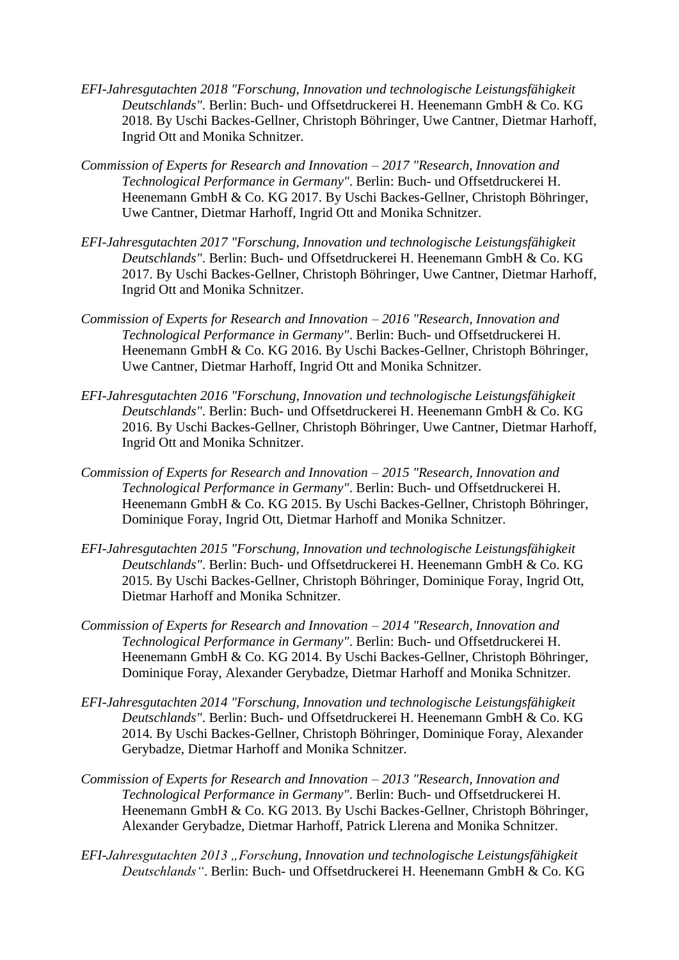- *EFI-Jahresgutachten 2018 "Forschung, Innovation und technologische Leistungsfähigkeit Deutschlands"*. Berlin: Buch- und Offsetdruckerei H. Heenemann GmbH & Co. KG 2018. By Uschi Backes-Gellner, Christoph Böhringer, Uwe Cantner, Dietmar Harhoff, Ingrid Ott and Monika Schnitzer.
- *Commission of Experts for Research and Innovation – 2017 "Research, Innovation and Technological Performance in Germany"*. Berlin: Buch- und Offsetdruckerei H. Heenemann GmbH & Co. KG 2017. By Uschi Backes-Gellner, Christoph Böhringer, Uwe Cantner, Dietmar Harhoff, Ingrid Ott and Monika Schnitzer.
- *EFI-Jahresgutachten 2017 "Forschung, Innovation und technologische Leistungsfähigkeit Deutschlands"*. Berlin: Buch- und Offsetdruckerei H. Heenemann GmbH & Co. KG 2017. By Uschi Backes-Gellner, Christoph Böhringer, Uwe Cantner, Dietmar Harhoff, Ingrid Ott and Monika Schnitzer.
- *Commission of Experts for Research and Innovation – 2016 "Research, Innovation and Technological Performance in Germany"*. Berlin: Buch- und Offsetdruckerei H. Heenemann GmbH & Co. KG 2016. By Uschi Backes-Gellner, Christoph Böhringer, Uwe Cantner, Dietmar Harhoff, Ingrid Ott and Monika Schnitzer.
- *EFI-Jahresgutachten 2016 "Forschung, Innovation und technologische Leistungsfähigkeit Deutschlands"*. Berlin: Buch- und Offsetdruckerei H. Heenemann GmbH & Co. KG 2016. By Uschi Backes-Gellner, Christoph Böhringer, Uwe Cantner, Dietmar Harhoff, Ingrid Ott and Monika Schnitzer.
- *Commission of Experts for Research and Innovation – 2015 "Research, Innovation and Technological Performance in Germany"*. Berlin: Buch- und Offsetdruckerei H. Heenemann GmbH & Co. KG 2015. By Uschi Backes-Gellner, Christoph Böhringer, Dominique Foray, Ingrid Ott, Dietmar Harhoff and Monika Schnitzer.
- *EFI-Jahresgutachten 2015 "Forschung, Innovation und technologische Leistungsfähigkeit Deutschlands"*. Berlin: Buch- und Offsetdruckerei H. Heenemann GmbH & Co. KG 2015. By Uschi Backes-Gellner, Christoph Böhringer, Dominique Foray, Ingrid Ott, Dietmar Harhoff and Monika Schnitzer.
- *Commission of Experts for Research and Innovation – 2014 "Research, Innovation and Technological Performance in Germany"*. Berlin: Buch- und Offsetdruckerei H. Heenemann GmbH & Co. KG 2014. By Uschi Backes-Gellner, Christoph Böhringer, Dominique Foray, Alexander Gerybadze, Dietmar Harhoff and Monika Schnitzer.
- *EFI-Jahresgutachten 2014 "Forschung, Innovation und technologische Leistungsfähigkeit Deutschlands"*. Berlin: Buch- und Offsetdruckerei H. Heenemann GmbH & Co. KG 2014. By Uschi Backes-Gellner, Christoph Böhringer, Dominique Foray, Alexander Gerybadze, Dietmar Harhoff and Monika Schnitzer.
- *Commission of Experts for Research and Innovation – 2013 "Research, Innovation and Technological Performance in Germany"*. Berlin: Buch- und Offsetdruckerei H. Heenemann GmbH & Co. KG 2013. By Uschi Backes-Gellner, Christoph Böhringer, Alexander Gerybadze, Dietmar Harhoff, Patrick Llerena and Monika Schnitzer.
- *EFI-Jahresgutachten 2013 "Forschung, Innovation und technologische Leistungsfähigkeit Deutschlands"*. Berlin: Buch- und Offsetdruckerei H. Heenemann GmbH & Co. KG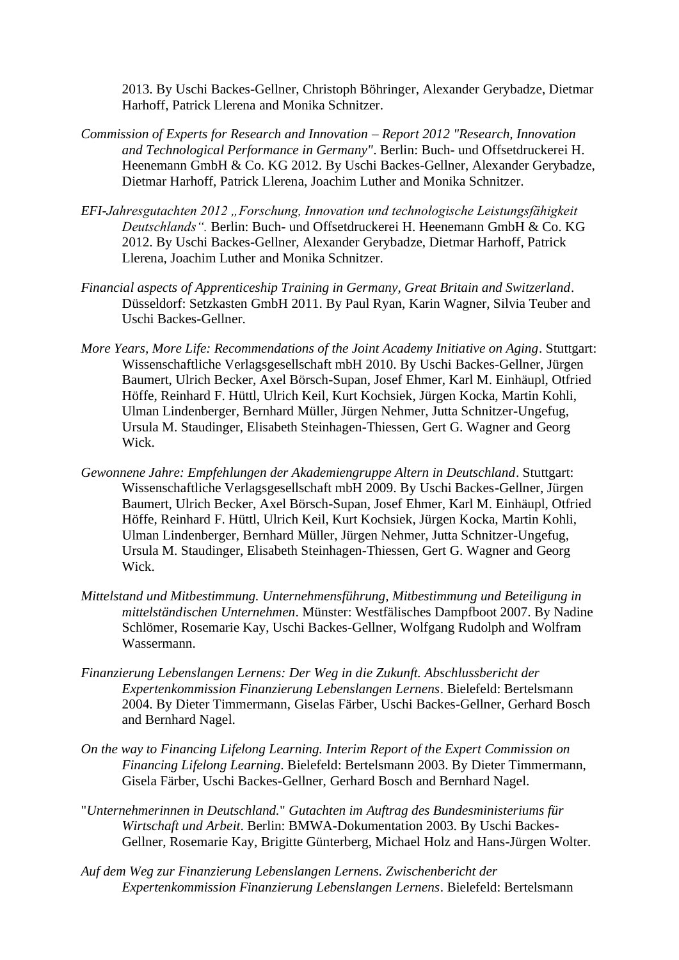2013. By Uschi Backes-Gellner, Christoph Böhringer, Alexander Gerybadze, Dietmar Harhoff, Patrick Llerena and Monika Schnitzer.

- *Commission of Experts for Research and Innovation – Report 2012 "Research, Innovation and Technological Performance in Germany"*. Berlin: Buch- und Offsetdruckerei H. Heenemann GmbH & Co. KG 2012. By Uschi Backes-Gellner, Alexander Gerybadze, Dietmar Harhoff, Patrick Llerena, Joachim Luther and Monika Schnitzer.
- *EFI-Jahresgutachten 2012 "Forschung, Innovation und technologische Leistungsfähigkeit Deutschlands".* Berlin: Buch- und Offsetdruckerei H. Heenemann GmbH & Co. KG 2012. By Uschi Backes-Gellner, Alexander Gerybadze, Dietmar Harhoff, Patrick Llerena, Joachim Luther and Monika Schnitzer.
- *Financial aspects of Apprenticeship Training in Germany, Great Britain and Switzerland*. Düsseldorf: Setzkasten GmbH 2011. By Paul Ryan, Karin Wagner, Silvia Teuber and Uschi Backes-Gellner.
- *More Years, More Life: Recommendations of the Joint Academy Initiative on Aging*. Stuttgart: Wissenschaftliche Verlagsgesellschaft mbH 2010. By Uschi Backes-Gellner, Jürgen Baumert, Ulrich Becker, Axel Börsch-Supan, Josef Ehmer, Karl M. Einhäupl, Otfried Höffe, Reinhard F. Hüttl, Ulrich Keil, Kurt Kochsiek, Jürgen Kocka, Martin Kohli, Ulman Lindenberger, Bernhard Müller, Jürgen Nehmer, Jutta Schnitzer-Ungefug, Ursula M. Staudinger, Elisabeth Steinhagen-Thiessen, Gert G. Wagner and Georg Wick.
- *Gewonnene Jahre: Empfehlungen der Akademiengruppe Altern in Deutschland*. Stuttgart: Wissenschaftliche Verlagsgesellschaft mbH 2009. By Uschi Backes-Gellner, Jürgen Baumert, Ulrich Becker, Axel Börsch-Supan, Josef Ehmer, Karl M. Einhäupl, Otfried Höffe, Reinhard F. Hüttl, Ulrich Keil, Kurt Kochsiek, Jürgen Kocka, Martin Kohli, Ulman Lindenberger, Bernhard Müller, Jürgen Nehmer, Jutta Schnitzer-Ungefug, Ursula M. Staudinger, Elisabeth Steinhagen-Thiessen, Gert G. Wagner and Georg Wick.
- *Mittelstand und Mitbestimmung. Unternehmensführung, Mitbestimmung und Beteiligung in mittelständischen Unternehmen*. Münster: Westfälisches Dampfboot 2007. By Nadine Schlömer, Rosemarie Kay, Uschi Backes-Gellner, Wolfgang Rudolph and Wolfram Wassermann.
- *Finanzierung Lebenslangen Lernens: Der Weg in die Zukunft. Abschlussbericht der Expertenkommission Finanzierung Lebenslangen Lernens*. Bielefeld: Bertelsmann 2004. By Dieter Timmermann, Giselas Färber, Uschi Backes-Gellner, Gerhard Bosch and Bernhard Nagel.
- *On the way to Financing Lifelong Learning. Interim Report of the Expert Commission on Financing Lifelong Learning*. Bielefeld: Bertelsmann 2003. By Dieter Timmermann, Gisela Färber, Uschi Backes-Gellner, Gerhard Bosch and Bernhard Nagel.
- "*Unternehmerinnen in Deutschland.*" *Gutachten im Auftrag des Bundesministeriums für Wirtschaft und Arbeit*. Berlin: BMWA-Dokumentation 2003. By Uschi Backes-Gellner, Rosemarie Kay, Brigitte Günterberg, Michael Holz and Hans-Jürgen Wolter.
- *Auf dem Weg zur Finanzierung Lebenslangen Lernens. Zwischenbericht der Expertenkommission Finanzierung Lebenslangen Lernens*. Bielefeld: Bertelsmann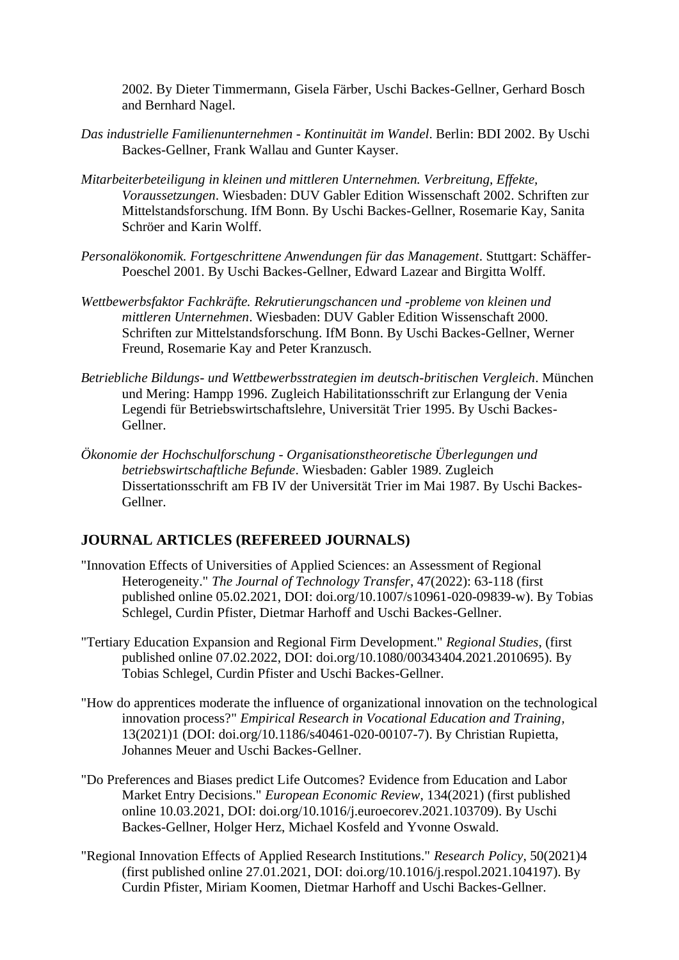2002. By Dieter Timmermann, Gisela Färber, Uschi Backes-Gellner, Gerhard Bosch and Bernhard Nagel.

- *Das industrielle Familienunternehmen - Kontinuität im Wandel*. Berlin: BDI 2002. By Uschi Backes-Gellner, Frank Wallau and Gunter Kayser.
- *Mitarbeiterbeteiligung in kleinen und mittleren Unternehmen. Verbreitung, Effekte, Voraussetzungen*. Wiesbaden: DUV Gabler Edition Wissenschaft 2002. Schriften zur Mittelstandsforschung. IfM Bonn. By Uschi Backes-Gellner, Rosemarie Kay, Sanita Schröer and Karin Wolff.
- *Personalökonomik. Fortgeschrittene Anwendungen für das Management*. Stuttgart: Schäffer-Poeschel 2001. By Uschi Backes-Gellner, Edward Lazear and Birgitta Wolff.
- *Wettbewerbsfaktor Fachkräfte. Rekrutierungschancen und -probleme von kleinen und mittleren Unternehmen*. Wiesbaden: DUV Gabler Edition Wissenschaft 2000. Schriften zur Mittelstandsforschung. IfM Bonn. By Uschi Backes-Gellner, Werner Freund, Rosemarie Kay and Peter Kranzusch.
- *Betriebliche Bildungs- und Wettbewerbsstrategien im deutsch-britischen Vergleich*. München und Mering: Hampp 1996. Zugleich Habilitationsschrift zur Erlangung der Venia Legendi für Betriebswirtschaftslehre, Universität Trier 1995. By Uschi Backes-Gellner.
- *Ökonomie der Hochschulforschung - Organisationstheoretische Überlegungen und betriebswirtschaftliche Befunde*. Wiesbaden: Gabler 1989. Zugleich Dissertationsschrift am FB IV der Universität Trier im Mai 1987. By Uschi Backes-Gellner.

# **JOURNAL ARTICLES (REFEREED JOURNALS)**

- "Innovation Effects of Universities of Applied Sciences: an Assessment of Regional Heterogeneity." *The Journal of Technology Transfer*, 47(2022): 63-118 (first published online 05.02.2021, DOI: doi.org/10.1007/s10961-020-09839-w). By Tobias Schlegel, Curdin Pfister, Dietmar Harhoff and Uschi Backes-Gellner.
- "Tertiary Education Expansion and Regional Firm Development." *Regional Studies*, (first published online 07.02.2022, DOI: doi.org/10.1080/00343404.2021.2010695). By Tobias Schlegel, Curdin Pfister and Uschi Backes-Gellner.
- "How do apprentices moderate the influence of organizational innovation on the technological innovation process?" *Empirical Research in Vocational Education and Training,* 13(2021)1 (DOI: doi.org/10.1186/s40461-020-00107-7). By Christian Rupietta, Johannes Meuer and Uschi Backes-Gellner.
- "Do Preferences and Biases predict Life Outcomes? Evidence from Education and Labor Market Entry Decisions." *European Economic Review*, 134(2021) (first published online 10.03.2021, DOI: doi.org/10.1016/j.euroecorev.2021.103709). By Uschi Backes-Gellner, Holger Herz, Michael Kosfeld and Yvonne Oswald.
- "Regional Innovation Effects of Applied Research Institutions." *Research Policy,* 50(2021)4 (first published online 27.01.2021, DOI: doi.org/10.1016/j.respol.2021.104197). By Curdin Pfister, Miriam Koomen, Dietmar Harhoff and Uschi Backes-Gellner.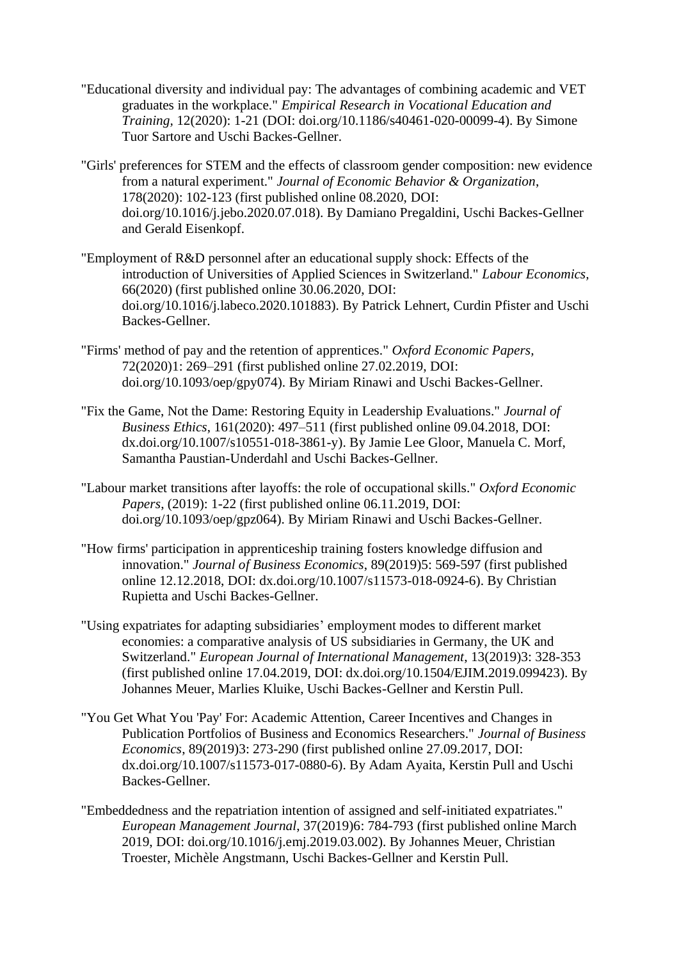- "Educational diversity and individual pay: The advantages of combining academic and VET graduates in the workplace." *Empirical Research in Vocational Education and Training,* 12(2020): 1-21 (DOI: doi.org/10.1186/s40461-020-00099-4). By Simone Tuor Sartore and Uschi Backes-Gellner.
- "Girls' preferences for STEM and the effects of classroom gender composition: new evidence from a natural experiment." *Journal of Economic Behavior & Organization*, 178(2020): 102-123 (first published online 08.2020, DOI: doi.org/10.1016/j.jebo.2020.07.018). By Damiano Pregaldini, Uschi Backes-Gellner and Gerald Eisenkopf.
- "Employment of R&D personnel after an educational supply shock: Effects of the introduction of Universities of Applied Sciences in Switzerland." *Labour Economics,* 66(2020) (first published online 30.06.2020, DOI: doi.org/10.1016/j.labeco.2020.101883). By Patrick Lehnert, Curdin Pfister and Uschi Backes-Gellner.
- "Firms' method of pay and the retention of apprentices." *Oxford Economic Papers,* 72(2020)1: 269–291 (first published online 27.02.2019, DOI: doi.org/10.1093/oep/gpy074). By Miriam Rinawi and Uschi Backes-Gellner.
- "Fix the Game, Not the Dame: Restoring Equity in Leadership Evaluations." *Journal of Business Ethics*, 161(2020): 497–511 (first published online 09.04.2018, DOI: dx.doi.org/10.1007/s10551-018-3861-y). By Jamie Lee Gloor, Manuela C. Morf, Samantha Paustian-Underdahl and Uschi Backes-Gellner.
- "Labour market transitions after layoffs: the role of occupational skills." *Oxford Economic Papers*, (2019): 1-22 (first published online 06.11.2019, DOI: doi.org/10.1093/oep/gpz064). By Miriam Rinawi and Uschi Backes-Gellner.
- "How firms' participation in apprenticeship training fosters knowledge diffusion and innovation." *Journal of Business Economics*, 89(2019)5: 569-597 (first published online 12.12.2018, DOI: dx.doi.org/10.1007/s11573-018-0924-6). By Christian Rupietta and Uschi Backes-Gellner.
- "Using expatriates for adapting subsidiaries' employment modes to different market economies: a comparative analysis of US subsidiaries in Germany, the UK and Switzerland." *European Journal of International Management*, 13(2019)3: 328-353 (first published online 17.04.2019, DOI: dx.doi.org/10.1504/EJIM.2019.099423). By Johannes Meuer, Marlies Kluike, Uschi Backes-Gellner and Kerstin Pull.
- "You Get What You 'Pay' For: Academic Attention, Career Incentives and Changes in Publication Portfolios of Business and Economics Researchers." *Journal of Business Economics*, 89(2019)3: 273-290 (first published online 27.09.2017, DOI: dx.doi.org/10.1007/s11573-017-0880-6). By Adam Ayaita, Kerstin Pull and Uschi Backes-Gellner.
- "Embeddedness and the repatriation intention of assigned and self-initiated expatriates." *European Management Journal*, 37(2019)6: 784-793 (first published online March 2019, DOI: doi.org/10.1016/j.emj.2019.03.002). By Johannes Meuer, Christian Troester, Michèle Angstmann, Uschi Backes-Gellner and Kerstin Pull.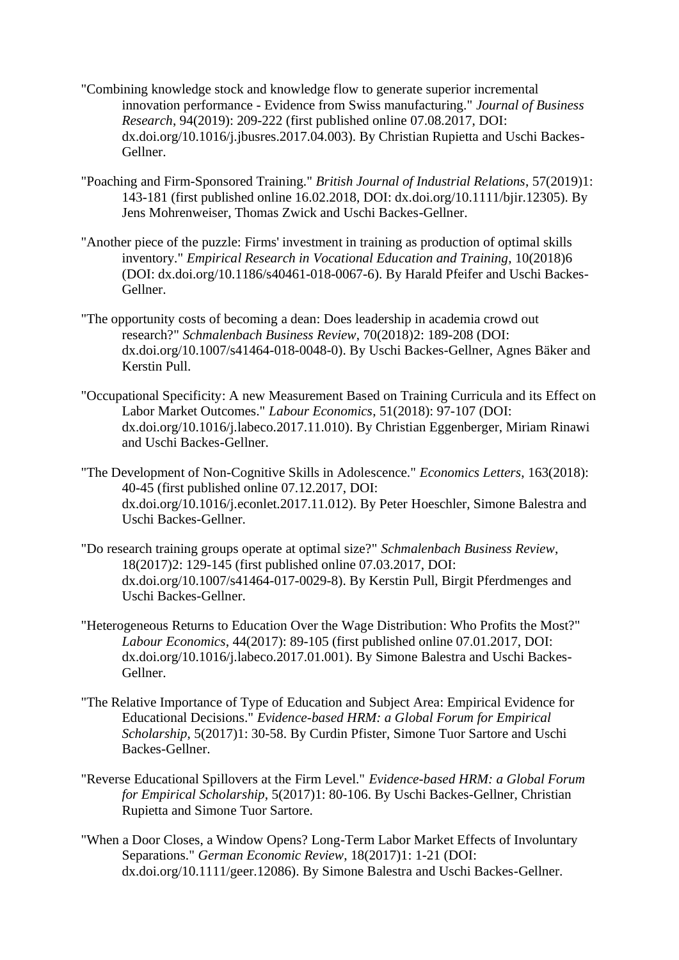- "Combining knowledge stock and knowledge flow to generate superior incremental innovation performance - Evidence from Swiss manufacturing." *Journal of Business Research*, 94(2019): 209-222 (first published online 07.08.2017, DOI: dx.doi.org/10.1016/j.jbusres.2017.04.003). By Christian Rupietta and Uschi Backes-Gellner.
- "Poaching and Firm-Sponsored Training." *British Journal of Industrial Relations*, 57(2019)1: 143-181 (first published online 16.02.2018, DOI: dx.doi.org/10.1111/bjir.12305). By Jens Mohrenweiser, Thomas Zwick and Uschi Backes-Gellner.
- "Another piece of the puzzle: Firms' investment in training as production of optimal skills inventory." *Empirical Research in Vocational Education and Training*, 10(2018)6 (DOI: dx.doi.org/10.1186/s40461-018-0067-6). By Harald Pfeifer and Uschi Backes-Gellner.
- "The opportunity costs of becoming a dean: Does leadership in academia crowd out research?" *Schmalenbach Business Review*, 70(2018)2: 189-208 (DOI: dx.doi.org/10.1007/s41464-018-0048-0). By Uschi Backes-Gellner, Agnes Bäker and Kerstin Pull.
- "Occupational Specificity: A new Measurement Based on Training Curricula and its Effect on Labor Market Outcomes." *Labour Economics*, 51(2018): 97-107 (DOI: dx.doi.org/10.1016/j.labeco.2017.11.010). By Christian Eggenberger, Miriam Rinawi and Uschi Backes-Gellner.
- "The Development of Non-Cognitive Skills in Adolescence." *Economics Letters*, 163(2018): 40-45 (first published online 07.12.2017, DOI: dx.doi.org/10.1016/j.econlet.2017.11.012). By Peter Hoeschler, Simone Balestra and Uschi Backes-Gellner.
- "Do research training groups operate at optimal size?" *Schmalenbach Business Review*, 18(2017)2: 129-145 (first published online 07.03.2017, DOI: dx.doi.org/10.1007/s41464-017-0029-8). By Kerstin Pull, Birgit Pferdmenges and Uschi Backes-Gellner.
- "Heterogeneous Returns to Education Over the Wage Distribution: Who Profits the Most?" *Labour Economics*, 44(2017): 89-105 (first published online 07.01.2017, DOI: dx.doi.org/10.1016/j.labeco.2017.01.001). By Simone Balestra and Uschi Backes-Gellner.
- "The Relative Importance of Type of Education and Subject Area: Empirical Evidence for Educational Decisions." *Evidence-based HRM: a Global Forum for Empirical Scholarship*, 5(2017)1: 30-58. By Curdin Pfister, Simone Tuor Sartore and Uschi Backes-Gellner.
- "Reverse Educational Spillovers at the Firm Level." *Evidence-based HRM: a Global Forum for Empirical Scholarship*, 5(2017)1: 80-106. By Uschi Backes-Gellner, Christian Rupietta and Simone Tuor Sartore.
- "When a Door Closes, a Window Opens? Long-Term Labor Market Effects of Involuntary Separations." *German Economic Review*, 18(2017)1: 1-21 (DOI: dx.doi.org/10.1111/geer.12086). By Simone Balestra and Uschi Backes-Gellner.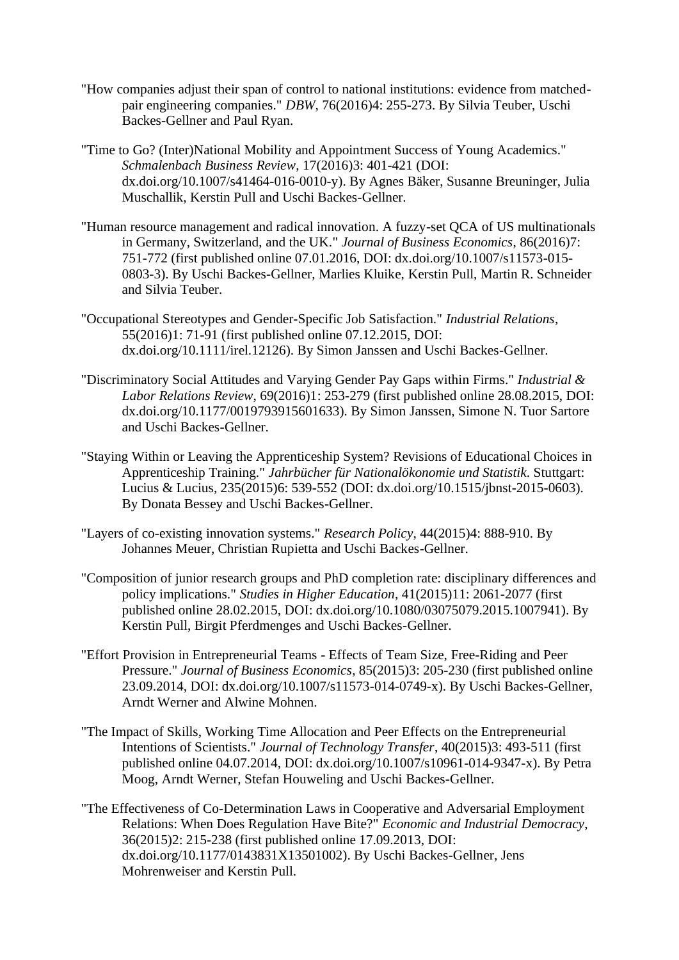- "How companies adjust their span of control to national institutions: evidence from matchedpair engineering companies." *DBW,* 76(2016)4: 255-273. By Silvia Teuber, Uschi Backes-Gellner and Paul Ryan.
- "Time to Go? (Inter)National Mobility and Appointment Success of Young Academics." *Schmalenbach Business Review*, 17(2016)3: 401-421 (DOI: dx.doi.org/10.1007/s41464-016-0010-y). By Agnes Bäker, Susanne Breuninger, Julia Muschallik, Kerstin Pull and Uschi Backes-Gellner.
- "Human resource management and radical innovation. A fuzzy-set QCA of US multinationals in Germany, Switzerland, and the UK." *Journal of Business Economics*, 86(2016)7: 751-772 (first published online 07.01.2016, DOI: dx.doi.org/10.1007/s11573-015- 0803-3). By Uschi Backes-Gellner, Marlies Kluike, Kerstin Pull, Martin R. Schneider and Silvia Teuber.
- "Occupational Stereotypes and Gender-Specific Job Satisfaction." *Industrial Relations*, 55(2016)1: 71-91 (first published online 07.12.2015, DOI: dx.doi.org/10.1111/irel.12126). By Simon Janssen and Uschi Backes-Gellner.
- "Discriminatory Social Attitudes and Varying Gender Pay Gaps within Firms." *Industrial & Labor Relations Review*, 69(2016)1: 253-279 (first published online 28.08.2015, DOI: dx.doi.org/10.1177/0019793915601633). By Simon Janssen, Simone N. Tuor Sartore and Uschi Backes-Gellner.
- "Staying Within or Leaving the Apprenticeship System? Revisions of Educational Choices in Apprenticeship Training." *Jahrbücher für Nationalökonomie und Statistik*. Stuttgart: Lucius & Lucius, 235(2015)6: 539-552 (DOI: dx.doi.org/10.1515/jbnst-2015-0603). By Donata Bessey and Uschi Backes-Gellner.
- "Layers of co-existing innovation systems." *Research Policy*, 44(2015)4: 888-910. By Johannes Meuer, Christian Rupietta and Uschi Backes-Gellner.
- "Composition of junior research groups and PhD completion rate: disciplinary differences and policy implications." *Studies in Higher Education*, 41(2015)11: 2061-2077 (first published online 28.02.2015, DOI: dx.doi.org/10.1080/03075079.2015.1007941). By Kerstin Pull, Birgit Pferdmenges and Uschi Backes-Gellner.
- "Effort Provision in Entrepreneurial Teams Effects of Team Size, Free-Riding and Peer Pressure." *Journal of Business Economics*, 85(2015)3: 205-230 (first published online 23.09.2014, DOI: dx.doi.org/10.1007/s11573-014-0749-x). By Uschi Backes-Gellner, Arndt Werner and Alwine Mohnen.
- "The Impact of Skills, Working Time Allocation and Peer Effects on the Entrepreneurial Intentions of Scientists." *Journal of Technology Transfer*, 40(2015)3: 493-511 (first published online 04.07.2014, DOI: dx.doi.org/10.1007/s10961-014-9347-x). By Petra Moog, Arndt Werner, Stefan Houweling and Uschi Backes-Gellner.
- "The Effectiveness of Co-Determination Laws in Cooperative and Adversarial Employment Relations: When Does Regulation Have Bite?" *Economic and Industrial Democracy*, 36(2015)2: 215-238 (first published online 17.09.2013, DOI: dx.doi.org/10.1177/0143831X13501002). By Uschi Backes-Gellner, Jens Mohrenweiser and Kerstin Pull.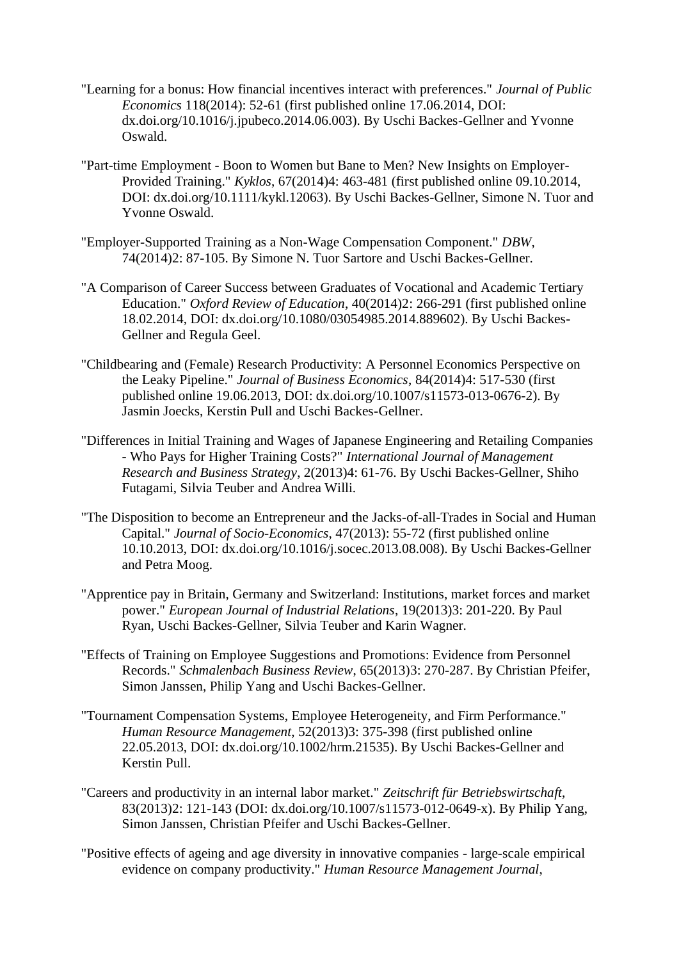- "Learning for a bonus: How financial incentives interact with preferences." *Journal of Public Economics* 118(2014): 52-61 (first published online 17.06.2014, DOI: dx.doi.org/10.1016/j.jpubeco.2014.06.003). By Uschi Backes-Gellner and Yvonne Oswald.
- "Part-time Employment Boon to Women but Bane to Men? New Insights on Employer-Provided Training." *Kyklos*, 67(2014)4: 463-481 (first published online 09.10.2014, DOI: dx.doi.org/10.1111/kykl.12063). By Uschi Backes-Gellner, Simone N. Tuor and Yvonne Oswald.
- "Employer-Supported Training as a Non-Wage Compensation Component." *DBW*, 74(2014)2: 87-105. By Simone N. Tuor Sartore and Uschi Backes-Gellner.
- "A Comparison of Career Success between Graduates of Vocational and Academic Tertiary Education." *Oxford Review of Education*, 40(2014)2: 266-291 (first published online 18.02.2014, DOI: dx.doi.org/10.1080/03054985.2014.889602). By Uschi Backes-Gellner and Regula Geel.
- "Childbearing and (Female) Research Productivity: A Personnel Economics Perspective on the Leaky Pipeline." *Journal of Business Economics*, 84(2014)4: 517-530 (first published online 19.06.2013, DOI: dx.doi.org/10.1007/s11573-013-0676-2). By Jasmin Joecks, Kerstin Pull and Uschi Backes-Gellner.
- "Differences in Initial Training and Wages of Japanese Engineering and Retailing Companies - Who Pays for Higher Training Costs?" *International Journal of Management Research and Business Strategy*, 2(2013)4: 61-76. By Uschi Backes-Gellner, Shiho Futagami, Silvia Teuber and Andrea Willi.
- "The Disposition to become an Entrepreneur and the Jacks-of-all-Trades in Social and Human Capital." *Journal of Socio-Economics*, 47(2013): 55-72 (first published online 10.10.2013, DOI: dx.doi.org/10.1016/j.socec.2013.08.008). By Uschi Backes-Gellner and Petra Moog.
- "Apprentice pay in Britain, Germany and Switzerland: Institutions, market forces and market power." *European Journal of Industrial Relations*, 19(2013)3: 201-220. By Paul Ryan, Uschi Backes-Gellner, Silvia Teuber and Karin Wagner.
- "Effects of Training on Employee Suggestions and Promotions: Evidence from Personnel Records." *Schmalenbach Business Review*, 65(2013)3: 270-287. By Christian Pfeifer, Simon Janssen, Philip Yang and Uschi Backes-Gellner.
- "Tournament Compensation Systems, Employee Heterogeneity, and Firm Performance." *Human Resource Management*, 52(2013)3: 375-398 (first published online 22.05.2013, DOI: dx.doi.org/10.1002/hrm.21535). By Uschi Backes-Gellner and Kerstin Pull.
- "Careers and productivity in an internal labor market." *Zeitschrift für Betriebswirtschaft*, 83(2013)2: 121-143 (DOI: dx.doi.org/10.1007/s11573-012-0649-x). By Philip Yang, Simon Janssen, Christian Pfeifer and Uschi Backes-Gellner.
- "Positive effects of ageing and age diversity in innovative companies large-scale empirical evidence on company productivity." *Human Resource Management Journal*,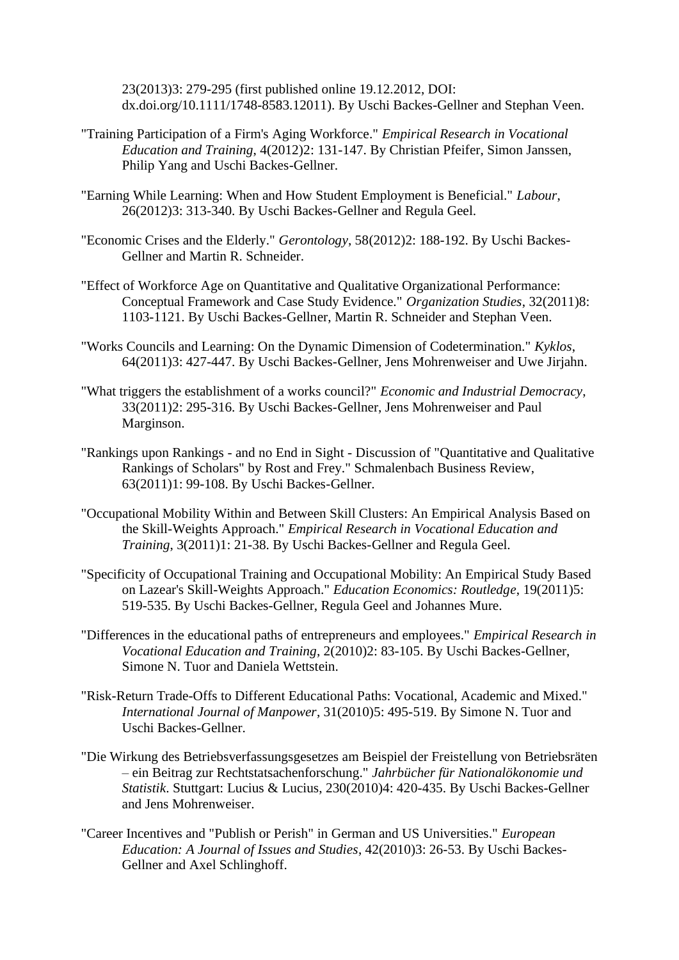23(2013)3: 279-295 (first published online 19.12.2012, DOI: dx.doi.org/10.1111/1748-8583.12011). By Uschi Backes-Gellner and Stephan Veen.

- "Training Participation of a Firm's Aging Workforce." *Empirical Research in Vocational Education and Training*, 4(2012)2: 131-147. By Christian Pfeifer, Simon Janssen, Philip Yang and Uschi Backes-Gellner.
- "Earning While Learning: When and How Student Employment is Beneficial." *Labour*, 26(2012)3: 313-340. By Uschi Backes-Gellner and Regula Geel.
- "Economic Crises and the Elderly." *Gerontology*, 58(2012)2: 188-192. By Uschi Backes-Gellner and Martin R. Schneider.
- "Effect of Workforce Age on Quantitative and Qualitative Organizational Performance: Conceptual Framework and Case Study Evidence." *Organization Studies*, 32(2011)8: 1103-1121. By Uschi Backes-Gellner, Martin R. Schneider and Stephan Veen.
- "Works Councils and Learning: On the Dynamic Dimension of Codetermination." *Kyklos*, 64(2011)3: 427-447. By Uschi Backes-Gellner, Jens Mohrenweiser and Uwe Jirjahn.
- "What triggers the establishment of a works council?" *Economic and Industrial Democracy*, 33(2011)2: 295-316. By Uschi Backes-Gellner, Jens Mohrenweiser and Paul Marginson.
- "Rankings upon Rankings and no End in Sight Discussion of "Quantitative and Qualitative Rankings of Scholars" by Rost and Frey." Schmalenbach Business Review, 63(2011)1: 99-108. By Uschi Backes-Gellner.
- "Occupational Mobility Within and Between Skill Clusters: An Empirical Analysis Based on the Skill-Weights Approach." *Empirical Research in Vocational Education and Training*, 3(2011)1: 21-38. By Uschi Backes-Gellner and Regula Geel.
- "Specificity of Occupational Training and Occupational Mobility: An Empirical Study Based on Lazear's Skill-Weights Approach." *Education Economics: Routledge*, 19(2011)5: 519-535. By Uschi Backes-Gellner, Regula Geel and Johannes Mure.
- "Differences in the educational paths of entrepreneurs and employees." *Empirical Research in Vocational Education and Training*, 2(2010)2: 83-105. By Uschi Backes-Gellner, Simone N. Tuor and Daniela Wettstein.
- "Risk-Return Trade-Offs to Different Educational Paths: Vocational, Academic and Mixed." *International Journal of Manpower*, 31(2010)5: 495-519. By Simone N. Tuor and Uschi Backes-Gellner.
- "Die Wirkung des Betriebsverfassungsgesetzes am Beispiel der Freistellung von Betriebsräten – ein Beitrag zur Rechtstatsachenforschung." *Jahrbücher für Nationalökonomie und Statistik*. Stuttgart: Lucius & Lucius, 230(2010)4: 420-435. By Uschi Backes-Gellner and Jens Mohrenweiser.
- "Career Incentives and "Publish or Perish" in German and US Universities." *European Education: A Journal of Issues and Studies*, 42(2010)3: 26-53. By Uschi Backes-Gellner and Axel Schlinghoff.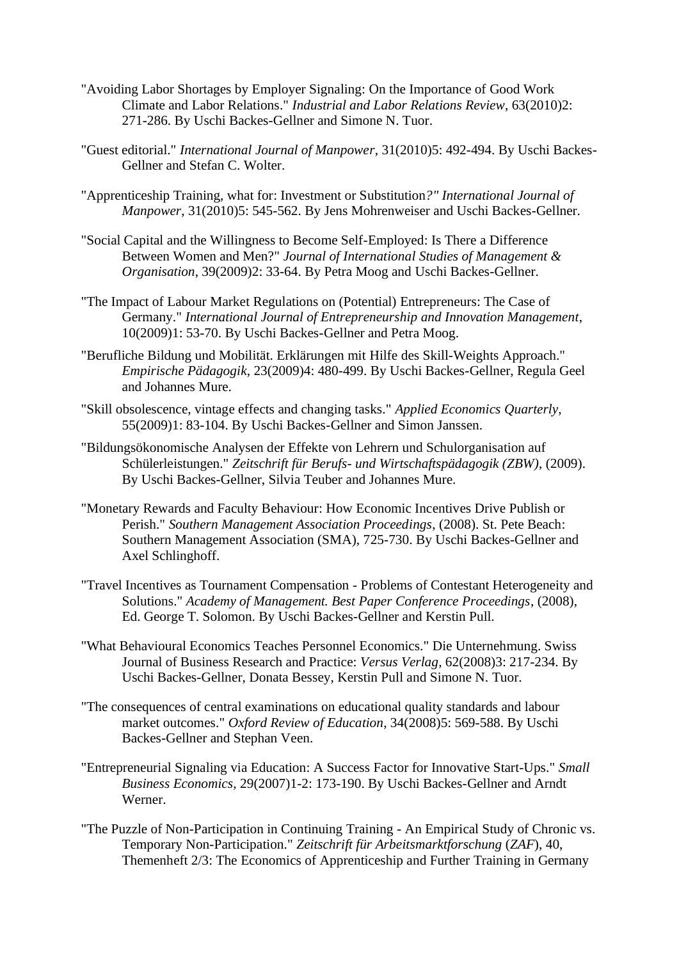- "Avoiding Labor Shortages by Employer Signaling: On the Importance of Good Work Climate and Labor Relations." *Industrial and Labor Relations Review*, 63(2010)2: 271-286. By Uschi Backes-Gellner and Simone N. Tuor.
- "Guest editorial." *International Journal of Manpower*, 31(2010)5: 492-494. By Uschi Backes-Gellner and Stefan C. Wolter.
- "Apprenticeship Training, what for: Investment or Substitution*?" International Journal of Manpower*, 31(2010)5: 545-562. By Jens Mohrenweiser and Uschi Backes-Gellner.
- "Social Capital and the Willingness to Become Self-Employed: Is There a Difference Between Women and Men?" *Journal of International Studies of Management & Organisation*, 39(2009)2: 33-64. By Petra Moog and Uschi Backes-Gellner.
- "The Impact of Labour Market Regulations on (Potential) Entrepreneurs: The Case of Germany." *International Journal of Entrepreneurship and Innovation Management*, 10(2009)1: 53-70. By Uschi Backes-Gellner and Petra Moog.
- "Berufliche Bildung und Mobilität. Erklärungen mit Hilfe des Skill-Weights Approach." *Empirische Pädagogik*, 23(2009)4: 480-499. By Uschi Backes-Gellner, Regula Geel and Johannes Mure.
- "Skill obsolescence, vintage effects and changing tasks." *Applied Economics Quarterly*, 55(2009)1: 83-104. By Uschi Backes-Gellner and Simon Janssen.
- "Bildungsökonomische Analysen der Effekte von Lehrern und Schulorganisation auf Schülerleistungen." *Zeitschrift für Berufs- und Wirtschaftspädagogik (ZBW)*, (2009). By Uschi Backes-Gellner, Silvia Teuber and Johannes Mure.
- "Monetary Rewards and Faculty Behaviour: How Economic Incentives Drive Publish or Perish." *Southern Management Association Proceedings*, (2008). St. Pete Beach: Southern Management Association (SMA), 725-730. By Uschi Backes-Gellner and Axel Schlinghoff.
- "Travel Incentives as Tournament Compensation Problems of Contestant Heterogeneity and Solutions." *Academy of Management. Best Paper Conference Proceedings*, (2008), Ed. George T. Solomon. By Uschi Backes-Gellner and Kerstin Pull.
- "What Behavioural Economics Teaches Personnel Economics." Die Unternehmung. Swiss Journal of Business Research and Practice: *Versus Verlag*, 62(2008)3: 217-234. By Uschi Backes-Gellner, Donata Bessey, Kerstin Pull and Simone N. Tuor.
- "The consequences of central examinations on educational quality standards and labour market outcomes." *Oxford Review of Education*, 34(2008)5: 569-588. By Uschi Backes-Gellner and Stephan Veen.
- "Entrepreneurial Signaling via Education: A Success Factor for Innovative Start-Ups." *Small Business Economics*, 29(2007)1-2: 173-190. By Uschi Backes-Gellner and Arndt Werner.
- "The Puzzle of Non-Participation in Continuing Training An Empirical Study of Chronic vs. Temporary Non-Participation." *Zeitschrift für Arbeitsmarktforschung* (*ZAF*), 40, Themenheft 2/3: The Economics of Apprenticeship and Further Training in Germany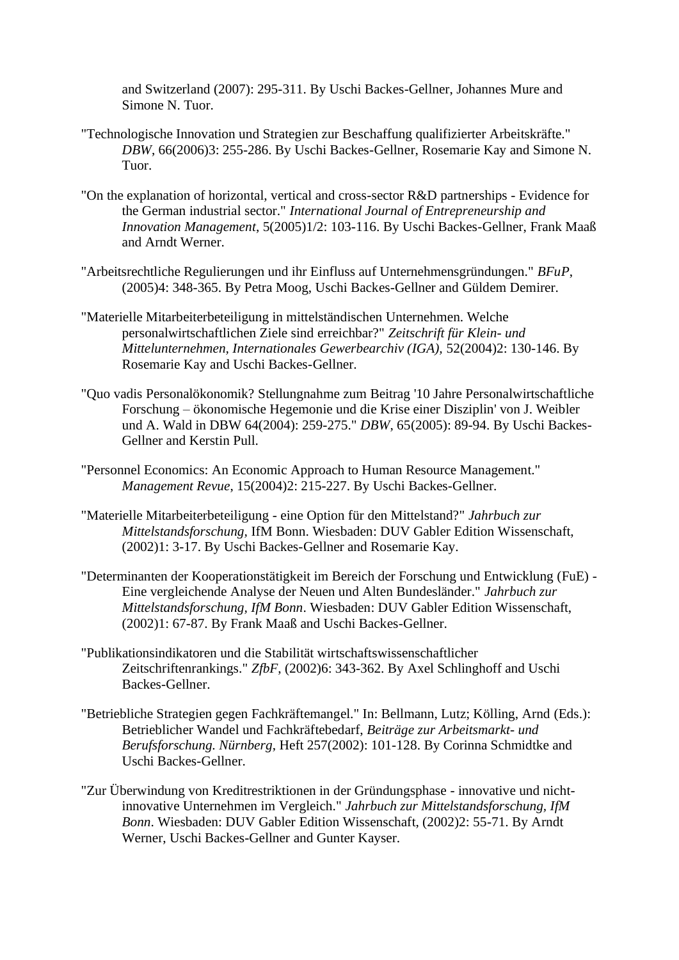and Switzerland (2007): 295-311. By Uschi Backes-Gellner, Johannes Mure and Simone N. Tuor.

- "Technologische Innovation und Strategien zur Beschaffung qualifizierter Arbeitskräfte." *DBW*, 66(2006)3: 255-286. By Uschi Backes-Gellner, Rosemarie Kay and Simone N. Tuor.
- "On the explanation of horizontal, vertical and cross-sector R&D partnerships Evidence for the German industrial sector." *International Journal of Entrepreneurship and Innovation Management*, 5(2005)1/2: 103-116. By Uschi Backes-Gellner, Frank Maaß and Arndt Werner.
- "Arbeitsrechtliche Regulierungen und ihr Einfluss auf Unternehmensgründungen." *BFuP*, (2005)4: 348-365. By Petra Moog, Uschi Backes-Gellner and Güldem Demirer.
- "Materielle Mitarbeiterbeteiligung in mittelständischen Unternehmen. Welche personalwirtschaftlichen Ziele sind erreichbar?" *Zeitschrift für Klein- und Mittelunternehmen, Internationales Gewerbearchiv (IGA),* 52(2004)2: 130-146. By Rosemarie Kay and Uschi Backes-Gellner.
- "Quo vadis Personalökonomik? Stellungnahme zum Beitrag '10 Jahre Personalwirtschaftliche Forschung – ökonomische Hegemonie und die Krise einer Disziplin' von J. Weibler und A. Wald in DBW 64(2004): 259-275." *DBW*, 65(2005): 89-94. By Uschi Backes-Gellner and Kerstin Pull.
- "Personnel Economics: An Economic Approach to Human Resource Management." *Management Revue*, 15(2004)2: 215-227. By Uschi Backes-Gellner.
- "Materielle Mitarbeiterbeteiligung eine Option für den Mittelstand?" *Jahrbuch zur Mittelstandsforschung,* IfM Bonn. Wiesbaden: DUV Gabler Edition Wissenschaft, (2002)1: 3-17. By Uschi Backes-Gellner and Rosemarie Kay.
- "Determinanten der Kooperationstätigkeit im Bereich der Forschung und Entwicklung (FuE) Eine vergleichende Analyse der Neuen und Alten Bundesländer." *Jahrbuch zur Mittelstandsforschung, IfM Bonn*. Wiesbaden: DUV Gabler Edition Wissenschaft, (2002)1: 67-87. By Frank Maaß and Uschi Backes-Gellner.
- "Publikationsindikatoren und die Stabilität wirtschaftswissenschaftlicher Zeitschriftenrankings." *ZfbF*, (2002)6: 343-362. By Axel Schlinghoff and Uschi Backes-Gellner.
- "Betriebliche Strategien gegen Fachkräftemangel." In: Bellmann, Lutz; Kölling, Arnd (Eds.): Betrieblicher Wandel und Fachkräftebedarf, *Beiträge zur Arbeitsmarkt- und Berufsforschung. Nürnberg*, Heft 257(2002): 101-128. By Corinna Schmidtke and Uschi Backes-Gellner.
- "Zur Überwindung von Kreditrestriktionen in der Gründungsphase innovative und nichtinnovative Unternehmen im Vergleich." *Jahrbuch zur Mittelstandsforschung, IfM Bonn*. Wiesbaden: DUV Gabler Edition Wissenschaft, (2002)2: 55-71. By Arndt Werner, Uschi Backes-Gellner and Gunter Kayser.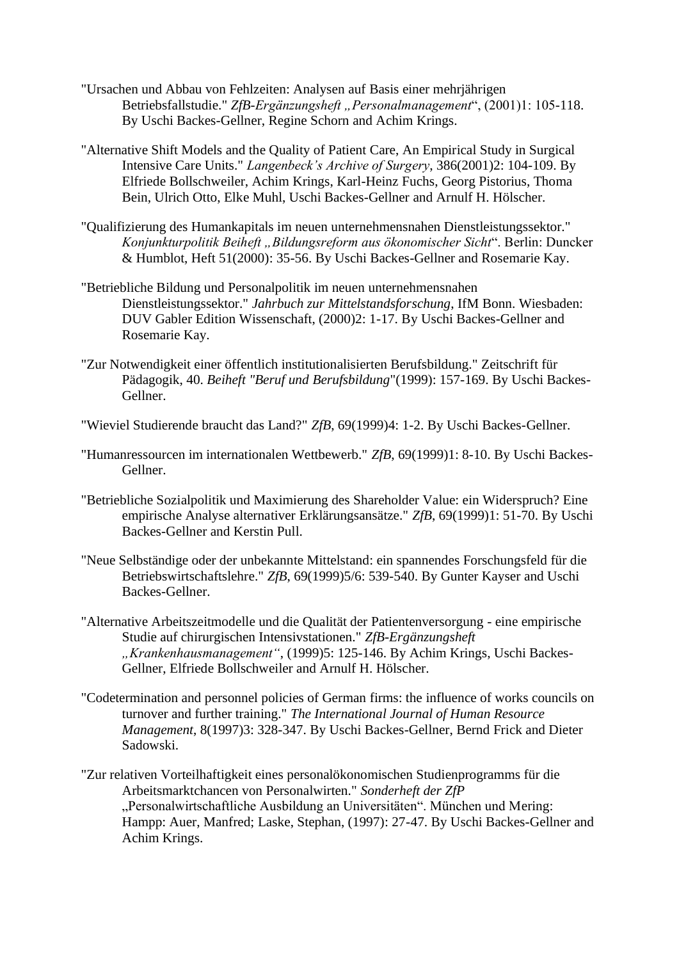- "Ursachen und Abbau von Fehlzeiten: Analysen auf Basis einer mehrjährigen Betriebsfallstudie." *ZfB-Ergänzungsheft "Personalmanagement"*, (2001)1: 105-118. By Uschi Backes-Gellner, Regine Schorn and Achim Krings.
- "Alternative Shift Models and the Quality of Patient Care, An Empirical Study in Surgical Intensive Care Units." *Langenbeck's Archive of Surgery*, 386(2001)2: 104-109. By Elfriede Bollschweiler, Achim Krings, Karl-Heinz Fuchs, Georg Pistorius, Thoma Bein, Ulrich Otto, Elke Muhl, Uschi Backes-Gellner and Arnulf H. Hölscher.
- "Qualifizierung des Humankapitals im neuen unternehmensnahen Dienstleistungssektor." *Konjunkturpolitik Beiheft "Bildungsreform aus ökonomischer Sicht*". Berlin: Duncker & Humblot, Heft 51(2000): 35-56. By Uschi Backes-Gellner and Rosemarie Kay.
- "Betriebliche Bildung und Personalpolitik im neuen unternehmensnahen Dienstleistungssektor." *Jahrbuch zur Mittelstandsforschung*, IfM Bonn. Wiesbaden: DUV Gabler Edition Wissenschaft, (2000)2: 1-17. By Uschi Backes-Gellner and Rosemarie Kay.
- "Zur Notwendigkeit einer öffentlich institutionalisierten Berufsbildung." Zeitschrift für Pädagogik, 40. *Beiheft "Beruf und Berufsbildung*"(1999): 157-169. By Uschi Backes-Gellner.
- "Wieviel Studierende braucht das Land?" *ZfB*, 69(1999)4: 1-2. By Uschi Backes-Gellner.
- "Humanressourcen im internationalen Wettbewerb." *ZfB*, 69(1999)1: 8-10. By Uschi Backes-Gellner.
- "Betriebliche Sozialpolitik und Maximierung des Shareholder Value: ein Widerspruch? Eine empirische Analyse alternativer Erklärungsansätze." *ZfB*, 69(1999)1: 51-70. By Uschi Backes-Gellner and Kerstin Pull.
- "Neue Selbständige oder der unbekannte Mittelstand: ein spannendes Forschungsfeld für die Betriebswirtschaftslehre." *ZfB*, 69(1999)5/6: 539-540. By Gunter Kayser and Uschi Backes-Gellner.
- "Alternative Arbeitszeitmodelle und die Qualität der Patientenversorgung eine empirische Studie auf chirurgischen Intensivstationen." *ZfB-Ergänzungsheft "Krankenhausmanagement"*, (1999)5: 125-146. By Achim Krings, Uschi Backes-Gellner, Elfriede Bollschweiler and Arnulf H. Hölscher.
- "Codetermination and personnel policies of German firms: the influence of works councils on turnover and further training." *The International Journal of Human Resource Management*, 8(1997)3: 328-347. By Uschi Backes-Gellner, Bernd Frick and Dieter Sadowski.
- "Zur relativen Vorteilhaftigkeit eines personalökonomischen Studienprogramms für die Arbeitsmarktchancen von Personalwirten." *Sonderheft der ZfP* "Personalwirtschaftliche Ausbildung an Universitäten". München und Mering: Hampp: Auer, Manfred; Laske, Stephan, (1997): 27-47. By Uschi Backes-Gellner and Achim Krings.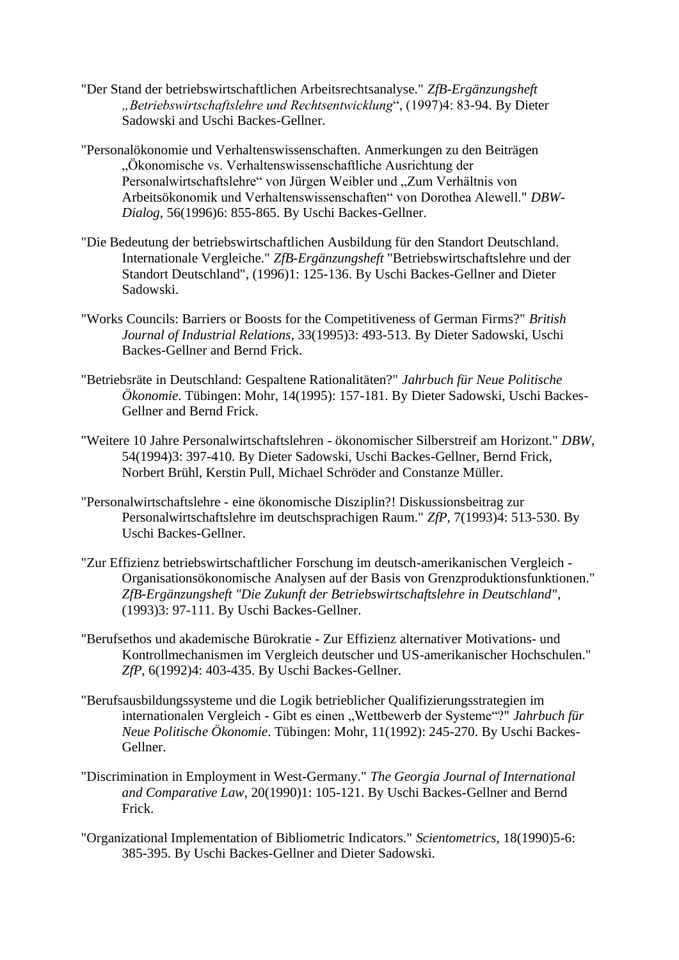- "Der Stand der betriebswirtschaftlichen Arbeitsrechtsanalyse." *ZfB-Ergänzungsheft "Betriebswirtschaftslehre und Rechtsentwicklung*", (1997)4: 83-94. By Dieter Sadowski and Uschi Backes-Gellner.
- "Personalökonomie und Verhaltenswissenschaften. Anmerkungen zu den Beiträgen "Ökonomische vs. Verhaltenswissenschaftliche Ausrichtung der Personalwirtschaftslehre" von Jürgen Weibler und "Zum Verhältnis von Arbeitsökonomik und Verhaltenswissenschaften" von Dorothea Alewell." *DBW-Dialog*, 56(1996)6: 855-865. By Uschi Backes-Gellner.
- "Die Bedeutung der betriebswirtschaftlichen Ausbildung für den Standort Deutschland. Internationale Vergleiche." *ZfB-Ergänzungsheft* "Betriebswirtschaftslehre und der Standort Deutschland", (1996)1: 125-136. By Uschi Backes-Gellner and Dieter Sadowski.
- "Works Councils: Barriers or Boosts for the Competitiveness of German Firms?" *British Journal of Industrial Relations*, 33(1995)3: 493-513. By Dieter Sadowski, Uschi Backes-Gellner and Bernd Frick.
- "Betriebsräte in Deutschland: Gespaltene Rationalitäten?" *Jahrbuch für Neue Politische Ökonomie*. Tübingen: Mohr, 14(1995): 157-181. By Dieter Sadowski, Uschi Backes-Gellner and Bernd Frick.
- "Weitere 10 Jahre Personalwirtschaftslehren ökonomischer Silberstreif am Horizont." *DBW*, 54(1994)3: 397-410. By Dieter Sadowski, Uschi Backes-Gellner, Bernd Frick, Norbert Brühl, Kerstin Pull, Michael Schröder and Constanze Müller.
- "Personalwirtschaftslehre eine ökonomische Disziplin?! Diskussionsbeitrag zur Personalwirtschaftslehre im deutschsprachigen Raum." *ZfP*, 7(1993)4: 513-530. By Uschi Backes-Gellner.
- "Zur Effizienz betriebswirtschaftlicher Forschung im deutsch-amerikanischen Vergleich Organisationsökonomische Analysen auf der Basis von Grenzproduktionsfunktionen." *ZfB-Ergänzungsheft "Die Zukunft der Betriebswirtschaftslehre in Deutschland"*, (1993)3: 97-111. By Uschi Backes-Gellner.
- "Berufsethos und akademische Bürokratie Zur Effizienz alternativer Motivations- und Kontrollmechanismen im Vergleich deutscher und US-amerikanischer Hochschulen." *ZfP*, 6(1992)4: 403-435. By Uschi Backes-Gellner.
- "Berufsausbildungssysteme und die Logik betrieblicher Qualifizierungsstrategien im internationalen Vergleich - Gibt es einen "Wettbewerb der Systeme"?" *Jahrbuch für Neue Politische Ökonomie*. Tübingen: Mohr, 11(1992): 245-270. By Uschi Backes-Gellner.
- "Discrimination in Employment in West-Germany." *The Georgia Journal of International and Comparative Law*, 20(1990)1: 105-121. By Uschi Backes-Gellner and Bernd Frick.
- "Organizational Implementation of Bibliometric Indicators." *Scientometrics*, 18(1990)5-6: 385-395. By Uschi Backes-Gellner and Dieter Sadowski.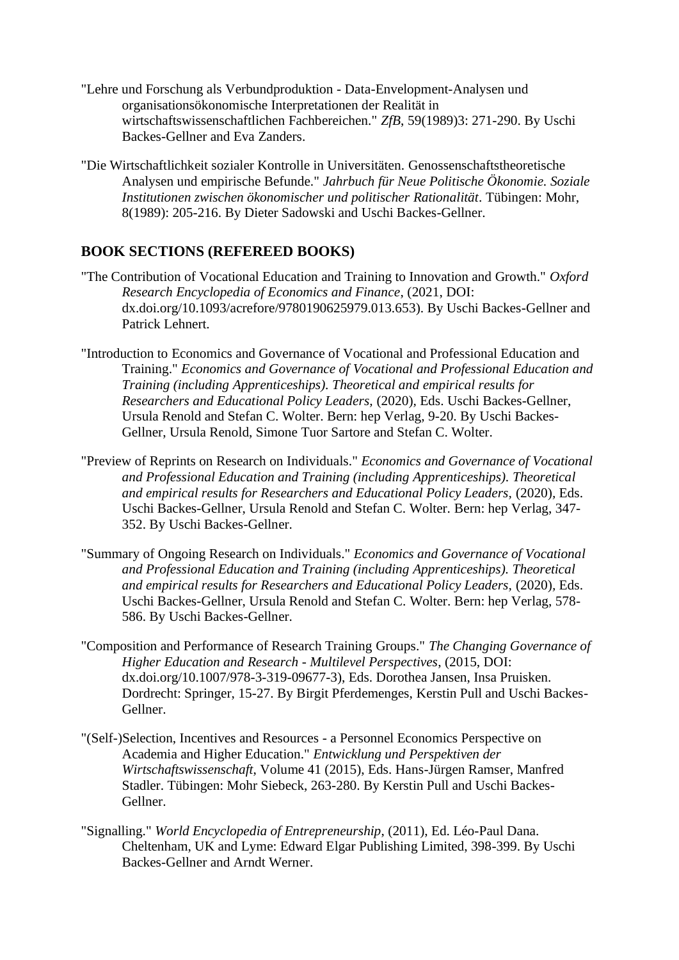- "Lehre und Forschung als Verbundproduktion Data-Envelopment-Analysen und organisationsökonomische Interpretationen der Realität in wirtschaftswissenschaftlichen Fachbereichen." *ZfB*, 59(1989)3: 271-290. By Uschi Backes-Gellner and Eva Zanders.
- "Die Wirtschaftlichkeit sozialer Kontrolle in Universitäten. Genossenschaftstheoretische Analysen und empirische Befunde." *Jahrbuch für Neue Politische Ökonomie. Soziale Institutionen zwischen ökonomischer und politischer Rationalität*. Tübingen: Mohr, 8(1989): 205-216. By Dieter Sadowski and Uschi Backes-Gellner.

# **BOOK SECTIONS (REFEREED BOOKS)**

- "The Contribution of Vocational Education and Training to Innovation and Growth." *Oxford Research Encyclopedia of Economics and Finance*, (2021, DOI: dx.doi.org/10.1093/acrefore/9780190625979.013.653). By Uschi Backes-Gellner and Patrick Lehnert.
- "Introduction to Economics and Governance of Vocational and Professional Education and Training." *Economics and Governance of Vocational and Professional Education and Training (including Apprenticeships). Theoretical and empirical results for Researchers and Educational Policy Leaders,* (2020)*,* Eds. Uschi Backes-Gellner, Ursula Renold and Stefan C. Wolter. Bern: hep Verlag, 9-20. By Uschi Backes-Gellner, Ursula Renold, Simone Tuor Sartore and Stefan C. Wolter.
- "Preview of Reprints on Research on Individuals." *Economics and Governance of Vocational and Professional Education and Training (including Apprenticeships). Theoretical and empirical results for Researchers and Educational Policy Leaders,* (2020)*,* Eds. Uschi Backes-Gellner, Ursula Renold and Stefan C. Wolter. Bern: hep Verlag, 347- 352. By Uschi Backes-Gellner.
- "Summary of Ongoing Research on Individuals." *Economics and Governance of Vocational and Professional Education and Training (including Apprenticeships). Theoretical and empirical results for Researchers and Educational Policy Leaders,* (2020)*,* Eds. Uschi Backes-Gellner, Ursula Renold and Stefan C. Wolter. Bern: hep Verlag, 578- 586. By Uschi Backes-Gellner.
- "Composition and Performance of Research Training Groups." *The Changing Governance of Higher Education and Research - Multilevel Perspectives*, (2015, DOI: dx.doi.org/10.1007/978-3-319-09677-3), Eds. Dorothea Jansen, Insa Pruisken. Dordrecht: Springer, 15-27. By Birgit Pferdemenges, Kerstin Pull and Uschi Backes-Gellner.
- "(Self-)Selection, Incentives and Resources a Personnel Economics Perspective on Academia and Higher Education." *Entwicklung und Perspektiven der Wirtschaftswissenschaft*, Volume 41 (2015), Eds. Hans-Jürgen Ramser, Manfred Stadler. Tübingen: Mohr Siebeck, 263-280. By Kerstin Pull and Uschi Backes-Gellner.
- "Signalling." *World Encyclopedia of Entrepreneurship*, (2011), Ed. Léo-Paul Dana. Cheltenham, UK and Lyme: Edward Elgar Publishing Limited, 398-399. By Uschi Backes-Gellner and Arndt Werner.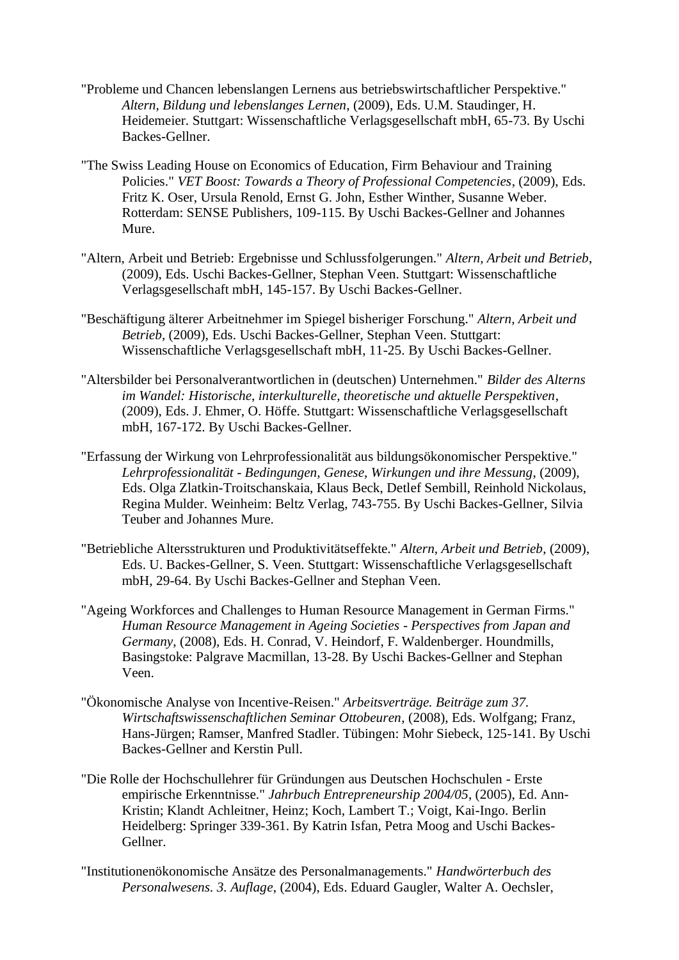- "Probleme und Chancen lebenslangen Lernens aus betriebswirtschaftlicher Perspektive." *Altern, Bildung und lebenslanges Lernen*, (2009), Eds. U.M. Staudinger, H. Heidemeier. Stuttgart: Wissenschaftliche Verlagsgesellschaft mbH, 65-73. By Uschi Backes-Gellner.
- "The Swiss Leading House on Economics of Education, Firm Behaviour and Training Policies." *VET Boost: Towards a Theory of Professional Competencies*, (2009), Eds. Fritz K. Oser, Ursula Renold, Ernst G. John, Esther Winther, Susanne Weber. Rotterdam: SENSE Publishers, 109-115. By Uschi Backes-Gellner and Johannes Mure.
- "Altern, Arbeit und Betrieb: Ergebnisse und Schlussfolgerungen." *Altern, Arbeit und Betrieb*, (2009), Eds. Uschi Backes-Gellner, Stephan Veen. Stuttgart: Wissenschaftliche Verlagsgesellschaft mbH, 145-157. By Uschi Backes-Gellner.
- "Beschäftigung älterer Arbeitnehmer im Spiegel bisheriger Forschung." *Altern, Arbeit und Betrieb*, (2009), Eds. Uschi Backes-Gellner, Stephan Veen. Stuttgart: Wissenschaftliche Verlagsgesellschaft mbH, 11-25. By Uschi Backes-Gellner.
- "Altersbilder bei Personalverantwortlichen in (deutschen) Unternehmen." *Bilder des Alterns im Wandel: Historische, interkulturelle, theoretische und aktuelle Perspektiven*, (2009), Eds. J. Ehmer, O. Höffe. Stuttgart: Wissenschaftliche Verlagsgesellschaft mbH, 167-172. By Uschi Backes-Gellner.
- "Erfassung der Wirkung von Lehrprofessionalität aus bildungsökonomischer Perspektive." *Lehrprofessionalität - Bedingungen, Genese, Wirkungen und ihre Messung*, (2009), Eds. Olga Zlatkin-Troitschanskaia, Klaus Beck, Detlef Sembill, Reinhold Nickolaus, Regina Mulder. Weinheim: Beltz Verlag, 743-755. By Uschi Backes-Gellner, Silvia Teuber and Johannes Mure.
- "Betriebliche Altersstrukturen und Produktivitätseffekte." *Altern, Arbeit und Betrieb*, (2009), Eds. U. Backes-Gellner, S. Veen. Stuttgart: Wissenschaftliche Verlagsgesellschaft mbH, 29-64. By Uschi Backes-Gellner and Stephan Veen.
- "Ageing Workforces and Challenges to Human Resource Management in German Firms." *Human Resource Management in Ageing Societies - Perspectives from Japan and Germany*, (2008), Eds. H. Conrad, V. Heindorf, F. Waldenberger. Houndmills, Basingstoke: Palgrave Macmillan, 13-28. By Uschi Backes-Gellner and Stephan Veen.
- "Ökonomische Analyse von Incentive-Reisen." *Arbeitsverträge. Beiträge zum 37. Wirtschaftswissenschaftlichen Seminar Ottobeuren*, (2008), Eds. Wolfgang; Franz, Hans-Jürgen; Ramser, Manfred Stadler. Tübingen: Mohr Siebeck, 125-141. By Uschi Backes-Gellner and Kerstin Pull.
- "Die Rolle der Hochschullehrer für Gründungen aus Deutschen Hochschulen Erste empirische Erkenntnisse." *Jahrbuch Entrepreneurship 2004/05*, (2005), Ed. Ann-Kristin; Klandt Achleitner, Heinz; Koch, Lambert T.; Voigt, Kai-Ingo. Berlin Heidelberg: Springer 339-361. By Katrin Isfan, Petra Moog and Uschi Backes-Gellner.
- "Institutionenökonomische Ansätze des Personalmanagements." *Handwörterbuch des Personalwesens. 3. Auflage*, (2004), Eds. Eduard Gaugler, Walter A. Oechsler,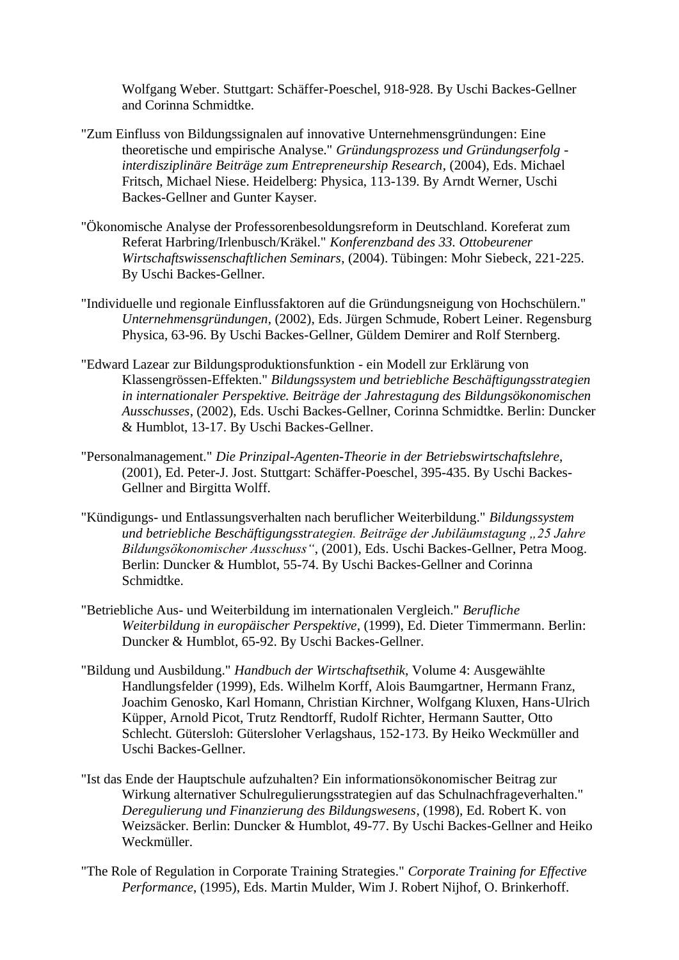Wolfgang Weber. Stuttgart: Schäffer-Poeschel, 918-928. By Uschi Backes-Gellner and Corinna Schmidtke.

- "Zum Einfluss von Bildungssignalen auf innovative Unternehmensgründungen: Eine theoretische und empirische Analyse." *Gründungsprozess und Gründungserfolg interdisziplinäre Beiträge zum Entrepreneurship Research*, (2004), Eds. Michael Fritsch, Michael Niese. Heidelberg: Physica, 113-139. By Arndt Werner, Uschi Backes-Gellner and Gunter Kayser.
- "Ökonomische Analyse der Professorenbesoldungsreform in Deutschland. Koreferat zum Referat Harbring/Irlenbusch/Kräkel." *Konferenzband des 33. Ottobeurener Wirtschaftswissenschaftlichen Seminars*, (2004). Tübingen: Mohr Siebeck, 221-225. By Uschi Backes-Gellner.
- "Individuelle und regionale Einflussfaktoren auf die Gründungsneigung von Hochschülern." *Unternehmensgründungen*, (2002), Eds. Jürgen Schmude, Robert Leiner. Regensburg Physica, 63-96. By Uschi Backes-Gellner, Güldem Demirer and Rolf Sternberg.
- "Edward Lazear zur Bildungsproduktionsfunktion ein Modell zur Erklärung von Klassengrössen-Effekten." *Bildungssystem und betriebliche Beschäftigungsstrategien in internationaler Perspektive. Beiträge der Jahrestagung des Bildungsökonomischen Ausschusses*, (2002), Eds. Uschi Backes-Gellner, Corinna Schmidtke. Berlin: Duncker & Humblot, 13-17. By Uschi Backes-Gellner.
- "Personalmanagement." *Die Prinzipal-Agenten-Theorie in der Betriebswirtschaftslehre*, (2001), Ed. Peter-J. Jost. Stuttgart: Schäffer-Poeschel, 395-435. By Uschi Backes-Gellner and Birgitta Wolff.
- "Kündigungs- und Entlassungsverhalten nach beruflicher Weiterbildung." *Bildungssystem und betriebliche Beschäftigungsstrategien. Beiträge der Jubiläumstagung "25 Jahre Bildungsökonomischer Ausschuss"*, (2001), Eds. Uschi Backes-Gellner, Petra Moog. Berlin: Duncker & Humblot, 55-74. By Uschi Backes-Gellner and Corinna Schmidtke.
- "Betriebliche Aus- und Weiterbildung im internationalen Vergleich." *Berufliche Weiterbildung in europäischer Perspektive*, (1999), Ed. Dieter Timmermann. Berlin: Duncker & Humblot, 65-92. By Uschi Backes-Gellner.
- "Bildung und Ausbildung." *Handbuch der Wirtschaftsethik*, Volume 4: Ausgewählte Handlungsfelder (1999), Eds. Wilhelm Korff, Alois Baumgartner, Hermann Franz, Joachim Genosko, Karl Homann, Christian Kirchner, Wolfgang Kluxen, Hans-Ulrich Küpper, Arnold Picot, Trutz Rendtorff, Rudolf Richter, Hermann Sautter, Otto Schlecht. Gütersloh: Gütersloher Verlagshaus, 152-173. By Heiko Weckmüller and Uschi Backes-Gellner.
- "Ist das Ende der Hauptschule aufzuhalten? Ein informationsökonomischer Beitrag zur Wirkung alternativer Schulregulierungsstrategien auf das Schulnachfrageverhalten." *Deregulierung und Finanzierung des Bildungswesens*, (1998), Ed. Robert K. von Weizsäcker. Berlin: Duncker & Humblot, 49-77. By Uschi Backes-Gellner and Heiko Weckmüller.
- "The Role of Regulation in Corporate Training Strategies." *Corporate Training for Effective Performance*, (1995), Eds. Martin Mulder, Wim J. Robert Nijhof, O. Brinkerhoff.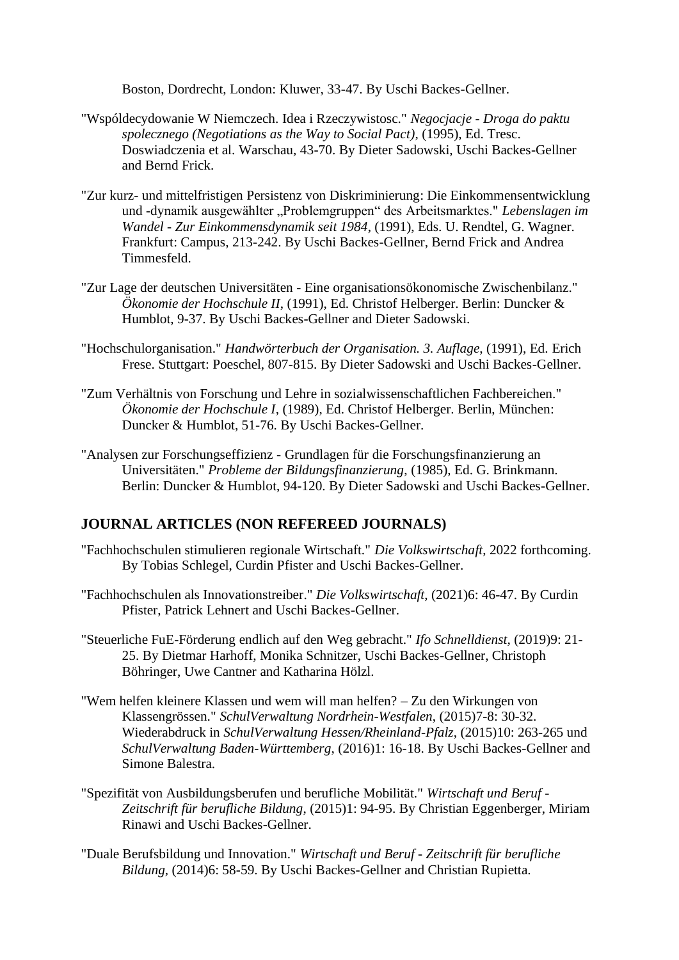Boston, Dordrecht, London: Kluwer, 33-47. By Uschi Backes-Gellner.

- "Wspóldecydowanie W Niemczech. Idea i Rzeczywistosc." *Negocjacje - Droga do paktu spolecznego (Negotiations as the Way to Social Pact)*, (1995), Ed. Tresc. Doswiadczenia et al. Warschau, 43-70. By Dieter Sadowski, Uschi Backes-Gellner and Bernd Frick.
- "Zur kurz- und mittelfristigen Persistenz von Diskriminierung: Die Einkommensentwicklung und -dynamik ausgewählter "Problemgruppen" des Arbeitsmarktes." *Lebenslagen im Wandel - Zur Einkommensdynamik seit 1984*, (1991), Eds. U. Rendtel, G. Wagner. Frankfurt: Campus, 213-242. By Uschi Backes-Gellner, Bernd Frick and Andrea Timmesfeld.
- "Zur Lage der deutschen Universitäten Eine organisationsökonomische Zwischenbilanz." *Ökonomie der Hochschule II*, (1991), Ed. Christof Helberger. Berlin: Duncker & Humblot, 9-37. By Uschi Backes-Gellner and Dieter Sadowski.
- "Hochschulorganisation." *Handwörterbuch der Organisation. 3. Auflage*, (1991), Ed. Erich Frese. Stuttgart: Poeschel, 807-815. By Dieter Sadowski and Uschi Backes-Gellner.
- "Zum Verhältnis von Forschung und Lehre in sozialwissenschaftlichen Fachbereichen." *Ökonomie der Hochschule I*, (1989), Ed. Christof Helberger. Berlin, München: Duncker & Humblot, 51-76. By Uschi Backes-Gellner.
- "Analysen zur Forschungseffizienz Grundlagen für die Forschungsfinanzierung an Universitäten." *Probleme der Bildungsfinanzierung*, (1985), Ed. G. Brinkmann. Berlin: Duncker & Humblot, 94-120. By Dieter Sadowski and Uschi Backes-Gellner.

# **JOURNAL ARTICLES (NON REFEREED JOURNALS)**

- "Fachhochschulen stimulieren regionale Wirtschaft." *Die Volkswirtschaft*, 2022 forthcoming. By Tobias Schlegel, Curdin Pfister and Uschi Backes-Gellner.
- "Fachhochschulen als Innovationstreiber." *Die Volkswirtschaft*, (2021)6: 46-47. By Curdin Pfister, Patrick Lehnert and Uschi Backes-Gellner.
- "Steuerliche FuE-Förderung endlich auf den Weg gebracht." *Ifo Schnelldienst,* (2019)9: 21- 25. By Dietmar Harhoff, Monika Schnitzer, Uschi Backes-Gellner, Christoph Böhringer, Uwe Cantner and Katharina Hölzl.
- "Wem helfen kleinere Klassen und wem will man helfen? Zu den Wirkungen von Klassengrössen." *SchulVerwaltung Nordrhein-Westfalen*, (2015)7-8: 30-32. Wiederabdruck in *SchulVerwaltung Hessen/Rheinland-Pfalz*, (2015)10: 263-265 und *SchulVerwaltung Baden-Württemberg*, (2016)1: 16-18. By Uschi Backes-Gellner and Simone Balestra.
- "Spezifität von Ausbildungsberufen und berufliche Mobilität." *Wirtschaft und Beruf - Zeitschrift für berufliche Bildung*, (2015)1: 94-95. By Christian Eggenberger, Miriam Rinawi and Uschi Backes-Gellner.
- "Duale Berufsbildung und Innovation." *Wirtschaft und Beruf - Zeitschrift für berufliche Bildung*, (2014)6: 58-59. By Uschi Backes-Gellner and Christian Rupietta.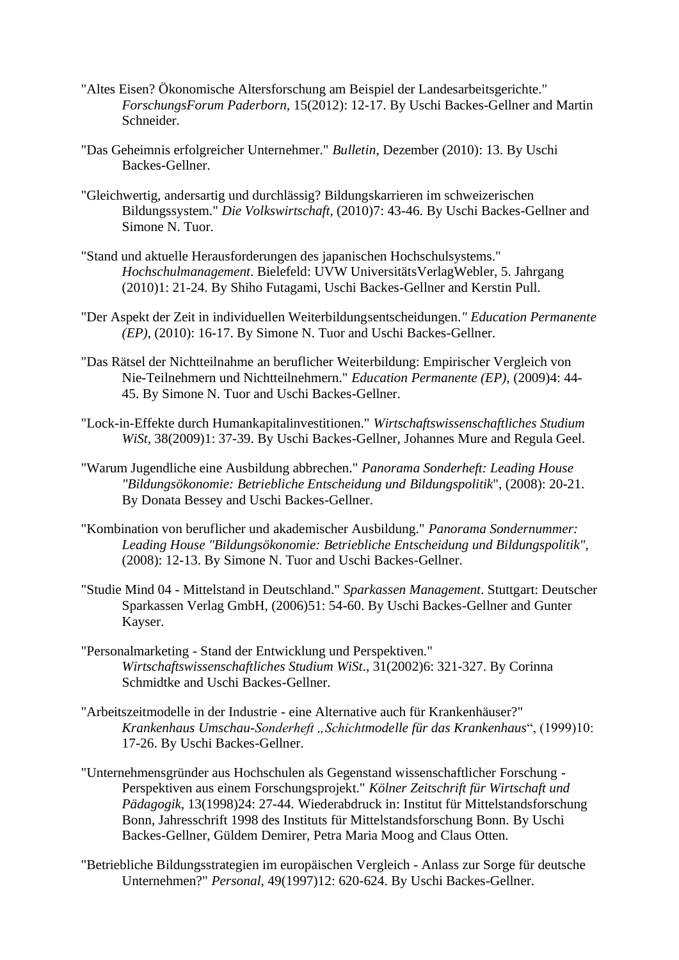- "Altes Eisen? Ökonomische Altersforschung am Beispiel der Landesarbeitsgerichte." *ForschungsForum Paderborn,* 15(2012): 12-17. By Uschi Backes-Gellner and Martin Schneider.
- "Das Geheimnis erfolgreicher Unternehmer." *Bulletin*, Dezember (2010): 13. By Uschi Backes-Gellner.
- "Gleichwertig, andersartig und durchlässig? Bildungskarrieren im schweizerischen Bildungssystem." *Die Volkswirtschaft*, (2010)7: 43-46. By Uschi Backes-Gellner and Simone N. Tuor.
- "Stand und aktuelle Herausforderungen des japanischen Hochschulsystems." *Hochschulmanagement*. Bielefeld: UVW UniversitätsVerlagWebler, 5. Jahrgang (2010)1: 21-24. By Shiho Futagami, Uschi Backes-Gellner and Kerstin Pull.
- "Der Aspekt der Zeit in individuellen Weiterbildungsentscheidungen*." Education Permanente (EP)*, (2010): 16-17. By Simone N. Tuor and Uschi Backes-Gellner.
- "Das Rätsel der Nichtteilnahme an beruflicher Weiterbildung: Empirischer Vergleich von Nie-Teilnehmern und Nichtteilnehmern." *Education Permanente (EP),* (2009)4: 44- 45. By Simone N. Tuor and Uschi Backes-Gellner.
- "Lock-in-Effekte durch Humankapitalinvestitionen." *Wirtschaftswissenschaftliches Studium WiSt*, 38(2009)1: 37-39. By Uschi Backes-Gellner, Johannes Mure and Regula Geel.
- "Warum Jugendliche eine Ausbildung abbrechen." *Panorama Sonderheft: Leading House "Bildungsökonomie: Betriebliche Entscheidung und Bildungspolitik*", (2008): 20-21. By Donata Bessey and Uschi Backes-Gellner.
- "Kombination von beruflicher und akademischer Ausbildung." *Panorama Sondernummer: Leading House "Bildungsökonomie: Betriebliche Entscheidung und Bildungspolitik",* (2008): 12-13. By Simone N. Tuor and Uschi Backes-Gellner.
- "Studie Mind 04 Mittelstand in Deutschland." *Sparkassen Management*. Stuttgart: Deutscher Sparkassen Verlag GmbH, (2006)51: 54-60. By Uschi Backes-Gellner and Gunter Kayser.
- "Personalmarketing Stand der Entwicklung und Perspektiven." *Wirtschaftswissenschaftliches Studium WiSt*., 31(2002)6: 321-327. By Corinna Schmidtke and Uschi Backes-Gellner.
- "Arbeitszeitmodelle in der Industrie eine Alternative auch für Krankenhäuser?" *Krankenhaus Umschau-Sonderheft "Schichtmodelle für das Krankenhaus*", (1999)10: 17-26. By Uschi Backes-Gellner.
- "Unternehmensgründer aus Hochschulen als Gegenstand wissenschaftlicher Forschung Perspektiven aus einem Forschungsprojekt." *Kölner Zeitschrift für Wirtschaft und Pädagogik*, 13(1998)24: 27-44. Wiederabdruck in: Institut für Mittelstandsforschung Bonn, Jahresschrift 1998 des Instituts für Mittelstandsforschung Bonn. By Uschi Backes-Gellner, Güldem Demirer, Petra Maria Moog and Claus Otten.
- "Betriebliche Bildungsstrategien im europäischen Vergleich Anlass zur Sorge für deutsche Unternehmen?" *Personal*, 49(1997)12: 620-624. By Uschi Backes-Gellner.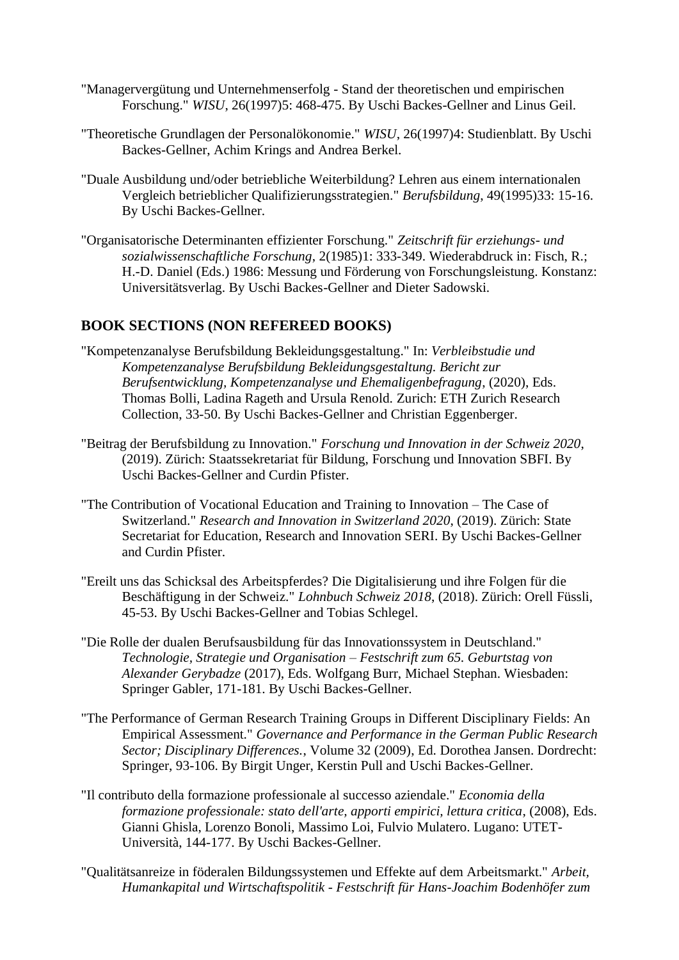- "Managervergütung und Unternehmenserfolg Stand der theoretischen und empirischen Forschung." *WISU*, 26(1997)5: 468-475. By Uschi Backes-Gellner and Linus Geil.
- "Theoretische Grundlagen der Personalökonomie." *WISU*, 26(1997)4: Studienblatt. By Uschi Backes-Gellner, Achim Krings and Andrea Berkel.
- "Duale Ausbildung und/oder betriebliche Weiterbildung? Lehren aus einem internationalen Vergleich betrieblicher Qualifizierungsstrategien." *Berufsbildung*, 49(1995)33: 15-16. By Uschi Backes-Gellner.
- "Organisatorische Determinanten effizienter Forschung." *Zeitschrift für erziehungs- und sozialwissenschaftliche Forschung*, 2(1985)1: 333-349. Wiederabdruck in: Fisch, R.; H.-D. Daniel (Eds.) 1986: Messung und Förderung von Forschungsleistung. Konstanz: Universitätsverlag. By Uschi Backes-Gellner and Dieter Sadowski.

# **BOOK SECTIONS (NON REFEREED BOOKS)**

- "Kompetenzanalyse Berufsbildung Bekleidungsgestaltung." In: *Verbleibstudie und Kompetenzanalyse Berufsbildung Bekleidungsgestaltung. Bericht zur Berufsentwicklung, Kompetenzanalyse und Ehemaligenbefragung*, (2020), Eds. Thomas Bolli, Ladina Rageth and Ursula Renold. Zurich: ETH Zurich Research Collection, 33-50. By Uschi Backes-Gellner and Christian Eggenberger.
- "Beitrag der Berufsbildung zu Innovation." *Forschung und Innovation in der Schweiz 2020*, (2019). Zürich: Staatssekretariat für Bildung, Forschung und Innovation SBFI. By Uschi Backes-Gellner and Curdin Pfister.
- "The Contribution of Vocational Education and Training to Innovation The Case of Switzerland." *Research and Innovation in Switzerland 2020*, (2019). Zürich: State Secretariat for Education, Research and Innovation SERI. By Uschi Backes-Gellner and Curdin Pfister.
- "Ereilt uns das Schicksal des Arbeitspferdes? Die Digitalisierung und ihre Folgen für die Beschäftigung in der Schweiz." *Lohnbuch Schweiz 2018*, (2018). Zürich: Orell Füssli, 45-53. By Uschi Backes-Gellner and Tobias Schlegel.
- "Die Rolle der dualen Berufsausbildung für das Innovationssystem in Deutschland." *Technologie, Strategie und Organisation – Festschrift zum 65. Geburtstag von Alexander Gerybadze* (2017), Eds. Wolfgang Burr, Michael Stephan. Wiesbaden: Springer Gabler, 171-181. By Uschi Backes-Gellner.
- "The Performance of German Research Training Groups in Different Disciplinary Fields: An Empirical Assessment." *Governance and Performance in the German Public Research Sector; Disciplinary Differences.*, Volume 32 (2009), Ed. Dorothea Jansen. Dordrecht: Springer, 93-106. By Birgit Unger, Kerstin Pull and Uschi Backes-Gellner.
- "Il contributo della formazione professionale al successo aziendale." *Economia della formazione professionale: stato dell'arte, apporti empirici, lettura critica*, (2008), Eds. Gianni Ghisla, Lorenzo Bonoli, Massimo Loi, Fulvio Mulatero. Lugano: UTET-Università, 144-177. By Uschi Backes-Gellner.
- "Qualitätsanreize in föderalen Bildungssystemen und Effekte auf dem Arbeitsmarkt." *Arbeit, Humankapital und Wirtschaftspolitik - Festschrift für Hans-Joachim Bodenhöfer zum*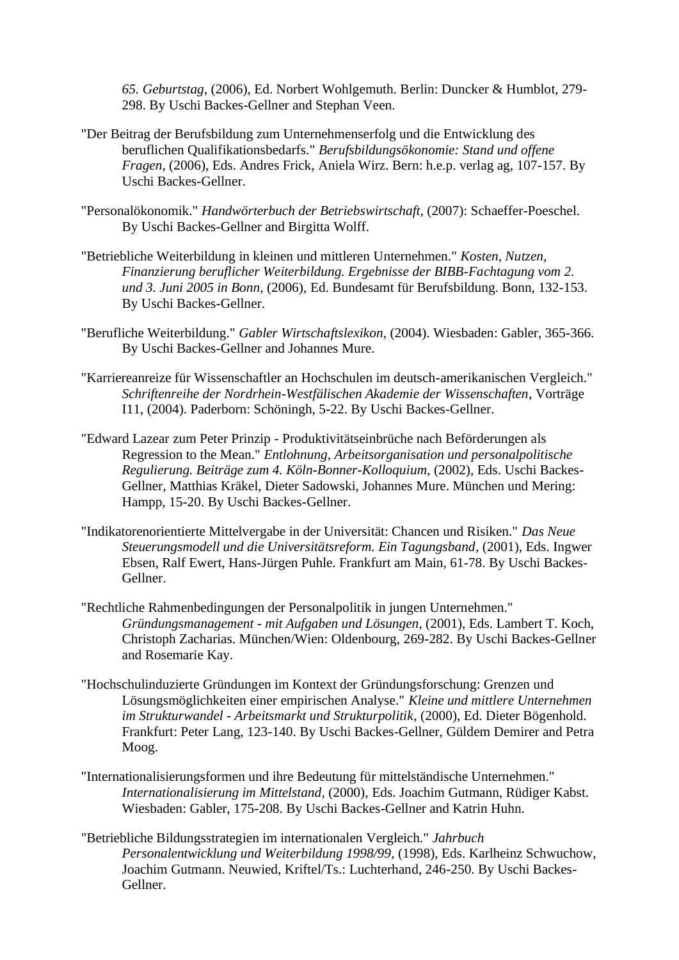*65. Geburtstag*, (2006), Ed. Norbert Wohlgemuth. Berlin: Duncker & Humblot, 279- 298. By Uschi Backes-Gellner and Stephan Veen.

- "Der Beitrag der Berufsbildung zum Unternehmenserfolg und die Entwicklung des beruflichen Qualifikationsbedarfs." *Berufsbildungsökonomie: Stand und offene Fragen*, (2006), Eds. Andres Frick, Aniela Wirz. Bern: h.e.p. verlag ag, 107-157. By Uschi Backes-Gellner.
- "Personalökonomik." *Handwörterbuch der Betriebswirtschaft*, (2007): Schaeffer-Poeschel. By Uschi Backes-Gellner and Birgitta Wolff.
- "Betriebliche Weiterbildung in kleinen und mittleren Unternehmen." *Kosten, Nutzen, Finanzierung beruflicher Weiterbildung. Ergebnisse der BIBB-Fachtagung vom 2. und 3. Juni 2005 in Bonn*, (2006), Ed. Bundesamt für Berufsbildung. Bonn, 132-153. By Uschi Backes-Gellner.
- "Berufliche Weiterbildung." *Gabler Wirtschaftslexikon*, (2004). Wiesbaden: Gabler, 365-366. By Uschi Backes-Gellner and Johannes Mure.
- "Karriereanreize für Wissenschaftler an Hochschulen im deutsch-amerikanischen Vergleich." *Schriftenreihe der Nordrhein-Westfälischen Akademie der Wissenschaften*, Vorträge I11, (2004). Paderborn: Schöningh, 5-22. By Uschi Backes-Gellner.
- "Edward Lazear zum Peter Prinzip Produktivitätseinbrüche nach Beförderungen als Regression to the Mean." *Entlohnung, Arbeitsorganisation und personalpolitische Regulierung. Beiträge zum 4. Köln-Bonner-Kolloquium*, (2002), Eds. Uschi Backes-Gellner, Matthias Kräkel, Dieter Sadowski, Johannes Mure. München und Mering: Hampp, 15-20. By Uschi Backes-Gellner.
- "Indikatorenorientierte Mittelvergabe in der Universität: Chancen und Risiken." *Das Neue Steuerungsmodell und die Universitätsreform. Ein Tagungsband*, (2001), Eds. Ingwer Ebsen, Ralf Ewert, Hans-Jürgen Puhle. Frankfurt am Main, 61-78. By Uschi Backes-Gellner.
- "Rechtliche Rahmenbedingungen der Personalpolitik in jungen Unternehmen." *Gründungsmanagement - mit Aufgaben und Lösungen*, (2001), Eds. Lambert T. Koch, Christoph Zacharias. München/Wien: Oldenbourg, 269-282. By Uschi Backes-Gellner and Rosemarie Kay.
- "Hochschulinduzierte Gründungen im Kontext der Gründungsforschung: Grenzen und Lösungsmöglichkeiten einer empirischen Analyse." *Kleine und mittlere Unternehmen im Strukturwandel - Arbeitsmarkt und Strukturpolitik*, (2000), Ed. Dieter Bögenhold. Frankfurt: Peter Lang, 123-140. By Uschi Backes-Gellner, Güldem Demirer and Petra Moog.
- "Internationalisierungsformen und ihre Bedeutung für mittelständische Unternehmen." *Internationalisierung im Mittelstand*, (2000), Eds. Joachim Gutmann, Rüdiger Kabst. Wiesbaden: Gabler, 175-208. By Uschi Backes-Gellner and Katrin Huhn.
- "Betriebliche Bildungsstrategien im internationalen Vergleich." *Jahrbuch Personalentwicklung und Weiterbildung 1998/99*, (1998), Eds. Karlheinz Schwuchow, Joachim Gutmann. Neuwied, Kriftel/Ts.: Luchterhand, 246-250. By Uschi Backes-Gellner.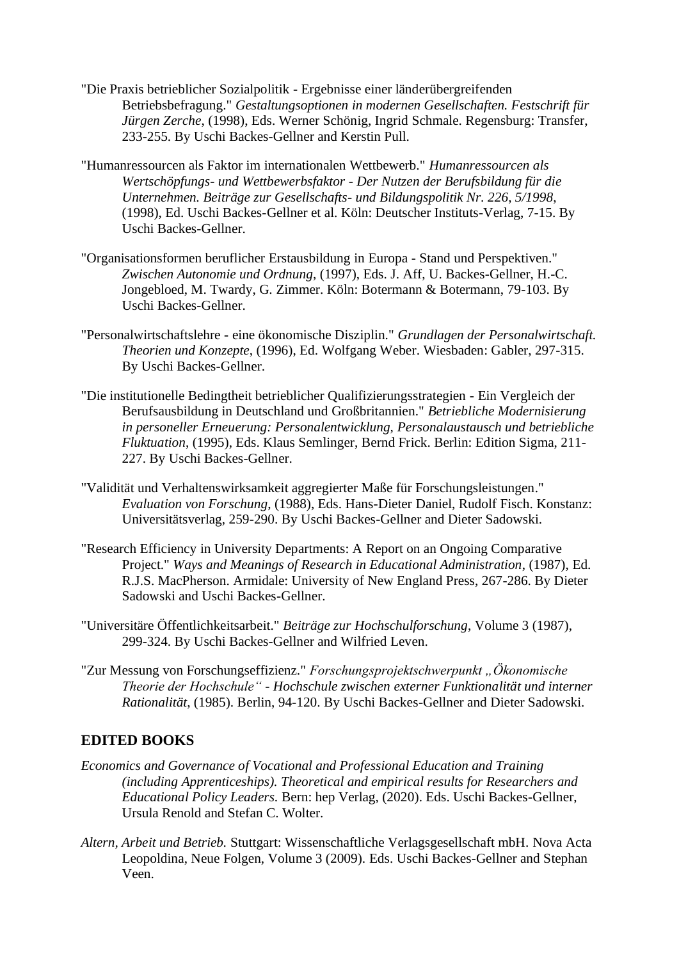- "Die Praxis betrieblicher Sozialpolitik Ergebnisse einer länderübergreifenden Betriebsbefragung." *Gestaltungsoptionen in modernen Gesellschaften. Festschrift für Jürgen Zerche*, (1998), Eds. Werner Schönig, Ingrid Schmale. Regensburg: Transfer, 233-255. By Uschi Backes-Gellner and Kerstin Pull.
- "Humanressourcen als Faktor im internationalen Wettbewerb." *Humanressourcen als Wertschöpfungs- und Wettbewerbsfaktor - Der Nutzen der Berufsbildung für die Unternehmen. Beiträge zur Gesellschafts- und Bildungspolitik Nr. 226, 5/1998*, (1998), Ed. Uschi Backes-Gellner et al. Köln: Deutscher Instituts-Verlag, 7-15. By Uschi Backes-Gellner.
- "Organisationsformen beruflicher Erstausbildung in Europa Stand und Perspektiven." *Zwischen Autonomie und Ordnung*, (1997), Eds. J. Aff, U. Backes-Gellner, H.-C. Jongebloed, M. Twardy, G. Zimmer. Köln: Botermann & Botermann, 79-103. By Uschi Backes-Gellner.
- "Personalwirtschaftslehre eine ökonomische Disziplin." *Grundlagen der Personalwirtschaft. Theorien und Konzepte*, (1996), Ed. Wolfgang Weber. Wiesbaden: Gabler, 297-315. By Uschi Backes-Gellner.
- "Die institutionelle Bedingtheit betrieblicher Qualifizierungsstrategien Ein Vergleich der Berufsausbildung in Deutschland und Großbritannien." *Betriebliche Modernisierung in personeller Erneuerung: Personalentwicklung, Personalaustausch und betriebliche Fluktuation*, (1995), Eds. Klaus Semlinger, Bernd Frick. Berlin: Edition Sigma, 211- 227. By Uschi Backes-Gellner.
- "Validität und Verhaltenswirksamkeit aggregierter Maße für Forschungsleistungen." *Evaluation von Forschung*, (1988), Eds. Hans-Dieter Daniel, Rudolf Fisch. Konstanz: Universitätsverlag, 259-290. By Uschi Backes-Gellner and Dieter Sadowski.
- "Research Efficiency in University Departments: A Report on an Ongoing Comparative Project." *Ways and Meanings of Research in Educational Administration*, (1987), Ed. R.J.S. MacPherson. Armidale: University of New England Press, 267-286. By Dieter Sadowski and Uschi Backes-Gellner.
- "Universitäre Öffentlichkeitsarbeit." *Beiträge zur Hochschulforschung*, Volume 3 (1987), 299-324. By Uschi Backes-Gellner and Wilfried Leven.
- "Zur Messung von Forschungseffizienz." *Forschungsprojektschwerpunkt "Ökonomische Theorie der Hochschule" - Hochschule zwischen externer Funktionalität und interner Rationalität*, (1985). Berlin, 94-120. By Uschi Backes-Gellner and Dieter Sadowski.

# **EDITED BOOKS**

- *Economics and Governance of Vocational and Professional Education and Training (including Apprenticeships). Theoretical and empirical results for Researchers and Educational Policy Leaders.* Bern: hep Verlag, (2020). Eds. Uschi Backes-Gellner, Ursula Renold and Stefan C. Wolter.
- *Altern, Arbeit und Betrieb.* Stuttgart: Wissenschaftliche Verlagsgesellschaft mbH. Nova Acta Leopoldina, Neue Folgen, Volume 3 (2009). Eds. Uschi Backes-Gellner and Stephan Veen.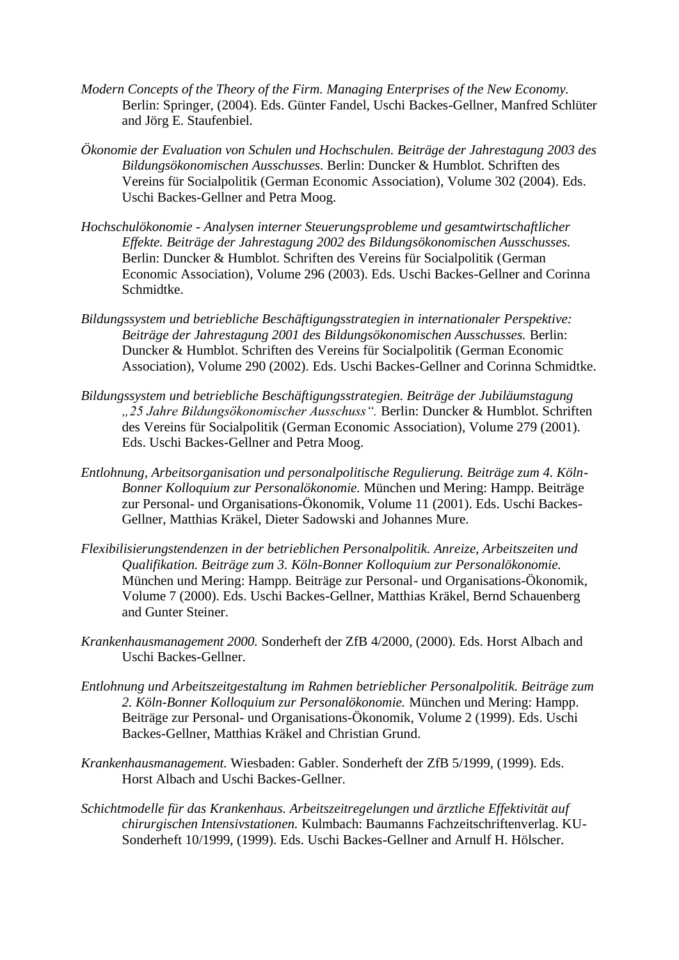- *Modern Concepts of the Theory of the Firm. Managing Enterprises of the New Economy.* Berlin: Springer, (2004). Eds. Günter Fandel, Uschi Backes-Gellner, Manfred Schlüter and Jörg E. Staufenbiel.
- *Ökonomie der Evaluation von Schulen und Hochschulen. Beiträge der Jahrestagung 2003 des Bildungsökonomischen Ausschusses.* Berlin: Duncker & Humblot. Schriften des Vereins für Socialpolitik (German Economic Association), Volume 302 (2004). Eds. Uschi Backes-Gellner and Petra Moog.
- *Hochschulökonomie - Analysen interner Steuerungsprobleme und gesamtwirtschaftlicher Effekte. Beiträge der Jahrestagung 2002 des Bildungsökonomischen Ausschusses.* Berlin: Duncker & Humblot. Schriften des Vereins für Socialpolitik (German Economic Association), Volume 296 (2003). Eds. Uschi Backes-Gellner and Corinna Schmidtke.
- *Bildungssystem und betriebliche Beschäftigungsstrategien in internationaler Perspektive: Beiträge der Jahrestagung 2001 des Bildungsökonomischen Ausschusses.* Berlin: Duncker & Humblot. Schriften des Vereins für Socialpolitik (German Economic Association), Volume 290 (2002). Eds. Uschi Backes-Gellner and Corinna Schmidtke.
- *Bildungssystem und betriebliche Beschäftigungsstrategien. Beiträge der Jubiläumstagung "25 Jahre Bildungsökonomischer Ausschuss".* Berlin: Duncker & Humblot. Schriften des Vereins für Socialpolitik (German Economic Association), Volume 279 (2001). Eds. Uschi Backes-Gellner and Petra Moog.
- *Entlohnung, Arbeitsorganisation und personalpolitische Regulierung. Beiträge zum 4. Köln-Bonner Kolloquium zur Personalökonomie.* München und Mering: Hampp. Beiträge zur Personal- und Organisations-Ökonomik, Volume 11 (2001). Eds. Uschi Backes-Gellner, Matthias Kräkel, Dieter Sadowski and Johannes Mure.
- *Flexibilisierungstendenzen in der betrieblichen Personalpolitik. Anreize, Arbeitszeiten und Qualifikation. Beiträge zum 3. Köln-Bonner Kolloquium zur Personalökonomie.* München und Mering: Hampp. Beiträge zur Personal- und Organisations-Ökonomik, Volume 7 (2000). Eds. Uschi Backes-Gellner, Matthias Kräkel, Bernd Schauenberg and Gunter Steiner.
- *Krankenhausmanagement 2000.* Sonderheft der ZfB 4/2000, (2000). Eds. Horst Albach and Uschi Backes-Gellner.
- *Entlohnung und Arbeitszeitgestaltung im Rahmen betrieblicher Personalpolitik. Beiträge zum 2. Köln-Bonner Kolloquium zur Personalökonomie.* München und Mering: Hampp. Beiträge zur Personal- und Organisations-Ökonomik, Volume 2 (1999). Eds. Uschi Backes-Gellner, Matthias Kräkel and Christian Grund.
- *Krankenhausmanagement.* Wiesbaden: Gabler. Sonderheft der ZfB 5/1999, (1999). Eds. Horst Albach and Uschi Backes-Gellner.
- *Schichtmodelle für das Krankenhaus. Arbeitszeitregelungen und ärztliche Effektivität auf chirurgischen Intensivstationen.* Kulmbach: Baumanns Fachzeitschriftenverlag. KU-Sonderheft 10/1999, (1999). Eds. Uschi Backes-Gellner and Arnulf H. Hölscher.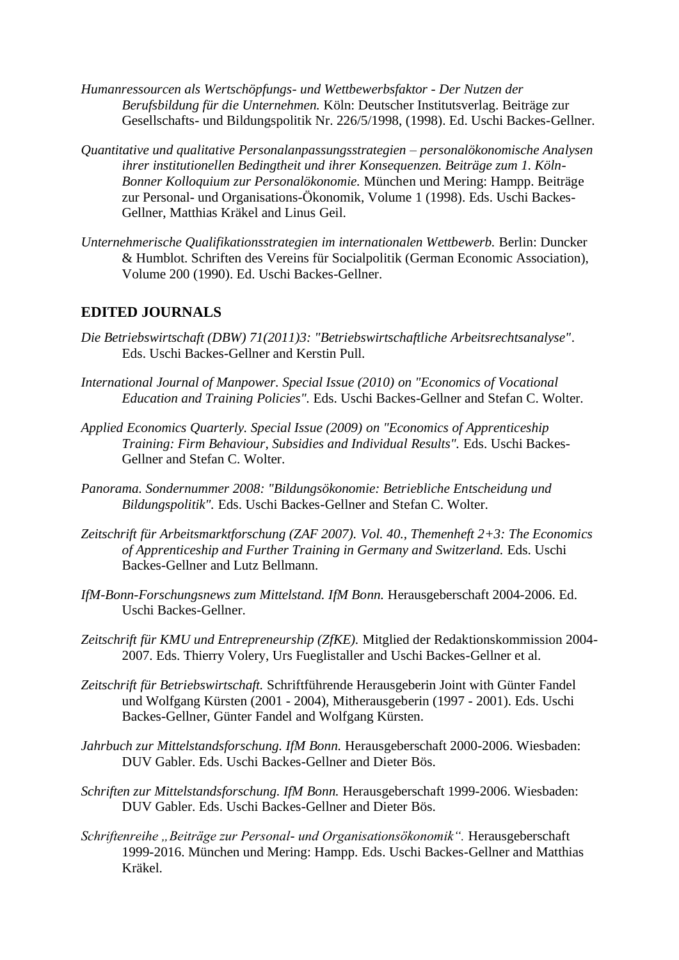- *Humanressourcen als Wertschöpfungs- und Wettbewerbsfaktor - Der Nutzen der Berufsbildung für die Unternehmen.* Köln: Deutscher Institutsverlag. Beiträge zur Gesellschafts- und Bildungspolitik Nr. 226/5/1998, (1998). Ed. Uschi Backes-Gellner.
- *Quantitative und qualitative Personalanpassungsstrategien – personalökonomische Analysen ihrer institutionellen Bedingtheit und ihrer Konsequenzen. Beiträge zum 1. Köln-Bonner Kolloquium zur Personalökonomie.* München und Mering: Hampp. Beiträge zur Personal- und Organisations-Ökonomik, Volume 1 (1998). Eds. Uschi Backes-Gellner, Matthias Kräkel and Linus Geil.
- *Unternehmerische Qualifikationsstrategien im internationalen Wettbewerb.* Berlin: Duncker & Humblot. Schriften des Vereins für Socialpolitik (German Economic Association), Volume 200 (1990). Ed. Uschi Backes-Gellner.

# **EDITED JOURNALS**

- *Die Betriebswirtschaft (DBW) 71(2011)3: "Betriebswirtschaftliche Arbeitsrechtsanalyse"*. Eds. Uschi Backes-Gellner and Kerstin Pull.
- *International Journal of Manpower. Special Issue (2010) on "Economics of Vocational Education and Training Policies".* Eds. Uschi Backes-Gellner and Stefan C. Wolter.
- *Applied Economics Quarterly. Special Issue (2009) on "Economics of Apprenticeship Training: Firm Behaviour, Subsidies and Individual Results".* Eds. Uschi Backes-Gellner and Stefan C. Wolter.
- *Panorama. Sondernummer 2008: "Bildungsökonomie: Betriebliche Entscheidung und Bildungspolitik".* Eds. Uschi Backes-Gellner and Stefan C. Wolter.
- *Zeitschrift für Arbeitsmarktforschung (ZAF 2007). Vol. 40., Themenheft 2+3: The Economics of Apprenticeship and Further Training in Germany and Switzerland.* Eds. Uschi Backes-Gellner and Lutz Bellmann.
- *IfM-Bonn-Forschungsnews zum Mittelstand. IfM Bonn.* Herausgeberschaft 2004-2006. Ed. Uschi Backes-Gellner.
- *Zeitschrift für KMU und Entrepreneurship (ZfKE).* Mitglied der Redaktionskommission 2004- 2007. Eds. Thierry Volery, Urs Fueglistaller and Uschi Backes-Gellner et al.
- *Zeitschrift für Betriebswirtschaft.* Schriftführende Herausgeberin Joint with Günter Fandel und Wolfgang Kürsten (2001 - 2004), Mitherausgeberin (1997 - 2001). Eds. Uschi Backes-Gellner, Günter Fandel and Wolfgang Kürsten.
- *Jahrbuch zur Mittelstandsforschung. IfM Bonn.* Herausgeberschaft 2000-2006. Wiesbaden: DUV Gabler. Eds. Uschi Backes-Gellner and Dieter Bös.
- *Schriften zur Mittelstandsforschung. IfM Bonn.* Herausgeberschaft 1999-2006. Wiesbaden: DUV Gabler. Eds. Uschi Backes-Gellner and Dieter Bös.
- *Schriftenreihe "Beiträge zur Personal- und Organisationsökonomik".* Herausgeberschaft 1999-2016. München und Mering: Hampp. Eds. Uschi Backes-Gellner and Matthias Kräkel.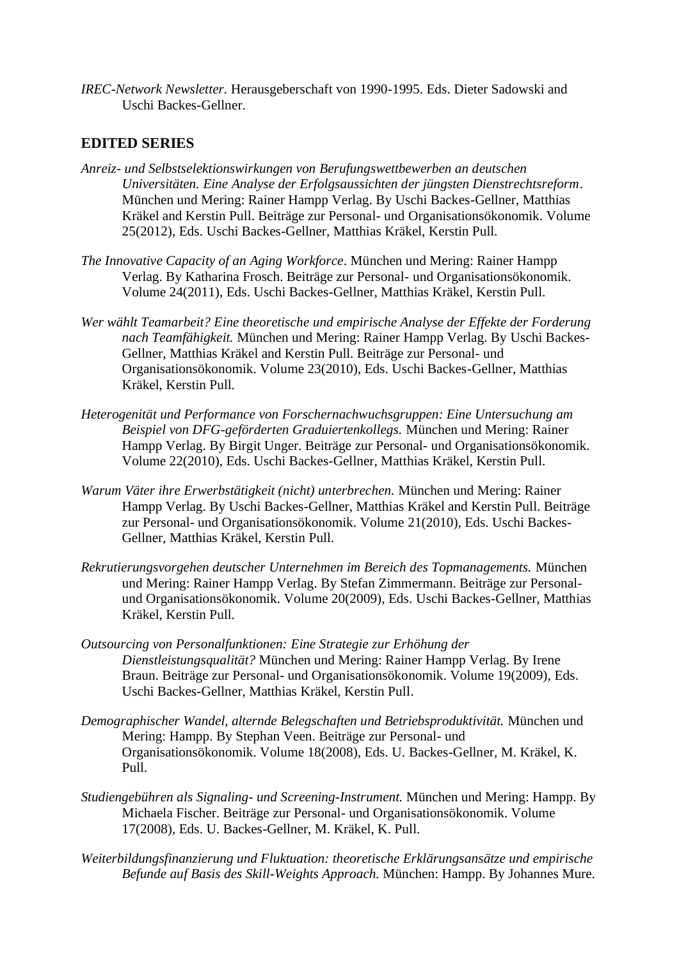*IREC-Network Newsletter.* Herausgeberschaft von 1990-1995. Eds. Dieter Sadowski and Uschi Backes-Gellner.

# **EDITED SERIES**

- *Anreiz- und Selbstselektionswirkungen von Berufungswettbewerben an deutschen Universitäten. Eine Analyse der Erfolgsaussichten der jüngsten Dienstrechtsreform*. München und Mering: Rainer Hampp Verlag. By Uschi Backes-Gellner, Matthias Kräkel and Kerstin Pull. Beiträge zur Personal- und Organisationsökonomik. Volume 25(2012), Eds. Uschi Backes-Gellner, Matthias Kräkel, Kerstin Pull.
- *The Innovative Capacity of an Aging Workforce*. München und Mering: Rainer Hampp Verlag. By Katharina Frosch. Beiträge zur Personal- und Organisationsökonomik. Volume 24(2011), Eds. Uschi Backes-Gellner, Matthias Kräkel, Kerstin Pull.
- *Wer wählt Teamarbeit? Eine theoretische und empirische Analyse der Effekte der Forderung nach Teamfähigkeit.* München und Mering: Rainer Hampp Verlag. By Uschi Backes-Gellner, Matthias Kräkel and Kerstin Pull. Beiträge zur Personal- und Organisationsökonomik. Volume 23(2010), Eds. Uschi Backes-Gellner, Matthias Kräkel, Kerstin Pull.
- *Heterogenität und Performance von Forschernachwuchsgruppen: Eine Untersuchung am Beispiel von DFG-geförderten Graduiertenkollegs.* München und Mering: Rainer Hampp Verlag. By Birgit Unger. Beiträge zur Personal- und Organisationsökonomik. Volume 22(2010), Eds. Uschi Backes-Gellner, Matthias Kräkel, Kerstin Pull.
- *Warum Väter ihre Erwerbstätigkeit (nicht) unterbrechen.* München und Mering: Rainer Hampp Verlag. By Uschi Backes-Gellner, Matthias Kräkel and Kerstin Pull. Beiträge zur Personal- und Organisationsökonomik. Volume 21(2010), Eds. Uschi Backes-Gellner, Matthias Kräkel, Kerstin Pull.
- *Rekrutierungsvorgehen deutscher Unternehmen im Bereich des Topmanagements.* München und Mering: Rainer Hampp Verlag. By Stefan Zimmermann. Beiträge zur Personalund Organisationsökonomik. Volume 20(2009), Eds. Uschi Backes-Gellner, Matthias Kräkel, Kerstin Pull.
- *Outsourcing von Personalfunktionen: Eine Strategie zur Erhöhung der Dienstleistungsqualität?* München und Mering: Rainer Hampp Verlag. By Irene Braun. Beiträge zur Personal- und Organisationsökonomik. Volume 19(2009), Eds. Uschi Backes-Gellner, Matthias Kräkel, Kerstin Pull.
- *Demographischer Wandel, alternde Belegschaften und Betriebsproduktivität.* München und Mering: Hampp. By Stephan Veen. Beiträge zur Personal- und Organisationsökonomik. Volume 18(2008), Eds. U. Backes-Gellner, M. Kräkel, K. Pull.
- *Studiengebühren als Signaling- und Screening-Instrument.* München und Mering: Hampp. By Michaela Fischer. Beiträge zur Personal- und Organisationsökonomik. Volume 17(2008), Eds. U. Backes-Gellner, M. Kräkel, K. Pull.
- *Weiterbildungsfinanzierung und Fluktuation: theoretische Erklärungsansätze und empirische Befunde auf Basis des Skill-Weights Approach.* München: Hampp. By Johannes Mure.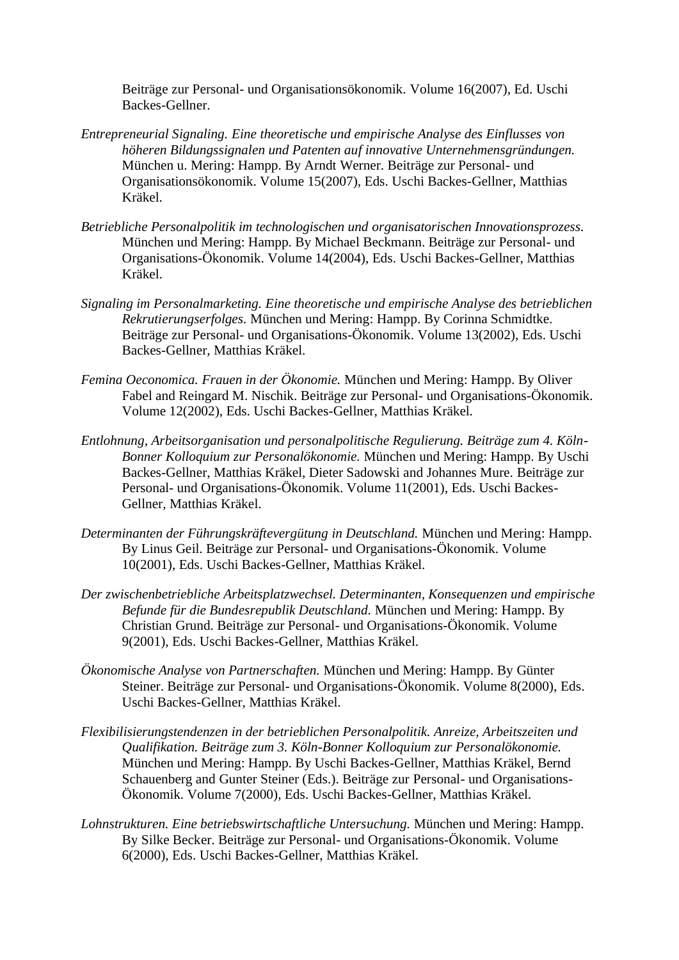Beiträge zur Personal- und Organisationsökonomik. Volume 16(2007), Ed. Uschi Backes-Gellner.

- *Entrepreneurial Signaling. Eine theoretische und empirische Analyse des Einflusses von höheren Bildungssignalen und Patenten auf innovative Unternehmensgründungen.* München u. Mering: Hampp. By Arndt Werner. Beiträge zur Personal- und Organisationsökonomik. Volume 15(2007), Eds. Uschi Backes-Gellner, Matthias Kräkel.
- *Betriebliche Personalpolitik im technologischen und organisatorischen Innovationsprozess.* München und Mering: Hampp. By Michael Beckmann. Beiträge zur Personal- und Organisations-Ökonomik. Volume 14(2004), Eds. Uschi Backes-Gellner, Matthias Kräkel.
- *Signaling im Personalmarketing. Eine theoretische und empirische Analyse des betrieblichen Rekrutierungserfolges.* München und Mering: Hampp. By Corinna Schmidtke. Beiträge zur Personal- und Organisations-Ökonomik. Volume 13(2002), Eds. Uschi Backes-Gellner, Matthias Kräkel.
- *Femina Oeconomica. Frauen in der Ökonomie.* München und Mering: Hampp. By Oliver Fabel and Reingard M. Nischik. Beiträge zur Personal- und Organisations-Ökonomik. Volume 12(2002), Eds. Uschi Backes-Gellner, Matthias Kräkel.
- *Entlohnung, Arbeitsorganisation und personalpolitische Regulierung. Beiträge zum 4. Köln-Bonner Kolloquium zur Personalökonomie.* München und Mering: Hampp. By Uschi Backes-Gellner, Matthias Kräkel, Dieter Sadowski and Johannes Mure. Beiträge zur Personal- und Organisations-Ökonomik. Volume 11(2001), Eds. Uschi Backes-Gellner, Matthias Kräkel.
- *Determinanten der Führungskräftevergütung in Deutschland.* München und Mering: Hampp. By Linus Geil. Beiträge zur Personal- und Organisations-Ökonomik. Volume 10(2001), Eds. Uschi Backes-Gellner, Matthias Kräkel.
- *Der zwischenbetriebliche Arbeitsplatzwechsel. Determinanten, Konsequenzen und empirische Befunde für die Bundesrepublik Deutschland.* München und Mering: Hampp. By Christian Grund. Beiträge zur Personal- und Organisations-Ökonomik. Volume 9(2001), Eds. Uschi Backes-Gellner, Matthias Kräkel.
- *Ökonomische Analyse von Partnerschaften.* München und Mering: Hampp. By Günter Steiner. Beiträge zur Personal- und Organisations-Ökonomik. Volume 8(2000), Eds. Uschi Backes-Gellner, Matthias Kräkel.
- *Flexibilisierungstendenzen in der betrieblichen Personalpolitik. Anreize, Arbeitszeiten und Qualifikation. Beiträge zum 3. Köln-Bonner Kolloquium zur Personalökonomie.* München und Mering: Hampp. By Uschi Backes-Gellner, Matthias Kräkel, Bernd Schauenberg and Gunter Steiner (Eds.). Beiträge zur Personal- und Organisations-Ökonomik. Volume 7(2000), Eds. Uschi Backes-Gellner, Matthias Kräkel.
- *Lohnstrukturen. Eine betriebswirtschaftliche Untersuchung.* München und Mering: Hampp. By Silke Becker. Beiträge zur Personal- und Organisations-Ökonomik. Volume 6(2000), Eds. Uschi Backes-Gellner, Matthias Kräkel.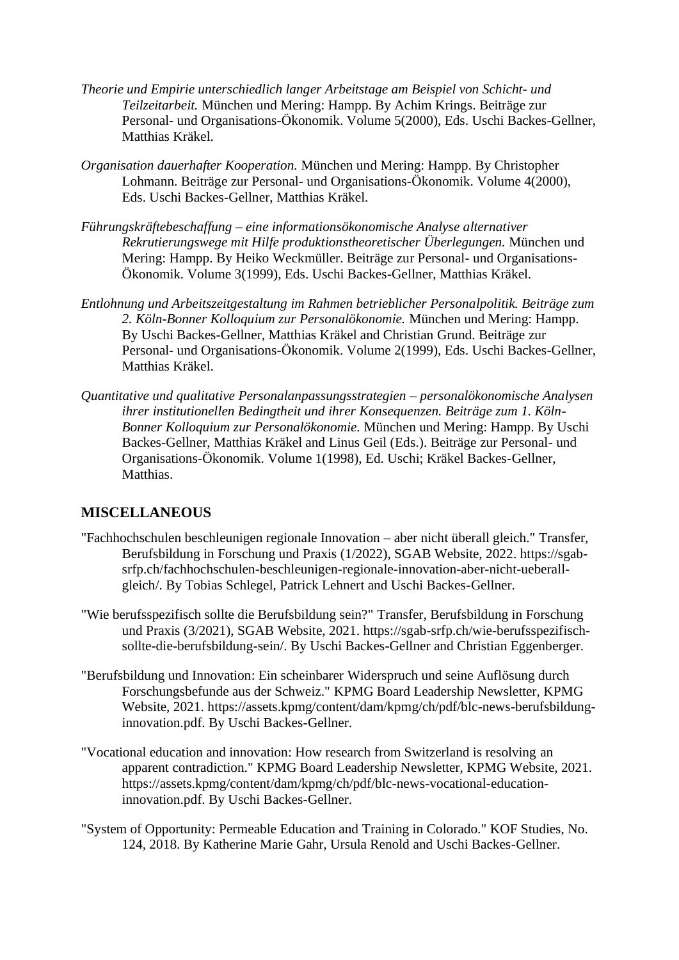- *Theorie und Empirie unterschiedlich langer Arbeitstage am Beispiel von Schicht- und Teilzeitarbeit.* München und Mering: Hampp. By Achim Krings. Beiträge zur Personal- und Organisations-Ökonomik. Volume 5(2000), Eds. Uschi Backes-Gellner, Matthias Kräkel.
- *Organisation dauerhafter Kooperation.* München und Mering: Hampp. By Christopher Lohmann. Beiträge zur Personal- und Organisations-Ökonomik. Volume 4(2000), Eds. Uschi Backes-Gellner, Matthias Kräkel.
- *Führungskräftebeschaffung – eine informationsökonomische Analyse alternativer Rekrutierungswege mit Hilfe produktionstheoretischer Überlegungen.* München und Mering: Hampp. By Heiko Weckmüller. Beiträge zur Personal- und Organisations-Ökonomik. Volume 3(1999), Eds. Uschi Backes-Gellner, Matthias Kräkel.
- *Entlohnung und Arbeitszeitgestaltung im Rahmen betrieblicher Personalpolitik. Beiträge zum 2. Köln-Bonner Kolloquium zur Personalökonomie.* München und Mering: Hampp. By Uschi Backes-Gellner, Matthias Kräkel and Christian Grund. Beiträge zur Personal- und Organisations-Ökonomik. Volume 2(1999), Eds. Uschi Backes-Gellner, Matthias Kräkel.
- *Quantitative und qualitative Personalanpassungsstrategien – personalökonomische Analysen ihrer institutionellen Bedingtheit und ihrer Konsequenzen. Beiträge zum 1. Köln-Bonner Kolloquium zur Personalökonomie.* München und Mering: Hampp. By Uschi Backes-Gellner, Matthias Kräkel and Linus Geil (Eds.). Beiträge zur Personal- und Organisations-Ökonomik. Volume 1(1998), Ed. Uschi; Kräkel Backes-Gellner, **Matthias**

# **MISCELLANEOUS**

- "Fachhochschulen beschleunigen regionale Innovation aber nicht überall gleich." Transfer, Berufsbildung in Forschung und Praxis (1/2022), SGAB Website, 2022. [https://sgab](https://sgab-srfp.ch/fachhochschulen-beschleunigen-regionale-innovation-aber-nicht-ueberall-gleich/)[srfp.ch/fachhochschulen-beschleunigen-regionale-innovation-aber-nicht-ueberall](https://sgab-srfp.ch/fachhochschulen-beschleunigen-regionale-innovation-aber-nicht-ueberall-gleich/)[gleich/.](https://sgab-srfp.ch/fachhochschulen-beschleunigen-regionale-innovation-aber-nicht-ueberall-gleich/) By Tobias Schlegel, Patrick Lehnert and Uschi Backes-Gellner.
- "Wie berufsspezifisch sollte die Berufsbildung sein?" Transfer, Berufsbildung in Forschung und Praxis (3/2021), SGAB Website, 2021. [https://sgab-srfp.ch/wie-berufsspezifisch](https://sgab-srfp.ch/wie-berufsspezifisch-sollte-die-berufsbildung-sein/)[sollte-die-berufsbildung-sein/.](https://sgab-srfp.ch/wie-berufsspezifisch-sollte-die-berufsbildung-sein/) By Uschi Backes-Gellner and Christian Eggenberger.
- "Berufsbildung und Innovation: Ein scheinbarer Widerspruch und seine Auflösung durch Forschungsbefunde aus der Schweiz." KPMG Board Leadership Newsletter, KPMG Website, 2021. [https://assets.kpmg/content/dam/kpmg/ch/pdf/blc-news-berufsbildung](https://assets.kpmg/content/dam/kpmg/ch/pdf/blc-news-berufsbildung-innovation.pdf)[innovation.pdf.](https://assets.kpmg/content/dam/kpmg/ch/pdf/blc-news-berufsbildung-innovation.pdf) By Uschi Backes-Gellner.
- "Vocational education and innovation: How research from Switzerland is resolving an apparent contradiction." KPMG Board Leadership Newsletter, KPMG Website, 2021. [https://assets.kpmg/content/dam/kpmg/ch/pdf/blc-news-vocational-education](https://assets.kpmg/content/dam/kpmg/ch/pdf/blc-news-vocational-education-innovation.pdf)[innovation.pdf.](https://assets.kpmg/content/dam/kpmg/ch/pdf/blc-news-vocational-education-innovation.pdf) By Uschi Backes-Gellner.
- "System of Opportunity: Permeable Education and Training in Colorado." KOF Studies, No. 124, 2018. By Katherine Marie Gahr, Ursula Renold and Uschi Backes-Gellner.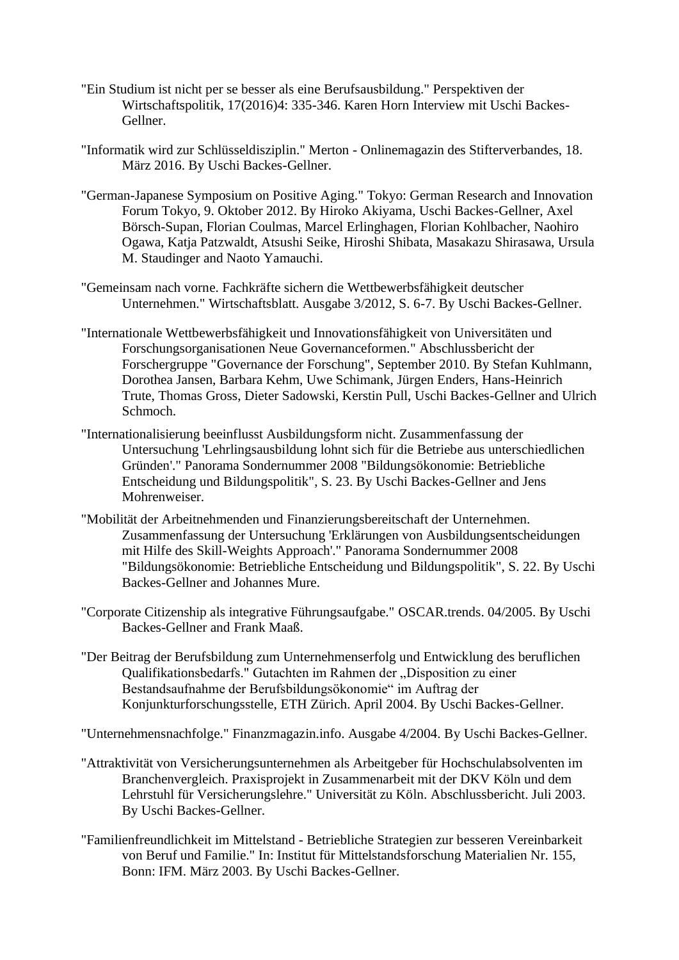- "Ein Studium ist nicht per se besser als eine Berufsausbildung." Perspektiven der Wirtschaftspolitik, 17(2016)4: 335-346. Karen Horn Interview mit Uschi Backes-Gellner.
- "Informatik wird zur Schlüsseldisziplin." Merton Onlinemagazin des Stifterverbandes, 18. März 2016. By Uschi Backes-Gellner.
- "German-Japanese Symposium on Positive Aging." Tokyo: German Research and Innovation Forum Tokyo, 9. Oktober 2012. By Hiroko Akiyama, Uschi Backes-Gellner, Axel Börsch-Supan, Florian Coulmas, Marcel Erlinghagen, Florian Kohlbacher, Naohiro Ogawa, Katja Patzwaldt, Atsushi Seike, Hiroshi Shibata, Masakazu Shirasawa, Ursula M. Staudinger and Naoto Yamauchi.
- "Gemeinsam nach vorne. Fachkräfte sichern die Wettbewerbsfähigkeit deutscher Unternehmen." Wirtschaftsblatt. Ausgabe 3/2012, S. 6-7. By Uschi Backes-Gellner.
- "Internationale Wettbewerbsfähigkeit und Innovationsfähigkeit von Universitäten und Forschungsorganisationen Neue Governanceformen." Abschlussbericht der Forschergruppe "Governance der Forschung", September 2010. By Stefan Kuhlmann, Dorothea Jansen, Barbara Kehm, Uwe Schimank, Jürgen Enders, Hans-Heinrich Trute, Thomas Gross, Dieter Sadowski, Kerstin Pull, Uschi Backes-Gellner and Ulrich Schmoch.
- "Internationalisierung beeinflusst Ausbildungsform nicht. Zusammenfassung der Untersuchung 'Lehrlingsausbildung lohnt sich für die Betriebe aus unterschiedlichen Gründen'." Panorama Sondernummer 2008 "Bildungsökonomie: Betriebliche Entscheidung und Bildungspolitik", S. 23. By Uschi Backes-Gellner and Jens Mohrenweiser.
- "Mobilität der Arbeitnehmenden und Finanzierungsbereitschaft der Unternehmen. Zusammenfassung der Untersuchung 'Erklärungen von Ausbildungsentscheidungen mit Hilfe des Skill-Weights Approach'." Panorama Sondernummer 2008 "Bildungsökonomie: Betriebliche Entscheidung und Bildungspolitik", S. 22. By Uschi Backes-Gellner and Johannes Mure.
- "Corporate Citizenship als integrative Führungsaufgabe." OSCAR.trends. 04/2005. By Uschi Backes-Gellner and Frank Maaß.
- "Der Beitrag der Berufsbildung zum Unternehmenserfolg und Entwicklung des beruflichen Qualifikationsbedarfs." Gutachten im Rahmen der "Disposition zu einer Bestandsaufnahme der Berufsbildungsökonomie" im Auftrag der Konjunkturforschungsstelle, ETH Zürich. April 2004. By Uschi Backes-Gellner.

"Unternehmensnachfolge." Finanzmagazin.info. Ausgabe 4/2004. By Uschi Backes-Gellner.

- "Attraktivität von Versicherungsunternehmen als Arbeitgeber für Hochschulabsolventen im Branchenvergleich. Praxisprojekt in Zusammenarbeit mit der DKV Köln und dem Lehrstuhl für Versicherungslehre." Universität zu Köln. Abschlussbericht. Juli 2003. By Uschi Backes-Gellner.
- "Familienfreundlichkeit im Mittelstand Betriebliche Strategien zur besseren Vereinbarkeit von Beruf und Familie." In: Institut für Mittelstandsforschung Materialien Nr. 155, Bonn: IFM. März 2003. By Uschi Backes-Gellner.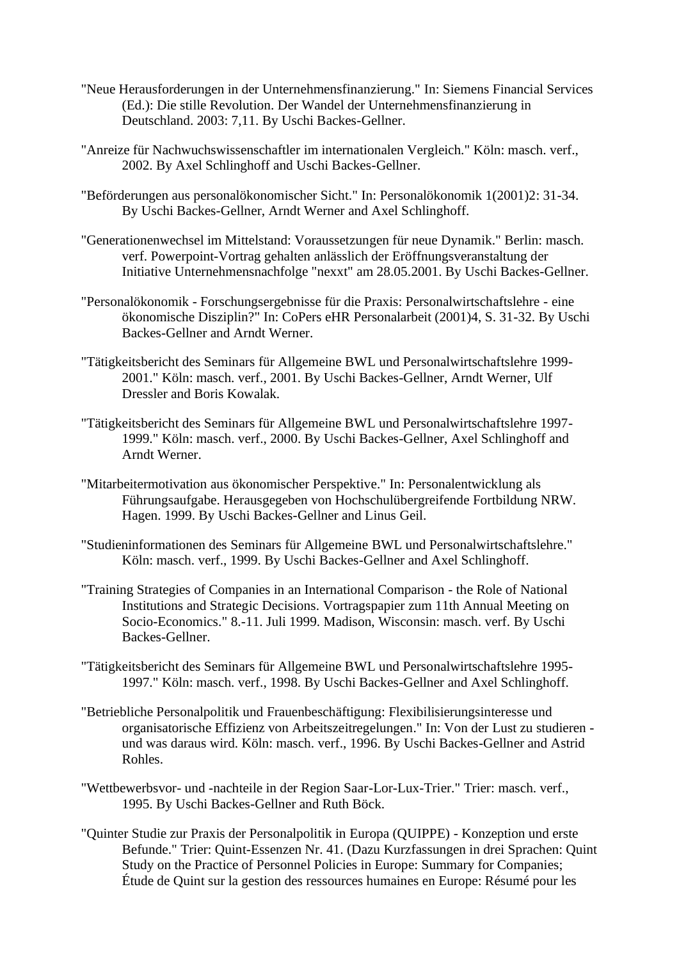- "Neue Herausforderungen in der Unternehmensfinanzierung." In: Siemens Financial Services (Ed.): Die stille Revolution. Der Wandel der Unternehmensfinanzierung in Deutschland. 2003: 7,11. By Uschi Backes-Gellner.
- "Anreize für Nachwuchswissenschaftler im internationalen Vergleich." Köln: masch. verf., 2002. By Axel Schlinghoff and Uschi Backes-Gellner.
- "Beförderungen aus personalökonomischer Sicht." In: Personalökonomik 1(2001)2: 31-34. By Uschi Backes-Gellner, Arndt Werner and Axel Schlinghoff.
- "Generationenwechsel im Mittelstand: Voraussetzungen für neue Dynamik." Berlin: masch. verf. Powerpoint-Vortrag gehalten anlässlich der Eröffnungsveranstaltung der Initiative Unternehmensnachfolge "nexxt" am 28.05.2001. By Uschi Backes-Gellner.
- "Personalökonomik Forschungsergebnisse für die Praxis: Personalwirtschaftslehre eine ökonomische Disziplin?" In: CoPers eHR Personalarbeit (2001)4, S. 31-32. By Uschi Backes-Gellner and Arndt Werner.
- "Tätigkeitsbericht des Seminars für Allgemeine BWL und Personalwirtschaftslehre 1999- 2001." Köln: masch. verf., 2001. By Uschi Backes-Gellner, Arndt Werner, Ulf Dressler and Boris Kowalak.
- "Tätigkeitsbericht des Seminars für Allgemeine BWL und Personalwirtschaftslehre 1997- 1999." Köln: masch. verf., 2000. By Uschi Backes-Gellner, Axel Schlinghoff and Arndt Werner.
- "Mitarbeitermotivation aus ökonomischer Perspektive." In: Personalentwicklung als Führungsaufgabe. Herausgegeben von Hochschulübergreifende Fortbildung NRW. Hagen. 1999. By Uschi Backes-Gellner and Linus Geil.
- "Studieninformationen des Seminars für Allgemeine BWL und Personalwirtschaftslehre." Köln: masch. verf., 1999. By Uschi Backes-Gellner and Axel Schlinghoff.
- "Training Strategies of Companies in an International Comparison the Role of National Institutions and Strategic Decisions. Vortragspapier zum 11th Annual Meeting on Socio-Economics." 8.-11. Juli 1999. Madison, Wisconsin: masch. verf. By Uschi Backes-Gellner.
- "Tätigkeitsbericht des Seminars für Allgemeine BWL und Personalwirtschaftslehre 1995- 1997." Köln: masch. verf., 1998. By Uschi Backes-Gellner and Axel Schlinghoff.
- "Betriebliche Personalpolitik und Frauenbeschäftigung: Flexibilisierungsinteresse und organisatorische Effizienz von Arbeitszeitregelungen." In: Von der Lust zu studieren und was daraus wird. Köln: masch. verf., 1996. By Uschi Backes-Gellner and Astrid Rohles.
- "Wettbewerbsvor- und -nachteile in der Region Saar-Lor-Lux-Trier." Trier: masch. verf., 1995. By Uschi Backes-Gellner and Ruth Böck.
- "Quinter Studie zur Praxis der Personalpolitik in Europa (QUIPPE) Konzeption und erste Befunde." Trier: Quint-Essenzen Nr. 41. (Dazu Kurzfassungen in drei Sprachen: Quint Study on the Practice of Personnel Policies in Europe: Summary for Companies; Étude de Quint sur la gestion des ressources humaines en Europe: Résumé pour les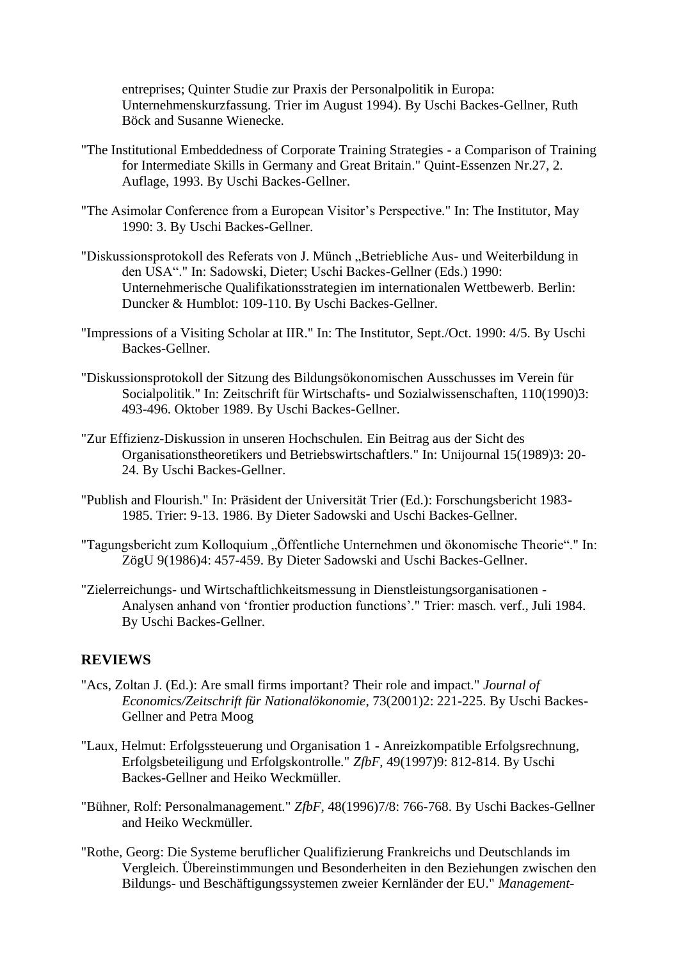entreprises; Quinter Studie zur Praxis der Personalpolitik in Europa: Unternehmenskurzfassung. Trier im August 1994). By Uschi Backes-Gellner, Ruth Böck and Susanne Wienecke.

- "The Institutional Embeddedness of Corporate Training Strategies a Comparison of Training for Intermediate Skills in Germany and Great Britain." Quint-Essenzen Nr.27, 2. Auflage, 1993. By Uschi Backes-Gellner.
- "The Asimolar Conference from a European Visitor's Perspective." In: The Institutor, May 1990: 3. By Uschi Backes-Gellner.
- "Diskussionsprotokoll des Referats von J. Münch "Betriebliche Aus- und Weiterbildung in den USA"." In: Sadowski, Dieter; Uschi Backes-Gellner (Eds.) 1990: Unternehmerische Qualifikationsstrategien im internationalen Wettbewerb. Berlin: Duncker & Humblot: 109-110. By Uschi Backes-Gellner.
- "Impressions of a Visiting Scholar at IIR." In: The Institutor, Sept./Oct. 1990: 4/5. By Uschi Backes-Gellner.
- "Diskussionsprotokoll der Sitzung des Bildungsökonomischen Ausschusses im Verein für Socialpolitik." In: Zeitschrift für Wirtschafts- und Sozialwissenschaften, 110(1990)3: 493-496. Oktober 1989. By Uschi Backes-Gellner.
- "Zur Effizienz-Diskussion in unseren Hochschulen. Ein Beitrag aus der Sicht des Organisationstheoretikers und Betriebswirtschaftlers." In: Unijournal 15(1989)3: 20- 24. By Uschi Backes-Gellner.
- "Publish and Flourish." In: Präsident der Universität Trier (Ed.): Forschungsbericht 1983- 1985. Trier: 9-13. 1986. By Dieter Sadowski and Uschi Backes-Gellner.
- "Tagungsbericht zum Kolloquium "Öffentliche Unternehmen und ökonomische Theorie"." In: ZögU 9(1986)4: 457-459. By Dieter Sadowski and Uschi Backes-Gellner.
- "Zielerreichungs- und Wirtschaftlichkeitsmessung in Dienstleistungsorganisationen Analysen anhand von 'frontier production functions'." Trier: masch. verf., Juli 1984. By Uschi Backes-Gellner.

# **REVIEWS**

- "Acs, Zoltan J. (Ed.): Are small firms important? Their role and impact." *Journal of Economics/Zeitschrift für Nationalökonomie*, 73(2001)2: 221-225. By Uschi Backes-Gellner and Petra Moog
- "Laux, Helmut: Erfolgssteuerung und Organisation 1 Anreizkompatible Erfolgsrechnung, Erfolgsbeteiligung und Erfolgskontrolle." *ZfbF*, 49(1997)9: 812-814. By Uschi Backes-Gellner and Heiko Weckmüller.
- "Bühner, Rolf: Personalmanagement." *ZfbF*, 48(1996)7/8: 766-768. By Uschi Backes-Gellner and Heiko Weckmüller.
- "Rothe, Georg: Die Systeme beruflicher Qualifizierung Frankreichs und Deutschlands im Vergleich. Übereinstimmungen und Besonderheiten in den Beziehungen zwischen den Bildungs- und Beschäftigungssystemen zweier Kernländer der EU." *Management-*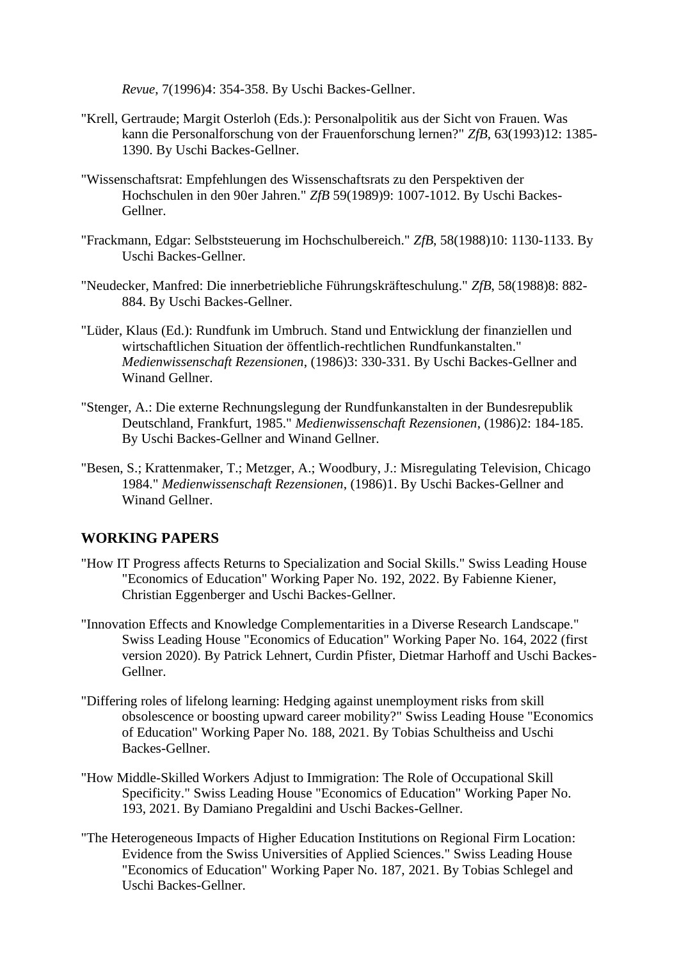*Revue*, 7(1996)4: 354-358. By Uschi Backes-Gellner.

- "Krell, Gertraude; Margit Osterloh (Eds.): Personalpolitik aus der Sicht von Frauen. Was kann die Personalforschung von der Frauenforschung lernen?" *ZfB*, 63(1993)12: 1385- 1390. By Uschi Backes-Gellner.
- "Wissenschaftsrat: Empfehlungen des Wissenschaftsrats zu den Perspektiven der Hochschulen in den 90er Jahren." *ZfB* 59(1989)9: 1007-1012. By Uschi Backes-Gellner.
- "Frackmann, Edgar: Selbststeuerung im Hochschulbereich." *ZfB*, 58(1988)10: 1130-1133. By Uschi Backes-Gellner.
- "Neudecker, Manfred: Die innerbetriebliche Führungskräfteschulung." *ZfB*, 58(1988)8: 882- 884. By Uschi Backes-Gellner.
- "Lüder, Klaus (Ed.): Rundfunk im Umbruch. Stand und Entwicklung der finanziellen und wirtschaftlichen Situation der öffentlich-rechtlichen Rundfunkanstalten." *Medienwissenschaft Rezensionen*, (1986)3: 330-331. By Uschi Backes-Gellner and Winand Gellner.
- "Stenger, A.: Die externe Rechnungslegung der Rundfunkanstalten in der Bundesrepublik Deutschland, Frankfurt, 1985." *Medienwissenschaft Rezensionen*, (1986)2: 184-185. By Uschi Backes-Gellner and Winand Gellner.
- "Besen, S.; Krattenmaker, T.; Metzger, A.; Woodbury, J.: Misregulating Television, Chicago 1984." *Medienwissenschaft Rezensionen*, (1986)1. By Uschi Backes-Gellner and Winand Gellner.

# **WORKING PAPERS**

- "How IT Progress affects Returns to Specialization and Social Skills." Swiss Leading House "Economics of Education" Working Paper No. 192, 2022. By Fabienne Kiener, Christian Eggenberger and Uschi Backes-Gellner.
- "Innovation Effects and Knowledge Complementarities in a Diverse Research Landscape." Swiss Leading House "Economics of Education" Working Paper No. 164, 2022 (first version 2020). By Patrick Lehnert, Curdin Pfister, Dietmar Harhoff and Uschi Backes-Gellner.
- "Differing roles of lifelong learning: Hedging against unemployment risks from skill obsolescence or boosting upward career mobility?" Swiss Leading House "Economics of Education" Working Paper No. 188, 2021. By Tobias Schultheiss and Uschi Backes-Gellner.
- "How Middle-Skilled Workers Adjust to Immigration: The Role of Occupational Skill Specificity." Swiss Leading House "Economics of Education" Working Paper No. 193, 2021. By Damiano Pregaldini and Uschi Backes-Gellner.
- "The Heterogeneous Impacts of Higher Education Institutions on Regional Firm Location: Evidence from the Swiss Universities of Applied Sciences." Swiss Leading House "Economics of Education" Working Paper No. 187, 2021. By Tobias Schlegel and Uschi Backes-Gellner.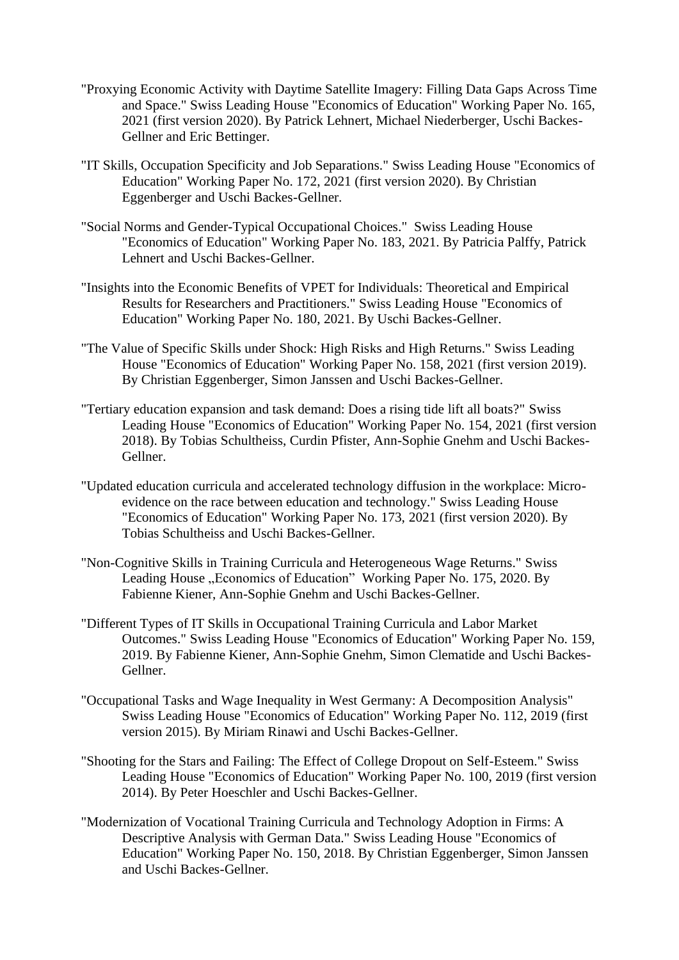- "Proxying Economic Activity with Daytime Satellite Imagery: Filling Data Gaps Across Time and Space." Swiss Leading House "Economics of Education" Working Paper No. 165, 2021 (first version 2020). By Patrick Lehnert, Michael Niederberger, Uschi Backes-Gellner and Eric Bettinger.
- "IT Skills, Occupation Specificity and Job Separations." Swiss Leading House "Economics of Education" Working Paper No. 172, 2021 (first version 2020). By Christian Eggenberger and Uschi Backes-Gellner.
- "Social Norms and Gender-Typical Occupational Choices." Swiss Leading House "Economics of Education" Working Paper No. 183, 2021. By Patricia Palffy, Patrick Lehnert and Uschi Backes-Gellner.
- "Insights into the Economic Benefits of VPET for Individuals: Theoretical and Empirical Results for Researchers and Practitioners." Swiss Leading House "Economics of Education" Working Paper No. 180, 2021. By Uschi Backes-Gellner.
- "The Value of Specific Skills under Shock: High Risks and High Returns." Swiss Leading House "Economics of Education" Working Paper No. 158, 2021 (first version 2019). By Christian Eggenberger, Simon Janssen and Uschi Backes-Gellner.
- "Tertiary education expansion and task demand: Does a rising tide lift all boats?" Swiss Leading House "Economics of Education" Working Paper No. 154, 2021 (first version 2018). By Tobias Schultheiss, Curdin Pfister, Ann-Sophie Gnehm and Uschi Backes-Gellner.
- "Updated education curricula and accelerated technology diffusion in the workplace: Microevidence on the race between education and technology." Swiss Leading House "Economics of Education" Working Paper No. 173, 2021 (first version 2020). By Tobias Schultheiss and Uschi Backes-Gellner.
- "Non-Cognitive Skills in Training Curricula and Heterogeneous Wage Returns." Swiss Leading House "Economics of Education" Working Paper No. 175, 2020. By Fabienne Kiener, Ann-Sophie Gnehm and Uschi Backes-Gellner.
- "Different Types of IT Skills in Occupational Training Curricula and Labor Market Outcomes." Swiss Leading House "Economics of Education" Working Paper No. 159, 2019. By Fabienne Kiener, Ann-Sophie Gnehm, Simon Clematide and Uschi Backes-Gellner.
- "Occupational Tasks and Wage Inequality in West Germany: A Decomposition Analysis" Swiss Leading House "Economics of Education" Working Paper No. 112, 2019 (first version 2015). By Miriam Rinawi and Uschi Backes-Gellner.
- "Shooting for the Stars and Failing: The Effect of College Dropout on Self-Esteem." Swiss Leading House "Economics of Education" Working Paper No. 100, 2019 (first version 2014). By Peter Hoeschler and Uschi Backes-Gellner.
- "Modernization of Vocational Training Curricula and Technology Adoption in Firms: A Descriptive Analysis with German Data." Swiss Leading House "Economics of Education" Working Paper No. 150, 2018. By Christian Eggenberger, Simon Janssen and Uschi Backes-Gellner.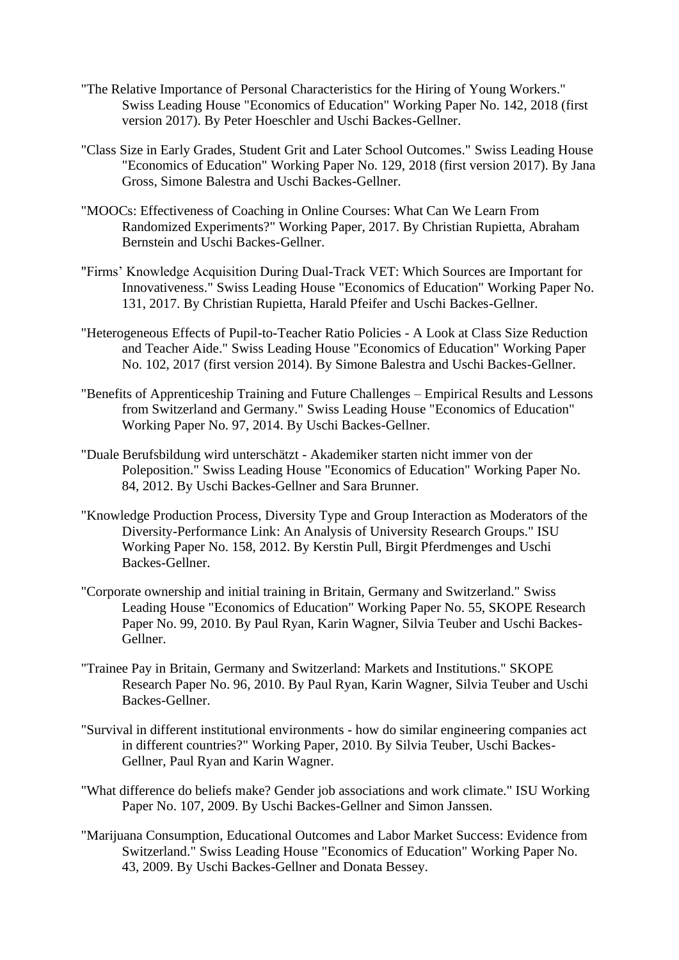- "The Relative Importance of Personal Characteristics for the Hiring of Young Workers." Swiss Leading House "Economics of Education" Working Paper No. 142, 2018 (first version 2017). By Peter Hoeschler and Uschi Backes-Gellner.
- "Class Size in Early Grades, Student Grit and Later School Outcomes." Swiss Leading House "Economics of Education" Working Paper No. 129, 2018 (first version 2017). By Jana Gross, Simone Balestra and Uschi Backes-Gellner.
- "MOOCs: Effectiveness of Coaching in Online Courses: What Can We Learn From Randomized Experiments?" Working Paper, 2017. By Christian Rupietta, Abraham Bernstein and Uschi Backes-Gellner.
- "Firms' Knowledge Acquisition During Dual-Track VET: Which Sources are Important for Innovativeness." Swiss Leading House "Economics of Education" Working Paper No. 131, 2017. By Christian Rupietta, Harald Pfeifer and Uschi Backes-Gellner.
- "Heterogeneous Effects of Pupil-to-Teacher Ratio Policies A Look at Class Size Reduction and Teacher Aide." Swiss Leading House "Economics of Education" Working Paper No. 102, 2017 (first version 2014). By Simone Balestra and Uschi Backes-Gellner.
- "Benefits of Apprenticeship Training and Future Challenges Empirical Results and Lessons from Switzerland and Germany." Swiss Leading House "Economics of Education" Working Paper No. 97, 2014. By Uschi Backes-Gellner.
- "Duale Berufsbildung wird unterschätzt Akademiker starten nicht immer von der Poleposition." Swiss Leading House "Economics of Education" Working Paper No. 84, 2012. By Uschi Backes-Gellner and Sara Brunner.
- "Knowledge Production Process, Diversity Type and Group Interaction as Moderators of the Diversity-Performance Link: An Analysis of University Research Groups." ISU Working Paper No. 158, 2012. By Kerstin Pull, Birgit Pferdmenges and Uschi Backes-Gellner.
- "Corporate ownership and initial training in Britain, Germany and Switzerland." Swiss Leading House "Economics of Education" Working Paper No. 55, SKOPE Research Paper No. 99, 2010. By Paul Ryan, Karin Wagner, Silvia Teuber and Uschi Backes-Gellner.
- "Trainee Pay in Britain, Germany and Switzerland: Markets and Institutions." SKOPE Research Paper No. 96, 2010. By Paul Ryan, Karin Wagner, Silvia Teuber and Uschi Backes-Gellner.
- "Survival in different institutional environments how do similar engineering companies act in different countries?" Working Paper, 2010. By Silvia Teuber, Uschi Backes-Gellner, Paul Ryan and Karin Wagner.
- "What difference do beliefs make? Gender job associations and work climate." ISU Working Paper No. 107, 2009. By Uschi Backes-Gellner and Simon Janssen.
- "Marijuana Consumption, Educational Outcomes and Labor Market Success: Evidence from Switzerland." Swiss Leading House "Economics of Education" Working Paper No. 43, 2009. By Uschi Backes-Gellner and Donata Bessey.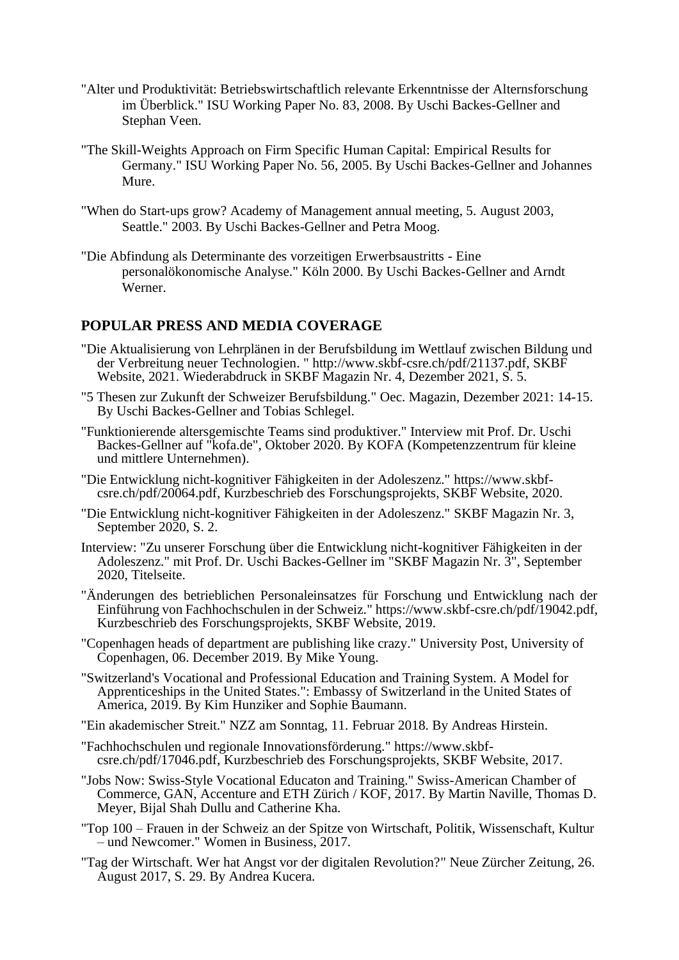- "Alter und Produktivität: Betriebswirtschaftlich relevante Erkenntnisse der Alternsforschung im Überblick." ISU Working Paper No. 83, 2008. By Uschi Backes-Gellner and Stephan Veen.
- "The Skill-Weights Approach on Firm Specific Human Capital: Empirical Results for Germany." ISU Working Paper No. 56, 2005. By Uschi Backes-Gellner and Johannes Mure.
- "When do Start-ups grow? Academy of Management annual meeting, 5. August 2003, Seattle." 2003. By Uschi Backes-Gellner and Petra Moog.
- "Die Abfindung als Determinante des vorzeitigen Erwerbsaustritts Eine personalökonomische Analyse." Köln 2000. By Uschi Backes-Gellner and Arndt Werner.

#### **POPULAR PRESS AND MEDIA COVERAGE**

- "Die Aktualisierung von Lehrplänen in der Berufsbildung im Wettlauf zwischen Bildung und der Verbreitung neuer Technologien. " http://www.skbf-csre.ch/pdf/21137.pdf, SKBF Website, 2021. Wiederabdruck in SKBF Magazin Nr. 4, Dezember 2021, S. 5.
- "5 Thesen zur Zukunft der Schweizer Berufsbildung." Oec. Magazin, Dezember 2021: 14-15. By Uschi Backes-Gellner and Tobias Schlegel.
- "Funktionierende altersgemischte Teams sind produktiver." Interview mit Prof. Dr. Uschi Backes-Gellner auf "kofa.de", Oktober 2020. By KOFA (Kompetenzzentrum für kleine und mittlere Unternehmen).
- "Die Entwicklung nicht-kognitiver Fähigkeiten in der Adoleszenz." [https://www.skbf](https://www.skbf-csre.ch/pdf/20064.pdf)[csre.ch/pdf/20064.pdf,](https://www.skbf-csre.ch/pdf/20064.pdf) Kurzbeschrieb des Forschungsprojekts, SKBF Website, 2020.
- "Die Entwicklung nicht-kognitiver Fähigkeiten in der Adoleszenz." SKBF Magazin Nr. 3, September 2020, S. 2.
- Interview: "Zu unserer Forschung über die Entwicklung nicht-kognitiver Fähigkeiten in der Adoleszenz." mit Prof. Dr. Uschi Backes-Gellner im "SKBF Magazin Nr. 3", September 2020, Titelseite.
- "Änderungen des betrieblichen Personaleinsatzes für Forschung und Entwicklung nach der Einführung von Fachhochschulen in der Schweiz." [https://www.skbf-csre.ch/pdf/19042.pdf,](https://www.skbf-csre.ch/pdf/19042.pdf) Kurzbeschrieb des Forschungsprojekts, SKBF Website, 2019.
- "Copenhagen heads of department are publishing like crazy." University Post, University of Copenhagen, 06. December 2019. By Mike Young.
- "Switzerland's Vocational and Professional Education and Training System. A Model for Apprenticeships in the United States.": Embassy of Switzerland in the United States of America, 2019. By Kim Hunziker and Sophie Baumann.
- "Ein akademischer Streit." NZZ am Sonntag, 11. Februar 2018. By Andreas Hirstein.
- "Fachhochschulen und regionale Innovationsförderung." [https://www.skbf](https://www.skbf-csre.ch/pdf/17046.pdf)[csre.ch/pdf/17046.pdf,](https://www.skbf-csre.ch/pdf/17046.pdf) Kurzbeschrieb des Forschungsprojekts, SKBF Website, 2017.
- "Jobs Now: Swiss-Style Vocational Educaton and Training." Swiss-American Chamber of Commerce, GAN, Accenture and ETH Zürich / KOF, 2017. By Martin Naville, Thomas D. Meyer, Bijal Shah Dullu and Catherine Kha.
- "Top 100 Frauen in der Schweiz an der Spitze von Wirtschaft, Politik, Wissenschaft, Kultur – und Newcomer." Women in Business, 2017.
- "Tag der Wirtschaft. Wer hat Angst vor der digitalen Revolution?" Neue Zürcher Zeitung, 26. August 2017, S. 29. By Andrea Kucera.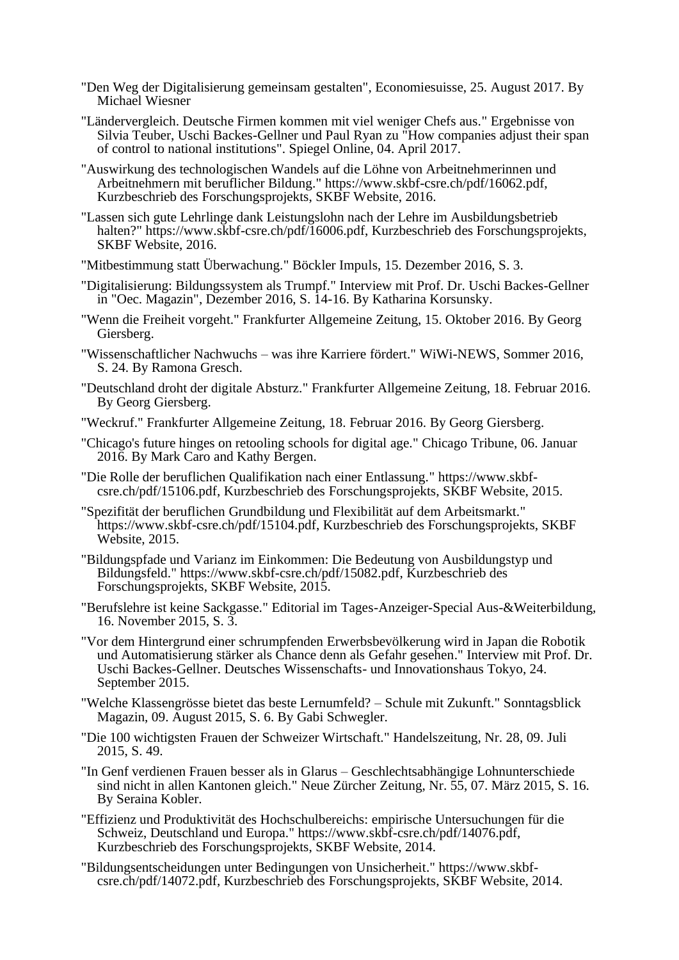- "Den Weg der Digitalisierung gemeinsam gestalten", Economiesuisse, 25. August 2017. By Michael Wiesner
- "Ländervergleich. Deutsche Firmen kommen mit viel weniger Chefs aus." Ergebnisse von Silvia Teuber, Uschi Backes-Gellner und Paul Ryan zu "How companies adjust their span of control to national institutions". Spiegel Online, 04. April 2017.
- "Auswirkung des technologischen Wandels auf die Löhne von Arbeitnehmerinnen und Arbeitnehmern mit beruflicher Bildung." https://www.skbf-csre.ch/pdf/16062.pdf, Kurzbeschrieb des Forschungsprojekts, SKBF Website, 2016.
- "Lassen sich gute Lehrlinge dank Leistungslohn nach der Lehre im Ausbildungsbetrieb halten?" https://www.skbf-csre.ch/pdf/16006.pdf, Kurzbeschrieb des Forschungsprojekts, SKBF Website, 2016.
- "Mitbestimmung statt Überwachung." Böckler Impuls, 15. Dezember 2016, S. 3.
- "Digitalisierung: Bildungssystem als Trumpf." Interview mit Prof. Dr. Uschi Backes-Gellner in "Oec. Magazin", Dezember 2016, S. 14-16. By Katharina Korsunsky.
- "Wenn die Freiheit vorgeht." Frankfurter Allgemeine Zeitung, 15. Oktober 2016. By Georg Giersberg.
- "Wissenschaftlicher Nachwuchs was ihre Karriere fördert." WiWi-NEWS, Sommer 2016, S. 24. By Ramona Gresch.
- "Deutschland droht der digitale Absturz." Frankfurter Allgemeine Zeitung, 18. Februar 2016. By Georg Giersberg.
- "Weckruf." Frankfurter Allgemeine Zeitung, 18. Februar 2016. By Georg Giersberg.
- "Chicago's future hinges on retooling schools for digital age." Chicago Tribune, 06. Januar 2016. By Mark Caro and Kathy Bergen.
- "Die Rolle der beruflichen Qualifikation nach einer Entlassung." [https://www.skbf](https://www.skbf-csre.ch/pdf/15106.pdf)[csre.ch/pdf/15106.pdf,](https://www.skbf-csre.ch/pdf/15106.pdf) Kurzbeschrieb des Forschungsprojekts, SKBF Website, 2015.
- "Spezifität der beruflichen Grundbildung und Flexibilität auf dem Arbeitsmarkt." https://www.skbf-csre.ch/pdf/15104.pdf, Kurzbeschrieb des Forschungsprojekts, SKBF Website, 2015.
- "Bildungspfade und Varianz im Einkommen: Die Bedeutung von Ausbildungstyp und Bildungsfeld." https://www.skbf-csre.ch/pdf/15082.pdf, Kurzbeschrieb des Forschungsprojekts, SKBF Website, 2015.
- "Berufslehre ist keine Sackgasse." Editorial im Tages-Anzeiger-Special Aus-&Weiterbildung, 16. November 2015, S. 3.
- "Vor dem Hintergrund einer schrumpfenden Erwerbsbevölkerung wird in Japan die Robotik und Automatisierung stärker als Chance denn als Gefahr gesehen." Interview mit Prof. Dr. Uschi Backes-Gellner. Deutsches Wissenschafts- und Innovationshaus Tokyo, 24. September 2015.
- "Welche Klassengrösse bietet das beste Lernumfeld? Schule mit Zukunft." Sonntagsblick Magazin, 09. August 2015, S. 6. By Gabi Schwegler.
- "Die 100 wichtigsten Frauen der Schweizer Wirtschaft." Handelszeitung, Nr. 28, 09. Juli 2015, S. 49.
- "In Genf verdienen Frauen besser als in Glarus Geschlechtsabhängige Lohnunterschiede sind nicht in allen Kantonen gleich." Neue Zürcher Zeitung, Nr. 55, 07. März 2015, S. 16. By Seraina Kobler.
- "Effizienz und Produktivität des Hochschulbereichs: empirische Untersuchungen für die Schweiz, Deutschland und Europa." https://www.skbf-csre.ch/pdf/14076.pdf, Kurzbeschrieb des Forschungsprojekts, SKBF Website, 2014.
- "Bildungsentscheidungen unter Bedingungen von Unsicherheit." [https://www.skbf](https://www.skbf-csre.ch/pdf/14072.pdf)[csre.ch/pdf/14072.pdf,](https://www.skbf-csre.ch/pdf/14072.pdf) Kurzbeschrieb des Forschungsprojekts, SKBF Website, 2014.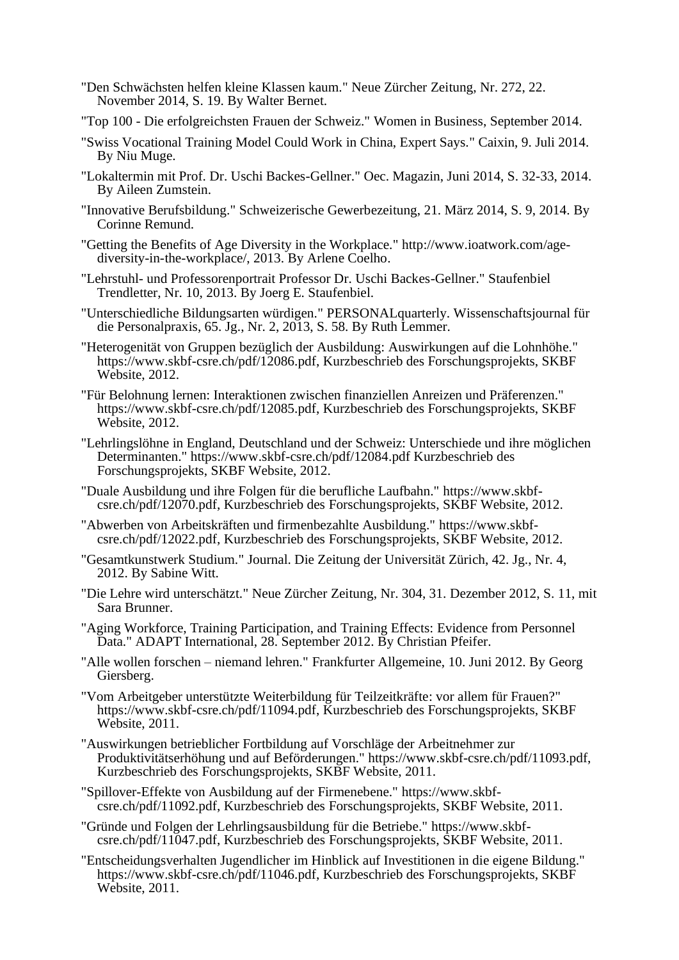- "Den Schwächsten helfen kleine Klassen kaum." Neue Zürcher Zeitung, Nr. 272, 22. November 2014, S. 19. By Walter Bernet.
- "Top 100 Die erfolgreichsten Frauen der Schweiz." Women in Business, September 2014.
- "Swiss Vocational Training Model Could Work in China, Expert Says." Caixin, 9. Juli 2014. By Niu Muge.
- "Lokaltermin mit Prof. Dr. Uschi Backes-Gellner." Oec. Magazin, Juni 2014, S. 32-33, 2014. By Aileen Zumstein.
- "Innovative Berufsbildung." Schweizerische Gewerbezeitung, 21. März 2014, S. 9, 2014. By Corinne Remund.
- "Getting the Benefits of Age Diversity in the Workplace." [http://www.ioatwork.com/age](http://www.ioatwork.com/organizations-benefit-from-workplace-age-diversity/)[diversity-in-the-workplace/,](http://www.ioatwork.com/organizations-benefit-from-workplace-age-diversity/) 2013. By Arlene Coelho.
- "Lehrstuhl- und Professorenportrait Professor Dr. Uschi Backes-Gellner." Staufenbiel Trendletter, Nr. 10, 2013. By Joerg E. Staufenbiel.
- "Unterschiedliche Bildungsarten würdigen." PERSONALquarterly. Wissenschaftsjournal für die Personalpraxis, 65. Jg., Nr. 2, 2013, S. 58. By Ruth Lemmer.
- "Heterogenität von Gruppen bezüglich der Ausbildung: Auswirkungen auf die Lohnhöhe." https://www.skbf-csre.ch/pdf/12086.pdf, Kurzbeschrieb des Forschungsprojekts, SKBF Website, 2012.
- "Für Belohnung lernen: Interaktionen zwischen finanziellen Anreizen und Präferenzen." https://www.skbf-csre.ch/pdf/12085.pdf, Kurzbeschrieb des Forschungsprojekts, SKBF Website, 2012.
- "Lehrlingslöhne in England, Deutschland und der Schweiz: Unterschiede und ihre möglichen Determinanten." https://www.skbf-csre.ch/pdf/12084.pdf Kurzbeschrieb des Forschungsprojekts, SKBF Website, 2012.
- "Duale Ausbildung und ihre Folgen für die berufliche Laufbahn." [https://www.skbf](https://www.skbf-csre.ch/pdf/12070.pdf)[csre.ch/pdf/12070.pdf,](https://www.skbf-csre.ch/pdf/12070.pdf) Kurzbeschrieb des Forschungsprojekts, SKBF Website, 2012.
- "Abwerben von Arbeitskräften und firmenbezahlte Ausbildung." [https://www.skbf](https://www.skbf-csre.ch/pdf/12022.pdf)[csre.ch/pdf/12022.pdf,](https://www.skbf-csre.ch/pdf/12022.pdf) Kurzbeschrieb des Forschungsprojekts, SKBF Website, 2012.
- "Gesamtkunstwerk Studium." Journal. Die Zeitung der Universität Zürich, 42. Jg., Nr. 4, 2012. By Sabine Witt.
- "Die Lehre wird unterschätzt." Neue Zürcher Zeitung, Nr. 304, 31. Dezember 2012, S. 11, mit Sara Brunner.
- "Aging Workforce, Training Participation, and Training Effects: Evidence from Personnel Data." ADAPT International, 28. September 2012. By Christian Pfeifer.
- "Alle wollen forschen niemand lehren." Frankfurter Allgemeine, 10. Juni 2012. By Georg Giersberg.
- "Vom Arbeitgeber unterstützte Weiterbildung für Teilzeitkräfte: vor allem für Frauen?" https://www.skbf-csre.ch/pdf/11094.pdf, Kurzbeschrieb des Forschungsprojekts, SKBF Website, 2011.
- "Auswirkungen betrieblicher Fortbildung auf Vorschläge der Arbeitnehmer zur Produktivitätserhöhung und auf Beförderungen." https://www.skbf-csre.ch/pdf/11093.pdf, Kurzbeschrieb des Forschungsprojekts, SKBF Website, 2011.
- "Spillover-Effekte von Ausbildung auf der Firmenebene." [https://www.skbf](https://www.skbf-csre.ch/pdf/11092.pdf)[csre.ch/pdf/11092.pdf,](https://www.skbf-csre.ch/pdf/11092.pdf) Kurzbeschrieb des Forschungsprojekts, SKBF Website, 2011.
- "Gründe und Folgen der Lehrlingsausbildung für die Betriebe." [https://www.skbf](https://www.skbf-csre.ch/pdf/11047.pdf)[csre.ch/pdf/11047.pdf,](https://www.skbf-csre.ch/pdf/11047.pdf) Kurzbeschrieb des Forschungsprojekts, SKBF Website, 2011.
- "Entscheidungsverhalten Jugendlicher im Hinblick auf Investitionen in die eigene Bildung." https://www.skbf-csre.ch/pdf/11046.pdf, Kurzbeschrieb des Forschungsprojekts, SKBF Website, 2011.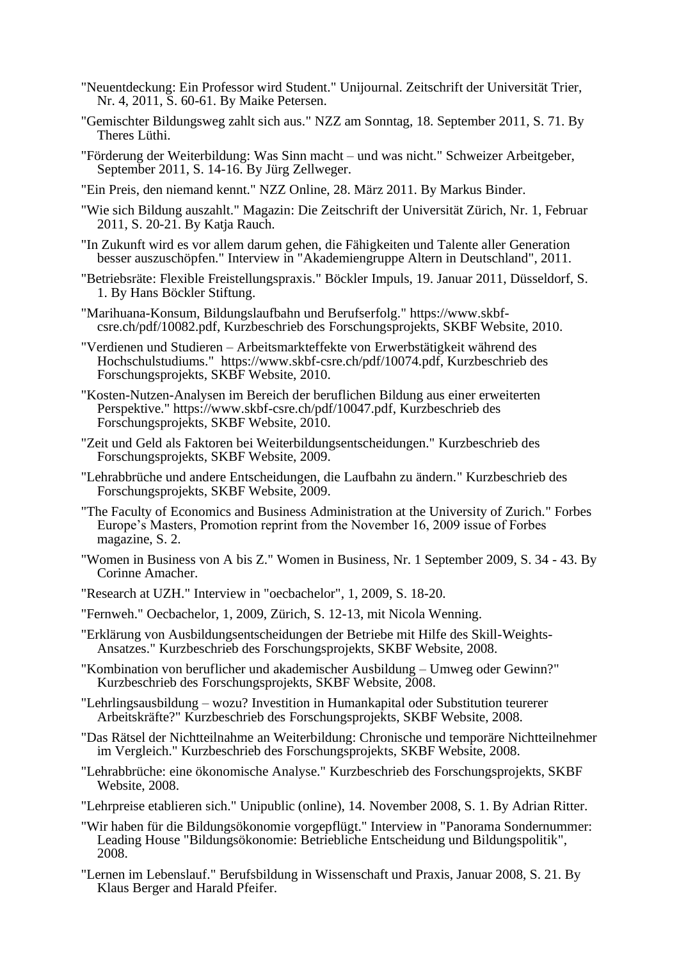- "Neuentdeckung: Ein Professor wird Student." Unijournal. Zeitschrift der Universität Trier, Nr. 4, 2011, S. 60-61. By Maike Petersen.
- "Gemischter Bildungsweg zahlt sich aus." NZZ am Sonntag, 18. September 2011, S. 71. By Theres Lüthi.
- "Förderung der Weiterbildung: Was Sinn macht und was nicht." Schweizer Arbeitgeber, September 2011, S. 14-16. By Jürg Zellweger.
- "Ein Preis, den niemand kennt." NZZ Online, 28. März 2011. By Markus Binder.
- "Wie sich Bildung auszahlt." Magazin: Die Zeitschrift der Universität Zürich, Nr. 1, Februar 2011, S. 20-21. By Katja Rauch.
- "In Zukunft wird es vor allem darum gehen, die Fähigkeiten und Talente aller Generation besser auszuschöpfen." Interview in "Akademiengruppe Altern in Deutschland", 2011.
- "Betriebsräte: Flexible Freistellungspraxis." Böckler Impuls, 19. Januar 2011, Düsseldorf, S. 1. By Hans Böckler Stiftung.
- "Marihuana-Konsum, Bildungslaufbahn und Berufserfolg." [https://www.skbf](https://www.skbf-csre.ch/pdf/10082.pdf)[csre.ch/pdf/10082.pdf,](https://www.skbf-csre.ch/pdf/10082.pdf) Kurzbeschrieb des Forschungsprojekts, SKBF Website, 2010.
- "Verdienen und Studieren Arbeitsmarkteffekte von Erwerbstätigkeit während des Hochschulstudiums." https://www.skbf-csre.ch/pdf/10074.pdf, Kurzbeschrieb des Forschungsprojekts, SKBF Website, 2010.
- "Kosten-Nutzen-Analysen im Bereich der beruflichen Bildung aus einer erweiterten Perspektive." https://www.skbf-csre.ch/pdf/10047.pdf, Kurzbeschrieb des Forschungsprojekts, SKBF Website, 2010.
- "Zeit und Geld als Faktoren bei Weiterbildungsentscheidungen." Kurzbeschrieb des Forschungsprojekts, SKBF Website, 2009.
- "Lehrabbrüche und andere Entscheidungen, die Laufbahn zu ändern." Kurzbeschrieb des Forschungsprojekts, SKBF Website, 2009.
- "The Faculty of Economics and Business Administration at the University of Zurich." Forbes Europe's Masters, Promotion reprint from the November 16, 2009 issue of Forbes magazine, S. 2.
- "Women in Business von A bis Z." Women in Business, Nr. 1 September 2009, S. 34 43. By Corinne Amacher.
- "Research at UZH." Interview in "oecbachelor", 1, 2009, S. 18-20.
- "Fernweh." Oecbachelor, 1, 2009, Zürich, S. 12-13, mit Nicola Wenning.
- "Erklärung von Ausbildungsentscheidungen der Betriebe mit Hilfe des Skill-Weights-Ansatzes." Kurzbeschrieb des Forschungsprojekts, SKBF Website, 2008.
- "Kombination von beruflicher und akademischer Ausbildung Umweg oder Gewinn?" Kurzbeschrieb des Forschungsprojekts, SKBF Website, 2008.
- "Lehrlingsausbildung wozu? Investition in Humankapital oder Substitution teurerer Arbeitskräfte?" Kurzbeschrieb des Forschungsprojekts, SKBF Website, 2008.
- "Das Rätsel der Nichtteilnahme an Weiterbildung: Chronische und temporäre Nichtteilnehmer im Vergleich." Kurzbeschrieb des Forschungsprojekts, SKBF Website, 2008.
- "Lehrabbrüche: eine ökonomische Analyse." Kurzbeschrieb des Forschungsprojekts, SKBF Website, 2008.
- "Lehrpreise etablieren sich." Unipublic (online), 14. November 2008, S. 1. By Adrian Ritter.
- "Wir haben für die Bildungsökonomie vorgepflügt." Interview in "Panorama Sondernummer: Leading House "Bildungsökonomie: Betriebliche Entscheidung und Bildungspolitik", 2008.
- "Lernen im Lebenslauf." Berufsbildung in Wissenschaft und Praxis, Januar 2008, S. 21. By Klaus Berger and Harald Pfeifer.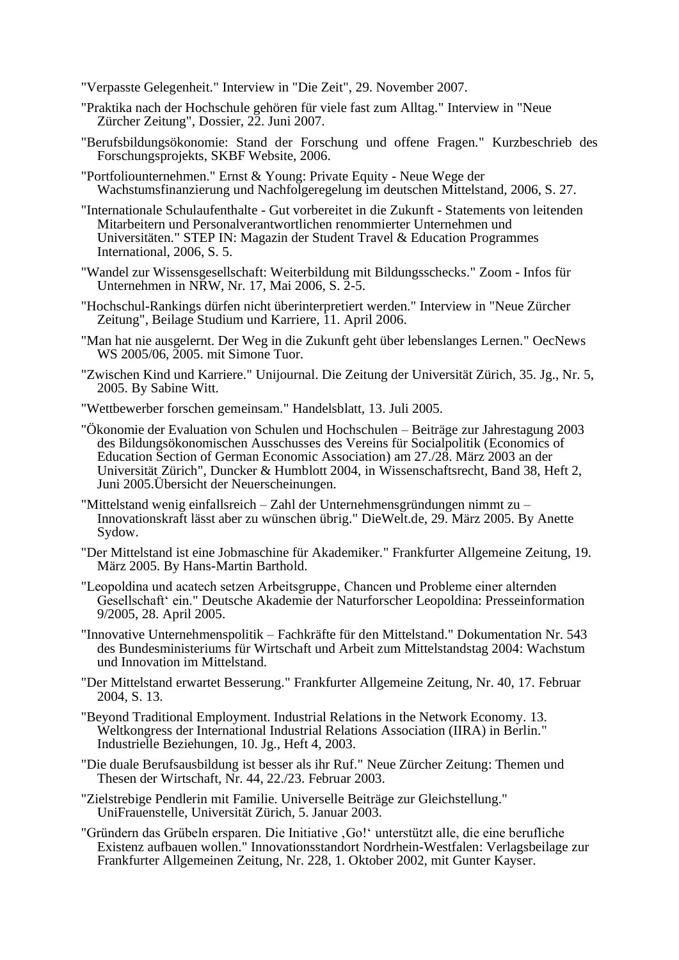- "Verpasste Gelegenheit." Interview in "Die Zeit", 29. November 2007.
- "Praktika nach der Hochschule gehören für viele fast zum Alltag." Interview in "Neue Zürcher Zeitung", Dossier, 22. Juni 2007.
- "Berufsbildungsökonomie: Stand der Forschung und offene Fragen." Kurzbeschrieb des Forschungsprojekts, SKBF Website, 2006.
- "Portfoliounternehmen." Ernst & Young: Private Equity Neue Wege der Wachstumsfinanzierung und Nachfolgeregelung im deutschen Mittelstand, 2006, S. 27.
- "Internationale Schulaufenthalte Gut vorbereitet in die Zukunft Statements von leitenden Mitarbeitern und Personalverantwortlichen renommierter Unternehmen und Universitäten." STEP IN: Magazin der Student Travel & Education Programmes International, 2006, S. 5.
- "Wandel zur Wissensgesellschaft: Weiterbildung mit Bildungsschecks." Zoom Infos für Unternehmen in NRW, Nr. 17, Mai 2006, S. 2-5.
- "Hochschul-Rankings dürfen nicht überinterpretiert werden." Interview in "Neue Zürcher Zeitung", Beilage Studium und Karriere, 11. April 2006.
- "Man hat nie ausgelernt. Der Weg in die Zukunft geht über lebenslanges Lernen." OecNews WS 2005/06, 2005. mit Simone Tuor.
- "Zwischen Kind und Karriere." Unijournal. Die Zeitung der Universität Zürich, 35. Jg., Nr. 5, 2005. By Sabine Witt.
- "Wettbewerber forschen gemeinsam." Handelsblatt, 13. Juli 2005.
- "Ökonomie der Evaluation von Schulen und Hochschulen Beiträge zur Jahrestagung 2003 des Bildungsökonomischen Ausschusses des Vereins für Socialpolitik (Economics of Education Section of German Economic Association) am 27./28. März 2003 an der Universität Zürich", Duncker & Humblott 2004, in Wissenschaftsrecht, Band 38, Heft 2, Juni 2005.Übersicht der Neuerscheinungen.
- "Mittelstand wenig einfallsreich Zahl der Unternehmensgründungen nimmt zu Innovationskraft lässt aber zu wünschen übrig." DieWelt.de, 29. März 2005. By Anette Sydow.
- "Der Mittelstand ist eine Jobmaschine für Akademiker." Frankfurter Allgemeine Zeitung, 19. März 2005. By Hans-Martin Barthold.
- "Leopoldina und acatech setzen Arbeitsgruppe, Chancen und Probleme einer alternden Gesellschaft' ein." Deutsche Akademie der Naturforscher Leopoldina: Presseinformation 9/2005, 28. April 2005.
- "Innovative Unternehmenspolitik Fachkräfte für den Mittelstand." Dokumentation Nr. 543 des Bundesministeriums für Wirtschaft und Arbeit zum Mittelstandstag 2004: Wachstum und Innovation im Mittelstand.
- "Der Mittelstand erwartet Besserung." Frankfurter Allgemeine Zeitung, Nr. 40, 17. Februar 2004, S. 13.
- "Beyond Traditional Employment. Industrial Relations in the Network Economy. 13. Weltkongress der International Industrial Relations Association (IIRA) in Berlin." Industrielle Beziehungen, 10. Jg., Heft 4, 2003.
- "Die duale Berufsausbildung ist besser als ihr Ruf." Neue Zürcher Zeitung: Themen und Thesen der Wirtschaft, Nr. 44, 22./23. Februar 2003.
- "Zielstrebige Pendlerin mit Familie. Universelle Beiträge zur Gleichstellung." UniFrauenstelle, Universität Zürich, 5. Januar 2003.
- "Gründern das Grübeln ersparen. Die Initiative , Go!' unterstützt alle, die eine berufliche Existenz aufbauen wollen." Innovationsstandort Nordrhein-Westfalen: Verlagsbeilage zur Frankfurter Allgemeinen Zeitung, Nr. 228, 1. Oktober 2002, mit Gunter Kayser.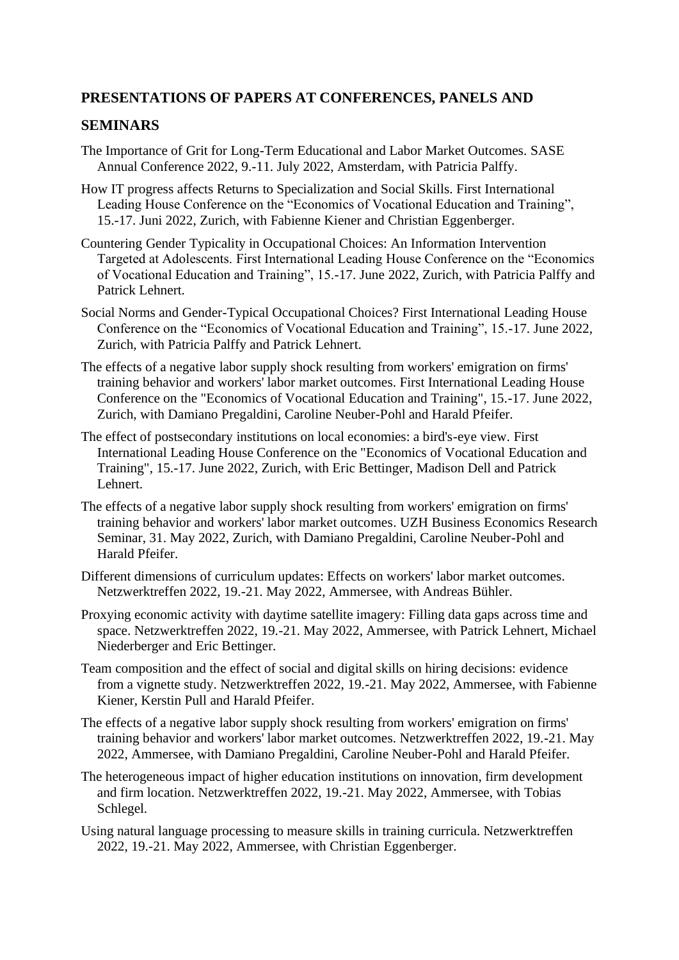## **PRESENTATIONS OF PAPERS AT CONFERENCES, PANELS AND**

#### **SEMINARS**

- The Importance of Grit for Long-Term Educational and Labor Market Outcomes. SASE Annual Conference 2022, 9.-11. July 2022, Amsterdam, with Patricia Palffy.
- How IT progress affects Returns to Specialization and Social Skills. First International Leading House Conference on the "Economics of Vocational Education and Training", 15.-17. Juni 2022, Zurich, with Fabienne Kiener and Christian Eggenberger.
- Countering Gender Typicality in Occupational Choices: An Information Intervention Targeted at Adolescents. First International Leading House Conference on the "Economics of Vocational Education and Training", 15.-17. June 2022, Zurich, with Patricia Palffy and Patrick Lehnert.
- Social Norms and Gender-Typical Occupational Choices? First International Leading House Conference on the "Economics of Vocational Education and Training", 15.-17. June 2022, Zurich, with Patricia Palffy and Patrick Lehnert.
- The effects of a negative labor supply shock resulting from workers' emigration on firms' training behavior and workers' labor market outcomes. First International Leading House Conference on the "Economics of Vocational Education and Training", 15.-17. June 2022, Zurich, with Damiano Pregaldini, Caroline Neuber-Pohl and Harald Pfeifer.
- The effect of postsecondary institutions on local economies: a bird's-eye view. First International Leading House Conference on the "Economics of Vocational Education and Training", 15.-17. June 2022, Zurich, with Eric Bettinger, Madison Dell and Patrick Lehnert.
- The effects of a negative labor supply shock resulting from workers' emigration on firms' training behavior and workers' labor market outcomes. UZH Business Economics Research Seminar, 31. May 2022, Zurich, with Damiano Pregaldini, Caroline Neuber-Pohl and Harald Pfeifer.
- Different dimensions of curriculum updates: Effects on workers' labor market outcomes. Netzwerktreffen 2022, 19.-21. May 2022, Ammersee, with Andreas Bühler.
- Proxying economic activity with daytime satellite imagery: Filling data gaps across time and space. Netzwerktreffen 2022, 19.-21. May 2022, Ammersee, with Patrick Lehnert, Michael Niederberger and Eric Bettinger.
- Team composition and the effect of social and digital skills on hiring decisions: evidence from a vignette study. Netzwerktreffen 2022, 19.-21. May 2022, Ammersee, with Fabienne Kiener, Kerstin Pull and Harald Pfeifer.
- The effects of a negative labor supply shock resulting from workers' emigration on firms' training behavior and workers' labor market outcomes. Netzwerktreffen 2022, 19.-21. May 2022, Ammersee, with Damiano Pregaldini, Caroline Neuber-Pohl and Harald Pfeifer.
- The heterogeneous impact of higher education institutions on innovation, firm development and firm location. Netzwerktreffen 2022, 19.-21. May 2022, Ammersee, with Tobias Schlegel.
- Using natural language processing to measure skills in training curricula. Netzwerktreffen 2022, 19.-21. May 2022, Ammersee, with Christian Eggenberger.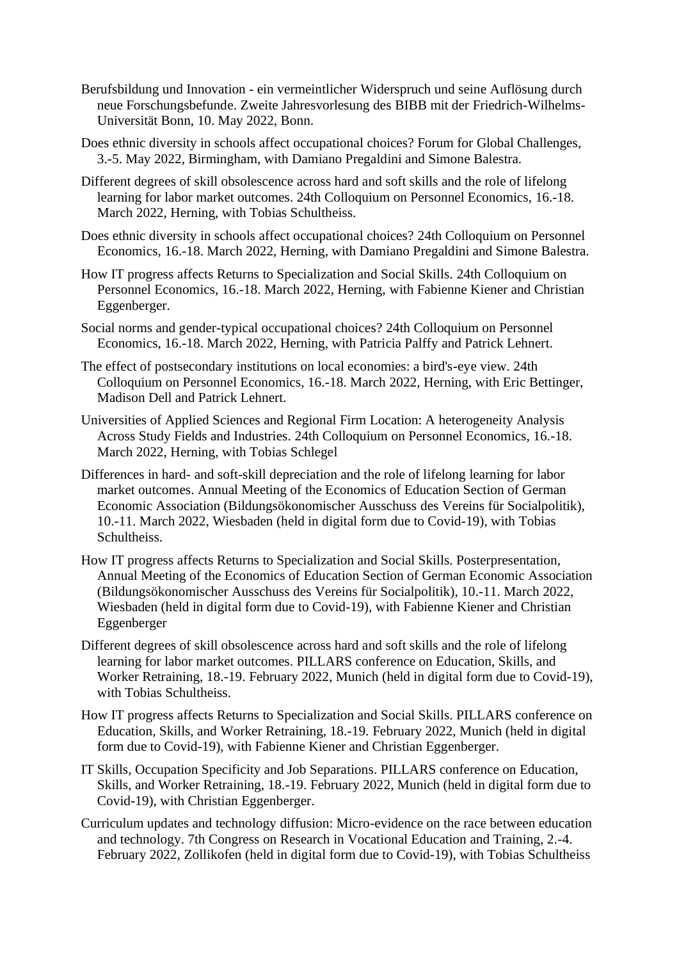- Berufsbildung und Innovation ein vermeintlicher Widerspruch und seine Auflösung durch neue Forschungsbefunde. Zweite Jahresvorlesung des BIBB mit der Friedrich-Wilhelms-Universität Bonn, 10. May 2022, Bonn.
- Does ethnic diversity in schools affect occupational choices? Forum for Global Challenges, 3.-5. May 2022, Birmingham, with Damiano Pregaldini and Simone Balestra.
- Different degrees of skill obsolescence across hard and soft skills and the role of lifelong learning for labor market outcomes. 24th Colloquium on Personnel Economics, 16.-18. March 2022, Herning, with Tobias Schultheiss.
- Does ethnic diversity in schools affect occupational choices? 24th Colloquium on Personnel Economics, 16.-18. March 2022, Herning, with Damiano Pregaldini and Simone Balestra.
- How IT progress affects Returns to Specialization and Social Skills. 24th Colloquium on Personnel Economics, 16.-18. March 2022, Herning, with Fabienne Kiener and Christian Eggenberger.
- Social norms and gender-typical occupational choices? 24th Colloquium on Personnel Economics, 16.-18. March 2022, Herning, with Patricia Palffy and Patrick Lehnert.
- The effect of postsecondary institutions on local economies: a bird's-eye view. 24th Colloquium on Personnel Economics, 16.-18. March 2022, Herning, with Eric Bettinger, Madison Dell and Patrick Lehnert.
- Universities of Applied Sciences and Regional Firm Location: A heterogeneity Analysis Across Study Fields and Industries. 24th Colloquium on Personnel Economics, 16.-18. March 2022, Herning, with Tobias Schlegel
- Differences in hard- and soft-skill depreciation and the role of lifelong learning for labor market outcomes. Annual Meeting of the Economics of Education Section of German Economic Association (Bildungsökonomischer Ausschuss des Vereins für Socialpolitik), 10.-11. March 2022, Wiesbaden (held in digital form due to Covid-19), with Tobias Schultheiss.
- How IT progress affects Returns to Specialization and Social Skills. Posterpresentation, Annual Meeting of the Economics of Education Section of German Economic Association (Bildungsökonomischer Ausschuss des Vereins für Socialpolitik), 10.-11. March 2022, Wiesbaden (held in digital form due to Covid-19), with Fabienne Kiener and Christian Eggenberger
- Different degrees of skill obsolescence across hard and soft skills and the role of lifelong learning for labor market outcomes. PILLARS conference on Education, Skills, and Worker Retraining, 18.-19. February 2022, Munich (held in digital form due to Covid-19), with Tobias Schultheiss.
- How IT progress affects Returns to Specialization and Social Skills. PILLARS conference on Education, Skills, and Worker Retraining, 18.-19. February 2022, Munich (held in digital form due to Covid-19), with Fabienne Kiener and Christian Eggenberger.
- IT Skills, Occupation Specificity and Job Separations. PILLARS conference on Education, Skills, and Worker Retraining, 18.-19. February 2022, Munich (held in digital form due to Covid-19), with Christian Eggenberger.
- Curriculum updates and technology diffusion: Micro-evidence on the race between education and technology. 7th Congress on Research in Vocational Education and Training, 2.-4. February 2022, Zollikofen (held in digital form due to Covid-19), with Tobias Schultheiss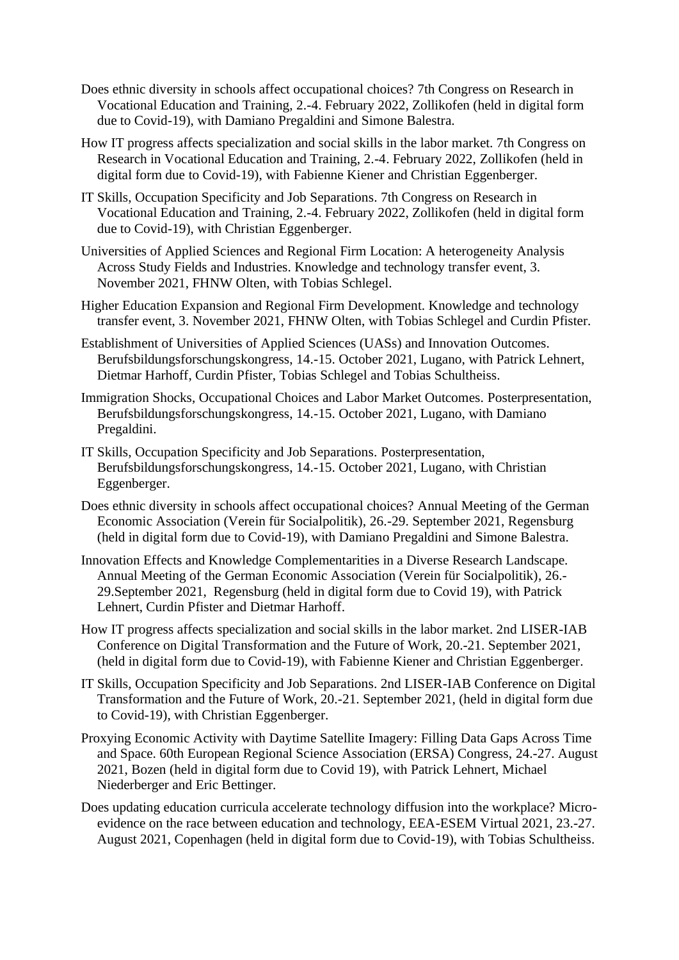- Does ethnic diversity in schools affect occupational choices? 7th Congress on Research in Vocational Education and Training, 2.-4. February 2022, Zollikofen (held in digital form due to Covid-19), with Damiano Pregaldini and Simone Balestra.
- How IT progress affects specialization and social skills in the labor market. 7th Congress on Research in Vocational Education and Training, 2.-4. February 2022, Zollikofen (held in digital form due to Covid-19), with Fabienne Kiener and Christian Eggenberger.
- IT Skills, Occupation Specificity and Job Separations. 7th Congress on Research in Vocational Education and Training, 2.-4. February 2022, Zollikofen (held in digital form due to Covid-19), with Christian Eggenberger.
- Universities of Applied Sciences and Regional Firm Location: A heterogeneity Analysis Across Study Fields and Industries. Knowledge and technology transfer event, 3. November 2021, FHNW Olten, with Tobias Schlegel.
- Higher Education Expansion and Regional Firm Development. Knowledge and technology transfer event, 3. November 2021, FHNW Olten, with Tobias Schlegel and Curdin Pfister.
- Establishment of Universities of Applied Sciences (UASs) and Innovation Outcomes. Berufsbildungsforschungskongress, 14.-15. October 2021, Lugano, with Patrick Lehnert, Dietmar Harhoff, Curdin Pfister, Tobias Schlegel and Tobias Schultheiss.
- Immigration Shocks, Occupational Choices and Labor Market Outcomes. Posterpresentation, Berufsbildungsforschungskongress, 14.-15. October 2021, Lugano, with Damiano Pregaldini.
- IT Skills, Occupation Specificity and Job Separations. Posterpresentation, Berufsbildungsforschungskongress, 14.-15. October 2021, Lugano, with Christian Eggenberger.
- Does ethnic diversity in schools affect occupational choices? Annual Meeting of the German Economic Association (Verein für Socialpolitik), 26.-29. September 2021, Regensburg (held in digital form due to Covid-19), with Damiano Pregaldini and Simone Balestra.
- Innovation Effects and Knowledge Complementarities in a Diverse Research Landscape. Annual Meeting of the German Economic Association (Verein für Socialpolitik), 26.- 29.September 2021, Regensburg (held in digital form due to Covid 19), with Patrick Lehnert, Curdin Pfister and Dietmar Harhoff.
- How IT progress affects specialization and social skills in the labor market. 2nd LISER-IAB Conference on Digital Transformation and the Future of Work, 20.-21. September 2021, (held in digital form due to Covid-19), with Fabienne Kiener and Christian Eggenberger.
- IT Skills, Occupation Specificity and Job Separations. 2nd LISER-IAB Conference on Digital Transformation and the Future of Work, 20.-21. September 2021, (held in digital form due to Covid-19), with Christian Eggenberger.
- Proxying Economic Activity with Daytime Satellite Imagery: Filling Data Gaps Across Time and Space. 60th European Regional Science Association (ERSA) Congress, 24.-27. August 2021, Bozen (held in digital form due to Covid 19), with Patrick Lehnert, Michael Niederberger and Eric Bettinger.
- Does updating education curricula accelerate technology diffusion into the workplace? Microevidence on the race between education and technology, EEA-ESEM Virtual 2021, 23.-27. August 2021, Copenhagen (held in digital form due to Covid-19), with Tobias Schultheiss.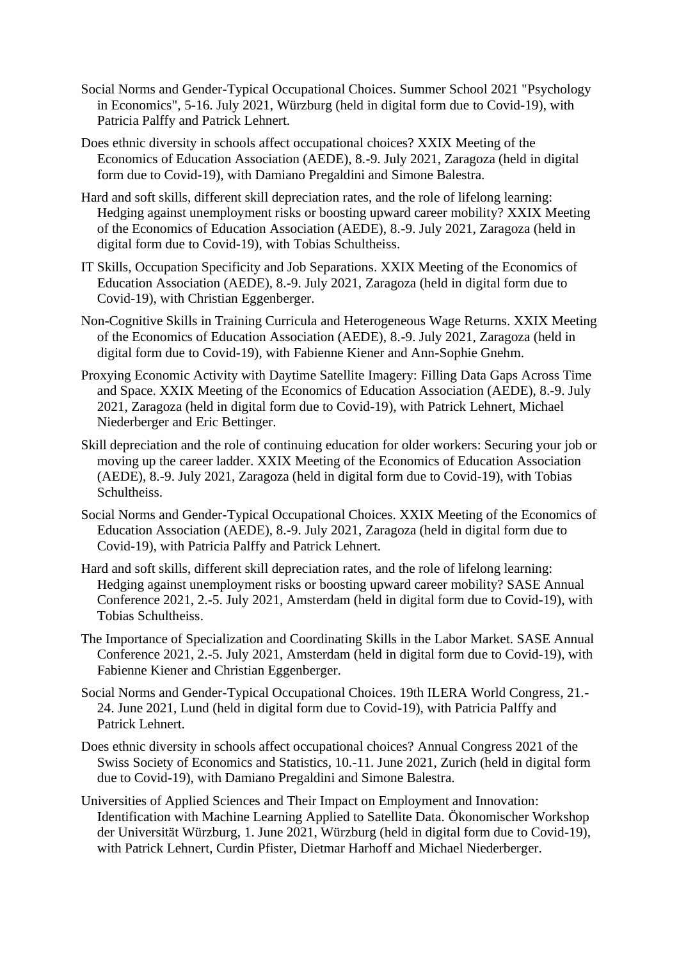- Social Norms and Gender-Typical Occupational Choices. Summer School 2021 "Psychology in Economics", 5-16. July 2021, Würzburg (held in digital form due to Covid-19), with Patricia Palffy and Patrick Lehnert.
- Does ethnic diversity in schools affect occupational choices? XXIX Meeting of the Economics of Education Association (AEDE), 8.-9. July 2021, Zaragoza (held in digital form due to Covid-19), with Damiano Pregaldini and Simone Balestra.
- Hard and soft skills, different skill depreciation rates, and the role of lifelong learning: Hedging against unemployment risks or boosting upward career mobility? XXIX Meeting of the Economics of Education Association (AEDE), 8.-9. July 2021, Zaragoza (held in digital form due to Covid-19), with Tobias Schultheiss.
- IT Skills, Occupation Specificity and Job Separations. XXIX Meeting of the Economics of Education Association (AEDE), 8.-9. July 2021, Zaragoza (held in digital form due to Covid-19), with Christian Eggenberger.
- Non-Cognitive Skills in Training Curricula and Heterogeneous Wage Returns. XXIX Meeting of the Economics of Education Association (AEDE), 8.-9. July 2021, Zaragoza (held in digital form due to Covid-19), with Fabienne Kiener and Ann-Sophie Gnehm.
- Proxying Economic Activity with Daytime Satellite Imagery: Filling Data Gaps Across Time and Space. XXIX Meeting of the Economics of Education Association (AEDE), 8.-9. July 2021, Zaragoza (held in digital form due to Covid-19), with Patrick Lehnert, Michael Niederberger and Eric Bettinger.
- Skill depreciation and the role of continuing education for older workers: Securing your job or moving up the career ladder. XXIX Meeting of the Economics of Education Association (AEDE), 8.-9. July 2021, Zaragoza (held in digital form due to Covid-19), with Tobias Schultheiss.
- Social Norms and Gender-Typical Occupational Choices. XXIX Meeting of the Economics of Education Association (AEDE), 8.-9. July 2021, Zaragoza (held in digital form due to Covid-19), with Patricia Palffy and Patrick Lehnert.
- Hard and soft skills, different skill depreciation rates, and the role of lifelong learning: Hedging against unemployment risks or boosting upward career mobility? SASE Annual Conference 2021, 2.-5. July 2021, Amsterdam (held in digital form due to Covid-19), with Tobias Schultheiss.
- The Importance of Specialization and Coordinating Skills in the Labor Market. SASE Annual Conference 2021, 2.-5. July 2021, Amsterdam (held in digital form due to Covid-19), with Fabienne Kiener and Christian Eggenberger.
- Social Norms and Gender-Typical Occupational Choices. 19th ILERA World Congress, 21.- 24. June 2021, Lund (held in digital form due to Covid-19), with Patricia Palffy and Patrick Lehnert.
- Does ethnic diversity in schools affect occupational choices? Annual Congress 2021 of the Swiss Society of Economics and Statistics, 10.-11. June 2021, Zurich (held in digital form due to Covid-19), with Damiano Pregaldini and Simone Balestra.
- Universities of Applied Sciences and Their Impact on Employment and Innovation: Identification with Machine Learning Applied to Satellite Data. Ökonomischer Workshop der Universität Würzburg, 1. June 2021, Würzburg (held in digital form due to Covid-19), with Patrick Lehnert, Curdin Pfister, Dietmar Harhoff and Michael Niederberger.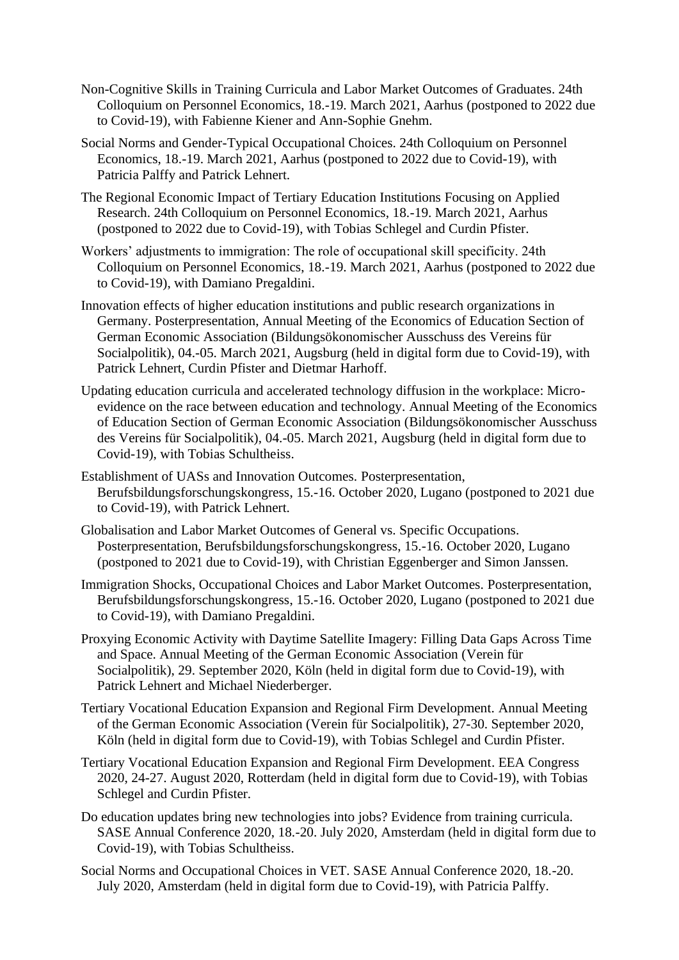- Non-Cognitive Skills in Training Curricula and Labor Market Outcomes of Graduates. 24th Colloquium on Personnel Economics, 18.-19. March 2021, Aarhus (postponed to 2022 due to Covid-19), with Fabienne Kiener and Ann-Sophie Gnehm.
- Social Norms and Gender-Typical Occupational Choices. 24th Colloquium on Personnel Economics, 18.-19. March 2021, Aarhus (postponed to 2022 due to Covid-19), with Patricia Palffy and Patrick Lehnert.
- The Regional Economic Impact of Tertiary Education Institutions Focusing on Applied Research. 24th Colloquium on Personnel Economics, 18.-19. March 2021, Aarhus (postponed to 2022 due to Covid-19), with Tobias Schlegel and Curdin Pfister.
- Workers' adjustments to immigration: The role of occupational skill specificity. 24th Colloquium on Personnel Economics, 18.-19. March 2021, Aarhus (postponed to 2022 due to Covid-19), with Damiano Pregaldini.
- Innovation effects of higher education institutions and public research organizations in Germany. Posterpresentation, Annual Meeting of the Economics of Education Section of German Economic Association (Bildungsökonomischer Ausschuss des Vereins für Socialpolitik), 04.-05. March 2021, Augsburg (held in digital form due to Covid-19), with Patrick Lehnert, Curdin Pfister and Dietmar Harhoff.
- Updating education curricula and accelerated technology diffusion in the workplace: Microevidence on the race between education and technology. Annual Meeting of the Economics of Education Section of German Economic Association (Bildungsökonomischer Ausschuss des Vereins für Socialpolitik), 04.-05. March 2021, Augsburg (held in digital form due to Covid-19), with Tobias Schultheiss.
- Establishment of UASs and Innovation Outcomes. Posterpresentation, Berufsbildungsforschungskongress, 15.-16. October 2020, Lugano (postponed to 2021 due to Covid-19), with Patrick Lehnert.
- Globalisation and Labor Market Outcomes of General vs. Specific Occupations. Posterpresentation, Berufsbildungsforschungskongress, 15.-16. October 2020, Lugano (postponed to 2021 due to Covid-19), with Christian Eggenberger and Simon Janssen.
- Immigration Shocks, Occupational Choices and Labor Market Outcomes. Posterpresentation, Berufsbildungsforschungskongress, 15.-16. October 2020, Lugano (postponed to 2021 due to Covid-19), with Damiano Pregaldini.
- Proxying Economic Activity with Daytime Satellite Imagery: Filling Data Gaps Across Time and Space. Annual Meeting of the German Economic Association (Verein für Socialpolitik), 29. September 2020, Köln (held in digital form due to Covid-19), with Patrick Lehnert and Michael Niederberger.
- Tertiary Vocational Education Expansion and Regional Firm Development. Annual Meeting of the German Economic Association (Verein für Socialpolitik), 27-30. September 2020, Köln (held in digital form due to Covid-19), with Tobias Schlegel and Curdin Pfister.
- Tertiary Vocational Education Expansion and Regional Firm Development. EEA Congress 2020, 24-27. August 2020, Rotterdam (held in digital form due to Covid-19), with Tobias Schlegel and Curdin Pfister.
- Do education updates bring new technologies into jobs? Evidence from training curricula. SASE Annual Conference 2020, 18.-20. July 2020, Amsterdam (held in digital form due to Covid-19), with Tobias Schultheiss.
- Social Norms and Occupational Choices in VET. SASE Annual Conference 2020, 18.-20. July 2020, Amsterdam (held in digital form due to Covid-19), with Patricia Palffy.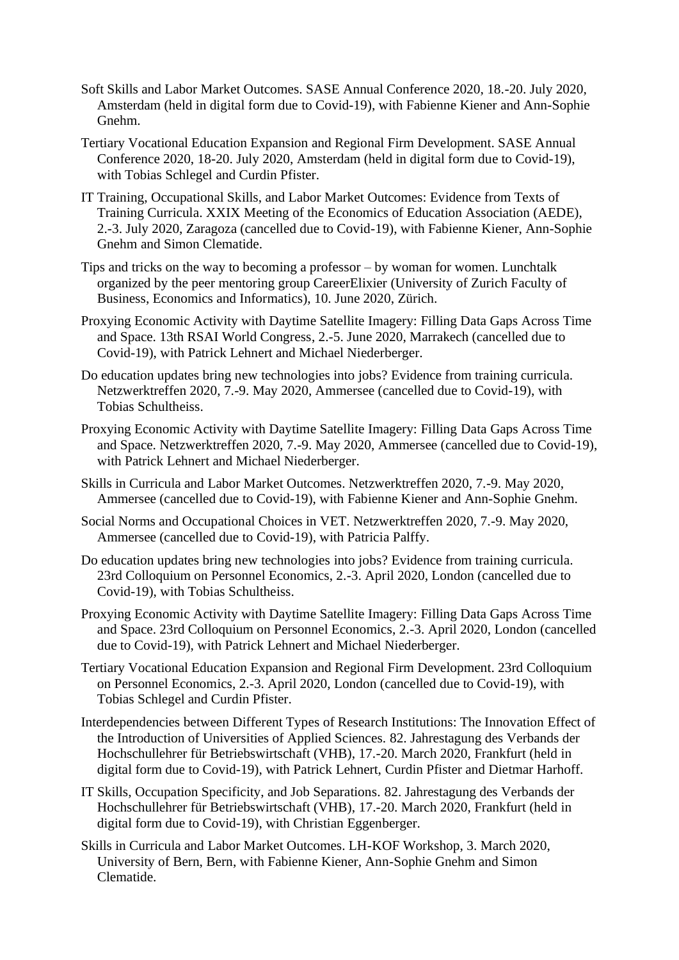- Soft Skills and Labor Market Outcomes. SASE Annual Conference 2020, 18.-20. July 2020, Amsterdam (held in digital form due to Covid-19), with Fabienne Kiener and Ann-Sophie Gnehm.
- Tertiary Vocational Education Expansion and Regional Firm Development. SASE Annual Conference 2020, 18-20. July 2020, Amsterdam (held in digital form due to Covid-19), with Tobias Schlegel and Curdin Pfister.
- IT Training, Occupational Skills, and Labor Market Outcomes: Evidence from Texts of Training Curricula. XXIX Meeting of the Economics of Education Association (AEDE), 2.-3. July 2020, Zaragoza (cancelled due to Covid-19), with Fabienne Kiener, Ann-Sophie Gnehm and Simon Clematide.
- Tips and tricks on the way to becoming a professor by woman for women. Lunchtalk organized by the peer mentoring group CareerElixier (University of Zurich Faculty of Business, Economics and Informatics), 10. June 2020, Zürich.
- Proxying Economic Activity with Daytime Satellite Imagery: Filling Data Gaps Across Time and Space. 13th RSAI World Congress, 2.-5. June 2020, Marrakech (cancelled due to Covid-19), with Patrick Lehnert and Michael Niederberger.
- Do education updates bring new technologies into jobs? Evidence from training curricula. Netzwerktreffen 2020, 7.-9. May 2020, Ammersee (cancelled due to Covid-19), with Tobias Schultheiss.
- Proxying Economic Activity with Daytime Satellite Imagery: Filling Data Gaps Across Time and Space. Netzwerktreffen 2020, 7.-9. May 2020, Ammersee (cancelled due to Covid-19), with Patrick Lehnert and Michael Niederberger.
- Skills in Curricula and Labor Market Outcomes. Netzwerktreffen 2020, 7.-9. May 2020, Ammersee (cancelled due to Covid-19), with Fabienne Kiener and Ann-Sophie Gnehm.
- Social Norms and Occupational Choices in VET. Netzwerktreffen 2020, 7.-9. May 2020, Ammersee (cancelled due to Covid-19), with Patricia Palffy.
- Do education updates bring new technologies into jobs? Evidence from training curricula. 23rd Colloquium on Personnel Economics, 2.-3. April 2020, London (cancelled due to Covid-19), with Tobias Schultheiss.
- Proxying Economic Activity with Daytime Satellite Imagery: Filling Data Gaps Across Time and Space. 23rd Colloquium on Personnel Economics, 2.-3. April 2020, London (cancelled due to Covid-19), with Patrick Lehnert and Michael Niederberger.
- Tertiary Vocational Education Expansion and Regional Firm Development. 23rd Colloquium on Personnel Economics, 2.-3. April 2020, London (cancelled due to Covid-19), with Tobias Schlegel and Curdin Pfister.
- Interdependencies between Different Types of Research Institutions: The Innovation Effect of the Introduction of Universities of Applied Sciences. 82. Jahrestagung des Verbands der Hochschullehrer für Betriebswirtschaft (VHB), 17.-20. March 2020, Frankfurt (held in digital form due to Covid-19), with Patrick Lehnert, Curdin Pfister and Dietmar Harhoff.
- IT Skills, Occupation Specificity, and Job Separations. 82. Jahrestagung des Verbands der Hochschullehrer für Betriebswirtschaft (VHB), 17.-20. March 2020, Frankfurt (held in digital form due to Covid-19), with Christian Eggenberger.
- Skills in Curricula and Labor Market Outcomes. LH-KOF Workshop, 3. March 2020, University of Bern, Bern, with Fabienne Kiener, Ann-Sophie Gnehm and Simon Clematide.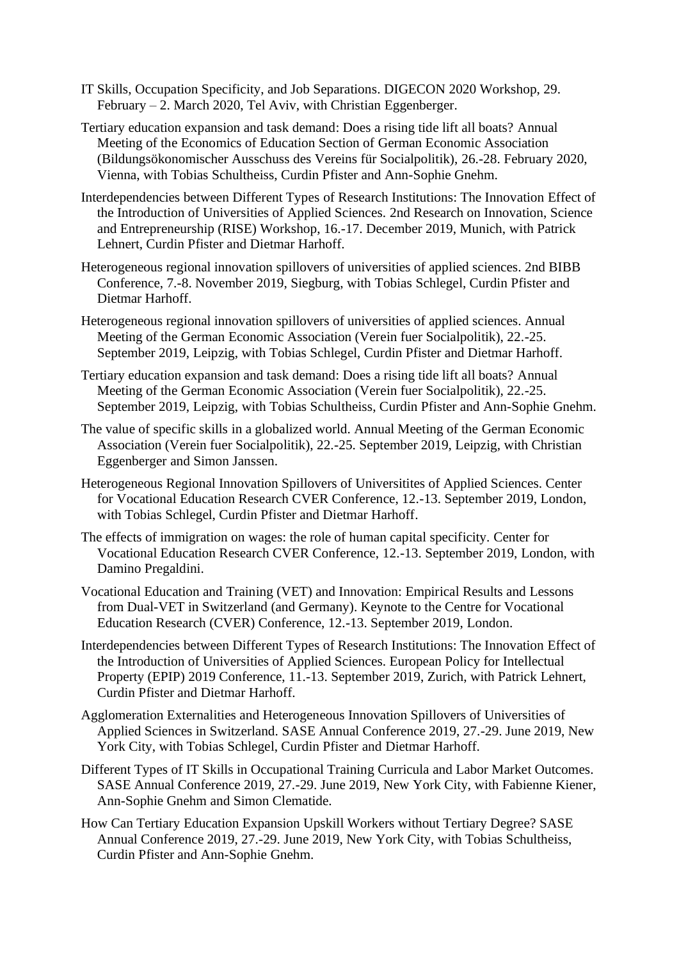- IT Skills, Occupation Specificity, and Job Separations. DIGECON 2020 Workshop, 29. February – 2. March 2020, Tel Aviv, with Christian Eggenberger.
- Tertiary education expansion and task demand: Does a rising tide lift all boats? Annual Meeting of the Economics of Education Section of German Economic Association (Bildungsökonomischer Ausschuss des Vereins für Socialpolitik), 26.-28. February 2020, Vienna, with Tobias Schultheiss, Curdin Pfister and Ann-Sophie Gnehm.
- Interdependencies between Different Types of Research Institutions: The Innovation Effect of the Introduction of Universities of Applied Sciences. 2nd Research on Innovation, Science and Entrepreneurship (RISE) Workshop, 16.-17. December 2019, Munich, with Patrick Lehnert, Curdin Pfister and Dietmar Harhoff.
- Heterogeneous regional innovation spillovers of universities of applied sciences. 2nd BIBB Conference, 7.-8. November 2019, Siegburg, with Tobias Schlegel, Curdin Pfister and Dietmar Harhoff.
- Heterogeneous regional innovation spillovers of universities of applied sciences. Annual Meeting of the German Economic Association (Verein fuer Socialpolitik), 22.-25. September 2019, Leipzig, with Tobias Schlegel, Curdin Pfister and Dietmar Harhoff.
- Tertiary education expansion and task demand: Does a rising tide lift all boats? Annual Meeting of the German Economic Association (Verein fuer Socialpolitik), 22.-25. September 2019, Leipzig, with Tobias Schultheiss, Curdin Pfister and Ann-Sophie Gnehm.
- The value of specific skills in a globalized world. Annual Meeting of the German Economic Association (Verein fuer Socialpolitik), 22.-25. September 2019, Leipzig, with Christian Eggenberger and Simon Janssen.
- Heterogeneous Regional Innovation Spillovers of Universitites of Applied Sciences. Center for Vocational Education Research CVER Conference, 12.-13. September 2019, London, with Tobias Schlegel, Curdin Pfister and Dietmar Harhoff.
- The effects of immigration on wages: the role of human capital specificity. Center for Vocational Education Research CVER Conference, 12.-13. September 2019, London, with Damino Pregaldini.
- Vocational Education and Training (VET) and Innovation: Empirical Results and Lessons from Dual-VET in Switzerland (and Germany). Keynote to the Centre for Vocational Education Research (CVER) Conference, 12.-13. September 2019, London.
- Interdependencies between Different Types of Research Institutions: The Innovation Effect of the Introduction of Universities of Applied Sciences. European Policy for Intellectual Property (EPIP) 2019 Conference, 11.-13. September 2019, Zurich, with Patrick Lehnert, Curdin Pfister and Dietmar Harhoff.
- Agglomeration Externalities and Heterogeneous Innovation Spillovers of Universities of Applied Sciences in Switzerland. SASE Annual Conference 2019, 27.-29. June 2019, New York City, with Tobias Schlegel, Curdin Pfister and Dietmar Harhoff.
- Different Types of IT Skills in Occupational Training Curricula and Labor Market Outcomes. SASE Annual Conference 2019, 27.-29. June 2019, New York City, with Fabienne Kiener, Ann-Sophie Gnehm and Simon Clematide.
- How Can Tertiary Education Expansion Upskill Workers without Tertiary Degree? SASE Annual Conference 2019, 27.-29. June 2019, New York City, with Tobias Schultheiss, Curdin Pfister and Ann-Sophie Gnehm.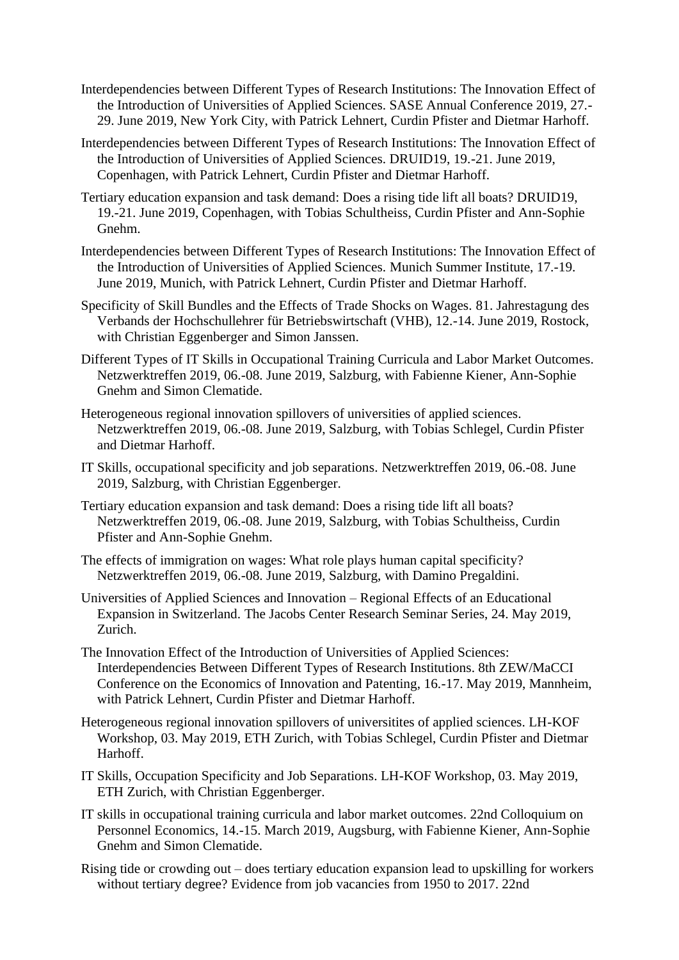- Interdependencies between Different Types of Research Institutions: The Innovation Effect of the Introduction of Universities of Applied Sciences. SASE Annual Conference 2019, 27.- 29. June 2019, New York City, with Patrick Lehnert, Curdin Pfister and Dietmar Harhoff.
- Interdependencies between Different Types of Research Institutions: The Innovation Effect of the Introduction of Universities of Applied Sciences. DRUID19, 19.-21. June 2019, Copenhagen, with Patrick Lehnert, Curdin Pfister and Dietmar Harhoff.
- Tertiary education expansion and task demand: Does a rising tide lift all boats? DRUID19, 19.-21. June 2019, Copenhagen, with Tobias Schultheiss, Curdin Pfister and Ann-Sophie Gnehm.
- Interdependencies between Different Types of Research Institutions: The Innovation Effect of the Introduction of Universities of Applied Sciences. Munich Summer Institute, 17.-19. June 2019, Munich, with Patrick Lehnert, Curdin Pfister and Dietmar Harhoff.
- Specificity of Skill Bundles and the Effects of Trade Shocks on Wages. 81. Jahrestagung des Verbands der Hochschullehrer für Betriebswirtschaft (VHB), 12.-14. June 2019, Rostock, with Christian Eggenberger and Simon Janssen.
- Different Types of IT Skills in Occupational Training Curricula and Labor Market Outcomes. Netzwerktreffen 2019, 06.-08. June 2019, Salzburg, with Fabienne Kiener, Ann-Sophie Gnehm and Simon Clematide.
- Heterogeneous regional innovation spillovers of universities of applied sciences. Netzwerktreffen 2019, 06.-08. June 2019, Salzburg, with Tobias Schlegel, Curdin Pfister and Dietmar Harhoff.
- IT Skills, occupational specificity and job separations. Netzwerktreffen 2019, 06.-08. June 2019, Salzburg, with Christian Eggenberger.
- Tertiary education expansion and task demand: Does a rising tide lift all boats? Netzwerktreffen 2019, 06.-08. June 2019, Salzburg, with Tobias Schultheiss, Curdin Pfister and Ann-Sophie Gnehm.
- The effects of immigration on wages: What role plays human capital specificity? Netzwerktreffen 2019, 06.-08. June 2019, Salzburg, with Damino Pregaldini.
- Universities of Applied Sciences and Innovation Regional Effects of an Educational Expansion in Switzerland. The Jacobs Center Research Seminar Series, 24. May 2019, Zurich.
- The Innovation Effect of the Introduction of Universities of Applied Sciences: Interdependencies Between Different Types of Research Institutions. 8th ZEW/MaCCI Conference on the Economics of Innovation and Patenting, 16.-17. May 2019, Mannheim, with Patrick Lehnert, Curdin Pfister and Dietmar Harhoff.
- Heterogeneous regional innovation spillovers of universitites of applied sciences. LH-KOF Workshop, 03. May 2019, ETH Zurich, with Tobias Schlegel, Curdin Pfister and Dietmar Harhoff.
- IT Skills, Occupation Specificity and Job Separations. LH-KOF Workshop, 03. May 2019, ETH Zurich, with Christian Eggenberger.
- IT skills in occupational training curricula and labor market outcomes. 22nd Colloquium on Personnel Economics, 14.-15. March 2019, Augsburg, with Fabienne Kiener, Ann-Sophie Gnehm and Simon Clematide.
- Rising tide or crowding out does tertiary education expansion lead to upskilling for workers without tertiary degree? Evidence from job vacancies from 1950 to 2017. 22nd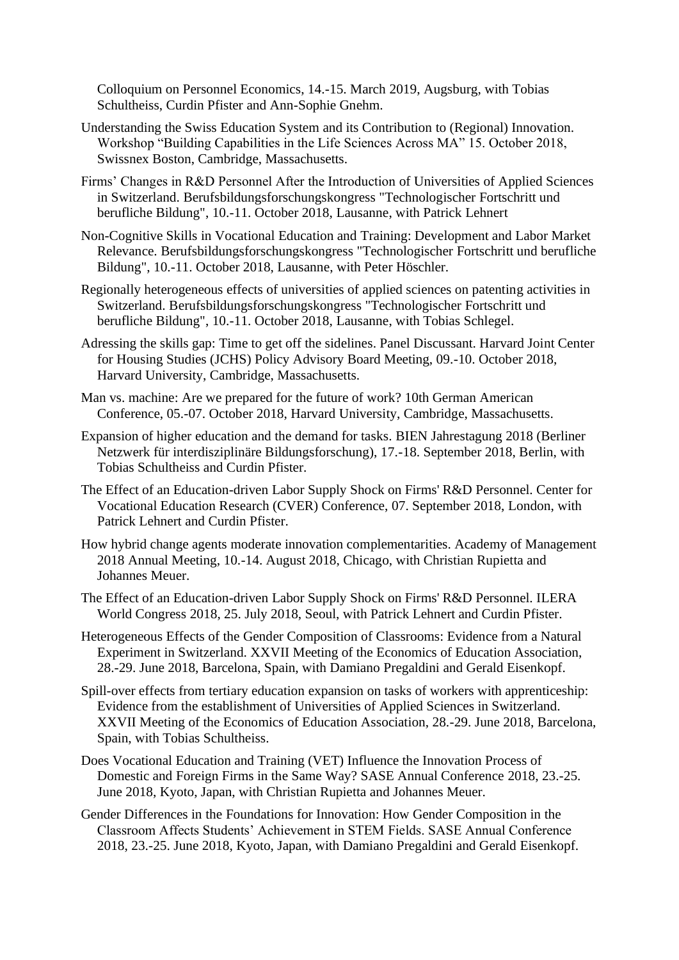Colloquium on Personnel Economics, 14.-15. March 2019, Augsburg, with Tobias Schultheiss, Curdin Pfister and Ann-Sophie Gnehm.

- Understanding the Swiss Education System and its Contribution to (Regional) Innovation. Workshop "Building Capabilities in the Life Sciences Across MA" 15. October 2018, Swissnex Boston, Cambridge, Massachusetts.
- Firms' Changes in R&D Personnel After the Introduction of Universities of Applied Sciences in Switzerland. Berufsbildungsforschungskongress "Technologischer Fortschritt und berufliche Bildung", 10.-11. October 2018, Lausanne, with Patrick Lehnert
- Non-Cognitive Skills in Vocational Education and Training: Development and Labor Market Relevance. Berufsbildungsforschungskongress "Technologischer Fortschritt und berufliche Bildung", 10.-11. October 2018, Lausanne, with Peter Höschler.
- Regionally heterogeneous effects of universities of applied sciences on patenting activities in Switzerland. Berufsbildungsforschungskongress "Technologischer Fortschritt und berufliche Bildung", 10.-11. October 2018, Lausanne, with Tobias Schlegel.
- Adressing the skills gap: Time to get off the sidelines. Panel Discussant. Harvard Joint Center for Housing Studies (JCHS) Policy Advisory Board Meeting, 09.-10. October 2018, Harvard University, Cambridge, Massachusetts.
- Man vs. machine: Are we prepared for the future of work? 10th German American Conference, 05.-07. October 2018, Harvard University, Cambridge, Massachusetts.
- Expansion of higher education and the demand for tasks. BIEN Jahrestagung 2018 (Berliner Netzwerk für interdisziplinäre Bildungsforschung), 17.-18. September 2018, Berlin, with Tobias Schultheiss and Curdin Pfister.
- The Effect of an Education-driven Labor Supply Shock on Firms' R&D Personnel. Center for Vocational Education Research (CVER) Conference, 07. September 2018, London, with Patrick Lehnert and Curdin Pfister.
- How hybrid change agents moderate innovation complementarities. Academy of Management 2018 Annual Meeting, 10.-14. August 2018, Chicago, with Christian Rupietta and Johannes Meuer.
- The Effect of an Education-driven Labor Supply Shock on Firms' R&D Personnel. ILERA World Congress 2018, 25. July 2018, Seoul, with Patrick Lehnert and Curdin Pfister.
- Heterogeneous Effects of the Gender Composition of Classrooms: Evidence from a Natural Experiment in Switzerland. XXVII Meeting of the Economics of Education Association, 28.-29. June 2018, Barcelona, Spain, with Damiano Pregaldini and Gerald Eisenkopf.
- Spill-over effects from tertiary education expansion on tasks of workers with apprenticeship: Evidence from the establishment of Universities of Applied Sciences in Switzerland. XXVII Meeting of the Economics of Education Association, 28.-29. June 2018, Barcelona, Spain, with Tobias Schultheiss.
- Does Vocational Education and Training (VET) Influence the Innovation Process of Domestic and Foreign Firms in the Same Way? SASE Annual Conference 2018, 23.-25. June 2018, Kyoto, Japan, with Christian Rupietta and Johannes Meuer.
- Gender Differences in the Foundations for Innovation: How Gender Composition in the Classroom Affects Students' Achievement in STEM Fields. SASE Annual Conference 2018, 23.-25. June 2018, Kyoto, Japan, with Damiano Pregaldini and Gerald Eisenkopf.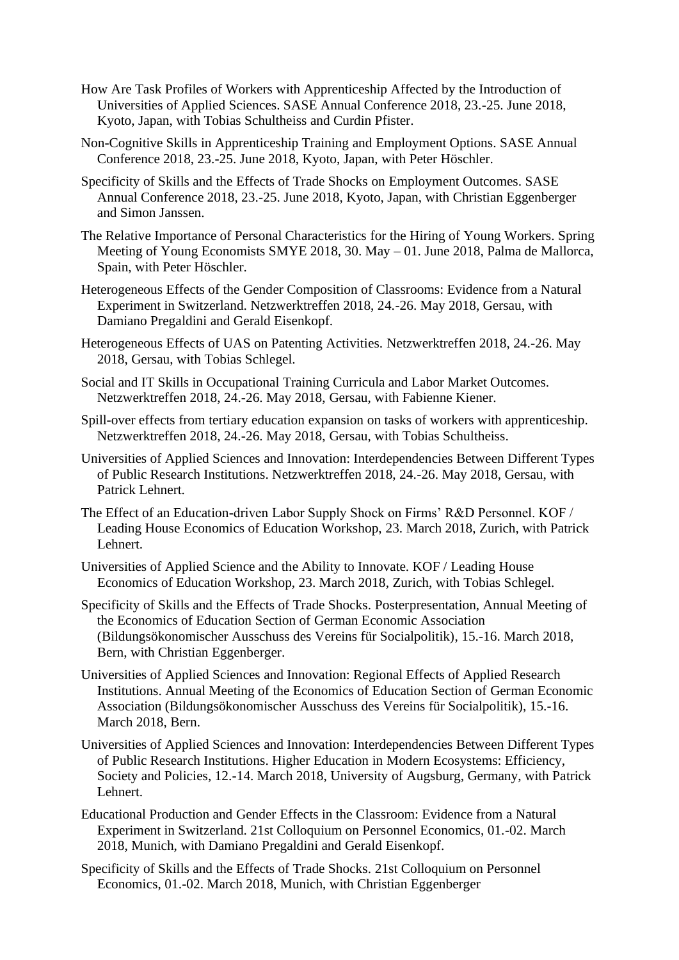- How Are Task Profiles of Workers with Apprenticeship Affected by the Introduction of Universities of Applied Sciences. SASE Annual Conference 2018, 23.-25. June 2018, Kyoto, Japan, with Tobias Schultheiss and Curdin Pfister.
- Non-Cognitive Skills in Apprenticeship Training and Employment Options. SASE Annual Conference 2018, 23.-25. June 2018, Kyoto, Japan, with Peter Höschler.
- Specificity of Skills and the Effects of Trade Shocks on Employment Outcomes. SASE Annual Conference 2018, 23.-25. June 2018, Kyoto, Japan, with Christian Eggenberger and Simon Janssen.
- The Relative Importance of Personal Characteristics for the Hiring of Young Workers. Spring Meeting of Young Economists SMYE 2018, 30. May – 01. June 2018, Palma de Mallorca, Spain, with Peter Höschler.
- Heterogeneous Effects of the Gender Composition of Classrooms: Evidence from a Natural Experiment in Switzerland. Netzwerktreffen 2018, 24.-26. May 2018, Gersau, with Damiano Pregaldini and Gerald Eisenkopf.
- Heterogeneous Effects of UAS on Patenting Activities. Netzwerktreffen 2018, 24.-26. May 2018, Gersau, with Tobias Schlegel.
- Social and IT Skills in Occupational Training Curricula and Labor Market Outcomes. Netzwerktreffen 2018, 24.-26. May 2018, Gersau, with Fabienne Kiener.
- Spill-over effects from tertiary education expansion on tasks of workers with apprenticeship. Netzwerktreffen 2018, 24.-26. May 2018, Gersau, with Tobias Schultheiss.
- Universities of Applied Sciences and Innovation: Interdependencies Between Different Types of Public Research Institutions. Netzwerktreffen 2018, 24.-26. May 2018, Gersau, with Patrick Lehnert.
- The Effect of an Education-driven Labor Supply Shock on Firms' R&D Personnel. KOF / Leading House Economics of Education Workshop, 23. March 2018, Zurich, with Patrick Lehnert.
- Universities of Applied Science and the Ability to Innovate. KOF / Leading House Economics of Education Workshop, 23. March 2018, Zurich, with Tobias Schlegel.
- Specificity of Skills and the Effects of Trade Shocks. Posterpresentation, Annual Meeting of the Economics of Education Section of German Economic Association (Bildungsökonomischer Ausschuss des Vereins für Socialpolitik), 15.-16. March 2018, Bern, with Christian Eggenberger.
- Universities of Applied Sciences and Innovation: Regional Effects of Applied Research Institutions. Annual Meeting of the Economics of Education Section of German Economic Association (Bildungsökonomischer Ausschuss des Vereins für Socialpolitik), 15.-16. March 2018, Bern.
- Universities of Applied Sciences and Innovation: Interdependencies Between Different Types of Public Research Institutions. Higher Education in Modern Ecosystems: Efficiency, Society and Policies, 12.-14. March 2018, University of Augsburg, Germany, with Patrick Lehnert.
- Educational Production and Gender Effects in the Classroom: Evidence from a Natural Experiment in Switzerland. 21st Colloquium on Personnel Economics, 01.-02. March 2018, Munich, with Damiano Pregaldini and Gerald Eisenkopf.
- Specificity of Skills and the Effects of Trade Shocks. 21st Colloquium on Personnel Economics, 01.-02. March 2018, Munich, with Christian Eggenberger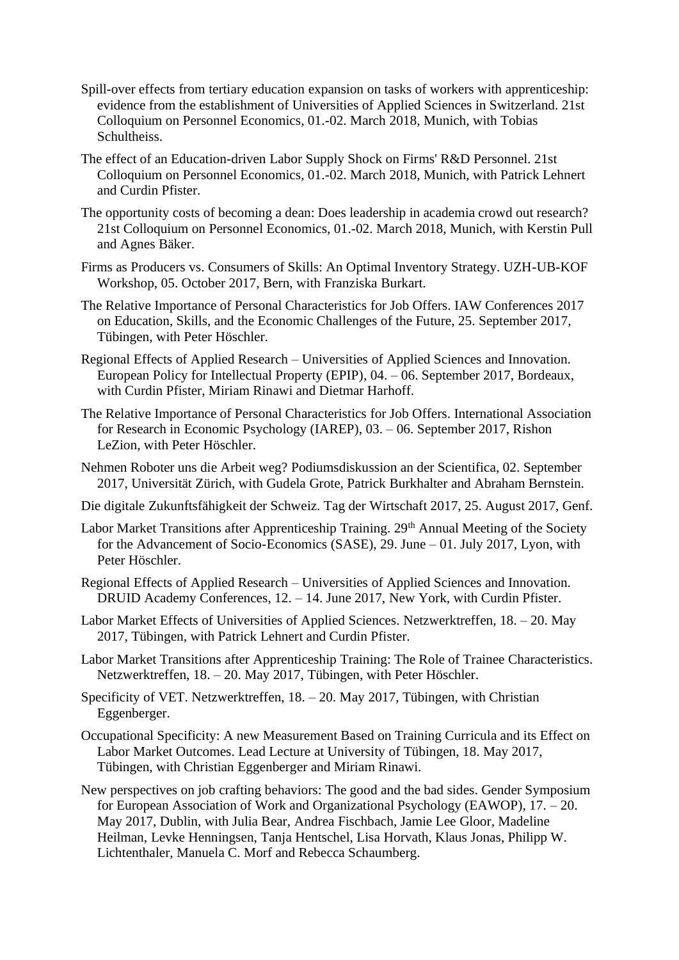- Spill-over effects from tertiary education expansion on tasks of workers with apprenticeship: evidence from the establishment of Universities of Applied Sciences in Switzerland. 21st Colloquium on Personnel Economics, 01.-02. March 2018, Munich, with Tobias Schultheiss.
- The effect of an Education-driven Labor Supply Shock on Firms' R&D Personnel. 21st Colloquium on Personnel Economics, 01.-02. March 2018, Munich, with Patrick Lehnert and Curdin Pfister.
- The opportunity costs of becoming a dean: Does leadership in academia crowd out research? 21st Colloquium on Personnel Economics, 01.-02. March 2018, Munich, with Kerstin Pull and Agnes Bäker.
- Firms as Producers vs. Consumers of Skills: An Optimal Inventory Strategy. UZH-UB-KOF Workshop, 05. October 2017, Bern, with Franziska Burkart.
- The Relative Importance of Personal Characteristics for Job Offers. IAW Conferences 2017 on Education, Skills, and the Economic Challenges of the Future, 25. September 2017, Tübingen, with Peter Höschler.
- Regional Effects of Applied Research Universities of Applied Sciences and Innovation. European Policy for Intellectual Property (EPIP), 04. – 06. September 2017, Bordeaux, with Curdin Pfister, Miriam Rinawi and Dietmar Harhoff.
- The Relative Importance of Personal Characteristics for Job Offers. International Association for Research in Economic Psychology (IAREP), 03. – 06. September 2017, Rishon LeZion, with Peter Höschler.
- Nehmen Roboter uns die Arbeit weg? Podiumsdiskussion an der Scientifica, 02. September 2017, Universität Zürich, with Gudela Grote, Patrick Burkhalter and Abraham Bernstein.
- Die digitale Zukunftsfähigkeit der Schweiz. Tag der Wirtschaft 2017, 25. August 2017, Genf.
- Labor Market Transitions after Apprenticeship Training. 29<sup>th</sup> Annual Meeting of the Society for the Advancement of Socio-Economics (SASE), 29. June – 01. July 2017, Lyon, with Peter Höschler.
- Regional Effects of Applied Research Universities of Applied Sciences and Innovation. DRUID Academy Conferences, 12. – 14. June 2017, New York, with Curdin Pfister.
- Labor Market Effects of Universities of Applied Sciences. Netzwerktreffen, 18. 20. May 2017, Tübingen, with Patrick Lehnert and Curdin Pfister.
- Labor Market Transitions after Apprenticeship Training: The Role of Trainee Characteristics. Netzwerktreffen, 18. – 20. May 2017, Tübingen, with Peter Höschler.
- Specificity of VET. Netzwerktreffen, 18. 20. May 2017, Tübingen, with Christian Eggenberger.
- Occupational Specificity: A new Measurement Based on Training Curricula and its Effect on Labor Market Outcomes. Lead Lecture at University of Tübingen, 18. May 2017, Tübingen, with Christian Eggenberger and Miriam Rinawi.
- New perspectives on job crafting behaviors: The good and the bad sides. Gender Symposium for European Association of Work and Organizational Psychology (EAWOP), 17. – 20. May 2017, Dublin, with Julia Bear, Andrea Fischbach, Jamie Lee Gloor, Madeline Heilman, Levke Henningsen, Tanja Hentschel, Lisa Horvath, Klaus Jonas, Philipp W. Lichtenthaler, Manuela C. Morf and Rebecca Schaumberg.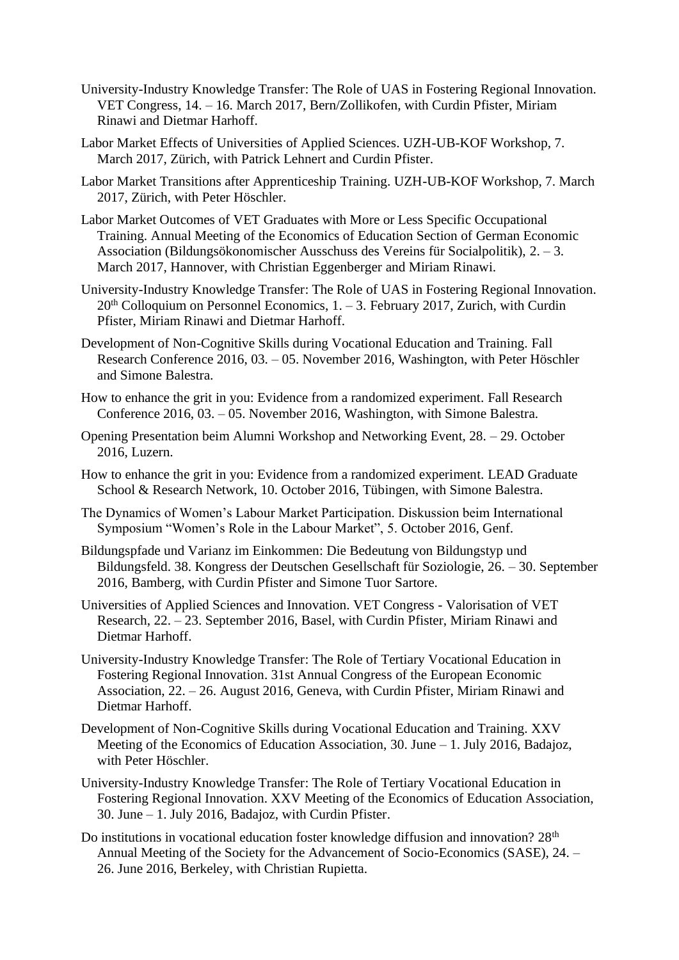- University-Industry Knowledge Transfer: The Role of UAS in Fostering Regional Innovation. VET Congress, 14. – 16. March 2017, Bern/Zollikofen, with Curdin Pfister, Miriam Rinawi and Dietmar Harhoff.
- Labor Market Effects of Universities of Applied Sciences. UZH-UB-KOF Workshop, 7. March 2017, Zürich, with Patrick Lehnert and Curdin Pfister.
- Labor Market Transitions after Apprenticeship Training. UZH-UB-KOF Workshop, 7. March 2017, Zürich, with Peter Höschler.
- Labor Market Outcomes of VET Graduates with More or Less Specific Occupational Training. Annual Meeting of the Economics of Education Section of German Economic Association (Bildungsökonomischer Ausschuss des Vereins für Socialpolitik), 2. – 3. March 2017, Hannover, with Christian Eggenberger and Miriam Rinawi.
- University-Industry Knowledge Transfer: The Role of UAS in Fostering Regional Innovation.  $20<sup>th</sup>$  Colloquium on Personnel Economics, 1. – 3. February 2017, Zurich, with Curdin Pfister, Miriam Rinawi and Dietmar Harhoff.
- Development of Non-Cognitive Skills during Vocational Education and Training. Fall Research Conference 2016, 03. – 05. November 2016, Washington, with Peter Höschler and Simone Balestra.
- How to enhance the grit in you: Evidence from a randomized experiment. Fall Research Conference 2016, 03. – 05. November 2016, Washington, with Simone Balestra.
- Opening Presentation beim Alumni Workshop and Networking Event, 28. 29. October 2016, Luzern.
- How to enhance the grit in you: Evidence from a randomized experiment. LEAD Graduate School & Research Network, 10. October 2016, Tübingen, with Simone Balestra.
- The Dynamics of Women's Labour Market Participation. Diskussion beim International Symposium "Women's Role in the Labour Market", 5. October 2016, Genf.
- Bildungspfade und Varianz im Einkommen: Die Bedeutung von Bildungstyp und Bildungsfeld. 38. Kongress der Deutschen Gesellschaft für Soziologie, 26. – 30. September 2016, Bamberg, with Curdin Pfister and Simone Tuor Sartore.
- Universities of Applied Sciences and Innovation. VET Congress Valorisation of VET Research, 22. – 23. September 2016, Basel, with Curdin Pfister, Miriam Rinawi and Dietmar Harhoff.
- University-Industry Knowledge Transfer: The Role of Tertiary Vocational Education in Fostering Regional Innovation. 31st Annual Congress of the European Economic Association, 22. – 26. August 2016, Geneva, with Curdin Pfister, Miriam Rinawi and Dietmar Harhoff.
- Development of Non-Cognitive Skills during Vocational Education and Training. XXV Meeting of the Economics of Education Association, 30. June – 1. July 2016, Badajoz, with Peter Höschler.
- University-Industry Knowledge Transfer: The Role of Tertiary Vocational Education in Fostering Regional Innovation. XXV Meeting of the Economics of Education Association, 30. June – 1. July 2016, Badajoz, with Curdin Pfister.
- Do institutions in vocational education foster knowledge diffusion and innovation?  $28<sup>th</sup>$ Annual Meeting of the Society for the Advancement of Socio-Economics (SASE), 24. – 26. June 2016, Berkeley, with Christian Rupietta.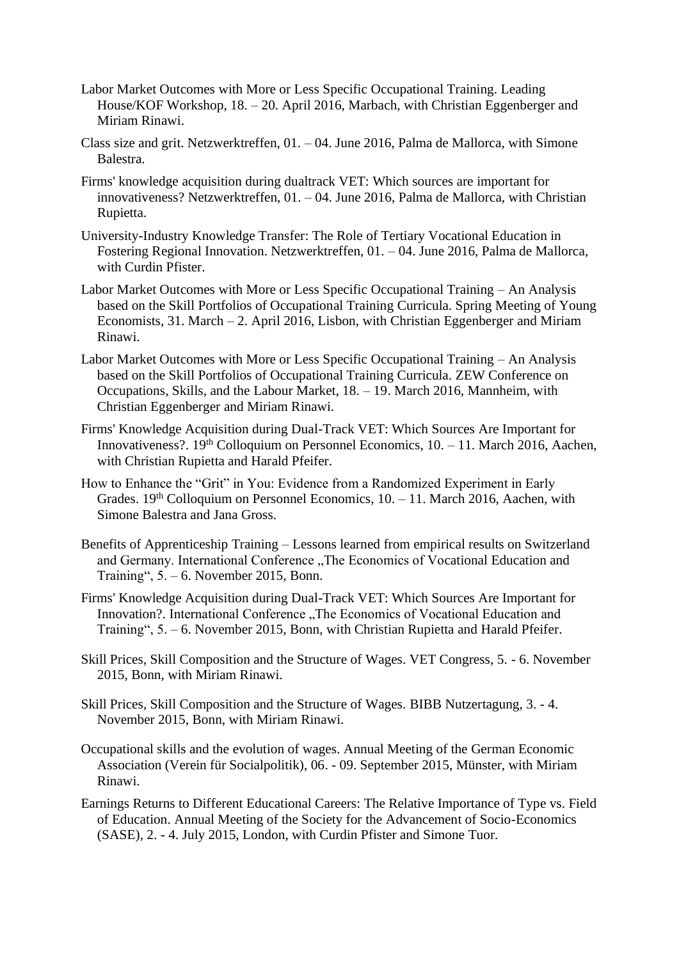- Labor Market Outcomes with More or Less Specific Occupational Training. Leading House/KOF Workshop, 18. – 20. April 2016, Marbach, with Christian Eggenberger and Miriam Rinawi.
- Class size and grit. Netzwerktreffen, 01. 04. June 2016, Palma de Mallorca, with Simone Balestra.
- Firms' knowledge acquisition during dualtrack VET: Which sources are important for innovativeness? Netzwerktreffen, 01. – 04. June 2016, Palma de Mallorca, with Christian Rupietta.
- University-Industry Knowledge Transfer: The Role of Tertiary Vocational Education in Fostering Regional Innovation. Netzwerktreffen, 01. – 04. June 2016, Palma de Mallorca, with Curdin Pfister.
- Labor Market Outcomes with More or Less Specific Occupational Training An Analysis based on the Skill Portfolios of Occupational Training Curricula. Spring Meeting of Young Economists, 31. March – 2. April 2016, Lisbon, with Christian Eggenberger and Miriam Rinawi.
- Labor Market Outcomes with More or Less Specific Occupational Training An Analysis based on the Skill Portfolios of Occupational Training Curricula. ZEW Conference on Occupations, Skills, and the Labour Market, 18. – 19. March 2016, Mannheim, with Christian Eggenberger and Miriam Rinawi.
- Firms' Knowledge Acquisition during Dual-Track VET: Which Sources Are Important for Innovativeness?.  $19<sup>th</sup>$  Colloquium on Personnel Economics,  $10. -11$ . March 2016, Aachen, with Christian Rupietta and Harald Pfeifer.
- How to Enhance the "Grit" in You: Evidence from a Randomized Experiment in Early Grades. 19<sup>th</sup> Colloquium on Personnel Economics, 10. - 11. March 2016, Aachen, with Simone Balestra and Jana Gross.
- Benefits of Apprenticeship Training Lessons learned from empirical results on Switzerland and Germany. International Conference ..The Economics of Vocational Education and Training", 5. – 6. November 2015, Bonn.
- Firms' Knowledge Acquisition during Dual-Track VET: Which Sources Are Important for Innovation?. International Conference "The Economics of Vocational Education and Training", 5. – 6. November 2015, Bonn, with Christian Rupietta and Harald Pfeifer.
- Skill Prices, Skill Composition and the Structure of Wages. VET Congress, 5. 6. November 2015, Bonn, with Miriam Rinawi.
- Skill Prices, Skill Composition and the Structure of Wages. BIBB Nutzertagung, 3. 4. November 2015, Bonn, with Miriam Rinawi.
- Occupational skills and the evolution of wages. Annual Meeting of the German Economic Association (Verein für Socialpolitik), 06. - 09. September 2015, Münster, with Miriam Rinawi.
- Earnings Returns to Different Educational Careers: The Relative Importance of Type vs. Field of Education. Annual Meeting of the Society for the Advancement of Socio-Economics (SASE), 2. - 4. July 2015, London, with Curdin Pfister and Simone Tuor.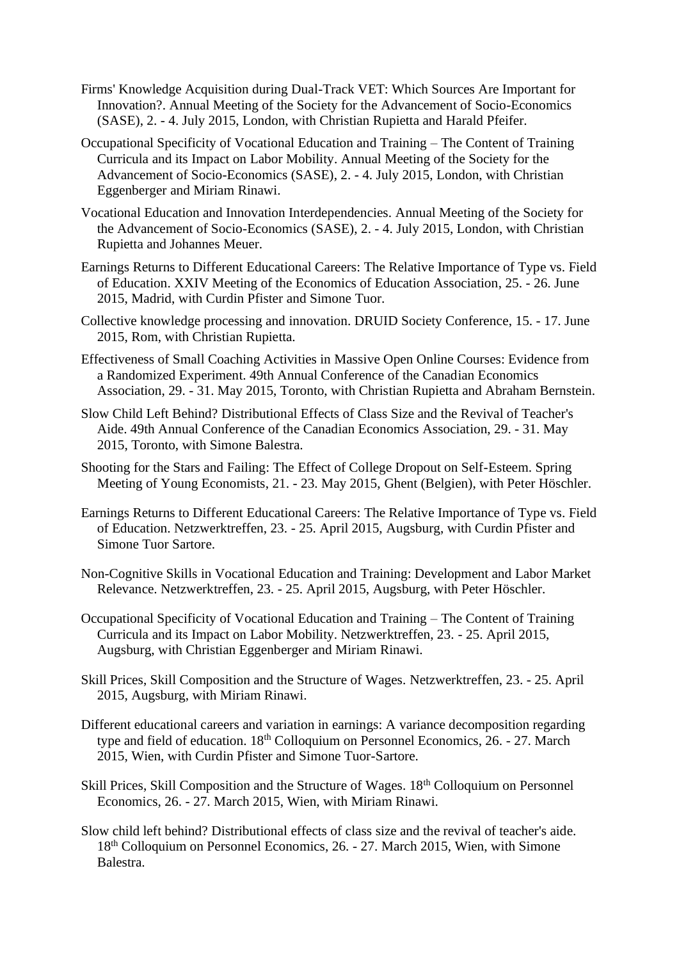- Firms' Knowledge Acquisition during Dual-Track VET: Which Sources Are Important for Innovation?. Annual Meeting of the Society for the Advancement of Socio-Economics (SASE), 2. - 4. July 2015, London, with Christian Rupietta and Harald Pfeifer.
- Occupational Specificity of Vocational Education and Training The Content of Training Curricula and its Impact on Labor Mobility. Annual Meeting of the Society for the Advancement of Socio-Economics (SASE), 2. - 4. July 2015, London, with Christian Eggenberger and Miriam Rinawi.
- Vocational Education and Innovation Interdependencies. Annual Meeting of the Society for the Advancement of Socio-Economics (SASE), 2. - 4. July 2015, London, with Christian Rupietta and Johannes Meuer.
- Earnings Returns to Different Educational Careers: The Relative Importance of Type vs. Field of Education. XXIV Meeting of the Economics of Education Association, 25. - 26. June 2015, Madrid, with Curdin Pfister and Simone Tuor.
- Collective knowledge processing and innovation. DRUID Society Conference, 15. 17. June 2015, Rom, with Christian Rupietta.
- Effectiveness of Small Coaching Activities in Massive Open Online Courses: Evidence from a Randomized Experiment. 49th Annual Conference of the Canadian Economics Association, 29. - 31. May 2015, Toronto, with Christian Rupietta and Abraham Bernstein.
- Slow Child Left Behind? Distributional Effects of Class Size and the Revival of Teacher's Aide. 49th Annual Conference of the Canadian Economics Association, 29. - 31. May 2015, Toronto, with Simone Balestra.
- Shooting for the Stars and Failing: The Effect of College Dropout on Self-Esteem. Spring Meeting of Young Economists, 21. - 23. May 2015, Ghent (Belgien), with Peter Höschler.
- Earnings Returns to Different Educational Careers: The Relative Importance of Type vs. Field of Education. Netzwerktreffen, 23. - 25. April 2015, Augsburg, with Curdin Pfister and Simone Tuor Sartore.
- Non-Cognitive Skills in Vocational Education and Training: Development and Labor Market Relevance. Netzwerktreffen, 23. - 25. April 2015, Augsburg, with Peter Höschler.
- Occupational Specificity of Vocational Education and Training The Content of Training Curricula and its Impact on Labor Mobility. Netzwerktreffen, 23. - 25. April 2015, Augsburg, with Christian Eggenberger and Miriam Rinawi.
- Skill Prices, Skill Composition and the Structure of Wages. Netzwerktreffen, 23. 25. April 2015, Augsburg, with Miriam Rinawi.
- Different educational careers and variation in earnings: A variance decomposition regarding type and field of education. 18<sup>th</sup> Colloquium on Personnel Economics, 26. - 27. March 2015, Wien, with Curdin Pfister and Simone Tuor-Sartore.
- Skill Prices, Skill Composition and the Structure of Wages. 18<sup>th</sup> Colloquium on Personnel Economics, 26. - 27. March 2015, Wien, with Miriam Rinawi.
- Slow child left behind? Distributional effects of class size and the revival of teacher's aide. 18th Colloquium on Personnel Economics, 26. - 27. March 2015, Wien, with Simone Balestra.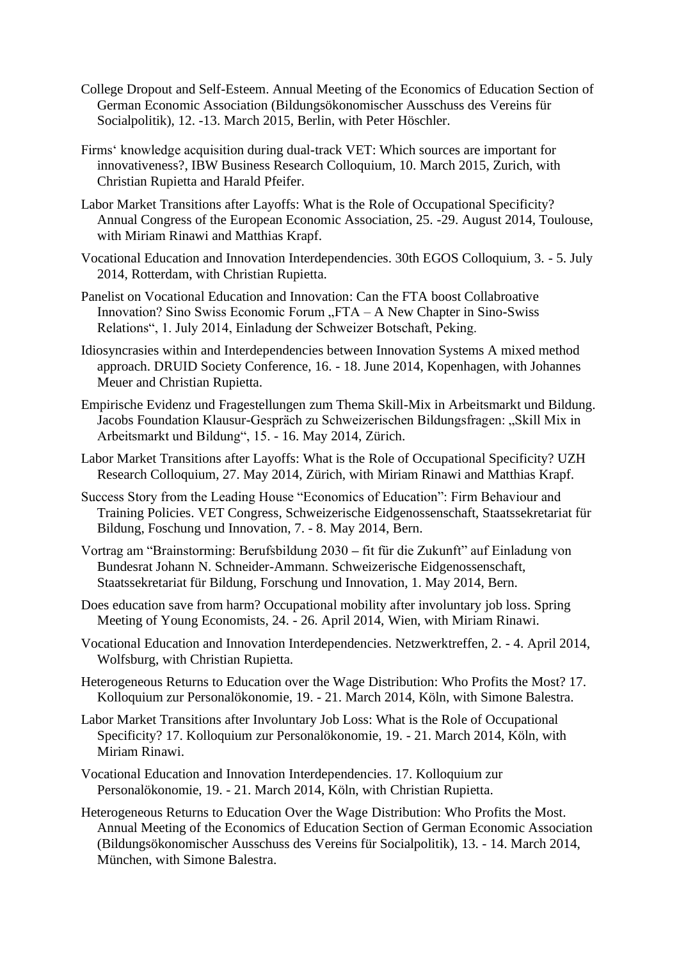- College Dropout and Self-Esteem. Annual Meeting of the Economics of Education Section of German Economic Association (Bildungsökonomischer Ausschuss des Vereins für Socialpolitik), 12. -13. March 2015, Berlin, with Peter Höschler.
- Firms' knowledge acquisition during dual-track VET: Which sources are important for innovativeness?, IBW Business Research Colloquium, 10. March 2015, Zurich, with Christian Rupietta and Harald Pfeifer.
- Labor Market Transitions after Layoffs: What is the Role of Occupational Specificity? Annual Congress of the European Economic Association, 25. -29. August 2014, Toulouse, with Miriam Rinawi and Matthias Krapf.
- Vocational Education and Innovation Interdependencies. 30th EGOS Colloquium, 3. 5. July 2014, Rotterdam, with Christian Rupietta.
- Panelist on Vocational Education and Innovation: Can the FTA boost Collabroative Innovation? Sino Swiss Economic Forum  $T_A - A$  New Chapter in Sino-Swiss Relations", 1. July 2014, Einladung der Schweizer Botschaft, Peking.
- Idiosyncrasies within and Interdependencies between Innovation Systems A mixed method approach. DRUID Society Conference, 16. - 18. June 2014, Kopenhagen, with Johannes Meuer and Christian Rupietta.
- Empirische Evidenz und Fragestellungen zum Thema Skill-Mix in Arbeitsmarkt und Bildung. Jacobs Foundation Klausur-Gespräch zu Schweizerischen Bildungsfragen: "Skill Mix in Arbeitsmarkt und Bildung", 15. - 16. May 2014, Zürich.
- Labor Market Transitions after Layoffs: What is the Role of Occupational Specificity? UZH Research Colloquium, 27. May 2014, Zürich, with Miriam Rinawi and Matthias Krapf.
- Success Story from the Leading House "Economics of Education": Firm Behaviour and Training Policies. VET Congress, Schweizerische Eidgenossenschaft, Staatssekretariat für Bildung, Foschung und Innovation, 7. - 8. May 2014, Bern.
- Vortrag am "Brainstorming: Berufsbildung 2030 **–** fit für die Zukunft" auf Einladung von Bundesrat Johann N. Schneider-Ammann. Schweizerische Eidgenossenschaft, Staatssekretariat für Bildung, Forschung und Innovation, 1. May 2014, Bern.
- Does education save from harm? Occupational mobility after involuntary job loss. Spring Meeting of Young Economists, 24. - 26. April 2014, Wien, with Miriam Rinawi.
- Vocational Education and Innovation Interdependencies. Netzwerktreffen, 2. 4. April 2014, Wolfsburg, with Christian Rupietta.
- Heterogeneous Returns to Education over the Wage Distribution: Who Profits the Most? 17. Kolloquium zur Personalökonomie, 19. - 21. March 2014, Köln, with Simone Balestra.
- Labor Market Transitions after Involuntary Job Loss: What is the Role of Occupational Specificity? 17. Kolloquium zur Personalökonomie, 19. - 21. March 2014, Köln, with Miriam Rinawi.
- Vocational Education and Innovation Interdependencies. 17. Kolloquium zur Personalökonomie, 19. - 21. March 2014, Köln, with Christian Rupietta.
- Heterogeneous Returns to Education Over the Wage Distribution: Who Profits the Most. Annual Meeting of the Economics of Education Section of German Economic Association (Bildungsökonomischer Ausschuss des Vereins für Socialpolitik), 13. - 14. March 2014, München, with Simone Balestra.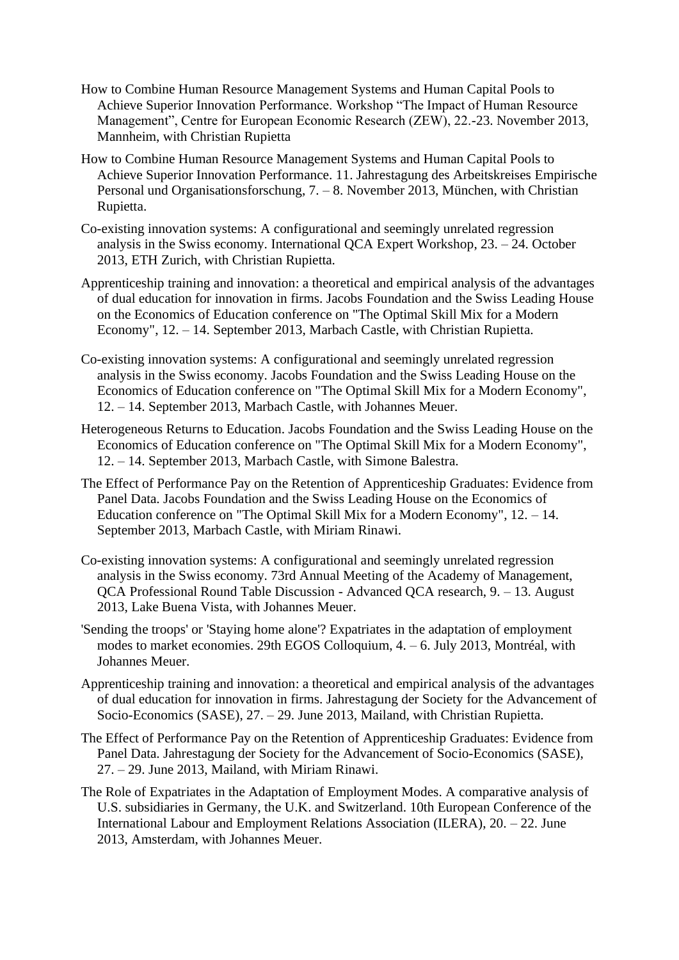- How to Combine Human Resource Management Systems and Human Capital Pools to Achieve Superior Innovation Performance. Workshop "The Impact of Human Resource Management", Centre for European Economic Research (ZEW), 22.-23. November 2013, Mannheim, with Christian Rupietta
- How to Combine Human Resource Management Systems and Human Capital Pools to Achieve Superior Innovation Performance. 11. Jahrestagung des Arbeitskreises Empirische Personal und Organisationsforschung, 7. – 8. November 2013, München, with Christian Rupietta.
- Co-existing innovation systems: A configurational and seemingly unrelated regression analysis in the Swiss economy. International QCA Expert Workshop, 23. – 24. October 2013, ETH Zurich, with Christian Rupietta.
- Apprenticeship training and innovation: a theoretical and empirical analysis of the advantages of dual education for innovation in firms. Jacobs Foundation and the Swiss Leading House on the Economics of Education conference on "The Optimal Skill Mix for a Modern Economy", 12. – 14. September 2013, Marbach Castle, with Christian Rupietta.
- Co-existing innovation systems: A configurational and seemingly unrelated regression analysis in the Swiss economy. Jacobs Foundation and the Swiss Leading House on the Economics of Education conference on "The Optimal Skill Mix for a Modern Economy", 12. – 14. September 2013, Marbach Castle, with Johannes Meuer.
- Heterogeneous Returns to Education. Jacobs Foundation and the Swiss Leading House on the Economics of Education conference on "The Optimal Skill Mix for a Modern Economy", 12. – 14. September 2013, Marbach Castle, with Simone Balestra.
- The Effect of Performance Pay on the Retention of Apprenticeship Graduates: Evidence from Panel Data. Jacobs Foundation and the Swiss Leading House on the Economics of Education conference on "The Optimal Skill Mix for a Modern Economy", 12. – 14. September 2013, Marbach Castle, with Miriam Rinawi.
- Co-existing innovation systems: A configurational and seemingly unrelated regression analysis in the Swiss economy. 73rd Annual Meeting of the Academy of Management, QCA Professional Round Table Discussion - Advanced QCA research, 9. – 13. August 2013, Lake Buena Vista, with Johannes Meuer.
- 'Sending the troops' or 'Staying home alone'? Expatriates in the adaptation of employment modes to market economies. 29th EGOS Colloquium, 4. – 6. July 2013, Montréal, with Johannes Meuer.
- Apprenticeship training and innovation: a theoretical and empirical analysis of the advantages of dual education for innovation in firms. Jahrestagung der Society for the Advancement of Socio-Economics (SASE), 27. – 29. June 2013, Mailand, with Christian Rupietta.
- The Effect of Performance Pay on the Retention of Apprenticeship Graduates: Evidence from Panel Data. Jahrestagung der Society for the Advancement of Socio-Economics (SASE), 27. – 29. June 2013, Mailand, with Miriam Rinawi.
- The Role of Expatriates in the Adaptation of Employment Modes. A comparative analysis of U.S. subsidiaries in Germany, the U.K. and Switzerland. 10th European Conference of the International Labour and Employment Relations Association (ILERA), 20. – 22. June 2013, Amsterdam, with Johannes Meuer.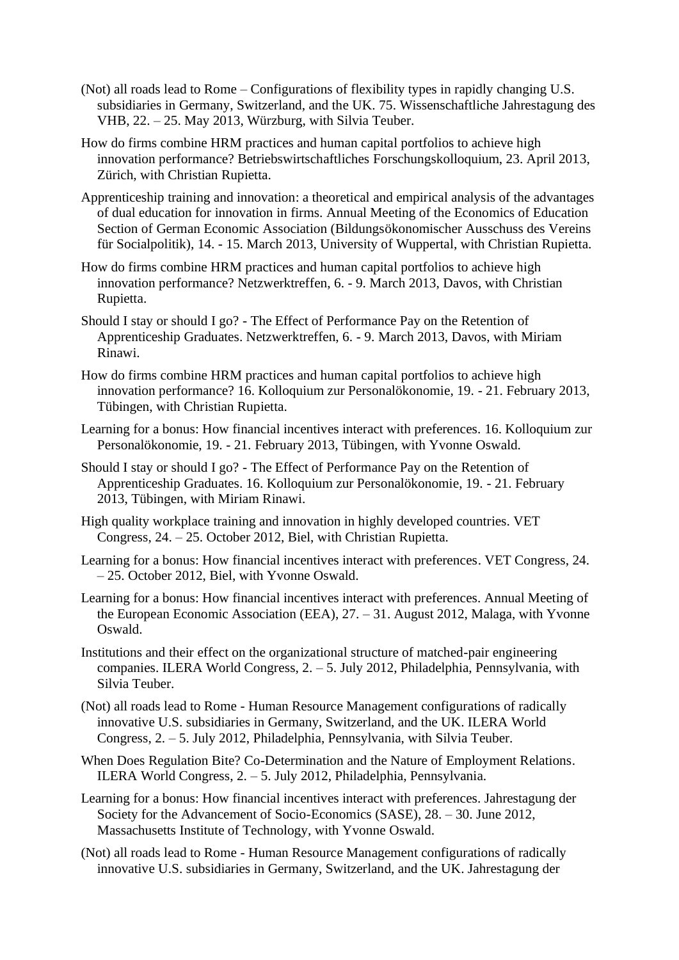- (Not) all roads lead to Rome Configurations of flexibility types in rapidly changing U.S. subsidiaries in Germany, Switzerland, and the UK. 75. Wissenschaftliche Jahrestagung des VHB, 22. – 25. May 2013, Würzburg, with Silvia Teuber.
- How do firms combine HRM practices and human capital portfolios to achieve high innovation performance? Betriebswirtschaftliches Forschungskolloquium, 23. April 2013, Zürich, with Christian Rupietta.
- Apprenticeship training and innovation: a theoretical and empirical analysis of the advantages of dual education for innovation in firms. Annual Meeting of the Economics of Education Section of German Economic Association (Bildungsökonomischer Ausschuss des Vereins für Socialpolitik), 14. - 15. March 2013, University of Wuppertal, with Christian Rupietta.
- How do firms combine HRM practices and human capital portfolios to achieve high innovation performance? Netzwerktreffen, 6. - 9. March 2013, Davos, with Christian Rupietta.
- Should I stay or should I go? The Effect of Performance Pay on the Retention of Apprenticeship Graduates. Netzwerktreffen, 6. - 9. March 2013, Davos, with Miriam Rinawi.
- How do firms combine HRM practices and human capital portfolios to achieve high innovation performance? 16. Kolloquium zur Personalökonomie, 19. - 21. February 2013, Tübingen, with Christian Rupietta.
- Learning for a bonus: How financial incentives interact with preferences. 16. Kolloquium zur Personalökonomie, 19. - 21. February 2013, Tübingen, with Yvonne Oswald.
- Should I stay or should I go? The Effect of Performance Pay on the Retention of Apprenticeship Graduates. 16. Kolloquium zur Personalökonomie, 19. - 21. February 2013, Tübingen, with Miriam Rinawi.
- High quality workplace training and innovation in highly developed countries. VET Congress, 24. – 25. October 2012, Biel, with Christian Rupietta.
- Learning for a bonus: How financial incentives interact with preferences. VET Congress, 24. – 25. October 2012, Biel, with Yvonne Oswald.
- Learning for a bonus: How financial incentives interact with preferences. Annual Meeting of the European Economic Association (EEA), 27. – 31. August 2012, Malaga, with Yvonne Oswald.
- Institutions and their effect on the organizational structure of matched-pair engineering companies. ILERA World Congress, 2. – 5. July 2012, Philadelphia, Pennsylvania, with Silvia Teuber.
- (Not) all roads lead to Rome Human Resource Management configurations of radically innovative U.S. subsidiaries in Germany, Switzerland, and the UK. ILERA World Congress, 2. – 5. July 2012, Philadelphia, Pennsylvania, with Silvia Teuber.
- When Does Regulation Bite? Co-Determination and the Nature of Employment Relations. ILERA World Congress, 2. – 5. July 2012, Philadelphia, Pennsylvania.
- Learning for a bonus: How financial incentives interact with preferences. Jahrestagung der Society for the Advancement of Socio-Economics (SASE), 28. – 30. June 2012, Massachusetts Institute of Technology, with Yvonne Oswald.
- (Not) all roads lead to Rome Human Resource Management configurations of radically innovative U.S. subsidiaries in Germany, Switzerland, and the UK. Jahrestagung der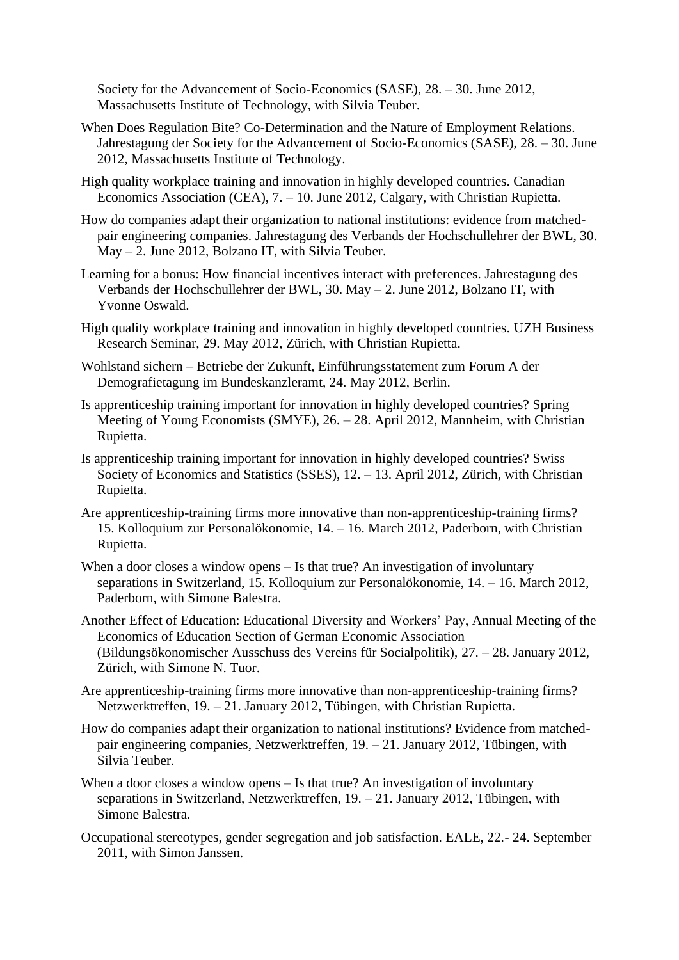Society for the Advancement of Socio-Economics (SASE), 28. – 30. June 2012, Massachusetts Institute of Technology, with Silvia Teuber.

- When Does Regulation Bite? Co-Determination and the Nature of Employment Relations. Jahrestagung der Society for the Advancement of Socio-Economics (SASE), 28. – 30. June 2012, Massachusetts Institute of Technology.
- High quality workplace training and innovation in highly developed countries. Canadian Economics Association (CEA), 7. – 10. June 2012, Calgary, with Christian Rupietta.
- How do companies adapt their organization to national institutions: evidence from matchedpair engineering companies. Jahrestagung des Verbands der Hochschullehrer der BWL, 30. May – 2. June 2012, Bolzano IT, with Silvia Teuber.
- Learning for a bonus: How financial incentives interact with preferences. Jahrestagung des Verbands der Hochschullehrer der BWL, 30. May – 2. June 2012, Bolzano IT, with Yvonne Oswald.
- High quality workplace training and innovation in highly developed countries. UZH Business Research Seminar, 29. May 2012, Zürich, with Christian Rupietta.
- Wohlstand sichern Betriebe der Zukunft, Einführungsstatement zum Forum A der Demografietagung im Bundeskanzleramt, 24. May 2012, Berlin.
- Is apprenticeship training important for innovation in highly developed countries? Spring Meeting of Young Economists (SMYE), 26. – 28. April 2012, Mannheim, with Christian Rupietta.
- Is apprenticeship training important for innovation in highly developed countries? Swiss Society of Economics and Statistics (SSES), 12. – 13. April 2012, Zürich, with Christian Rupietta.
- Are apprenticeship-training firms more innovative than non-apprenticeship-training firms? 15. Kolloquium zur Personalökonomie, 14. – 16. March 2012, Paderborn, with Christian Rupietta.
- When a door closes a window opens Is that true? An investigation of involuntary separations in Switzerland, 15. Kolloquium zur Personalökonomie, 14. – 16. March 2012, Paderborn, with Simone Balestra.
- Another Effect of Education: Educational Diversity and Workers' Pay, Annual Meeting of the Economics of Education Section of German Economic Association (Bildungsökonomischer Ausschuss des Vereins für Socialpolitik), 27. – 28. January 2012, Zürich, with Simone N. Tuor.
- Are apprenticeship-training firms more innovative than non-apprenticeship-training firms? Netzwerktreffen, 19. – 21. January 2012, Tübingen, with Christian Rupietta.
- How do companies adapt their organization to national institutions? Evidence from matchedpair engineering companies, Netzwerktreffen, 19. – 21. January 2012, Tübingen, with Silvia Teuber.
- When a door closes a window opens Is that true? An investigation of involuntary separations in Switzerland, Netzwerktreffen, 19. – 21. January 2012, Tübingen, with Simone Balestra.
- Occupational stereotypes, gender segregation and job satisfaction. EALE, 22.- 24. September 2011, with Simon Janssen.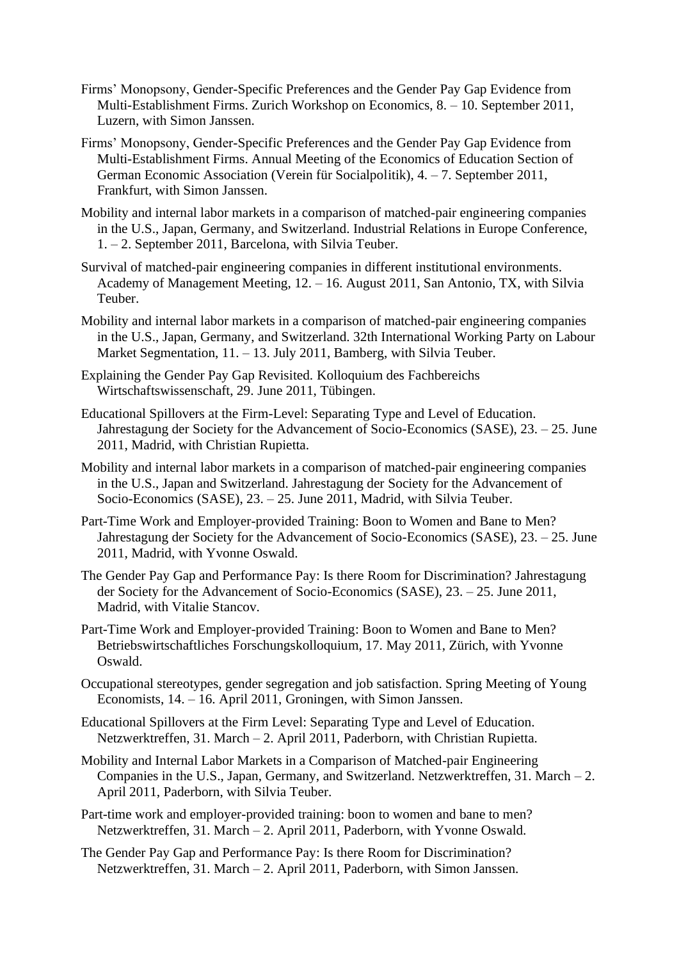- Firms' Monopsony, Gender-Specific Preferences and the Gender Pay Gap Evidence from Multi-Establishment Firms. Zurich Workshop on Economics, 8. – 10. September 2011, Luzern, with Simon Janssen.
- Firms' Monopsony, Gender-Specific Preferences and the Gender Pay Gap Evidence from Multi-Establishment Firms. Annual Meeting of the Economics of Education Section of German Economic Association (Verein für Socialpolitik), 4. – 7. September 2011, Frankfurt, with Simon Janssen.
- Mobility and internal labor markets in a comparison of matched-pair engineering companies in the U.S., Japan, Germany, and Switzerland. Industrial Relations in Europe Conference, 1. – 2. September 2011, Barcelona, with Silvia Teuber.
- Survival of matched-pair engineering companies in different institutional environments. Academy of Management Meeting, 12. – 16. August 2011, San Antonio, TX, with Silvia Teuber.
- Mobility and internal labor markets in a comparison of matched-pair engineering companies in the U.S., Japan, Germany, and Switzerland. 32th International Working Party on Labour Market Segmentation, 11. – 13. July 2011, Bamberg, with Silvia Teuber.
- Explaining the Gender Pay Gap Revisited. Kolloquium des Fachbereichs Wirtschaftswissenschaft, 29. June 2011, Tübingen.
- Educational Spillovers at the Firm-Level: Separating Type and Level of Education. Jahrestagung der Society for the Advancement of Socio-Economics (SASE), 23. – 25. June 2011, Madrid, with Christian Rupietta.
- Mobility and internal labor markets in a comparison of matched-pair engineering companies in the U.S., Japan and Switzerland. Jahrestagung der Society for the Advancement of Socio-Economics (SASE), 23. – 25. June 2011, Madrid, with Silvia Teuber.
- Part-Time Work and Employer-provided Training: Boon to Women and Bane to Men? Jahrestagung der Society for the Advancement of Socio-Economics (SASE), 23. – 25. June 2011, Madrid, with Yvonne Oswald.
- The Gender Pay Gap and Performance Pay: Is there Room for Discrimination? Jahrestagung der Society for the Advancement of Socio-Economics (SASE), 23. – 25. June 2011, Madrid, with Vitalie Stancov.
- Part-Time Work and Employer-provided Training: Boon to Women and Bane to Men? Betriebswirtschaftliches Forschungskolloquium, 17. May 2011, Zürich, with Yvonne Oswald.
- Occupational stereotypes, gender segregation and job satisfaction. Spring Meeting of Young Economists, 14. – 16. April 2011, Groningen, with Simon Janssen.
- Educational Spillovers at the Firm Level: Separating Type and Level of Education. Netzwerktreffen, 31. March – 2. April 2011, Paderborn, with Christian Rupietta.
- Mobility and Internal Labor Markets in a Comparison of Matched-pair Engineering Companies in the U.S., Japan, Germany, and Switzerland. Netzwerktreffen, 31. March – 2. April 2011, Paderborn, with Silvia Teuber.
- Part-time work and employer-provided training: boon to women and bane to men? Netzwerktreffen, 31. March – 2. April 2011, Paderborn, with Yvonne Oswald.
- The Gender Pay Gap and Performance Pay: Is there Room for Discrimination? Netzwerktreffen, 31. March – 2. April 2011, Paderborn, with Simon Janssen.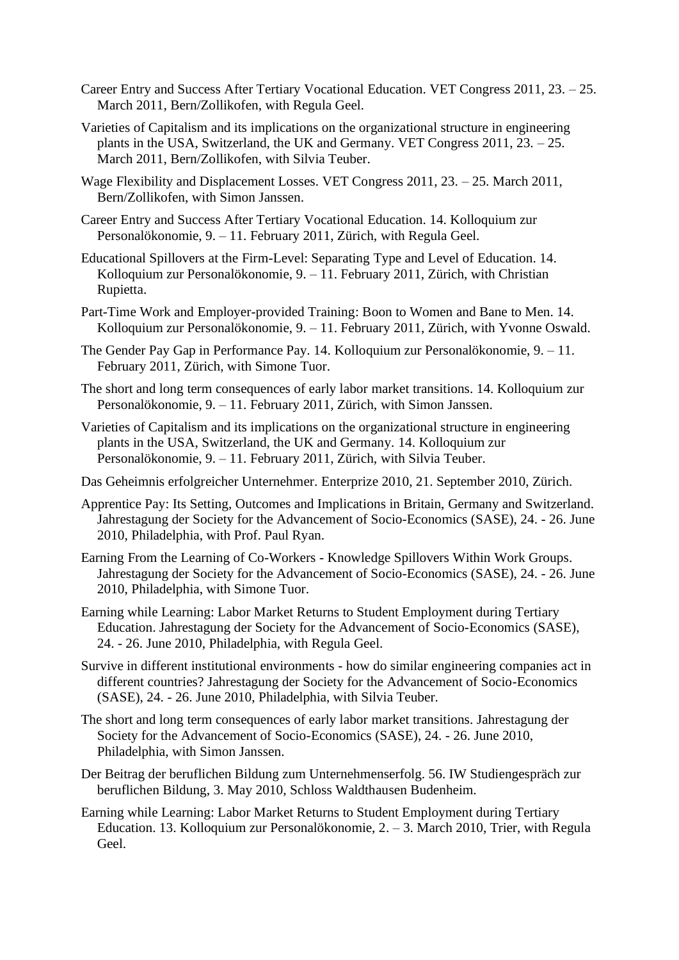- Career Entry and Success After Tertiary Vocational Education. VET Congress 2011, 23. 25. March 2011, Bern/Zollikofen, with Regula Geel.
- Varieties of Capitalism and its implications on the organizational structure in engineering plants in the USA, Switzerland, the UK and Germany. VET Congress 2011, 23. – 25. March 2011, Bern/Zollikofen, with Silvia Teuber.
- Wage Flexibility and Displacement Losses. VET Congress 2011, 23. 25. March 2011, Bern/Zollikofen, with Simon Janssen.
- Career Entry and Success After Tertiary Vocational Education. 14. Kolloquium zur Personalökonomie, 9. – 11. February 2011, Zürich, with Regula Geel.
- Educational Spillovers at the Firm-Level: Separating Type and Level of Education. 14. Kolloquium zur Personalökonomie, 9. – 11. February 2011, Zürich, with Christian Rupietta.
- Part-Time Work and Employer-provided Training: Boon to Women and Bane to Men. 14. Kolloquium zur Personalökonomie, 9. – 11. February 2011, Zürich, with Yvonne Oswald.
- The Gender Pay Gap in Performance Pay. 14. Kolloquium zur Personalökonomie, 9. 11. February 2011, Zürich, with Simone Tuor.
- The short and long term consequences of early labor market transitions. 14. Kolloquium zur Personalökonomie, 9. – 11. February 2011, Zürich, with Simon Janssen.
- Varieties of Capitalism and its implications on the organizational structure in engineering plants in the USA, Switzerland, the UK and Germany. 14. Kolloquium zur Personalökonomie, 9. – 11. February 2011, Zürich, with Silvia Teuber.
- Das Geheimnis erfolgreicher Unternehmer. Enterprize 2010, 21. September 2010, Zürich.
- Apprentice Pay: Its Setting, Outcomes and Implications in Britain, Germany and Switzerland. Jahrestagung der Society for the Advancement of Socio-Economics (SASE), 24. - 26. June 2010, Philadelphia, with Prof. Paul Ryan.
- Earning From the Learning of Co-Workers Knowledge Spillovers Within Work Groups. Jahrestagung der Society for the Advancement of Socio-Economics (SASE), 24. - 26. June 2010, Philadelphia, with Simone Tuor.
- Earning while Learning: Labor Market Returns to Student Employment during Tertiary Education. Jahrestagung der Society for the Advancement of Socio-Economics (SASE), 24. - 26. June 2010, Philadelphia, with Regula Geel.
- Survive in different institutional environments how do similar engineering companies act in different countries? Jahrestagung der Society for the Advancement of Socio-Economics (SASE), 24. - 26. June 2010, Philadelphia, with Silvia Teuber.
- The short and long term consequences of early labor market transitions. Jahrestagung der Society for the Advancement of Socio-Economics (SASE), 24. - 26. June 2010, Philadelphia, with Simon Janssen.
- Der Beitrag der beruflichen Bildung zum Unternehmenserfolg. 56. IW Studiengespräch zur beruflichen Bildung, 3. May 2010, Schloss Waldthausen Budenheim.
- Earning while Learning: Labor Market Returns to Student Employment during Tertiary Education. 13. Kolloquium zur Personalökonomie, 2. – 3. March 2010, Trier, with Regula Geel.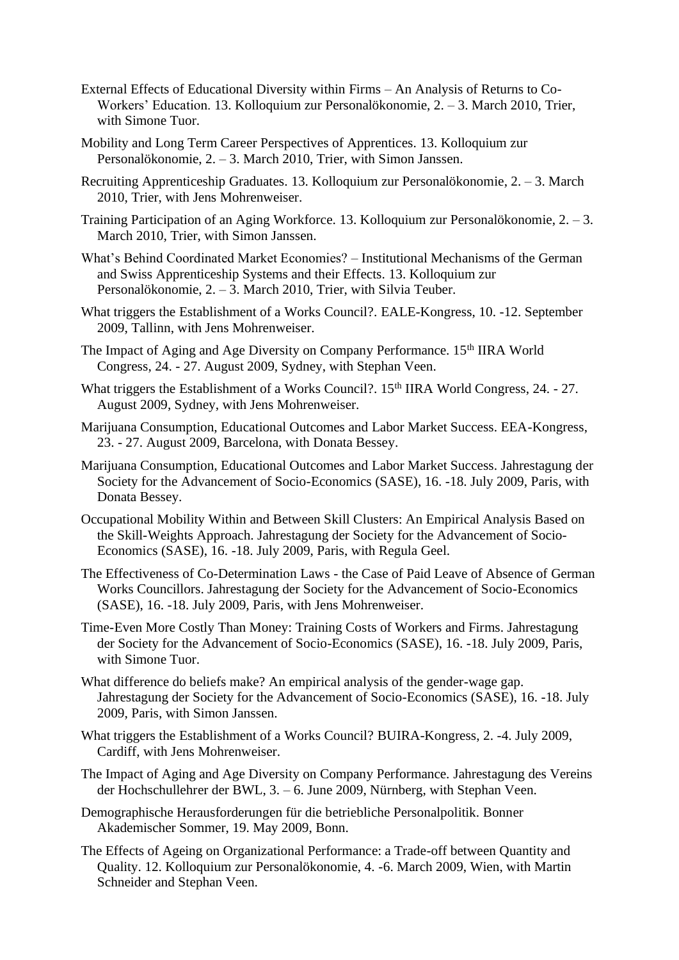- External Effects of Educational Diversity within Firms An Analysis of Returns to Co-Workers' Education. 13. Kolloquium zur Personalökonomie, 2. – 3. March 2010, Trier, with Simone Tuor.
- Mobility and Long Term Career Perspectives of Apprentices. 13. Kolloquium zur Personalökonomie, 2. – 3. March 2010, Trier, with Simon Janssen.
- Recruiting Apprenticeship Graduates. 13. Kolloquium zur Personalökonomie, 2. 3. March 2010, Trier, with Jens Mohrenweiser.
- Training Participation of an Aging Workforce. 13. Kolloquium zur Personalökonomie, 2. 3. March 2010, Trier, with Simon Janssen.
- What's Behind Coordinated Market Economies? Institutional Mechanisms of the German and Swiss Apprenticeship Systems and their Effects. 13. Kolloquium zur Personalökonomie, 2. – 3. March 2010, Trier, with Silvia Teuber.
- What triggers the Establishment of a Works Council?. EALE-Kongress, 10. -12. September 2009, Tallinn, with Jens Mohrenweiser.
- The Impact of Aging and Age Diversity on Company Performance. 15<sup>th</sup> IIRA World Congress, 24. - 27. August 2009, Sydney, with Stephan Veen.
- What triggers the Establishment of a Works Council?. 15<sup>th</sup> IIRA World Congress, 24. 27. August 2009, Sydney, with Jens Mohrenweiser.
- Marijuana Consumption, Educational Outcomes and Labor Market Success. EEA-Kongress, 23. - 27. August 2009, Barcelona, with Donata Bessey.
- Marijuana Consumption, Educational Outcomes and Labor Market Success. Jahrestagung der Society for the Advancement of Socio-Economics (SASE), 16. -18. July 2009, Paris, with Donata Bessey.
- Occupational Mobility Within and Between Skill Clusters: An Empirical Analysis Based on the Skill-Weights Approach. Jahrestagung der Society for the Advancement of Socio-Economics (SASE), 16. -18. July 2009, Paris, with Regula Geel.
- The Effectiveness of Co-Determination Laws the Case of Paid Leave of Absence of German Works Councillors. Jahrestagung der Society for the Advancement of Socio-Economics (SASE), 16. -18. July 2009, Paris, with Jens Mohrenweiser.
- Time-Even More Costly Than Money: Training Costs of Workers and Firms. Jahrestagung der Society for the Advancement of Socio-Economics (SASE), 16. -18. July 2009, Paris, with Simone Tuor.
- What difference do beliefs make? An empirical analysis of the gender-wage gap. Jahrestagung der Society for the Advancement of Socio-Economics (SASE), 16. -18. July 2009, Paris, with Simon Janssen.
- What triggers the Establishment of a Works Council? BUIRA-Kongress, 2. -4. July 2009, Cardiff, with Jens Mohrenweiser.
- The Impact of Aging and Age Diversity on Company Performance. Jahrestagung des Vereins der Hochschullehrer der BWL, 3. – 6. June 2009, Nürnberg, with Stephan Veen.
- Demographische Herausforderungen für die betriebliche Personalpolitik. Bonner Akademischer Sommer, 19. May 2009, Bonn.
- The Effects of Ageing on Organizational Performance: a Trade-off between Quantity and Quality. 12. Kolloquium zur Personalökonomie, 4. -6. March 2009, Wien, with Martin Schneider and Stephan Veen.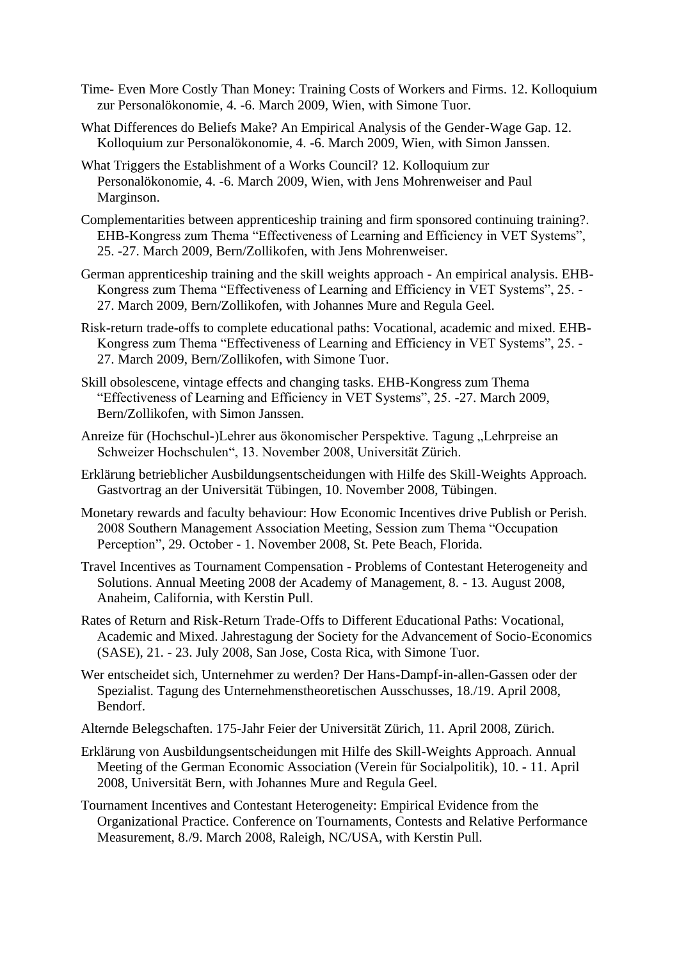- Time- Even More Costly Than Money: Training Costs of Workers and Firms. 12. Kolloquium zur Personalökonomie, 4. -6. March 2009, Wien, with Simone Tuor.
- What Differences do Beliefs Make? An Empirical Analysis of the Gender-Wage Gap. 12. Kolloquium zur Personalökonomie, 4. -6. March 2009, Wien, with Simon Janssen.
- What Triggers the Establishment of a Works Council? 12. Kolloquium zur Personalökonomie, 4. -6. March 2009, Wien, with Jens Mohrenweiser and Paul Marginson.
- Complementarities between apprenticeship training and firm sponsored continuing training?. EHB-Kongress zum Thema "Effectiveness of Learning and Efficiency in VET Systems", 25. -27. March 2009, Bern/Zollikofen, with Jens Mohrenweiser.
- German apprenticeship training and the skill weights approach An empirical analysis. EHB-Kongress zum Thema "Effectiveness of Learning and Efficiency in VET Systems", 25. - 27. March 2009, Bern/Zollikofen, with Johannes Mure and Regula Geel.
- Risk-return trade-offs to complete educational paths: Vocational, academic and mixed. EHB-Kongress zum Thema "Effectiveness of Learning and Efficiency in VET Systems", 25. - 27. March 2009, Bern/Zollikofen, with Simone Tuor.
- Skill obsolescene, vintage effects and changing tasks. EHB-Kongress zum Thema "Effectiveness of Learning and Efficiency in VET Systems", 25. -27. March 2009, Bern/Zollikofen, with Simon Janssen.
- Anreize für (Hochschul-)Lehrer aus ökonomischer Perspektive. Tagung "Lehrpreise an Schweizer Hochschulen", 13. November 2008, Universität Zürich.
- Erklärung betrieblicher Ausbildungsentscheidungen with Hilfe des Skill-Weights Approach. Gastvortrag an der Universität Tübingen, 10. November 2008, Tübingen.
- Monetary rewards and faculty behaviour: How Economic Incentives drive Publish or Perish. 2008 Southern Management Association Meeting, Session zum Thema "Occupation Perception", 29. October - 1. November 2008, St. Pete Beach, Florida.
- Travel Incentives as Tournament Compensation Problems of Contestant Heterogeneity and Solutions. Annual Meeting 2008 der Academy of Management, 8. - 13. August 2008, Anaheim, California, with Kerstin Pull.
- Rates of Return and Risk-Return Trade-Offs to Different Educational Paths: Vocational, Academic and Mixed. Jahrestagung der Society for the Advancement of Socio-Economics (SASE), 21. - 23. July 2008, San Jose, Costa Rica, with Simone Tuor.
- Wer entscheidet sich, Unternehmer zu werden? Der Hans-Dampf-in-allen-Gassen oder der Spezialist. Tagung des Unternehmenstheoretischen Ausschusses, 18./19. April 2008, Bendorf.
- Alternde Belegschaften. 175-Jahr Feier der Universität Zürich, 11. April 2008, Zürich.
- Erklärung von Ausbildungsentscheidungen mit Hilfe des Skill-Weights Approach. Annual Meeting of the German Economic Association (Verein für Socialpolitik), 10. - 11. April 2008, Universität Bern, with Johannes Mure and Regula Geel.
- Tournament Incentives and Contestant Heterogeneity: Empirical Evidence from the Organizational Practice. Conference on Tournaments, Contests and Relative Performance Measurement, 8./9. March 2008, Raleigh, NC/USA, with Kerstin Pull.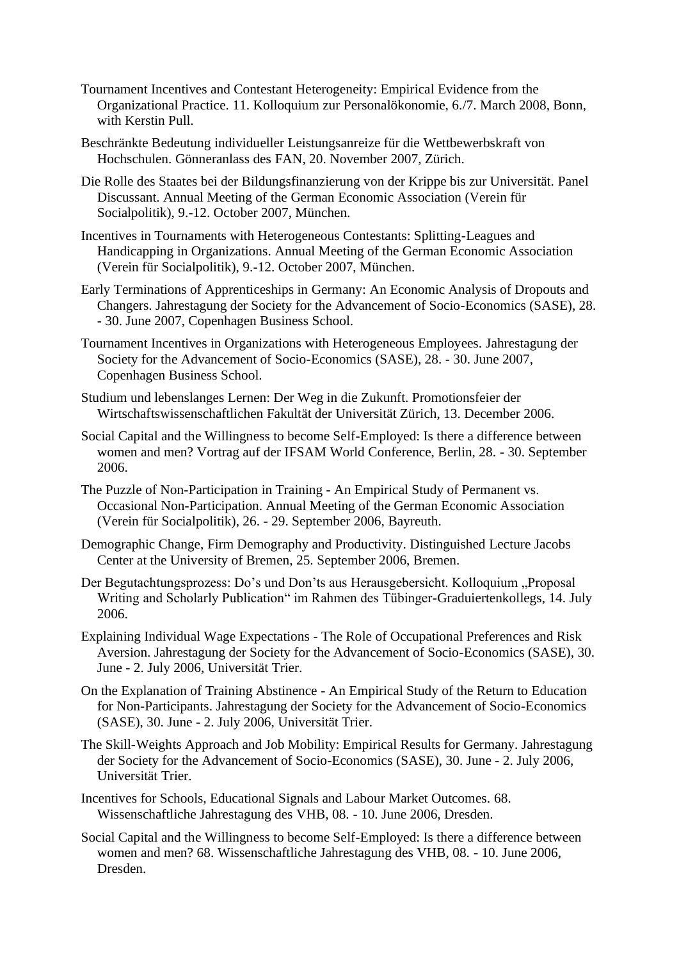- Tournament Incentives and Contestant Heterogeneity: Empirical Evidence from the Organizational Practice. 11. Kolloquium zur Personalökonomie, 6./7. March 2008, Bonn, with Kerstin Pull.
- Beschränkte Bedeutung individueller Leistungsanreize für die Wettbewerbskraft von Hochschulen. Gönneranlass des FAN, 20. November 2007, Zürich.
- Die Rolle des Staates bei der Bildungsfinanzierung von der Krippe bis zur Universität. Panel Discussant. Annual Meeting of the German Economic Association (Verein für Socialpolitik), 9.-12. October 2007, München.
- Incentives in Tournaments with Heterogeneous Contestants: Splitting-Leagues and Handicapping in Organizations. Annual Meeting of the German Economic Association (Verein für Socialpolitik), 9.-12. October 2007, München.
- Early Terminations of Apprenticeships in Germany: An Economic Analysis of Dropouts and Changers. Jahrestagung der Society for the Advancement of Socio-Economics (SASE), 28. - 30. June 2007, Copenhagen Business School.
- Tournament Incentives in Organizations with Heterogeneous Employees. Jahrestagung der Society for the Advancement of Socio-Economics (SASE), 28. - 30. June 2007, Copenhagen Business School.
- Studium und lebenslanges Lernen: Der Weg in die Zukunft. Promotionsfeier der Wirtschaftswissenschaftlichen Fakultät der Universität Zürich, 13. December 2006.
- Social Capital and the Willingness to become Self-Employed: Is there a difference between women and men? Vortrag auf der IFSAM World Conference, Berlin, 28. - 30. September 2006.
- The Puzzle of Non-Participation in Training An Empirical Study of Permanent vs. Occasional Non-Participation. Annual Meeting of the German Economic Association (Verein für Socialpolitik), 26. - 29. September 2006, Bayreuth.
- Demographic Change, Firm Demography and Productivity. Distinguished Lecture Jacobs Center at the University of Bremen, 25. September 2006, Bremen.
- Der Begutachtungsprozess: Do's und Don'ts aus Herausgebersicht. Kolloquium "Proposal Writing and Scholarly Publication" im Rahmen des Tübinger-Graduiertenkollegs, 14. July 2006.
- Explaining Individual Wage Expectations The Role of Occupational Preferences and Risk Aversion. Jahrestagung der Society for the Advancement of Socio-Economics (SASE), 30. June - 2. July 2006, Universität Trier.
- On the Explanation of Training Abstinence An Empirical Study of the Return to Education for Non-Participants. Jahrestagung der Society for the Advancement of Socio-Economics (SASE), 30. June - 2. July 2006, Universität Trier.
- The Skill-Weights Approach and Job Mobility: Empirical Results for Germany. Jahrestagung der Society for the Advancement of Socio-Economics (SASE), 30. June - 2. July 2006, Universität Trier.
- Incentives for Schools, Educational Signals and Labour Market Outcomes. 68. Wissenschaftliche Jahrestagung des VHB, 08. - 10. June 2006, Dresden.
- Social Capital and the Willingness to become Self-Employed: Is there a difference between women and men? 68. Wissenschaftliche Jahrestagung des VHB, 08. - 10. June 2006, Dresden.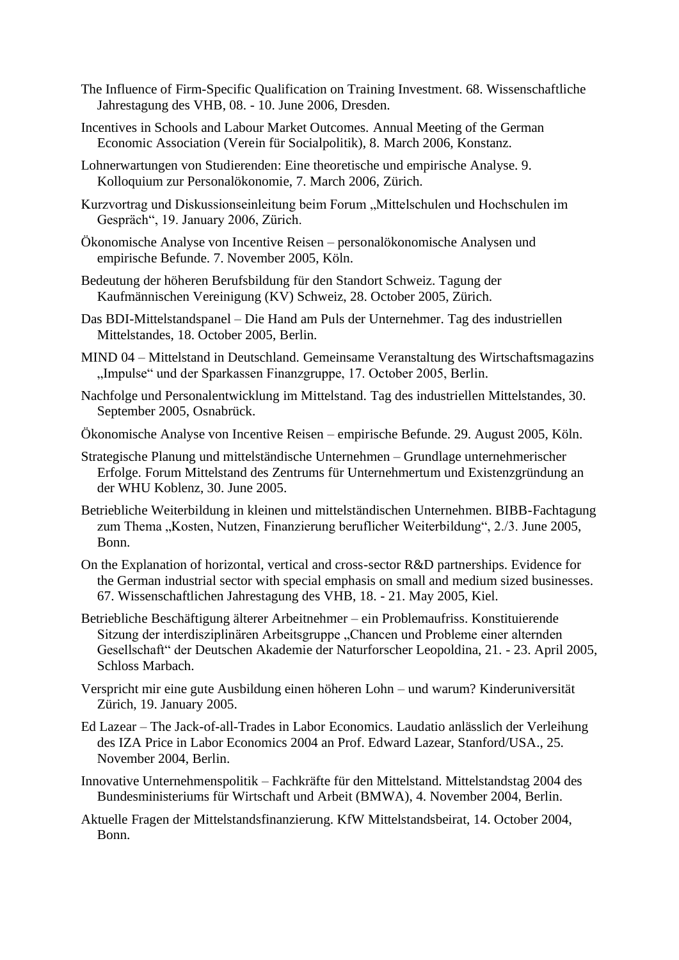- The Influence of Firm-Specific Qualification on Training Investment. 68. Wissenschaftliche Jahrestagung des VHB, 08. - 10. June 2006, Dresden.
- Incentives in Schools and Labour Market Outcomes. Annual Meeting of the German Economic Association (Verein für Socialpolitik), 8. March 2006, Konstanz.
- Lohnerwartungen von Studierenden: Eine theoretische und empirische Analyse. 9. Kolloquium zur Personalökonomie, 7. March 2006, Zürich.
- Kurzvortrag und Diskussionseinleitung beim Forum "Mittelschulen und Hochschulen im Gespräch", 19. January 2006, Zürich.
- Ökonomische Analyse von Incentive Reisen personalökonomische Analysen und empirische Befunde. 7. November 2005, Köln.
- Bedeutung der höheren Berufsbildung für den Standort Schweiz. Tagung der Kaufmännischen Vereinigung (KV) Schweiz, 28. October 2005, Zürich.
- Das BDI-Mittelstandspanel Die Hand am Puls der Unternehmer. Tag des industriellen Mittelstandes, 18. October 2005, Berlin.
- MIND 04 Mittelstand in Deutschland. Gemeinsame Veranstaltung des Wirtschaftsmagazins "Impulse" und der Sparkassen Finanzgruppe, 17. October 2005, Berlin.
- Nachfolge und Personalentwicklung im Mittelstand. Tag des industriellen Mittelstandes, 30. September 2005, Osnabrück.
- Ökonomische Analyse von Incentive Reisen empirische Befunde. 29. August 2005, Köln.
- Strategische Planung und mittelständische Unternehmen Grundlage unternehmerischer Erfolge. Forum Mittelstand des Zentrums für Unternehmertum und Existenzgründung an der WHU Koblenz, 30. June 2005.
- Betriebliche Weiterbildung in kleinen und mittelständischen Unternehmen. BIBB-Fachtagung zum Thema "Kosten, Nutzen, Finanzierung beruflicher Weiterbildung", 2./3. June 2005, Bonn.
- On the Explanation of horizontal, vertical and cross-sector R&D partnerships. Evidence for the German industrial sector with special emphasis on small and medium sized businesses. 67. Wissenschaftlichen Jahrestagung des VHB, 18. - 21. May 2005, Kiel.
- Betriebliche Beschäftigung älterer Arbeitnehmer ein Problemaufriss. Konstituierende Sitzung der interdisziplinären Arbeitsgruppe "Chancen und Probleme einer alternden Gesellschaft" der Deutschen Akademie der Naturforscher Leopoldina, 21. - 23. April 2005, Schloss Marbach.
- Verspricht mir eine gute Ausbildung einen höheren Lohn und warum? Kinderuniversität Zürich, 19. January 2005.
- Ed Lazear The Jack-of-all-Trades in Labor Economics. Laudatio anlässlich der Verleihung des IZA Price in Labor Economics 2004 an Prof. Edward Lazear, Stanford/USA., 25. November 2004, Berlin.
- Innovative Unternehmenspolitik Fachkräfte für den Mittelstand. Mittelstandstag 2004 des Bundesministeriums für Wirtschaft und Arbeit (BMWA), 4. November 2004, Berlin.
- Aktuelle Fragen der Mittelstandsfinanzierung. KfW Mittelstandsbeirat, 14. October 2004, Bonn.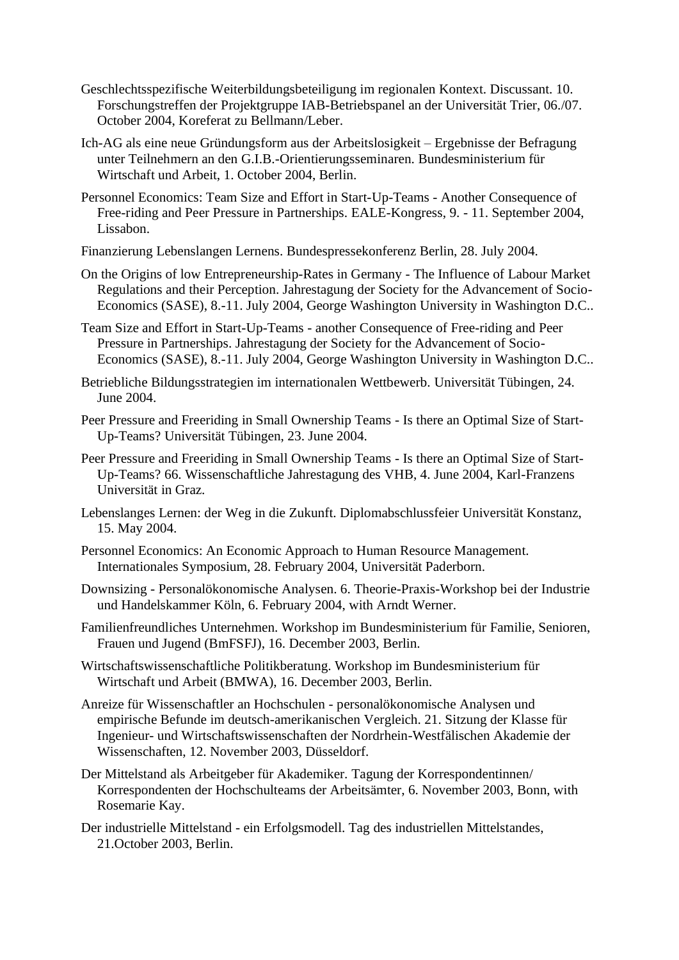- Geschlechtsspezifische Weiterbildungsbeteiligung im regionalen Kontext. Discussant. 10. Forschungstreffen der Projektgruppe IAB-Betriebspanel an der Universität Trier, 06./07. October 2004, Koreferat zu Bellmann/Leber.
- Ich-AG als eine neue Gründungsform aus der Arbeitslosigkeit Ergebnisse der Befragung unter Teilnehmern an den G.I.B.-Orientierungsseminaren. Bundesministerium für Wirtschaft und Arbeit, 1. October 2004, Berlin.
- Personnel Economics: Team Size and Effort in Start-Up-Teams Another Consequence of Free-riding and Peer Pressure in Partnerships. EALE-Kongress, 9. - 11. September 2004, Lissabon.
- Finanzierung Lebenslangen Lernens. Bundespressekonferenz Berlin, 28. July 2004.
- On the Origins of low Entrepreneurship-Rates in Germany The Influence of Labour Market Regulations and their Perception. Jahrestagung der Society for the Advancement of Socio-Economics (SASE), 8.-11. July 2004, George Washington University in Washington D.C..
- Team Size and Effort in Start-Up-Teams another Consequence of Free-riding and Peer Pressure in Partnerships. Jahrestagung der Society for the Advancement of Socio-Economics (SASE), 8.-11. July 2004, George Washington University in Washington D.C..
- Betriebliche Bildungsstrategien im internationalen Wettbewerb. Universität Tübingen, 24. June 2004.
- Peer Pressure and Freeriding in Small Ownership Teams Is there an Optimal Size of Start-Up-Teams? Universität Tübingen, 23. June 2004.
- Peer Pressure and Freeriding in Small Ownership Teams Is there an Optimal Size of Start-Up-Teams? 66. Wissenschaftliche Jahrestagung des VHB, 4. June 2004, Karl-Franzens Universität in Graz.
- Lebenslanges Lernen: der Weg in die Zukunft. Diplomabschlussfeier Universität Konstanz, 15. May 2004.
- Personnel Economics: An Economic Approach to Human Resource Management. Internationales Symposium, 28. February 2004, Universität Paderborn.
- Downsizing Personalökonomische Analysen. 6. Theorie-Praxis-Workshop bei der Industrie und Handelskammer Köln, 6. February 2004, with Arndt Werner.
- Familienfreundliches Unternehmen. Workshop im Bundesministerium für Familie, Senioren, Frauen und Jugend (BmFSFJ), 16. December 2003, Berlin.
- Wirtschaftswissenschaftliche Politikberatung. Workshop im Bundesministerium für Wirtschaft und Arbeit (BMWA), 16. December 2003, Berlin.
- Anreize für Wissenschaftler an Hochschulen personalökonomische Analysen und empirische Befunde im deutsch-amerikanischen Vergleich. 21. Sitzung der Klasse für Ingenieur- und Wirtschaftswissenschaften der Nordrhein-Westfälischen Akademie der Wissenschaften, 12. November 2003, Düsseldorf.
- Der Mittelstand als Arbeitgeber für Akademiker. Tagung der Korrespondentinnen/ Korrespondenten der Hochschulteams der Arbeitsämter, 6. November 2003, Bonn, with Rosemarie Kay.
- Der industrielle Mittelstand ein Erfolgsmodell. Tag des industriellen Mittelstandes, 21.October 2003, Berlin.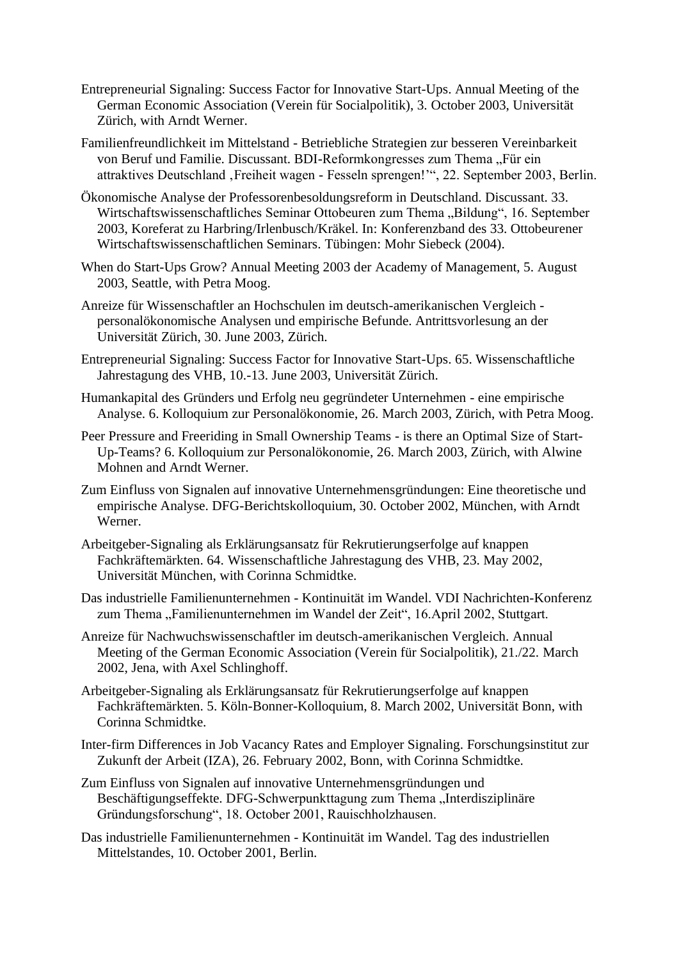- Entrepreneurial Signaling: Success Factor for Innovative Start-Ups. Annual Meeting of the German Economic Association (Verein für Socialpolitik), 3. October 2003, Universität Zürich, with Arndt Werner.
- Familienfreundlichkeit im Mittelstand Betriebliche Strategien zur besseren Vereinbarkeit von Beruf und Familie. Discussant. BDI-Reformkongresses zum Thema "Für ein attraktives Deutschland, Freiheit wagen - Fesseln sprengen!", 22. September 2003, Berlin.
- Ökonomische Analyse der Professorenbesoldungsreform in Deutschland. Discussant. 33. Wirtschaftswissenschaftliches Seminar Ottobeuren zum Thema "Bildung", 16. September 2003, Koreferat zu Harbring/Irlenbusch/Kräkel. In: Konferenzband des 33. Ottobeurener Wirtschaftswissenschaftlichen Seminars. Tübingen: Mohr Siebeck (2004).
- When do Start-Ups Grow? Annual Meeting 2003 der Academy of Management, 5. August 2003, Seattle, with Petra Moog.
- Anreize für Wissenschaftler an Hochschulen im deutsch-amerikanischen Vergleich personalökonomische Analysen und empirische Befunde. Antrittsvorlesung an der Universität Zürich, 30. June 2003, Zürich.
- Entrepreneurial Signaling: Success Factor for Innovative Start-Ups. 65. Wissenschaftliche Jahrestagung des VHB, 10.-13. June 2003, Universität Zürich.
- Humankapital des Gründers und Erfolg neu gegründeter Unternehmen eine empirische Analyse. 6. Kolloquium zur Personalökonomie, 26. March 2003, Zürich, with Petra Moog.
- Peer Pressure and Freeriding in Small Ownership Teams is there an Optimal Size of Start-Up-Teams? 6. Kolloquium zur Personalökonomie, 26. March 2003, Zürich, with Alwine Mohnen and Arndt Werner.
- Zum Einfluss von Signalen auf innovative Unternehmensgründungen: Eine theoretische und empirische Analyse. DFG-Berichtskolloquium, 30. October 2002, München, with Arndt Werner.
- Arbeitgeber-Signaling als Erklärungsansatz für Rekrutierungserfolge auf knappen Fachkräftemärkten. 64. Wissenschaftliche Jahrestagung des VHB, 23. May 2002, Universität München, with Corinna Schmidtke.
- Das industrielle Familienunternehmen Kontinuität im Wandel. VDI Nachrichten-Konferenz zum Thema "Familienunternehmen im Wandel der Zeit", 16.April 2002, Stuttgart.
- Anreize für Nachwuchswissenschaftler im deutsch-amerikanischen Vergleich. Annual Meeting of the German Economic Association (Verein für Socialpolitik), 21./22. March 2002, Jena, with Axel Schlinghoff.
- Arbeitgeber-Signaling als Erklärungsansatz für Rekrutierungserfolge auf knappen Fachkräftemärkten. 5. Köln-Bonner-Kolloquium, 8. March 2002, Universität Bonn, with Corinna Schmidtke.
- Inter-firm Differences in Job Vacancy Rates and Employer Signaling. Forschungsinstitut zur Zukunft der Arbeit (IZA), 26. February 2002, Bonn, with Corinna Schmidtke.
- Zum Einfluss von Signalen auf innovative Unternehmensgründungen und Beschäftigungseffekte. DFG-Schwerpunkttagung zum Thema "Interdisziplinäre Gründungsforschung", 18. October 2001, Rauischholzhausen.
- Das industrielle Familienunternehmen Kontinuität im Wandel. Tag des industriellen Mittelstandes, 10. October 2001, Berlin.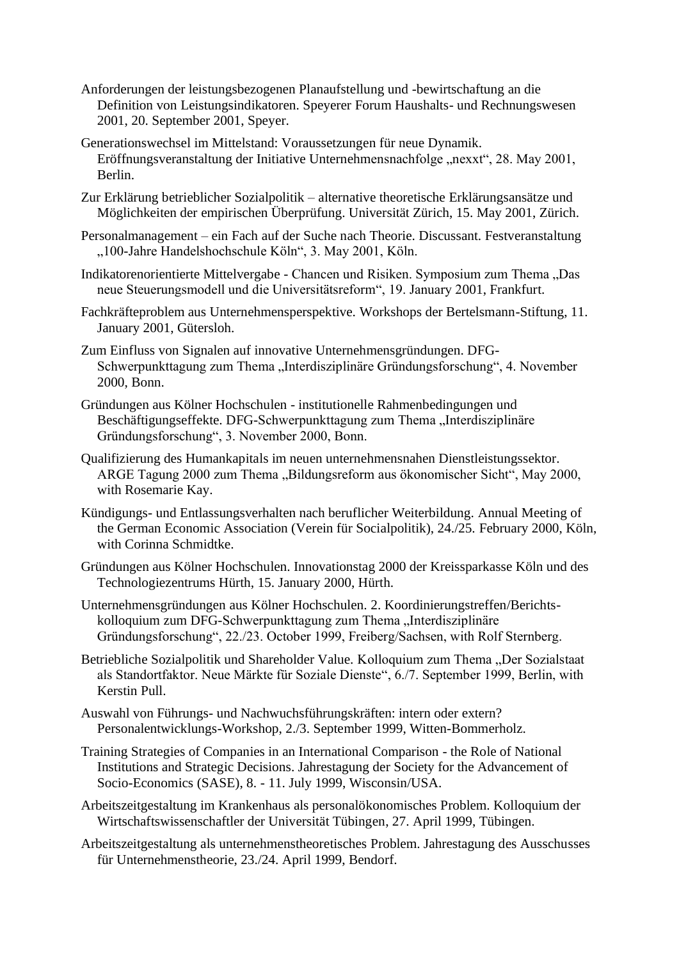- Anforderungen der leistungsbezogenen Planaufstellung und -bewirtschaftung an die Definition von Leistungsindikatoren. Speyerer Forum Haushalts- und Rechnungswesen 2001, 20. September 2001, Speyer.
- Generationswechsel im Mittelstand: Voraussetzungen für neue Dynamik. Eröffnungsveranstaltung der Initiative Unternehmensnachfolge "nexxt", 28. May 2001, Berlin.
- Zur Erklärung betrieblicher Sozialpolitik alternative theoretische Erklärungsansätze und Möglichkeiten der empirischen Überprüfung. Universität Zürich, 15. May 2001, Zürich.
- Personalmanagement ein Fach auf der Suche nach Theorie. Discussant. Festveranstaltung "100-Jahre Handelshochschule Köln", 3. May 2001, Köln.
- Indikatorenorientierte Mittelvergabe Chancen und Risiken. Symposium zum Thema "Das neue Steuerungsmodell und die Universitätsreform", 19. January 2001, Frankfurt.
- Fachkräfteproblem aus Unternehmensperspektive. Workshops der Bertelsmann-Stiftung, 11. January 2001, Gütersloh.
- Zum Einfluss von Signalen auf innovative Unternehmensgründungen. DFG-Schwerpunkttagung zum Thema "Interdisziplinäre Gründungsforschung", 4. November 2000, Bonn.
- Gründungen aus Kölner Hochschulen institutionelle Rahmenbedingungen und Beschäftigungseffekte. DFG-Schwerpunkttagung zum Thema "Interdisziplinäre Gründungsforschung", 3. November 2000, Bonn.
- Qualifizierung des Humankapitals im neuen unternehmensnahen Dienstleistungssektor. ARGE Tagung 2000 zum Thema "Bildungsreform aus ökonomischer Sicht", May 2000, with Rosemarie Kay.
- Kündigungs- und Entlassungsverhalten nach beruflicher Weiterbildung. Annual Meeting of the German Economic Association (Verein für Socialpolitik), 24./25. February 2000, Köln, with Corinna Schmidtke.
- Gründungen aus Kölner Hochschulen. Innovationstag 2000 der Kreissparkasse Köln und des Technologiezentrums Hürth, 15. January 2000, Hürth.
- Unternehmensgründungen aus Kölner Hochschulen. 2. Koordinierungstreffen/Berichtskolloquium zum DFG-Schwerpunkttagung zum Thema "Interdisziplinäre Gründungsforschung", 22./23. October 1999, Freiberg/Sachsen, with Rolf Sternberg.
- Betriebliche Sozialpolitik und Shareholder Value. Kolloquium zum Thema "Der Sozialstaat als Standortfaktor. Neue Märkte für Soziale Dienste", 6./7. September 1999, Berlin, with Kerstin Pull.
- Auswahl von Führungs- und Nachwuchsführungskräften: intern oder extern? Personalentwicklungs-Workshop, 2./3. September 1999, Witten-Bommerholz.
- Training Strategies of Companies in an International Comparison the Role of National Institutions and Strategic Decisions. Jahrestagung der Society for the Advancement of Socio-Economics (SASE), 8. - 11. July 1999, Wisconsin/USA.
- Arbeitszeitgestaltung im Krankenhaus als personalökonomisches Problem. Kolloquium der Wirtschaftswissenschaftler der Universität Tübingen, 27. April 1999, Tübingen.
- Arbeitszeitgestaltung als unternehmenstheoretisches Problem. Jahrestagung des Ausschusses für Unternehmenstheorie, 23./24. April 1999, Bendorf.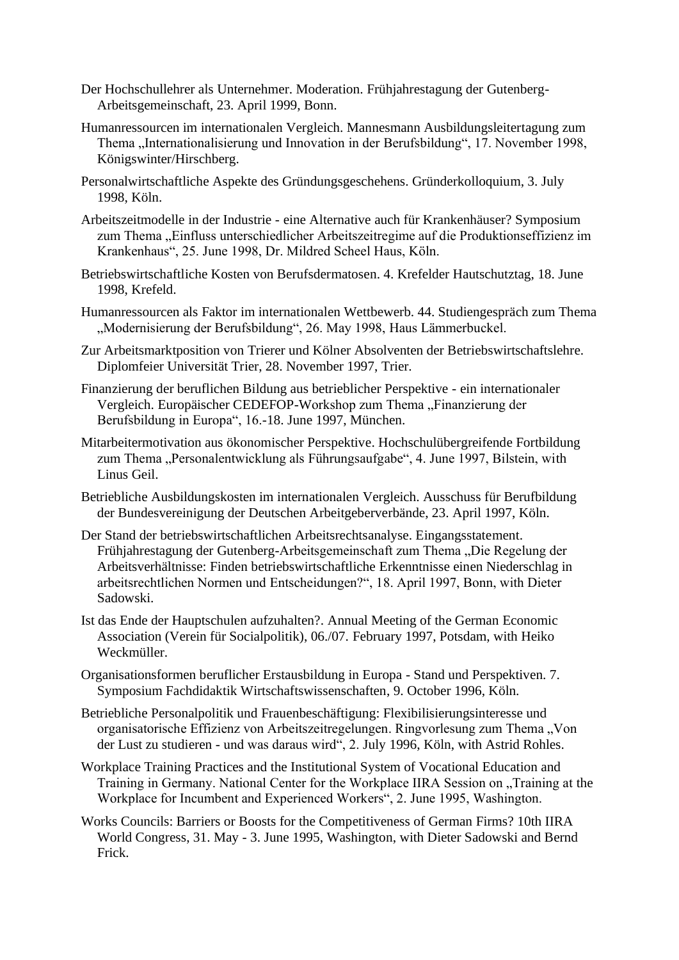- Der Hochschullehrer als Unternehmer. Moderation. Frühjahrestagung der Gutenberg-Arbeitsgemeinschaft, 23. April 1999, Bonn.
- Humanressourcen im internationalen Vergleich. Mannesmann Ausbildungsleitertagung zum Thema "Internationalisierung und Innovation in der Berufsbildung", 17. November 1998, Königswinter/Hirschberg.
- Personalwirtschaftliche Aspekte des Gründungsgeschehens. Gründerkolloquium, 3. July 1998, Köln.
- Arbeitszeitmodelle in der Industrie eine Alternative auch für Krankenhäuser? Symposium zum Thema "Einfluss unterschiedlicher Arbeitszeitregime auf die Produktionseffizienz im Krankenhaus", 25. June 1998, Dr. Mildred Scheel Haus, Köln.
- Betriebswirtschaftliche Kosten von Berufsdermatosen. 4. Krefelder Hautschutztag, 18. June 1998, Krefeld.
- Humanressourcen als Faktor im internationalen Wettbewerb. 44. Studiengespräch zum Thema "Modernisierung der Berufsbildung", 26. May 1998, Haus Lämmerbuckel.
- Zur Arbeitsmarktposition von Trierer und Kölner Absolventen der Betriebswirtschaftslehre. Diplomfeier Universität Trier, 28. November 1997, Trier.
- Finanzierung der beruflichen Bildung aus betrieblicher Perspektive ein internationaler Vergleich. Europäischer CEDEFOP-Workshop zum Thema "Finanzierung der Berufsbildung in Europa", 16.-18. June 1997, München.
- Mitarbeitermotivation aus ökonomischer Perspektive. Hochschulübergreifende Fortbildung zum Thema "Personalentwicklung als Führungsaufgabe", 4. June 1997, Bilstein, with Linus Geil.
- Betriebliche Ausbildungskosten im internationalen Vergleich. Ausschuss für Berufbildung der Bundesvereinigung der Deutschen Arbeitgeberverbände, 23. April 1997, Köln.
- Der Stand der betriebswirtschaftlichen Arbeitsrechtsanalyse. Eingangsstatement. Frühjahrestagung der Gutenberg-Arbeitsgemeinschaft zum Thema "Die Regelung der Arbeitsverhältnisse: Finden betriebswirtschaftliche Erkenntnisse einen Niederschlag in arbeitsrechtlichen Normen und Entscheidungen?", 18. April 1997, Bonn, with Dieter Sadowski.
- Ist das Ende der Hauptschulen aufzuhalten?. Annual Meeting of the German Economic Association (Verein für Socialpolitik), 06./07. February 1997, Potsdam, with Heiko Weckmüller.
- Organisationsformen beruflicher Erstausbildung in Europa Stand und Perspektiven. 7. Symposium Fachdidaktik Wirtschaftswissenschaften, 9. October 1996, Köln.
- Betriebliche Personalpolitik und Frauenbeschäftigung: Flexibilisierungsinteresse und organisatorische Effizienz von Arbeitszeitregelungen. Ringvorlesung zum Thema "Von der Lust zu studieren - und was daraus wird", 2. July 1996, Köln, with Astrid Rohles.
- Workplace Training Practices and the Institutional System of Vocational Education and Training in Germany. National Center for the Workplace IIRA Session on "Training at the Workplace for Incumbent and Experienced Workers", 2. June 1995, Washington.
- Works Councils: Barriers or Boosts for the Competitiveness of German Firms? 10th IIRA World Congress, 31. May - 3. June 1995, Washington, with Dieter Sadowski and Bernd Frick.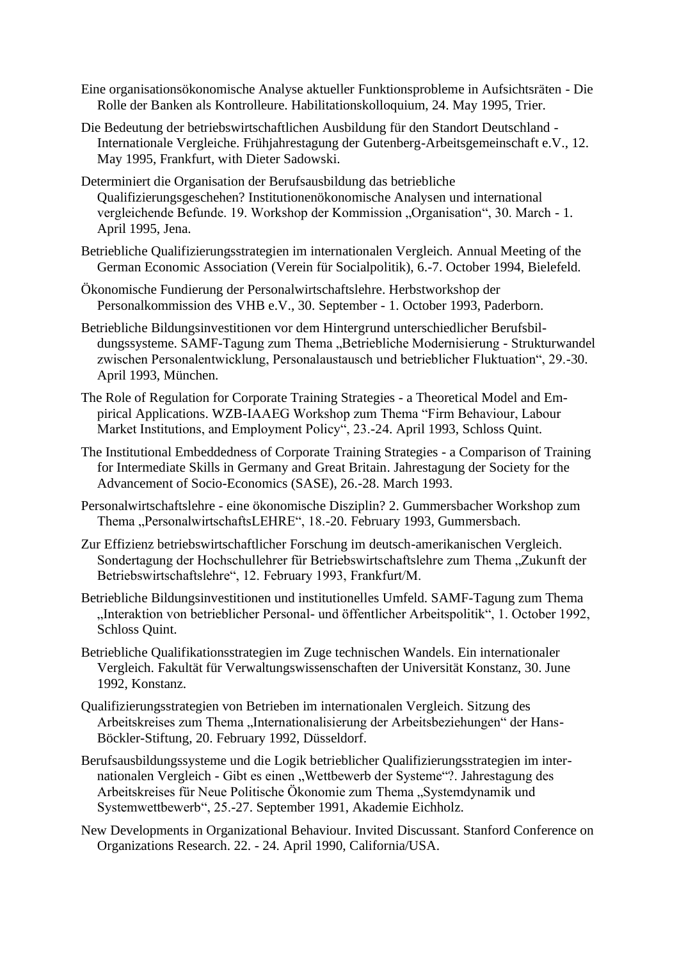- Eine organisationsökonomische Analyse aktueller Funktionsprobleme in Aufsichtsräten Die Rolle der Banken als Kontrolleure. Habilitationskolloquium, 24. May 1995, Trier.
- Die Bedeutung der betriebswirtschaftlichen Ausbildung für den Standort Deutschland Internationale Vergleiche. Frühjahrestagung der Gutenberg-Arbeitsgemeinschaft e.V., 12. May 1995, Frankfurt, with Dieter Sadowski.
- Determiniert die Organisation der Berufsausbildung das betriebliche Qualifizierungsgeschehen? Institutionenökonomische Analysen und international vergleichende Befunde. 19. Workshop der Kommission "Organisation", 30. March - 1. April 1995, Jena.
- Betriebliche Qualifizierungsstrategien im internationalen Vergleich. Annual Meeting of the German Economic Association (Verein für Socialpolitik), 6.-7. October 1994, Bielefeld.
- Ökonomische Fundierung der Personalwirtschaftslehre. Herbstworkshop der Personalkommission des VHB e.V., 30. September - 1. October 1993, Paderborn.
- Betriebliche Bildungsinvestitionen vor dem Hintergrund unterschiedlicher Berufsbildungssysteme. SAMF-Tagung zum Thema "Betriebliche Modernisierung - Strukturwandel zwischen Personalentwicklung, Personalaustausch und betrieblicher Fluktuation", 29.-30. April 1993, München.
- The Role of Regulation for Corporate Training Strategies a Theoretical Model and Empirical Applications. WZB-IAAEG Workshop zum Thema "Firm Behaviour, Labour Market Institutions, and Employment Policy", 23.-24. April 1993, Schloss Quint.
- The Institutional Embeddedness of Corporate Training Strategies a Comparison of Training for Intermediate Skills in Germany and Great Britain. Jahrestagung der Society for the Advancement of Socio-Economics (SASE), 26.-28. March 1993.
- Personalwirtschaftslehre eine ökonomische Disziplin? 2. Gummersbacher Workshop zum Thema ..PersonalwirtschaftsLEHRE", 18.-20. February 1993, Gummersbach.
- Zur Effizienz betriebswirtschaftlicher Forschung im deutsch-amerikanischen Vergleich. Sondertagung der Hochschullehrer für Betriebswirtschaftslehre zum Thema "Zukunft der Betriebswirtschaftslehre", 12. February 1993, Frankfurt/M.
- Betriebliche Bildungsinvestitionen und institutionelles Umfeld. SAMF-Tagung zum Thema "Interaktion von betrieblicher Personal- und öffentlicher Arbeitspolitik", 1. October 1992, Schloss Quint.
- Betriebliche Qualifikationsstrategien im Zuge technischen Wandels. Ein internationaler Vergleich. Fakultät für Verwaltungswissenschaften der Universität Konstanz, 30. June 1992, Konstanz.
- Qualifizierungsstrategien von Betrieben im internationalen Vergleich. Sitzung des Arbeitskreises zum Thema "Internationalisierung der Arbeitsbeziehungen" der Hans-Böckler-Stiftung, 20. February 1992, Düsseldorf.
- Berufsausbildungssysteme und die Logik betrieblicher Qualifizierungsstrategien im internationalen Vergleich - Gibt es einen "Wettbewerb der Systeme"?. Jahrestagung des Arbeitskreises für Neue Politische Ökonomie zum Thema "Systemdynamik und Systemwettbewerb", 25.-27. September 1991, Akademie Eichholz.
- New Developments in Organizational Behaviour. Invited Discussant. Stanford Conference on Organizations Research. 22. - 24. April 1990, California/USA.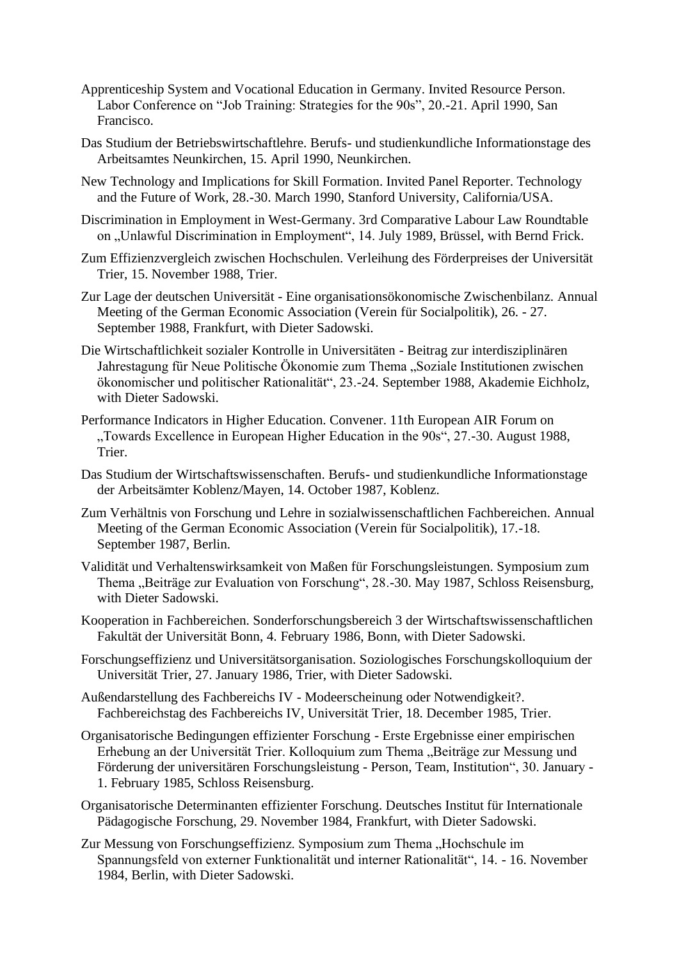- Apprenticeship System and Vocational Education in Germany. Invited Resource Person. Labor Conference on "Job Training: Strategies for the 90s", 20.-21. April 1990, San Francisco.
- Das Studium der Betriebswirtschaftlehre. Berufs- und studienkundliche Informationstage des Arbeitsamtes Neunkirchen, 15. April 1990, Neunkirchen.
- New Technology and Implications for Skill Formation. Invited Panel Reporter. Technology and the Future of Work, 28.-30. March 1990, Stanford University, California/USA.
- Discrimination in Employment in West-Germany. 3rd Comparative Labour Law Roundtable on "Unlawful Discrimination in Employment", 14. July 1989, Brüssel, with Bernd Frick.
- Zum Effizienzvergleich zwischen Hochschulen. Verleihung des Förderpreises der Universität Trier, 15. November 1988, Trier.
- Zur Lage der deutschen Universität Eine organisationsökonomische Zwischenbilanz. Annual Meeting of the German Economic Association (Verein für Socialpolitik), 26. - 27. September 1988, Frankfurt, with Dieter Sadowski.
- Die Wirtschaftlichkeit sozialer Kontrolle in Universitäten Beitrag zur interdisziplinären Jahrestagung für Neue Politische Ökonomie zum Thema "Soziale Institutionen zwischen ökonomischer und politischer Rationalität", 23.-24. September 1988, Akademie Eichholz, with Dieter Sadowski.
- Performance Indicators in Higher Education. Convener. 11th European AIR Forum on "Towards Excellence in European Higher Education in the 90s", 27.-30. August 1988, Trier.
- Das Studium der Wirtschaftswissenschaften. Berufs- und studienkundliche Informationstage der Arbeitsämter Koblenz/Mayen, 14. October 1987, Koblenz.
- Zum Verhältnis von Forschung und Lehre in sozialwissenschaftlichen Fachbereichen. Annual Meeting of the German Economic Association (Verein für Socialpolitik), 17.-18. September 1987, Berlin.
- Validität und Verhaltenswirksamkeit von Maßen für Forschungsleistungen. Symposium zum Thema "Beiträge zur Evaluation von Forschung", 28.-30. May 1987, Schloss Reisensburg, with Dieter Sadowski.
- Kooperation in Fachbereichen. Sonderforschungsbereich 3 der Wirtschaftswissenschaftlichen Fakultät der Universität Bonn, 4. February 1986, Bonn, with Dieter Sadowski.
- Forschungseffizienz und Universitätsorganisation. Soziologisches Forschungskolloquium der Universität Trier, 27. January 1986, Trier, with Dieter Sadowski.
- Außendarstellung des Fachbereichs IV Modeerscheinung oder Notwendigkeit?. Fachbereichstag des Fachbereichs IV, Universität Trier, 18. December 1985, Trier.
- Organisatorische Bedingungen effizienter Forschung Erste Ergebnisse einer empirischen Erhebung an der Universität Trier. Kolloquium zum Thema "Beiträge zur Messung und Förderung der universitären Forschungsleistung - Person, Team, Institution", 30. January - 1. February 1985, Schloss Reisensburg.
- Organisatorische Determinanten effizienter Forschung. Deutsches Institut für Internationale Pädagogische Forschung, 29. November 1984, Frankfurt, with Dieter Sadowski.
- Zur Messung von Forschungseffizienz. Symposium zum Thema "Hochschule im Spannungsfeld von externer Funktionalität und interner Rationalität", 14. - 16. November 1984, Berlin, with Dieter Sadowski.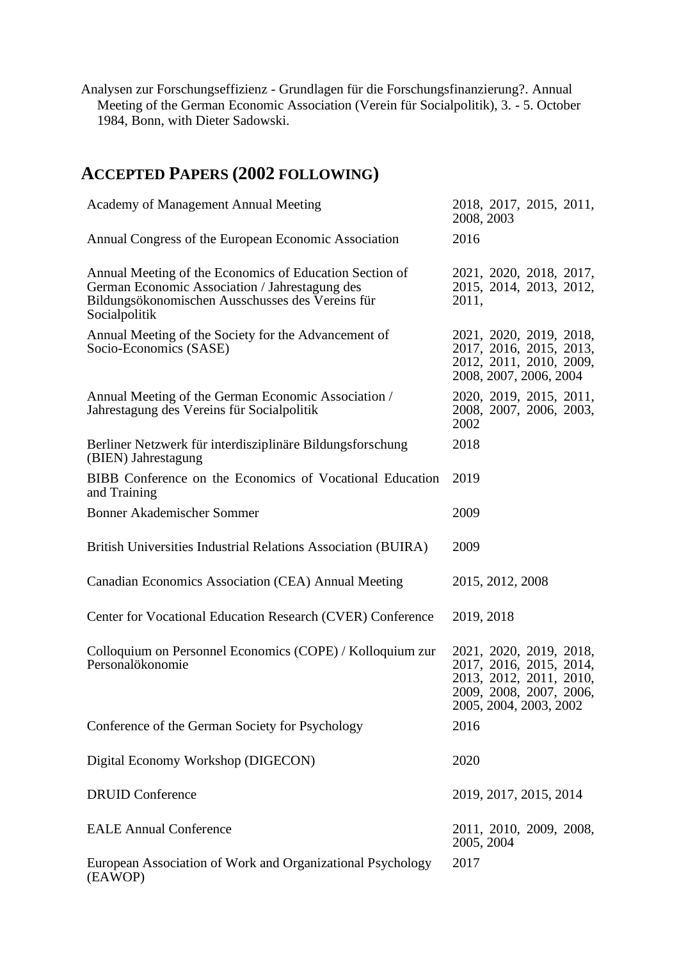Analysen zur Forschungseffizienz - Grundlagen für die Forschungsfinanzierung?. Annual Meeting of the German Economic Association (Verein für Socialpolitik), 3. - 5. October 1984, Bonn, with Dieter Sadowski.

# **ACCEPTED PAPERS (2002 FOLLOWING)**

| Academy of Management Annual Meeting                                                                                                                                           | 2018, 2017, 2015, 2011,<br>2008, 2003                                                                                              |
|--------------------------------------------------------------------------------------------------------------------------------------------------------------------------------|------------------------------------------------------------------------------------------------------------------------------------|
| Annual Congress of the European Economic Association                                                                                                                           | 2016                                                                                                                               |
| Annual Meeting of the Economics of Education Section of<br>German Economic Association / Jahrestagung des<br>Bildungsökonomischen Ausschusses des Vereins für<br>Socialpolitik | 2021, 2020, 2018, 2017,<br>2015, 2014, 2013, 2012,<br>2011,                                                                        |
| Annual Meeting of the Society for the Advancement of<br>Socio-Economics (SASE)                                                                                                 | 2021, 2020, 2019, 2018,<br>2017, 2016, 2015, 2013,<br>2012, 2011, 2010, 2009,<br>2008, 2007, 2006, 2004                            |
| Annual Meeting of the German Economic Association /<br>Jahrestagung des Vereins für Socialpolitik                                                                              | 2020, 2019, 2015, 2011,<br>2008, 2007, 2006, 2003,<br>2002                                                                         |
| Berliner Netzwerk für interdisziplinäre Bildungsforschung<br>(BIEN) Jahrestagung                                                                                               | 2018                                                                                                                               |
| BIBB Conference on the Economics of Vocational Education<br>and Training                                                                                                       | 2019                                                                                                                               |
| <b>Bonner Akademischer Sommer</b>                                                                                                                                              | 2009                                                                                                                               |
| British Universities Industrial Relations Association (BUIRA)                                                                                                                  | 2009                                                                                                                               |
| Canadian Economics Association (CEA) Annual Meeting                                                                                                                            | 2015, 2012, 2008                                                                                                                   |
| Center for Vocational Education Research (CVER) Conference                                                                                                                     | 2019, 2018                                                                                                                         |
| Colloquium on Personnel Economics (COPE) / Kolloquium zur<br>Personalökonomie                                                                                                  | 2021, 2020, 2019, 2018,<br>2017, 2016, 2015, 2014,<br>2013, 2012, 2011, 2010,<br>2009, 2008, 2007, 2006,<br>2005, 2004, 2003, 2002 |
| Conference of the German Society for Psychology                                                                                                                                | 2016                                                                                                                               |
| Digital Economy Workshop (DIGECON)                                                                                                                                             | 2020                                                                                                                               |
| <b>DRUID Conference</b>                                                                                                                                                        | 2019, 2017, 2015, 2014                                                                                                             |
| <b>EALE Annual Conference</b>                                                                                                                                                  | 2011, 2010, 2009, 2008,<br>2005, 2004                                                                                              |
| European Association of Work and Organizational Psychology<br>(EAWOP)                                                                                                          | 2017                                                                                                                               |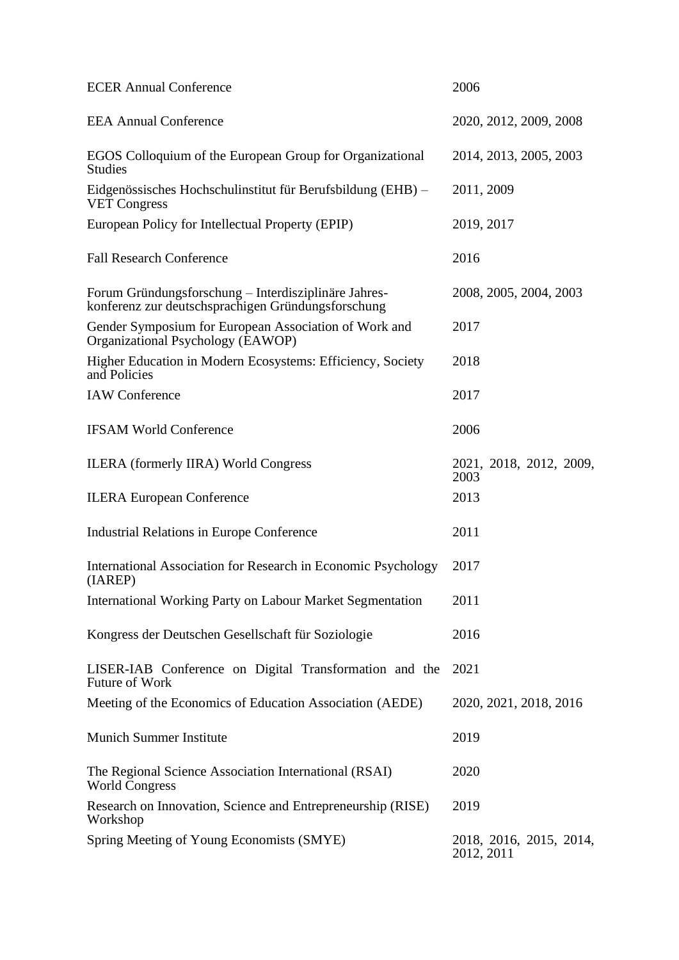| <b>ECER Annual Conference</b>                                                                              | 2006                                  |
|------------------------------------------------------------------------------------------------------------|---------------------------------------|
| <b>EEA Annual Conference</b>                                                                               | 2020, 2012, 2009, 2008                |
| EGOS Colloquium of the European Group for Organizational<br><b>Studies</b>                                 | 2014, 2013, 2005, 2003                |
| Eidgenössisches Hochschulinstitut für Berufsbildung (EHB) –<br><b>VET Congress</b>                         | 2011, 2009                            |
| European Policy for Intellectual Property (EPIP)                                                           | 2019, 2017                            |
| <b>Fall Research Conference</b>                                                                            | 2016                                  |
| Forum Gründungsforschung - Interdisziplinäre Jahres-<br>konferenz zur deutschsprachigen Gründungsforschung | 2008, 2005, 2004, 2003                |
| Gender Symposium for European Association of Work and<br>Organizational Psychology (EAWOP)                 | 2017                                  |
| Higher Education in Modern Ecosystems: Efficiency, Society<br>and Policies                                 | 2018                                  |
| <b>IAW</b> Conference                                                                                      | 2017                                  |
| <b>IFSAM World Conference</b>                                                                              | 2006                                  |
| <b>ILERA</b> (formerly IIRA) World Congress                                                                | 2021, 2018, 2012, 2009,<br>2003       |
| <b>ILERA European Conference</b>                                                                           | 2013                                  |
| <b>Industrial Relations in Europe Conference</b>                                                           | 2011                                  |
| International Association for Research in Economic Psychology<br>(IAREP)                                   | 2017                                  |
| <b>International Working Party on Labour Market Segmentation</b>                                           | 2011                                  |
| Kongress der Deutschen Gesellschaft für Soziologie                                                         | 2016                                  |
| LISER-IAB Conference on Digital Transformation and the<br>Future of Work                                   | 2021                                  |
| Meeting of the Economics of Education Association (AEDE)                                                   | 2020, 2021, 2018, 2016                |
| <b>Munich Summer Institute</b>                                                                             | 2019                                  |
| The Regional Science Association International (RSAI)<br><b>World Congress</b>                             | 2020                                  |
| Research on Innovation, Science and Entrepreneurship (RISE)<br>Workshop                                    | 2019                                  |
| Spring Meeting of Young Economists (SMYE)                                                                  | 2018, 2016, 2015, 2014,<br>2012, 2011 |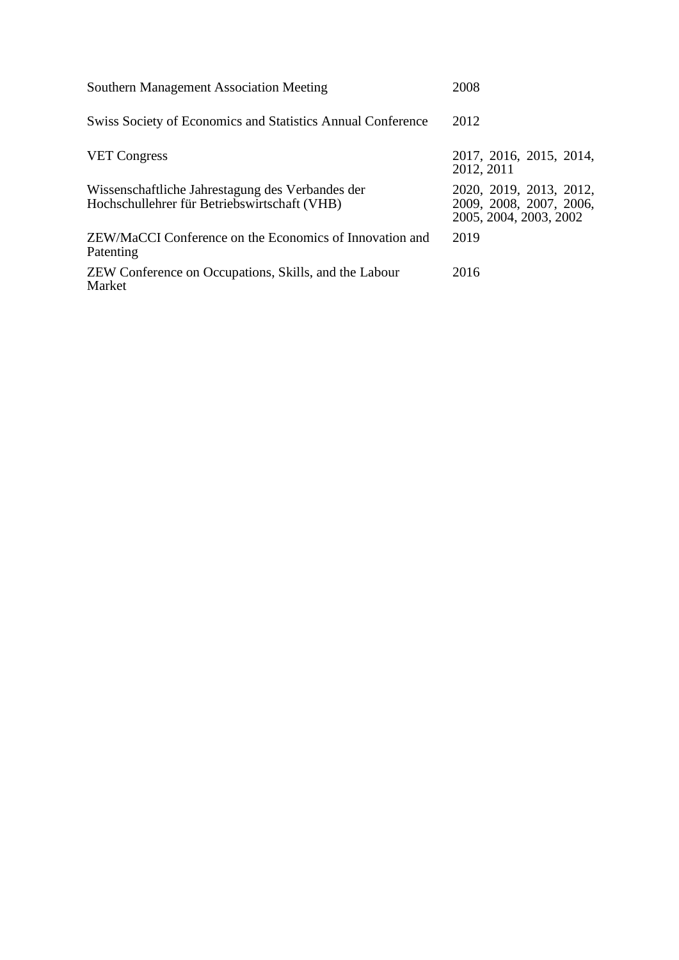| <b>Southern Management Association Meeting</b>                                                   | 2008                                                                         |
|--------------------------------------------------------------------------------------------------|------------------------------------------------------------------------------|
| Swiss Society of Economics and Statistics Annual Conference                                      | 2012                                                                         |
| <b>VET Congress</b>                                                                              | 2017, 2016, 2015, 2014,<br>2012, 2011                                        |
| Wissenschaftliche Jahrestagung des Verbandes der<br>Hochschullehrer für Betriebswirtschaft (VHB) | 2020, 2019, 2013, 2012,<br>2009, 2008, 2007, 2006,<br>2005, 2004, 2003, 2002 |
| ZEW/MaCCI Conference on the Economics of Innovation and<br>Patenting                             | 2019                                                                         |
| ZEW Conference on Occupations, Skills, and the Labour<br>Market                                  | 2016                                                                         |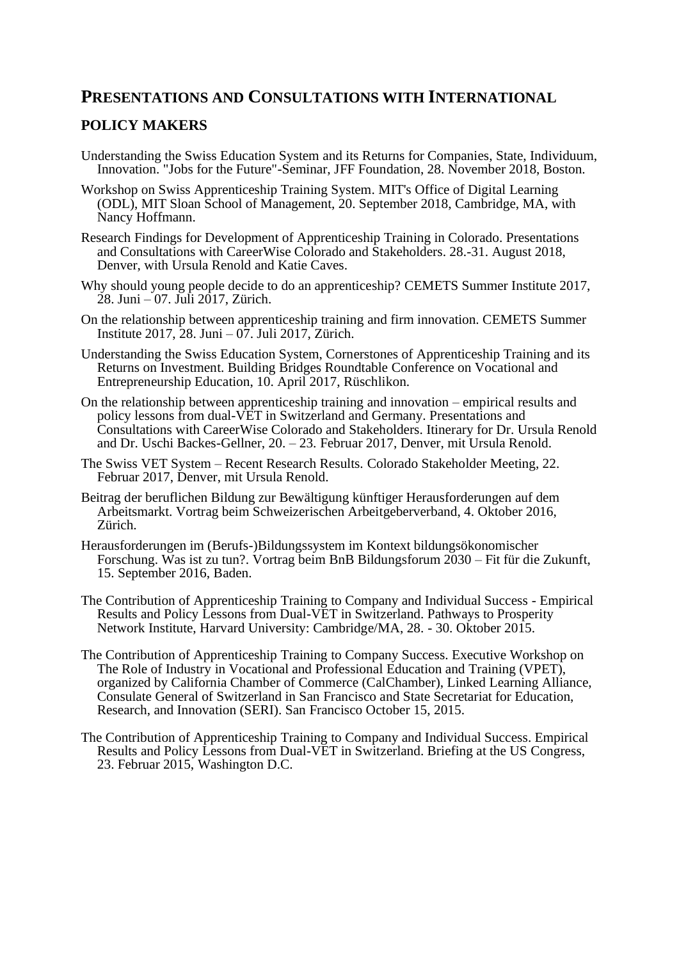# **PRESENTATIONS AND CONSULTATIONS WITH INTERNATIONAL**

## **POLICY MAKERS**

- Understanding the Swiss Education System and its Returns for Companies, State, Individuum, Innovation. "Jobs for the Future"-Seminar, JFF Foundation, 28. November 2018, Boston.
- Workshop on Swiss Apprenticeship Training System. MIT's Office of Digital Learning (ODL), MIT Sloan School of Management, 20. September 2018, Cambridge, MA, with Nancy Hoffmann.
- Research Findings for Development of Apprenticeship Training in Colorado. Presentations and Consultations with CareerWise Colorado and Stakeholders. 28.-31. August 2018, Denver, with Ursula Renold and Katie Caves.
- Why should young people decide to do an apprenticeship? CEMETS Summer Institute 2017, 28. Juni – 07. Juli 2017, Zürich.
- On the relationship between apprenticeship training and firm innovation. CEMETS Summer Institute 2017, 28. Juni –  $\overline{07}$ . Juli 2017, Zürich.
- Understanding the Swiss Education System, Cornerstones of Apprenticeship Training and its Returns on Investment. Building Bridges Roundtable Conference on Vocational and Entrepreneurship Education, 10. April 2017, Rüschlikon.
- On the relationship between apprenticeship training and innovation empirical results and policy lessons from dual-VET in Switzerland and Germany. Presentations and Consultations with CareerWise Colorado and Stakeholders. Itinerary for Dr. Ursula Renold and Dr. Uschi Backes-Gellner, 20. – 23. Februar 2017, Denver, mit Ursula Renold.
- The Swiss VET System Recent Research Results. Colorado Stakeholder Meeting, 22. Februar 2017, Denver, mit Ursula Renold.
- Beitrag der beruflichen Bildung zur Bewältigung künftiger Herausforderungen auf dem Arbeitsmarkt. Vortrag beim Schweizerischen Arbeitgeberverband, 4. Oktober 2016, Zürich.
- Herausforderungen im (Berufs-)Bildungssystem im Kontext bildungsökonomischer Forschung. Was ist zu tun?. Vortrag beim BnB Bildungsforum 2030 – Fit für die Zukunft, 15. September 2016, Baden.
- The Contribution of Apprenticeship Training to Company and Individual Success Empirical Results and Policy Lessons from Dual-VET in Switzerland. Pathways to Prosperity Network Institute, Harvard University: Cambridge/MA, 28. - 30. Oktober 2015.
- The Contribution of Apprenticeship Training to Company Success. Executive Workshop on The Role of Industry in Vocational and Professional Education and Training (VPET), organized by California Chamber of Commerce (CalChamber), Linked Learning Alliance, Consulate General of Switzerland in San Francisco and State Secretariat for Education, Research, and Innovation (SERI). San Francisco October 15, 2015.
- The Contribution of Apprenticeship Training to Company and Individual Success. Empirical Results and Policy Lessons from Dual-VET in Switzerland. Briefing at the US Congress, 23. Februar 2015, Washington D.C.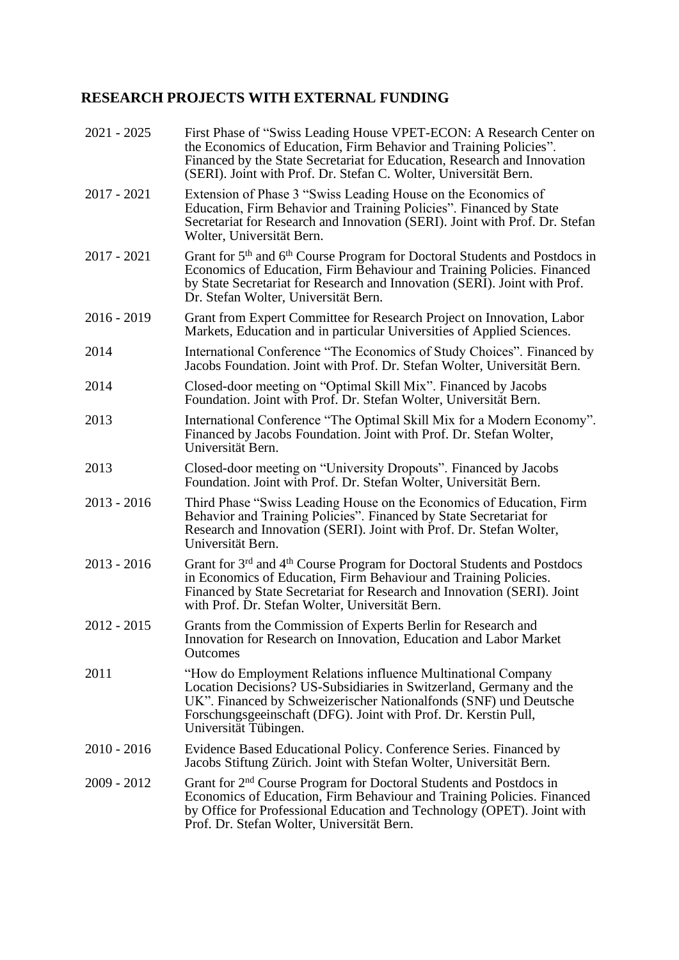### **RESEARCH PROJECTS WITH EXTERNAL FUNDING**

| $2021 - 2025$ | First Phase of "Swiss Leading House VPET-ECON: A Research Center on<br>the Economics of Education, Firm Behavior and Training Policies".<br>Financed by the State Secretariat for Education, Research and Innovation<br>(SERI). Joint with Prof. Dr. Stefan C. Wolter, Universität Bern.             |
|---------------|------------------------------------------------------------------------------------------------------------------------------------------------------------------------------------------------------------------------------------------------------------------------------------------------------|
| $2017 - 2021$ | Extension of Phase 3 "Swiss Leading House on the Economics of<br>Education, Firm Behavior and Training Policies". Financed by State<br>Secretariat for Research and Innovation (SERI). Joint with Prof. Dr. Stefan<br>Wolter, Universität Bern.                                                      |
| 2017 - 2021   | Grant for 5 <sup>th</sup> and 6 <sup>th</sup> Course Program for Doctoral Students and Postdocs in<br>Economics of Education, Firm Behaviour and Training Policies. Financed<br>by State Secretariat for Research and Innovation (SERI). Joint with Prof.<br>Dr. Stefan Wolter, Universität Bern.    |
| 2016 - 2019   | Grant from Expert Committee for Research Project on Innovation, Labor<br>Markets, Education and in particular Universities of Applied Sciences.                                                                                                                                                      |
| 2014          | International Conference "The Economics of Study Choices". Financed by<br>Jacobs Foundation. Joint with Prof. Dr. Stefan Wolter, Universität Bern.                                                                                                                                                   |
| 2014          | Closed-door meeting on "Optimal Skill Mix". Financed by Jacobs<br>Foundation. Joint with Prof. Dr. Stefan Wolter, Universität Bern.                                                                                                                                                                  |
| 2013          | International Conference "The Optimal Skill Mix for a Modern Economy".<br>Financed by Jacobs Foundation. Joint with Prof. Dr. Stefan Wolter,<br>Universität Bern.                                                                                                                                    |
| 2013          | Closed-door meeting on "University Dropouts". Financed by Jacobs<br>Foundation. Joint with Prof. Dr. Stefan Wolter, Universität Bern.                                                                                                                                                                |
| $2013 - 2016$ | Third Phase "Swiss Leading House on the Economics of Education, Firm<br>Behavior and Training Policies". Financed by State Secretariat for<br>Research and Innovation (SERI). Joint with Prof. Dr. Stefan Wolter,<br>Universität Bern.                                                               |
| $2013 - 2016$ | Grant for 3 <sup>rd</sup> and 4 <sup>th</sup> Course Program for Doctoral Students and Postdocs<br>in Economics of Education, Firm Behaviour and Training Policies.<br>Financed by State Secretariat for Research and Innovation (SERI). Joint<br>with Prof. Dr. Stefan Wolter, Universität Bern.    |
| $2012 - 2015$ | Grants from the Commission of Experts Berlin for Research and<br>Innovation for Research on Innovation, Education and Labor Market<br>Outcomes                                                                                                                                                       |
| 2011          | "How do Employment Relations influence Multinational Company<br>Location Decisions? US-Subsidiaries in Switzerland, Germany and the<br>UK". Financed by Schweizerischer Nationalfonds (SNF) und Deutsche<br>Forschungsgeeinschaft (DFG). Joint with Prof. Dr. Kerstin Pull,<br>Universität Tübingen. |
| $2010 - 2016$ | Evidence Based Educational Policy. Conference Series. Financed by<br>Jacobs Stiftung Zürich. Joint with Stefan Wolter, Universität Bern.                                                                                                                                                             |
| 2009 - 2012   | Grant for 2 <sup>nd</sup> Course Program for Doctoral Students and Postdocs in<br>Economics of Education, Firm Behaviour and Training Policies. Financed<br>by Office for Professional Education and Technology (OPET). Joint with<br>Prof. Dr. Stefan Wolter, Universität Bern.                     |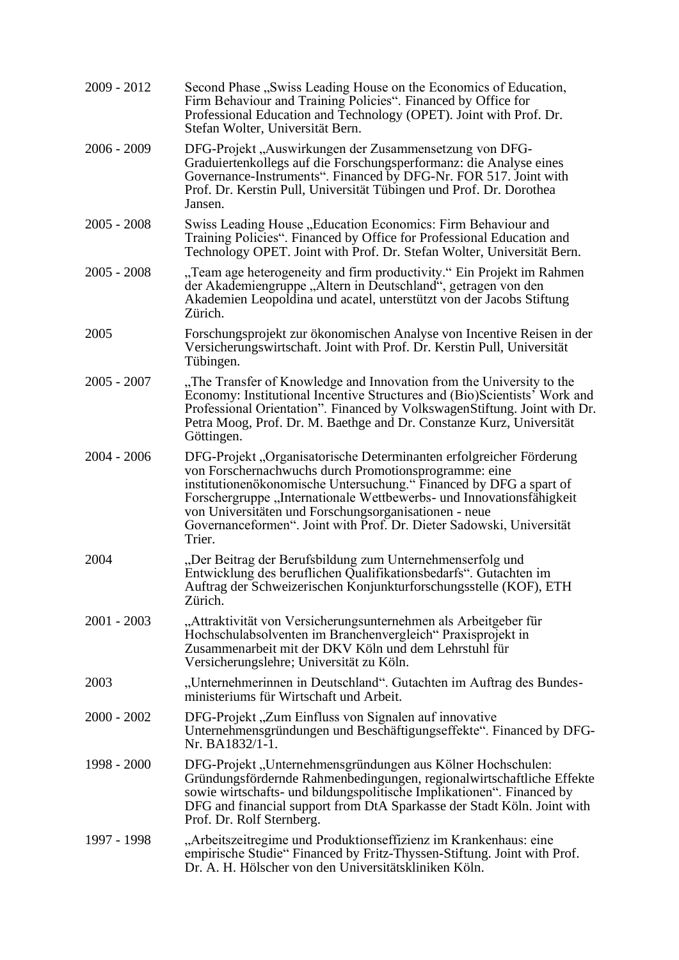| 2009 - 2012   | Second Phase "Swiss Leading House on the Economics of Education,<br>Firm Behaviour and Training Policies". Financed by Office for<br>Professional Education and Technology (OPET). Joint with Prof. Dr.<br>Stefan Wolter, Universität Bern.                                                                                                                                                                           |
|---------------|-----------------------------------------------------------------------------------------------------------------------------------------------------------------------------------------------------------------------------------------------------------------------------------------------------------------------------------------------------------------------------------------------------------------------|
| $2006 - 2009$ | DFG-Projekt, Auswirkungen der Zusammensetzung von DFG-<br>Graduiertenkollegs auf die Forschungsperformanz: die Analyse eines<br>Governance-Instruments". Financed by DFG-Nr. FOR 517. Joint with<br>Prof. Dr. Kerstin Pull, Universität Tübingen und Prof. Dr. Dorothea<br>Jansen.                                                                                                                                    |
| $2005 - 2008$ | Swiss Leading House "Education Economics: Firm Behaviour and<br>Training Policies". Financed by Office for Professional Education and<br>Technology OPET. Joint with Prof. Dr. Stefan Wolter, Universität Bern.                                                                                                                                                                                                       |
| $2005 - 2008$ | "Team age heterogeneity and firm productivity." Ein Projekt im Rahmen<br>der Akademiengruppe "Altern in Deutschland", getragen von den<br>Akademien Leopoldina und acatel, unterstützt von der Jacobs Stiftung<br>Zürich.                                                                                                                                                                                             |
| 2005          | Forschungsprojekt zur ökonomischen Analyse von Incentive Reisen in der<br>Versicherungswirtschaft. Joint with Prof. Dr. Kerstin Pull, Universität<br>Tübingen.                                                                                                                                                                                                                                                        |
| $2005 - 2007$ | "The Transfer of Knowledge and Innovation from the University to the<br>Economy: Institutional Incentive Structures and (Bio)Scientists' Work and<br>Professional Orientation". Financed by VolkswagenStiftung. Joint with Dr.<br>Petra Moog, Prof. Dr. M. Baethge and Dr. Constanze Kurz, Universität<br>Göttingen.                                                                                                  |
| $2004 - 2006$ | DFG-Projekt, Organisatorische Determinanten erfolgreicher Förderung<br>von Forschernachwuchs durch Promotionsprogramme: eine<br>institutionenökonomische Untersuchung." Financed by DFG a spart of<br>Forschergruppe "Internationale Wettbewerbs- und Innovationsfähigkeit<br>von Universitäten und Forschungsorganisationen - neue<br>Governanceformen". Joint with Prof. Dr. Dieter Sadowski, Universität<br>Trier. |
| 2004          | "Der Beitrag der Berufsbildung zum Unternehmenserfolg und<br>Entwicklung des beruflichen Qualifikationsbedarfs". Gutachten im<br>Auftrag der Schweizerischen Konjunkturforschungsstelle (KOF), ETH<br>Zürich.                                                                                                                                                                                                         |
| $2001 - 2003$ | "Attraktivität von Versicherungsunternehmen als Arbeitgeber für<br>Hochschulabsolventen im Branchenvergleich" Praxisprojekt in<br>Zusammenarbeit mit der DKV Köln und dem Lehrstuhl für<br>Versicherungslehre; Universität zu Köln.                                                                                                                                                                                   |
| 2003          | "Unternehmerinnen in Deutschland". Gutachten im Auftrag des Bundes-<br>ministeriums für Wirtschaft und Arbeit.                                                                                                                                                                                                                                                                                                        |
| $2000 - 2002$ | DFG-Projekt "Zum Einfluss von Signalen auf innovative<br>Unternehmensgründungen und Beschäftigungseffekte". Financed by DFG-<br>Nr. BA1832/1-1.                                                                                                                                                                                                                                                                       |
| 1998 - 2000   | DFG-Projekt, Unternehmensgründungen aus Kölner Hochschulen:<br>Gründungsfördernde Rahmenbedingungen, regionalwirtschaftliche Effekte<br>sowie wirtschafts- und bildungspolitische Implikationen". Financed by<br>DFG and financial support from DtA Sparkasse der Stadt Köln. Joint with<br>Prof. Dr. Rolf Sternberg.                                                                                                 |
| 1997 - 1998   | "Arbeitszeitregime und Produktionseffizienz im Krankenhaus: eine<br>empirische Studie" Financed by Fritz-Thyssen-Stiftung. Joint with Prof.<br>Dr. A. H. Hölscher von den Universitätskliniken Köln.                                                                                                                                                                                                                  |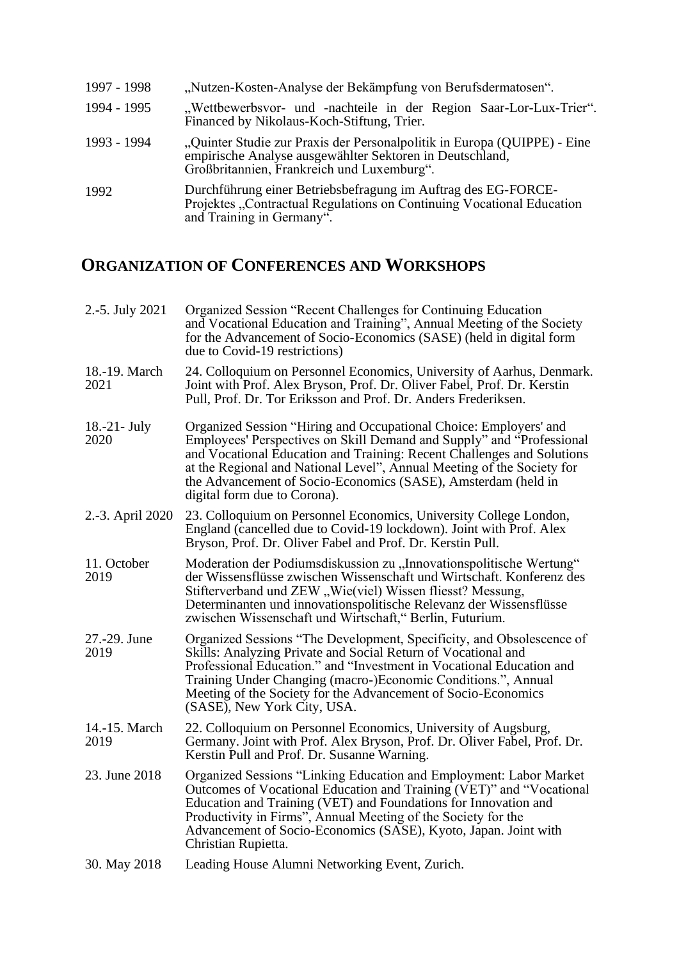| 1997 - 1998 | "Nutzen-Kosten-Analyse der Bekämpfung von Berufsdermatosen".                                                                                                                       |
|-------------|------------------------------------------------------------------------------------------------------------------------------------------------------------------------------------|
| 1994 - 1995 | "Wettbewerbsvor- und -nachteile in der Region Saar-Lor-Lux-Trier".<br>Financed by Nikolaus-Koch-Stiftung, Trier.                                                                   |
| 1993 - 1994 | "Quinter Studie zur Praxis der Personalpolitik in Europa (QUIPPE) - Eine<br>empirische Analyse ausgewählter Sektoren in Deutschland,<br>Großbritannien, Frankreich und Luxemburg". |
| 1992        | Durchführung einer Betriebsbefragung im Auftrag des EG-FORCE-<br>Projektes "Contractual Regulations on Continuing Vocational Education<br>and Training in Germany".                |

## **ORGANIZATION OF CONFERENCES AND WORKSHOPS**

| 2.-5. July 2021         | Organized Session "Recent Challenges for Continuing Education<br>and Vocational Education and Training", Annual Meeting of the Society<br>for the Advancement of Socio-Economics (SASE) (held in digital form<br>due to Covid-19 restrictions)                                                                                                                                                  |
|-------------------------|-------------------------------------------------------------------------------------------------------------------------------------------------------------------------------------------------------------------------------------------------------------------------------------------------------------------------------------------------------------------------------------------------|
| 18.-19. March<br>2021   | 24. Colloquium on Personnel Economics, University of Aarhus, Denmark.<br>Joint with Prof. Alex Bryson, Prof. Dr. Oliver Fabel, Prof. Dr. Kerstin<br>Pull, Prof. Dr. Tor Eriksson and Prof. Dr. Anders Frederiksen.                                                                                                                                                                              |
| $18.-21$ - July<br>2020 | Organized Session "Hiring and Occupational Choice: Employers' and<br>Employees' Perspectives on Skill Demand and Supply" and "Professional<br>and Vocational Education and Training: Recent Challenges and Solutions<br>at the Regional and National Level", Annual Meeting of the Society for<br>the Advancement of Socio-Economics (SASE), Amsterdam (held in<br>digital form due to Corona). |
| 2.-3. April 2020        | 23. Colloquium on Personnel Economics, University College London,<br>England (cancelled due to Covid-19 lockdown). Joint with Prof. Alex<br>Bryson, Prof. Dr. Oliver Fabel and Prof. Dr. Kerstin Pull.                                                                                                                                                                                          |
| 11. October<br>2019     | Moderation der Podiumsdiskussion zu "Innovationspolitische Wertung"<br>der Wissensflüsse zwischen Wissenschaft und Wirtschaft. Konferenz des<br>Stifterverband und ZEW "Wie(viel) Wissen fliesst? Messung,<br>Determinanten und innovationspolitische Relevanz der Wissensflüsse<br>zwischen Wissenschaft und Wirtschaft," Berlin, Futurium.                                                    |
| 27.-29. June<br>2019    | Organized Sessions "The Development, Specificity, and Obsolescence of<br>Skills: Analyzing Private and Social Return of Vocational and<br>Professional Education." and "Investment in Vocational Education and<br>Training Under Changing (macro-)Economic Conditions.", Annual<br>Meeting of the Society for the Advancement of Socio-Economics<br>(SASE), New York City, USA.                 |
| 14.-15. March<br>2019   | 22. Colloquium on Personnel Economics, University of Augsburg,<br>Germany. Joint with Prof. Alex Bryson, Prof. Dr. Oliver Fabel, Prof. Dr.<br>Kerstin Pull and Prof. Dr. Susanne Warning.                                                                                                                                                                                                       |
| 23. June 2018           | Organized Sessions "Linking Education and Employment: Labor Market<br>Outcomes of Vocational Education and Training (VET)" and "Vocational<br>Education and Training (VET) and Foundations for Innovation and<br>Productivity in Firms", Annual Meeting of the Society for the<br>Advancement of Socio-Economics (SASE), Kyoto, Japan. Joint with<br>Christian Rupietta.                        |
| 30. May 2018            | Leading House Alumni Networking Event, Zurich.                                                                                                                                                                                                                                                                                                                                                  |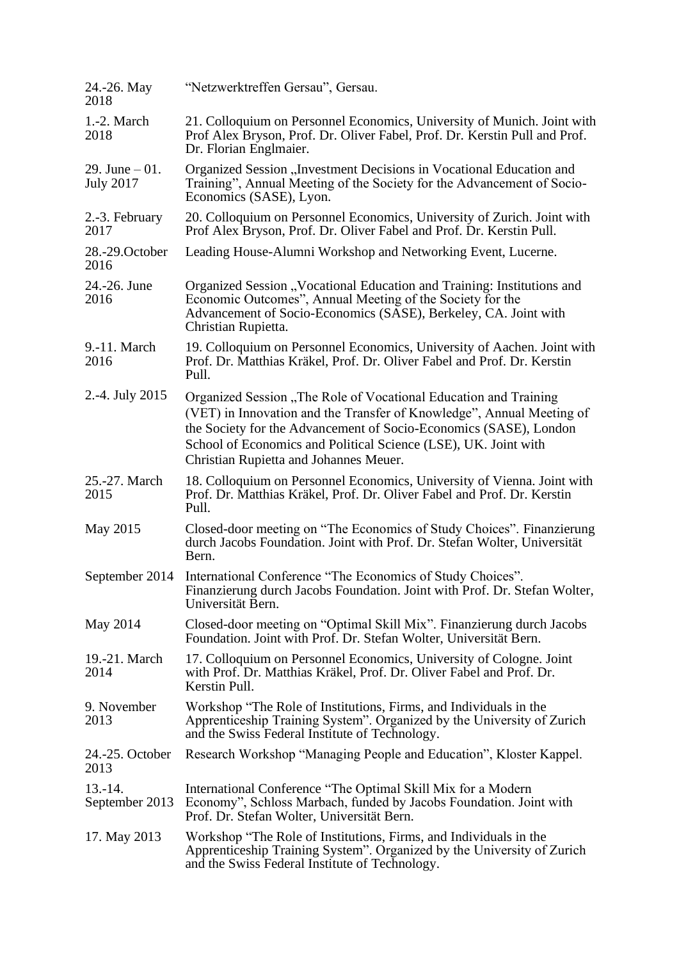| 24.-26. May<br>2018                  | "Netzwerktreffen Gersau", Gersau.                                                                                                                                                                                                                                                                                           |
|--------------------------------------|-----------------------------------------------------------------------------------------------------------------------------------------------------------------------------------------------------------------------------------------------------------------------------------------------------------------------------|
| 1.-2. March<br>2018                  | 21. Colloquium on Personnel Economics, University of Munich. Joint with<br>Prof Alex Bryson, Prof. Dr. Oliver Fabel, Prof. Dr. Kerstin Pull and Prof.<br>Dr. Florian Englmaier.                                                                                                                                             |
| 29. June $-01$ .<br><b>July 2017</b> | Organized Session "Investment Decisions in Vocational Education and<br>Training", Annual Meeting of the Society for the Advancement of Socio-<br>Economics (SASE), Lyon.                                                                                                                                                    |
| 2.-3. February<br>2017               | 20. Colloquium on Personnel Economics, University of Zurich. Joint with<br>Prof Alex Bryson, Prof. Dr. Oliver Fabel and Prof. Dr. Kerstin Pull.                                                                                                                                                                             |
| 28.-29. October<br>2016              | Leading House-Alumni Workshop and Networking Event, Lucerne.                                                                                                                                                                                                                                                                |
| 24.-26. June<br>2016                 | Organized Session "Vocational Education and Training: Institutions and<br>Economic Outcomes", Annual Meeting of the Society for the<br>Advancement of Socio-Economics (SASE), Berkeley, CA. Joint with<br>Christian Rupietta.                                                                                               |
| 9.-11. March<br>2016                 | 19. Colloquium on Personnel Economics, University of Aachen. Joint with<br>Prof. Dr. Matthias Kräkel, Prof. Dr. Oliver Fabel and Prof. Dr. Kerstin<br>Pull.                                                                                                                                                                 |
| 2.-4. July 2015                      | Organized Session "The Role of Vocational Education and Training<br>(VET) in Innovation and the Transfer of Knowledge", Annual Meeting of<br>the Society for the Advancement of Socio-Economics (SASE), London<br>School of Economics and Political Science (LSE), UK. Joint with<br>Christian Rupietta and Johannes Meuer. |
| 25.-27. March<br>2015                | 18. Colloquium on Personnel Economics, University of Vienna. Joint with<br>Prof. Dr. Matthias Kräkel, Prof. Dr. Oliver Fabel and Prof. Dr. Kerstin<br>Pull.                                                                                                                                                                 |
| May 2015                             | Closed-door meeting on "The Economics of Study Choices". Finanzierung<br>durch Jacobs Foundation. Joint with Prof. Dr. Stefan Wolter, Universität<br>Bern.                                                                                                                                                                  |
| September 2014                       | International Conference "The Economics of Study Choices".<br>Finanzierung durch Jacobs Foundation. Joint with Prof. Dr. Stefan Wolter,<br>Universität Bern.                                                                                                                                                                |
| May 2014                             | Closed-door meeting on "Optimal Skill Mix". Finanzierung durch Jacobs<br>Foundation. Joint with Prof. Dr. Stefan Wolter, Universität Bern.                                                                                                                                                                                  |
| 19.-21. March<br>2014                | 17. Colloquium on Personnel Economics, University of Cologne. Joint<br>with Prof. Dr. Matthias Kräkel, Prof. Dr. Oliver Fabel and Prof. Dr.<br>Kerstin Pull.                                                                                                                                                                |
| 9. November<br>2013                  | Workshop "The Role of Institutions, Firms, and Individuals in the<br>Apprenticeship Training System". Organized by the University of Zurich<br>and the Swiss Federal Institute of Technology.                                                                                                                               |
| 24.-25. October<br>2013              | Research Workshop "Managing People and Education", Kloster Kappel.                                                                                                                                                                                                                                                          |
| $13.-14.$<br>September 2013          | International Conference "The Optimal Skill Mix for a Modern<br>Economy", Schloss Marbach, funded by Jacobs Foundation. Joint with<br>Prof. Dr. Stefan Wolter, Universität Bern.                                                                                                                                            |
| 17. May 2013                         | Workshop "The Role of Institutions, Firms, and Individuals in the<br>Apprenticeship Training System". Organized by the University of Zurich<br>and the Swiss Federal Institute of Technology.                                                                                                                               |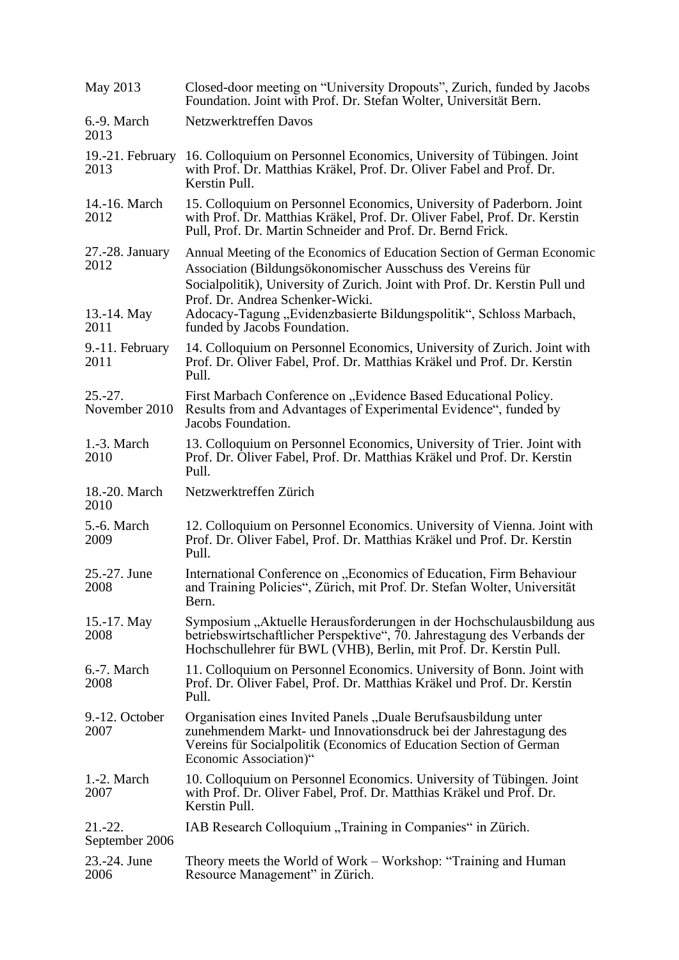| May 2013                      | Closed-door meeting on "University Dropouts", Zurich, funded by Jacobs<br>Foundation. Joint with Prof. Dr. Stefan Wolter, Universität Bern.                                                                                          |
|-------------------------------|--------------------------------------------------------------------------------------------------------------------------------------------------------------------------------------------------------------------------------------|
| 6.-9. March<br>2013           | Netzwerktreffen Davos                                                                                                                                                                                                                |
| 19.-21. February<br>2013      | 16. Colloquium on Personnel Economics, University of Tübingen. Joint<br>with Prof. Dr. Matthias Kräkel, Prof. Dr. Oliver Fabel and Prof. Dr.<br>Kerstin Pull.                                                                        |
| 14.-16. March<br>2012         | 15. Colloquium on Personnel Economics, University of Paderborn. Joint<br>with Prof. Dr. Matthias Kräkel, Prof. Dr. Oliver Fabel, Prof. Dr. Kerstin<br>Pull, Prof. Dr. Martin Schneider and Prof. Dr. Bernd Frick.                    |
| 27.-28. January<br>2012       | Annual Meeting of the Economics of Education Section of German Economic<br>Association (Bildungsökonomischer Ausschuss des Vereins für<br>Socialpolitik), University of Zurich. Joint with Prof. Dr. Kerstin Pull und                |
| 13.-14. May<br>2011           | Prof. Dr. Andrea Schenker-Wicki.<br>Adocacy-Tagung, Evidenzbasierte Bildungspolitik", Schloss Marbach,<br>funded by Jacobs Foundation.                                                                                               |
| 9.-11. February<br>2011       | 14. Colloquium on Personnel Economics, University of Zurich. Joint with<br>Prof. Dr. Oliver Fabel, Prof. Dr. Matthias Kräkel und Prof. Dr. Kerstin<br>Pull.                                                                          |
| $25.-27.$<br>November 2010    | First Marbach Conference on "Evidence Based Educational Policy.<br>Results from and Advantages of Experimental Evidence", funded by<br>Jacobs Foundation.                                                                            |
| $1.-3. March$<br>2010         | 13. Colloquium on Personnel Economics, University of Trier. Joint with<br>Prof. Dr. Oliver Fabel, Prof. Dr. Matthias Kräkel und Prof. Dr. Kerstin<br>Pull.                                                                           |
| 18.-20. March<br>2010         | Netzwerktreffen Zürich                                                                                                                                                                                                               |
| 5.-6. March<br>2009           | 12. Colloquium on Personnel Economics. University of Vienna. Joint with<br>Prof. Dr. Oliver Fabel, Prof. Dr. Matthias Kräkel und Prof. Dr. Kerstin<br>Pull.                                                                          |
| 25.-27. June<br>2008          | International Conference on "Economics of Education, Firm Behaviour<br>and Training Policies", Zürich, mit Prof. Dr. Stefan Wolter, Universität<br>Bern.                                                                             |
| 15.-17. May<br>2008           | Symposium "Aktuelle Herausforderungen in der Hochschulausbildung aus<br>betriebswirtschaftlicher Perspektive", 70. Jahrestagung des Verbands der<br>Hochschullehrer für BWL (VHB), Berlin, mit Prof. Dr. Kerstin Pull.               |
| 6.-7. March<br>2008           | 11. Colloquium on Personnel Economics. University of Bonn. Joint with<br>Prof. Dr. Oliver Fabel, Prof. Dr. Matthias Kräkel und Prof. Dr. Kerstin<br>Pull.                                                                            |
| 9.-12. October<br>2007        | Organisation eines Invited Panels "Duale Berufsausbildung unter<br>zunehmendem Markt- und Innovationsdruck bei der Jahrestagung des<br>Vereins für Socialpolitik (Economics of Education Section of German<br>Economic Association)" |
| 1.-2. March<br>2007           | 10. Colloquium on Personnel Economics. University of Tübingen. Joint<br>with Prof. Dr. Oliver Fabel, Prof. Dr. Matthias Kräkel und Prof. Dr.<br>Kerstin Pull.                                                                        |
| $21 - 22$ .<br>September 2006 | IAB Research Colloquium "Training in Companies" in Zürich.                                                                                                                                                                           |
| 23.-24. June<br>2006          | Theory meets the World of Work – Workshop: "Training and Human"<br>Resource Management" in Zürich.                                                                                                                                   |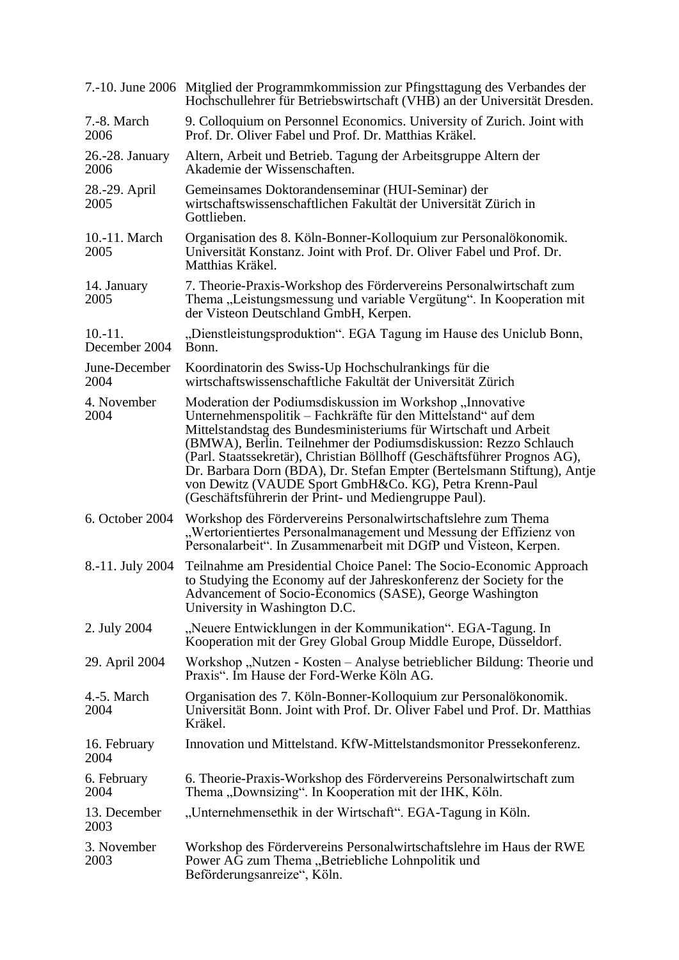|                            | 7.-10. June 2006 Mitglied der Programmkommission zur Pfingsttagung des Verbandes der<br>Hochschullehrer für Betriebswirtschaft (VHB) an der Universität Dresden.                                                                                                                                                                                                                                                                                                                                                                            |
|----------------------------|---------------------------------------------------------------------------------------------------------------------------------------------------------------------------------------------------------------------------------------------------------------------------------------------------------------------------------------------------------------------------------------------------------------------------------------------------------------------------------------------------------------------------------------------|
| 7.-8. March<br>2006        | 9. Colloquium on Personnel Economics. University of Zurich. Joint with<br>Prof. Dr. Oliver Fabel und Prof. Dr. Matthias Kräkel.                                                                                                                                                                                                                                                                                                                                                                                                             |
| 26.-28. January<br>2006    | Altern, Arbeit und Betrieb. Tagung der Arbeitsgruppe Altern der<br>Akademie der Wissenschaften.                                                                                                                                                                                                                                                                                                                                                                                                                                             |
| 28.-29. April<br>2005      | Gemeinsames Doktorandenseminar (HUI-Seminar) der<br>wirtschaftswissenschaftlichen Fakultät der Universität Zürich in<br>Gottlieben.                                                                                                                                                                                                                                                                                                                                                                                                         |
| 10.-11. March<br>2005      | Organisation des 8. Köln-Bonner-Kolloquium zur Personalökonomik.<br>Universität Konstanz. Joint with Prof. Dr. Oliver Fabel und Prof. Dr.<br>Matthias Kräkel.                                                                                                                                                                                                                                                                                                                                                                               |
| 14. January<br>2005        | 7. Theorie-Praxis-Workshop des Fördervereins Personalwirtschaft zum<br>Thema "Leistungsmessung und variable Vergütung". In Kooperation mit<br>der Visteon Deutschland GmbH, Kerpen.                                                                                                                                                                                                                                                                                                                                                         |
| $10.-11.$<br>December 2004 | "Dienstleistungsproduktion". EGA Tagung im Hause des Uniclub Bonn,<br>Bonn.                                                                                                                                                                                                                                                                                                                                                                                                                                                                 |
| June-December<br>2004      | Koordinatorin des Swiss-Up Hochschulrankings für die<br>wirtschaftswissenschaftliche Fakultät der Universität Zürich                                                                                                                                                                                                                                                                                                                                                                                                                        |
| 4. November<br>2004        | Moderation der Podiumsdiskussion im Workshop "Innovative<br>Unternehmenspolitik – Fachkräfte für den Mittelstand" auf dem<br>Mittelstandstag des Bundesministeriums für Wirtschaft und Arbeit<br>(BMWA), Berlin. Teilnehmer der Podiumsdiskussion: Rezzo Schlauch<br>(Parl. Staatssekretär), Christian Böllhoff (Geschäftsführer Prognos AG),<br>Dr. Barbara Dorn (BDA), Dr. Stefan Empter (Bertelsmann Stiftung), Antje<br>von Dewitz (VAUDE Sport GmbH&Co. KG), Petra Krenn-Paul<br>(Geschäftsführerin der Print- und Mediengruppe Paul). |
| 6. October 2004            | Workshop des Fördervereins Personalwirtschaftslehre zum Thema<br>"Wertorientiertes Personalmanagement und Messung der Effizienz von<br>Personalarbeit". In Zusammenarbeit mit DGfP und Visteon, Kerpen.                                                                                                                                                                                                                                                                                                                                     |
| 8.-11. July 2004           | Teilnahme am Presidential Choice Panel: The Socio-Economic Approach<br>to Studying the Economy auf der Jahreskonferenz der Society for the<br>Advancement of Socio-Economics (SASE), George Washington<br>University in Washington D.C.                                                                                                                                                                                                                                                                                                     |
| 2. July 2004               | "Neuere Entwicklungen in der Kommunikation". EGA-Tagung. In<br>Kooperation mit der Grey Global Group Middle Europe, Düsseldorf.                                                                                                                                                                                                                                                                                                                                                                                                             |
| 29. April 2004             | Workshop "Nutzen - Kosten – Analyse betrieblicher Bildung: Theorie und<br>Praxis". Im Hause der Ford-Werke Köln AG.                                                                                                                                                                                                                                                                                                                                                                                                                         |
| 4.-5. March<br>2004        | Organisation des 7. Köln-Bonner-Kolloquium zur Personalökonomik.<br>Universität Bonn. Joint with Prof. Dr. Oliver Fabel und Prof. Dr. Matthias<br>Kräkel.                                                                                                                                                                                                                                                                                                                                                                                   |
| 16. February<br>2004       | Innovation und Mittelstand. KfW-Mittelstandsmonitor Pressekonferenz.                                                                                                                                                                                                                                                                                                                                                                                                                                                                        |
| 6. February<br>2004        | 6. Theorie-Praxis-Workshop des Fördervereins Personalwirtschaft zum<br>Thema "Downsizing". In Kooperation mit der IHK, Köln.                                                                                                                                                                                                                                                                                                                                                                                                                |
| 13. December<br>2003       | "Unternehmensethik in der Wirtschaft". EGA-Tagung in Köln.                                                                                                                                                                                                                                                                                                                                                                                                                                                                                  |
| 3. November<br>2003        | Workshop des Fördervereins Personalwirtschaftslehre im Haus der RWE<br>Power AG zum Thema "Betriebliche Lohnpolitik und<br>Beförderungsanreize", Köln.                                                                                                                                                                                                                                                                                                                                                                                      |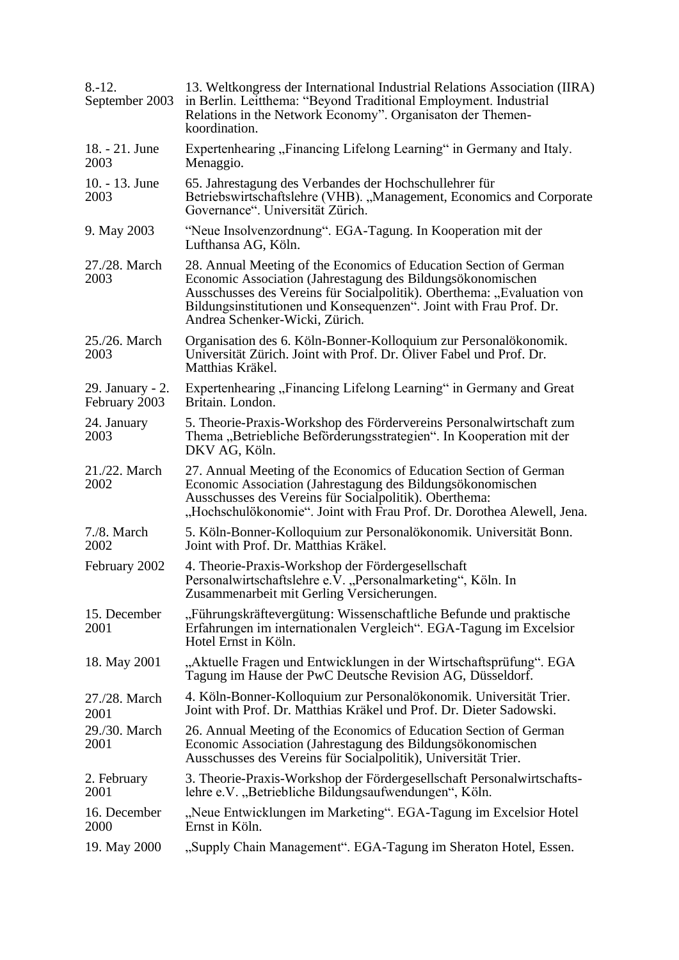| $8 - 12.$<br>September 2003       | 13. Weltkongress der International Industrial Relations Association (IIRA)<br>in Berlin. Leitthema: "Beyond Traditional Employment. Industrial<br>Relations in the Network Economy". Organisaton der Themen-<br>koordination.                                                                                       |
|-----------------------------------|---------------------------------------------------------------------------------------------------------------------------------------------------------------------------------------------------------------------------------------------------------------------------------------------------------------------|
| 18. - 21. June<br>2003            | Expertenhearing "Financing Lifelong Learning" in Germany and Italy.<br>Menaggio.                                                                                                                                                                                                                                    |
| 10. - 13. June<br>2003            | 65. Jahrestagung des Verbandes der Hochschullehrer für<br>Betriebswirtschaftslehre (VHB). "Management, Economics and Corporate<br>Governance". Universität Zürich.                                                                                                                                                  |
| 9. May 2003                       | "Neue Insolvenzordnung". EGA-Tagung. In Kooperation mit der<br>Lufthansa AG, Köln.                                                                                                                                                                                                                                  |
| 27./28. March<br>2003             | 28. Annual Meeting of the Economics of Education Section of German<br>Economic Association (Jahrestagung des Bildungsökonomischen<br>Ausschusses des Vereins für Socialpolitik). Oberthema: "Evaluation von<br>Bildungsinstitutionen und Konsequenzen". Joint with Frau Prof. Dr.<br>Andrea Schenker-Wicki, Zürich. |
| 25./26. March<br>2003             | Organisation des 6. Köln-Bonner-Kolloquium zur Personalökonomik.<br>Universität Zürich. Joint with Prof. Dr. Oliver Fabel und Prof. Dr.<br>Matthias Kräkel.                                                                                                                                                         |
| 29. January - 2.<br>February 2003 | Expertenhearing "Financing Lifelong Learning" in Germany and Great<br>Britain. London.                                                                                                                                                                                                                              |
| 24. January<br>2003               | 5. Theorie-Praxis-Workshop des Fördervereins Personalwirtschaft zum<br>Thema "Betriebliche Beförderungsstrategien". In Kooperation mit der<br>DKV AG, Köln.                                                                                                                                                         |
| 21./22. March<br>2002             | 27. Annual Meeting of the Economics of Education Section of German<br>Economic Association (Jahrestagung des Bildungsökonomischen<br>Ausschusses des Vereins für Socialpolitik). Oberthema:<br>"Hochschulökonomie". Joint with Frau Prof. Dr. Dorothea Alewell, Jena.                                               |
| 7./8. March<br>2002               | 5. Köln-Bonner-Kolloquium zur Personalökonomik. Universität Bonn.<br>Joint with Prof. Dr. Matthias Kräkel.                                                                                                                                                                                                          |
| February 2002                     | 4. Theorie-Praxis-Workshop der Fördergesellschaft<br>Personalwirtschaftslehre e.V. "Personalmarketing", Köln. In<br>Zusammenarbeit mit Gerling Versicherungen.                                                                                                                                                      |
| 15. December<br>2001              | "Führungskräftevergütung: Wissenschaftliche Befunde und praktische<br>Erfahrungen im internationalen Vergleich". EGA-Tagung im Excelsior<br>Hotel Ernst in Köln.                                                                                                                                                    |
| 18. May 2001                      | "Aktuelle Fragen und Entwicklungen in der Wirtschaftsprüfung". EGA<br>Tagung im Hause der PwC Deutsche Revision AG, Düsseldorf.                                                                                                                                                                                     |
| 27./28. March<br>2001             | 4. Köln-Bonner-Kolloquium zur Personalökonomik. Universität Trier.<br>Joint with Prof. Dr. Matthias Kräkel und Prof. Dr. Dieter Sadowski.                                                                                                                                                                           |
| 29./30. March<br>2001             | 26. Annual Meeting of the Economics of Education Section of German<br>Economic Association (Jahrestagung des Bildungsökonomischen<br>Ausschusses des Vereins für Socialpolitik), Universität Trier.                                                                                                                 |
| 2. February<br>2001               | 3. Theorie-Praxis-Workshop der Fördergesellschaft Personalwirtschafts-<br>lehre e.V. "Betriebliche Bildungsaufwendungen", Köln.                                                                                                                                                                                     |
| 16. December<br>2000              | "Neue Entwicklungen im Marketing". EGA-Tagung im Excelsior Hotel<br>Ernst in Köln.                                                                                                                                                                                                                                  |
| 19. May 2000                      | "Supply Chain Management". EGA-Tagung im Sheraton Hotel, Essen.                                                                                                                                                                                                                                                     |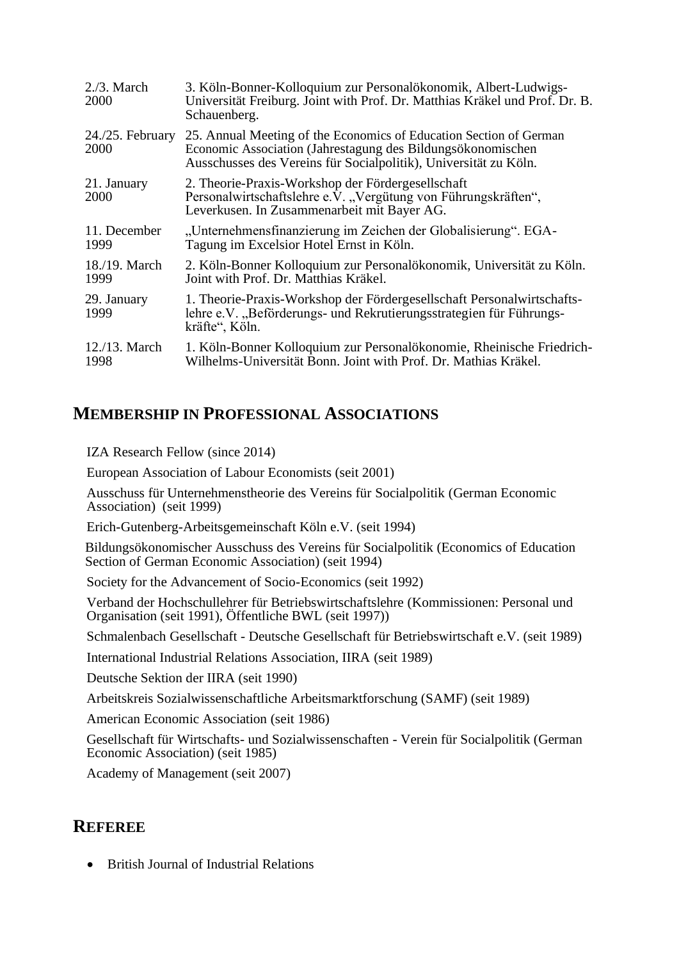| $2.73.$ March<br>2000      | 3. Köln-Bonner-Kolloquium zur Personalökonomik, Albert-Ludwigs-<br>Universität Freiburg. Joint with Prof. Dr. Matthias Kräkel und Prof. Dr. B.<br>Schauenberg.                                        |
|----------------------------|-------------------------------------------------------------------------------------------------------------------------------------------------------------------------------------------------------|
| $24.25$ . February<br>2000 | 25. Annual Meeting of the Economics of Education Section of German<br>Economic Association (Jahrestagung des Bildungsökonomischen<br>Ausschusses des Vereins für Socialpolitik), Universität zu Köln. |
| 21. January<br>2000        | 2. Theorie-Praxis-Workshop der Fördergesellschaft<br>Personalwirtschaftslehre e.V. "Vergütung von Führungskräften",<br>Leverkusen. In Zusammenarbeit mit Bayer AG.                                    |
| 11. December<br>1999       | "Unternehmensfinanzierung im Zeichen der Globalisierung". EGA-<br>Tagung im Excelsior Hotel Ernst in Köln.                                                                                            |
| 18./19. March<br>1999      | 2. Köln-Bonner Kolloquium zur Personalökonomik, Universität zu Köln.<br>Joint with Prof. Dr. Matthias Kräkel.                                                                                         |
| 29. January<br>1999        | 1. Theorie-Praxis-Workshop der Fördergesellschaft Personalwirtschafts-<br>lehre e.V. "Beförderungs- und Rekrutierungsstrategien für Führungs-<br>kräfte", Köln.                                       |
| $12./13$ . March<br>1998   | 1. Köln-Bonner Kolloquium zur Personalökonomie, Rheinische Friedrich-<br>Wilhelms-Universität Bonn. Joint with Prof. Dr. Mathias Kräkel.                                                              |

### **MEMBERSHIP IN PROFESSIONAL ASSOCIATIONS**

IZA Research Fellow (since 2014)

European Association of Labour Economists (seit 2001)

Ausschuss für Unternehmenstheorie des Vereins für Socialpolitik (German Economic Association) (seit 1999)

Erich-Gutenberg-Arbeitsgemeinschaft Köln e.V. (seit 1994)

Bildungsökonomischer Ausschuss des Vereins für Socialpolitik (Economics of Education Section of German Economic Association) (seit 1994)

Society for the Advancement of Socio-Economics (seit 1992)

Verband der Hochschullehrer für Betriebswirtschaftslehre (Kommissionen: Personal und Organisation (seit 1991), Öffentliche BWL (seit 1997))

Schmalenbach Gesellschaft - Deutsche Gesellschaft für Betriebswirtschaft e.V. (seit 1989)

International Industrial Relations Association, IIRA (seit 1989)

Deutsche Sektion der IIRA (seit 1990)

Arbeitskreis Sozialwissenschaftliche Arbeitsmarktforschung (SAMF) (seit 1989)

American Economic Association (seit 1986)

Gesellschaft für Wirtschafts- und Sozialwissenschaften - Verein für Socialpolitik (German Economic Association) (seit 1985)

Academy of Management (seit 2007)

### **REFEREE**

• British Journal of Industrial Relations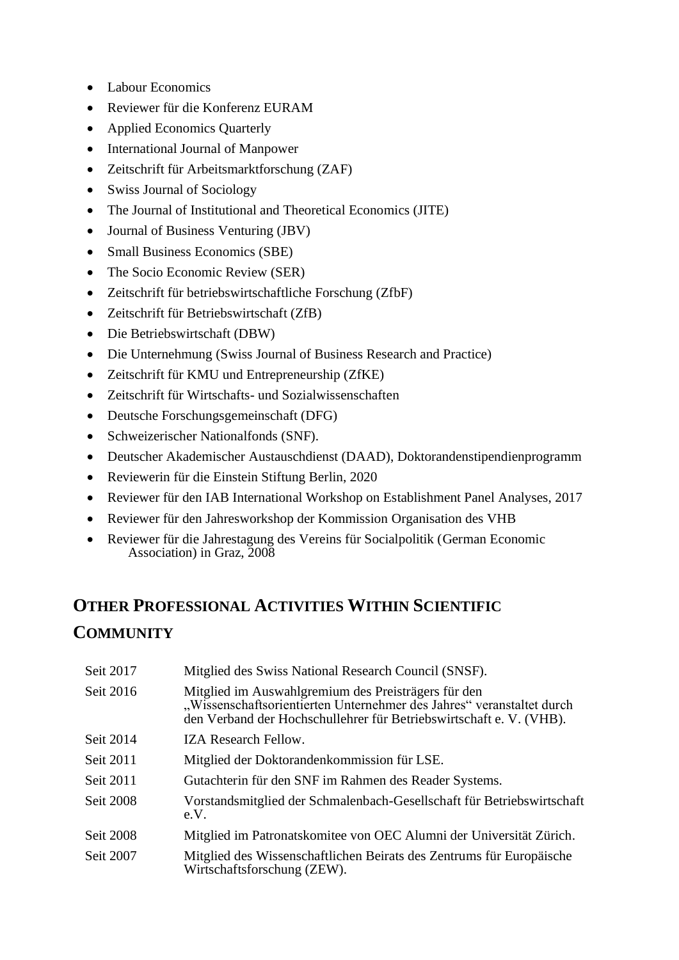- Labour Economics
- Reviewer für die Konferenz EURAM
- Applied Economics Quarterly
- International Journal of Manpower
- Zeitschrift für Arbeitsmarktforschung (ZAF)
- Swiss Journal of Sociology
- The Journal of Institutional and Theoretical Economics (JITE)
- Journal of Business Venturing (JBV)
- Small Business Economics (SBE)
- The Socio Economic Review (SER)
- Zeitschrift für betriebswirtschaftliche Forschung (ZfbF)
- Zeitschrift für Betriebswirtschaft (ZfB)
- Die Betriebswirtschaft (DBW)
- Die Unternehmung (Swiss Journal of Business Research and Practice)
- Zeitschrift für KMU und Entrepreneurship (ZfKE)
- Zeitschrift für Wirtschafts- und Sozialwissenschaften
- Deutsche Forschungsgemeinschaft (DFG)
- Schweizerischer Nationalfonds (SNF).
- Deutscher Akademischer Austauschdienst (DAAD), Doktorandenstipendienprogramm
- Reviewerin für die Einstein Stiftung Berlin, 2020
- Reviewer für den IAB International Workshop on Establishment Panel Analyses, 2017
- Reviewer für den Jahresworkshop der Kommission Organisation des VHB
- Reviewer für die Jahrestagung des Vereins für Socialpolitik (German Economic Association) in Graz, 2008

## **OTHER PROFESSIONAL ACTIVITIES WITHIN SCIENTIFIC COMMUNITY**

| Seit 2017 | Mitglied des Swiss National Research Council (SNSF).                                                                                                                                                |
|-----------|-----------------------------------------------------------------------------------------------------------------------------------------------------------------------------------------------------|
| Seit 2016 | Mitglied im Auswahlgremium des Preisträgers für den<br>"Wissenschaftsorientierten Unternehmer des Jahres" veranstaltet durch<br>den Verband der Hochschullehrer für Betriebswirtschaft e. V. (VHB). |
| Seit 2014 | <b>IZA Research Fellow.</b>                                                                                                                                                                         |
| Seit 2011 | Mitglied der Doktorandenkommission für LSE.                                                                                                                                                         |
| Seit 2011 | Gutachterin für den SNF im Rahmen des Reader Systems.                                                                                                                                               |
| Seit 2008 | Vorstandsmitglied der Schmalenbach-Gesellschaft für Betriebswirtschaft<br>e.V.                                                                                                                      |
| Seit 2008 | Mitglied im Patronatskomitee von OEC Alumni der Universität Zürich.                                                                                                                                 |
| Seit 2007 | Mitglied des Wissenschaftlichen Beirats des Zentrums für Europäische<br>Wirtschaftsforschung (ZEW).                                                                                                 |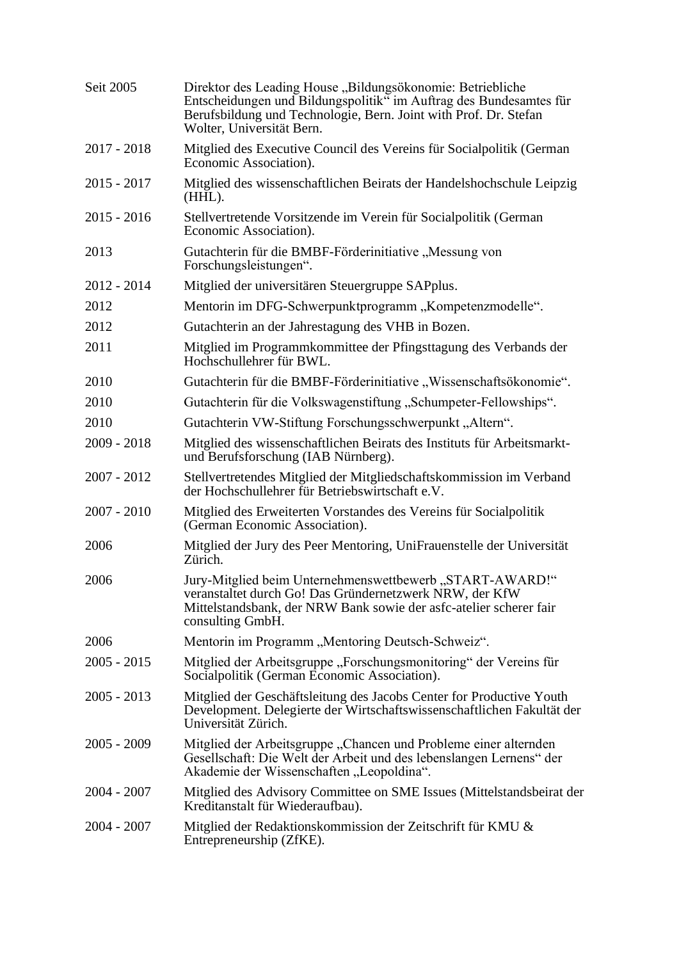| Seit 2005     | Direktor des Leading House "Bildungsökonomie: Betriebliche<br>Entscheidungen und Bildungspolitik" im Auftrag des Bundesamtes für<br>Berufsbildung und Technologie, Bern. Joint with Prof. Dr. Stefan<br>Wolter, Universität Bern. |
|---------------|-----------------------------------------------------------------------------------------------------------------------------------------------------------------------------------------------------------------------------------|
| $2017 - 2018$ | Mitglied des Executive Council des Vereins für Socialpolitik (German<br>Economic Association).                                                                                                                                    |
| $2015 - 2017$ | Mitglied des wissenschaftlichen Beirats der Handelshochschule Leipzig<br>$(HHL)$ .                                                                                                                                                |
| $2015 - 2016$ | Stellvertretende Vorsitzende im Verein für Socialpolitik (German<br>Economic Association).                                                                                                                                        |
| 2013          | Gutachterin für die BMBF-Förderinitiative "Messung von<br>Forschungsleistungen".                                                                                                                                                  |
| $2012 - 2014$ | Mitglied der universitären Steuergruppe SAPplus.                                                                                                                                                                                  |
| 2012          | Mentorin im DFG-Schwerpunktprogramm, "Kompetenzmodelle".                                                                                                                                                                          |
| 2012          | Gutachterin an der Jahrestagung des VHB in Bozen.                                                                                                                                                                                 |
| 2011          | Mitglied im Programmkommittee der Pfingsttagung des Verbands der<br>Hochschullehrer für BWL.                                                                                                                                      |
| 2010          | Gutachterin für die BMBF-Förderinitiative "Wissenschaftsökonomie".                                                                                                                                                                |
| 2010          | Gutachterin für die Volkswagenstiftung "Schumpeter-Fellowships".                                                                                                                                                                  |
| 2010          | Gutachterin VW-Stiftung Forschungsschwerpunkt, Altern".                                                                                                                                                                           |
| $2009 - 2018$ | Mitglied des wissenschaftlichen Beirats des Instituts für Arbeitsmarkt-<br>und Berufsforschung (IAB Nürnberg).                                                                                                                    |
| $2007 - 2012$ | Stellvertretendes Mitglied der Mitgliedschaftskommission im Verband<br>der Hochschullehrer für Betriebswirtschaft e.V.                                                                                                            |
| $2007 - 2010$ | Mitglied des Erweiterten Vorstandes des Vereins für Socialpolitik<br>(German Economic Association).                                                                                                                               |
| 2006          | Mitglied der Jury des Peer Mentoring, UniFrauenstelle der Universität<br>Zürich.                                                                                                                                                  |
| 2006          | Jury-Mitglied beim Unternehmenswettbewerb, START-AWARD!"<br>veranstaltet durch Go! Das Gründernetzwerk NRW, der KfW<br>Mittelstandsbank, der NRW Bank sowie der asfc-atelier scherer fair<br>consulting GmbH.                     |
| 2006          | Mentorin im Programm "Mentoring Deutsch-Schweiz".                                                                                                                                                                                 |
| $2005 - 2015$ | Mitglied der Arbeitsgruppe "Forschungsmonitoring" der Vereins für<br>Socialpolitik (German Economic Association).                                                                                                                 |
| $2005 - 2013$ | Mitglied der Geschäftsleitung des Jacobs Center for Productive Youth<br>Development. Delegierte der Wirtschaftswissenschaftlichen Fakultät der<br>Universität Zürich.                                                             |
| $2005 - 2009$ | Mitglied der Arbeitsgruppe "Chancen und Probleme einer alternden<br>Gesellschaft: Die Welt der Arbeit und des lebenslangen Lernens" der<br>Akademie der Wissenschaften "Leopoldina".                                              |
| $2004 - 2007$ | Mitglied des Advisory Committee on SME Issues (Mittelstandsbeirat der<br>Kreditanstalt für Wiederaufbau).                                                                                                                         |
| $2004 - 2007$ | Mitglied der Redaktionskommission der Zeitschrift für KMU &<br>Entrepreneurship (ZfKE).                                                                                                                                           |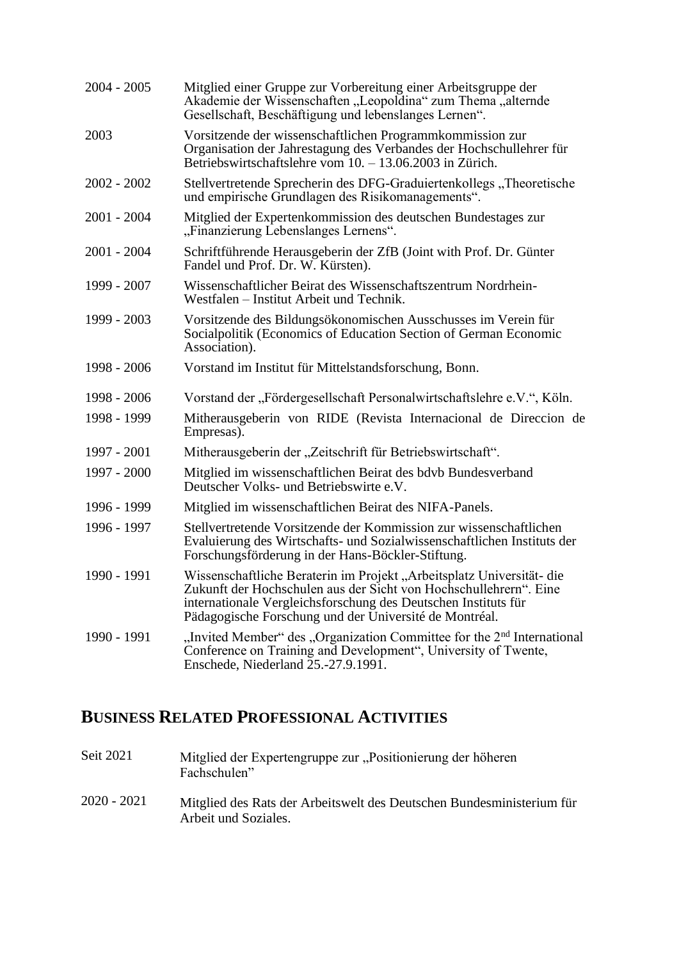| $2004 - 2005$ | Mitglied einer Gruppe zur Vorbereitung einer Arbeitsgruppe der<br>Akademie der Wissenschaften "Leopoldina" zum Thema "alternde<br>Gesellschaft, Beschäftigung und lebenslanges Lernen".                                                                                |
|---------------|------------------------------------------------------------------------------------------------------------------------------------------------------------------------------------------------------------------------------------------------------------------------|
| 2003          | Vorsitzende der wissenschaftlichen Programmkommission zur<br>Organisation der Jahrestagung des Verbandes der Hochschullehrer für<br>Betriebswirtschaftslehre vom 10. – 13.06.2003 in Zürich.                                                                           |
| $2002 - 2002$ | Stellvertretende Sprecherin des DFG-Graduiertenkollegs, Theoretische<br>und empirische Grundlagen des Risikomanagements".                                                                                                                                              |
| $2001 - 2004$ | Mitglied der Expertenkommission des deutschen Bundestages zur<br>"Finanzierung Lebenslanges Lernens".                                                                                                                                                                  |
| $2001 - 2004$ | Schriftführende Herausgeberin der ZfB (Joint with Prof. Dr. Günter<br>Fandel und Prof. Dr. W. Kürsten).                                                                                                                                                                |
| 1999 - 2007   | Wissenschaftlicher Beirat des Wissenschaftszentrum Nordrhein-<br>Westfalen – Institut Arbeit und Technik.                                                                                                                                                              |
| 1999 - 2003   | Vorsitzende des Bildungsökonomischen Ausschusses im Verein für<br>Socialpolitik (Economics of Education Section of German Economic<br>Association).                                                                                                                    |
| 1998 - 2006   | Vorstand im Institut für Mittelstandsforschung, Bonn.                                                                                                                                                                                                                  |
| 1998 - 2006   | Vorstand der "Fördergesellschaft Personalwirtschaftslehre e.V.", Köln.                                                                                                                                                                                                 |
| 1998 - 1999   | Mitherausgeberin von RIDE (Revista Internacional de Direccion de<br>Empresas).                                                                                                                                                                                         |
| 1997 - 2001   | Mitherausgeberin der "Zeitschrift für Betriebswirtschaft".                                                                                                                                                                                                             |
| 1997 - 2000   | Mitglied im wissenschaftlichen Beirat des bdvb Bundesverband<br>Deutscher Volks- und Betriebswirte e.V.                                                                                                                                                                |
| 1996 - 1999   | Mitglied im wissenschaftlichen Beirat des NIFA-Panels.                                                                                                                                                                                                                 |
| 1996 - 1997   | Stellvertretende Vorsitzende der Kommission zur wissenschaftlichen<br>Evaluierung des Wirtschafts- und Sozialwissenschaftlichen Instituts der<br>Forschungsförderung in der Hans-Böckler-Stiftung.                                                                     |
| 1990 - 1991   | Wissenschaftliche Beraterin im Projekt "Arbeitsplatz Universität- die<br>Zukunft der Hochschulen aus der Sicht von Hochschullehrern". Eine<br>internationale Vergleichsforschung des Deutschen Instituts für<br>Pädagogische Forschung und der Université de Montréal. |
| 1990 - 1991   | "Invited Member" des "Organization Committee for the 2 <sup>nd</sup> International<br>Conference on Training and Development", University of Twente,<br>Enschede, Niederland 25.-27.9.1991.                                                                            |

# **BUSINESS RELATED PROFESSIONAL ACTIVITIES**

| Seit 2021   | Mitglied der Expertengruppe zur "Positionierung der höheren<br>Fachschulen"                   |
|-------------|-----------------------------------------------------------------------------------------------|
| 2020 - 2021 | Mitglied des Rats der Arbeitswelt des Deutschen Bundesministerium für<br>Arbeit und Soziales. |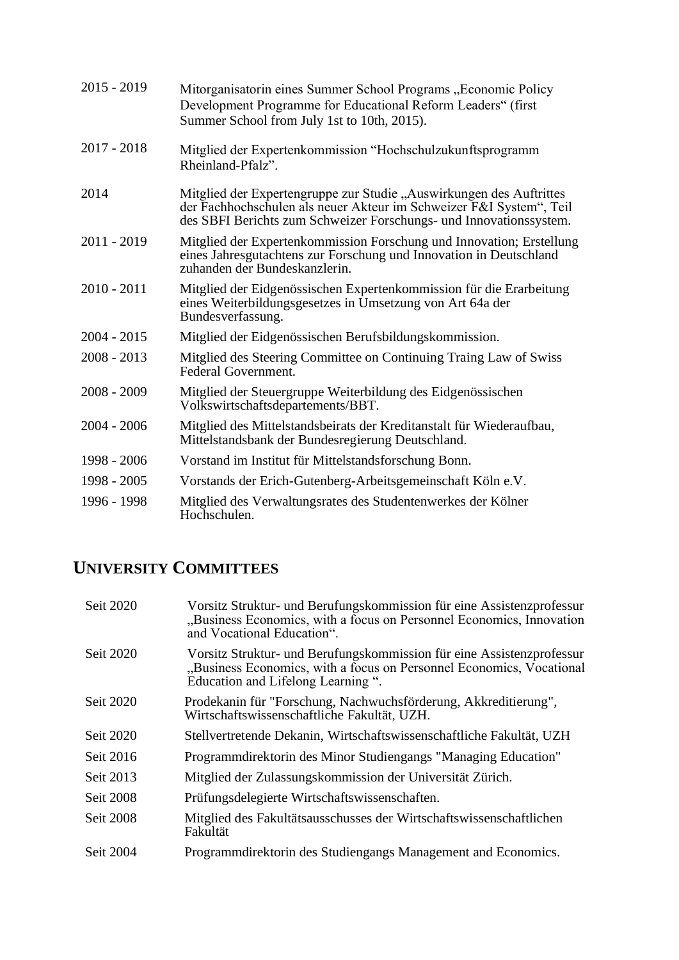| $2015 - 2019$ | Mitorganisatorin eines Summer School Programs "Economic Policy<br>Development Programme for Educational Reform Leaders" (first<br>Summer School from July 1st to 10th, 2015).                                    |
|---------------|------------------------------------------------------------------------------------------------------------------------------------------------------------------------------------------------------------------|
| $2017 - 2018$ | Mitglied der Expertenkommission "Hochschulzukunftsprogramm<br>Rheinland-Pfalz".                                                                                                                                  |
| 2014          | Mitglied der Expertengruppe zur Studie "Auswirkungen des Auftrittes<br>der Fachhochschulen als neuer Akteur im Schweizer F&I System", Teil<br>des SBFI Berichts zum Schweizer Forschungs- und Innovationssystem. |
| $2011 - 2019$ | Mitglied der Expertenkommission Forschung und Innovation; Erstellung<br>eines Jahresgutachtens zur Forschung und Innovation in Deutschland<br>zuhanden der Bundeskanzlerin.                                      |
| $2010 - 2011$ | Mitglied der Eidgenössischen Expertenkommission für die Erarbeitung<br>eines Weiterbildungsgesetzes in Umsetzung von Art 64a der<br>Bundesverfassung.                                                            |
| $2004 - 2015$ | Mitglied der Eidgenössischen Berufsbildungskommission.                                                                                                                                                           |
| $2008 - 2013$ | Mitglied des Steering Committee on Continuing Traing Law of Swiss<br>Federal Government.                                                                                                                         |
| $2008 - 2009$ | Mitglied der Steuergruppe Weiterbildung des Eidgenössischen<br>Volkswirtschaftsdepartements/BBT.                                                                                                                 |
| $2004 - 2006$ | Mitglied des Mittelstandsbeirats der Kreditanstalt für Wiederaufbau,<br>Mittelstandsbank der Bundesregierung Deutschland.                                                                                        |
| 1998 - 2006   | Vorstand im Institut für Mittelstandsforschung Bonn.                                                                                                                                                             |
| $1998 - 2005$ | Vorstands der Erich-Gutenberg-Arbeitsgemeinschaft Köln e.V.                                                                                                                                                      |
| 1996 - 1998   | Mitglied des Verwaltungsrates des Studentenwerkes der Kölner<br>Hochschulen.                                                                                                                                     |

## **UNIVERSITY COMMITTEES**

| Seit 2020 | Vorsitz Struktur- und Berufungskommission für eine Assistenzprofessur<br>"Business Economics, with a focus on Personnel Economics, Innovation<br>and Vocational Education".         |
|-----------|-------------------------------------------------------------------------------------------------------------------------------------------------------------------------------------|
| Seit 2020 | Vorsitz Struktur- und Berufungskommission für eine Assistenzprofessur<br>"Business Economics, with a focus on Personnel Economics, Vocational<br>Education and Lifelong Learning ". |
| Seit 2020 | Prodekanin für "Forschung, Nachwuchsförderung, Akkreditierung",<br>Wirtschaftswissenschaftliche Fakultät, UZH.                                                                      |
| Seit 2020 | Stellvertretende Dekanin, Wirtschaftswissenschaftliche Fakultät, UZH                                                                                                                |
| Seit 2016 | Programmdirektorin des Minor Studiengangs "Managing Education"                                                                                                                      |
| Seit 2013 | Mitglied der Zulassungskommission der Universität Zürich.                                                                                                                           |
| Seit 2008 | Prüfungsdelegierte Wirtschaftswissenschaften.                                                                                                                                       |
| Seit 2008 | Mitglied des Fakultätsausschusses der Wirtschaftswissenschaftlichen<br>Fakultät                                                                                                     |
| Seit 2004 | Programmdirektorin des Studiengangs Management and Economics.                                                                                                                       |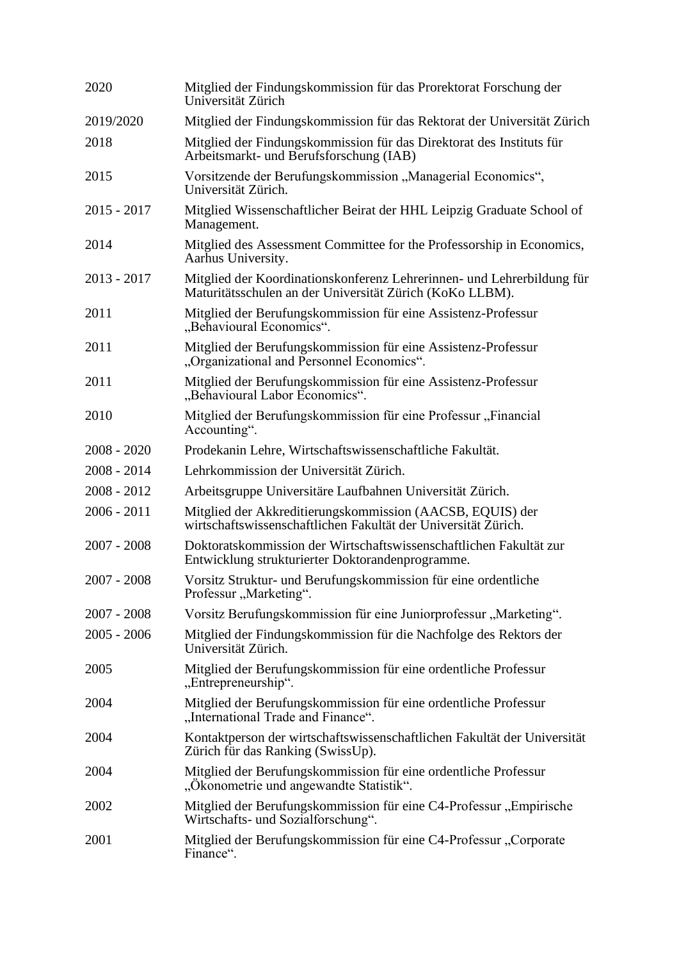| 2020          | Mitglied der Findungskommission für das Prorektorat Forschung der<br>Universität Zürich                                            |
|---------------|------------------------------------------------------------------------------------------------------------------------------------|
| 2019/2020     | Mitglied der Findungskommission für das Rektorat der Universität Zürich                                                            |
| 2018          | Mitglied der Findungskommission für das Direktorat des Instituts für<br>Arbeitsmarkt- und Berufsforschung (IAB)                    |
| 2015          | Vorsitzende der Berufungskommission "Managerial Economics",<br>Universität Zürich.                                                 |
| $2015 - 2017$ | Mitglied Wissenschaftlicher Beirat der HHL Leipzig Graduate School of<br>Management.                                               |
| 2014          | Mitglied des Assessment Committee for the Professorship in Economics,<br>Aarhus University.                                        |
| $2013 - 2017$ | Mitglied der Koordinationskonferenz Lehrerinnen- und Lehrerbildung für<br>Maturitätsschulen an der Universität Zürich (KoKo LLBM). |
| 2011          | Mitglied der Berufungskommission für eine Assistenz-Professur<br>"Behavioural Economics".                                          |
| 2011          | Mitglied der Berufungskommission für eine Assistenz-Professur<br>"Organizational and Personnel Economics".                         |
| 2011          | Mitglied der Berufungskommission für eine Assistenz-Professur<br>"Behavioural Labor Economics".                                    |
| 2010          | Mitglied der Berufungskommission für eine Professur "Financial<br>Accounting".                                                     |
| $2008 - 2020$ | Prodekanin Lehre, Wirtschaftswissenschaftliche Fakultät.                                                                           |
| $2008 - 2014$ | Lehrkommission der Universität Zürich.                                                                                             |
| $2008 - 2012$ | Arbeitsgruppe Universitäre Laufbahnen Universität Zürich.                                                                          |
| $2006 - 2011$ | Mitglied der Akkreditierungskommission (AACSB, EQUIS) der<br>wirtschaftswissenschaftlichen Fakultät der Universität Zürich.        |
| $2007 - 2008$ | Doktoratskommission der Wirtschaftswissenschaftlichen Fakultät zur<br>Entwicklung strukturierter Doktorandenprogramme.             |
| $2007 - 2008$ | Vorsitz Struktur- und Berufungskommission für eine ordentliche<br>Professur "Marketing".                                           |
| $2007 - 2008$ | Vorsitz Berufungskommission für eine Juniorprofessur, Marketing".                                                                  |
| $2005 - 2006$ | Mitglied der Findungskommission für die Nachfolge des Rektors der<br>Universität Zürich.                                           |
| 2005          | Mitglied der Berufungskommission für eine ordentliche Professur<br>"Entrepreneurship".                                             |
| 2004          | Mitglied der Berufungskommission für eine ordentliche Professur<br>"International Trade and Finance".                              |
| 2004          | Kontaktperson der wirtschaftswissenschaftlichen Fakultät der Universität<br>Zürich für das Ranking (SwissUp).                      |
| 2004          | Mitglied der Berufungskommission für eine ordentliche Professur<br>"Okonometrie und angewandte Statistik".                         |
| 2002          | Mitglied der Berufungskommission für eine C4-Professur "Empirische<br>Wirtschafts- und Sozialforschung".                           |
| 2001          | Mitglied der Berufungskommission für eine C4-Professur "Corporate<br>Finance".                                                     |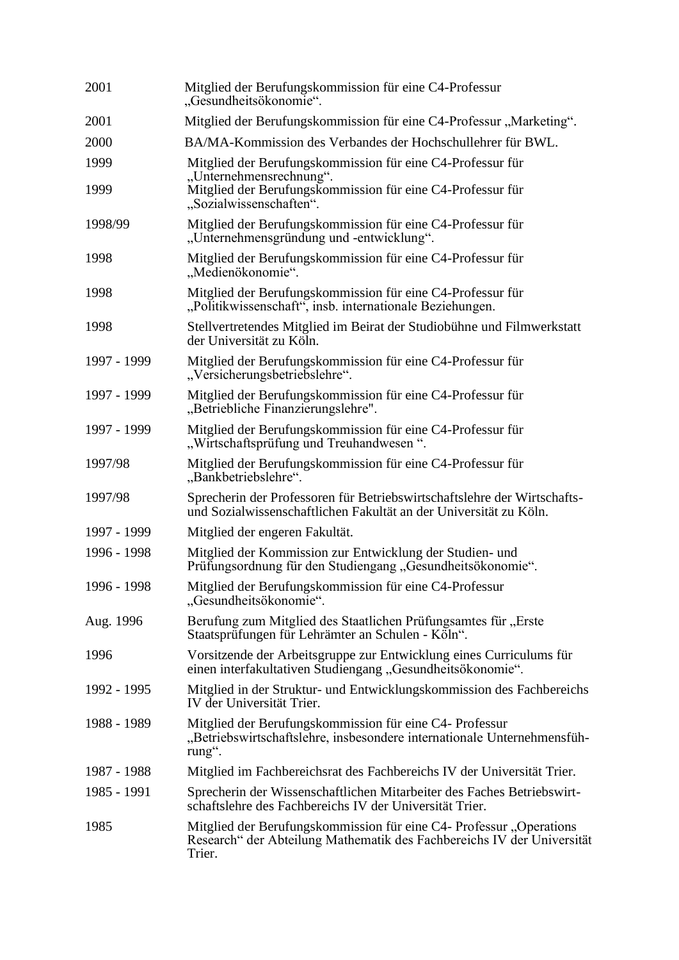| 2001        | Mitglied der Berufungskommission für eine C4-Professur<br>"Gesundheitsökonomie".                                                                        |
|-------------|---------------------------------------------------------------------------------------------------------------------------------------------------------|
| 2001        | Mitglied der Berufungskommission für eine C4-Professur "Marketing".                                                                                     |
| 2000        | BA/MA-Kommission des Verbandes der Hochschullehrer für BWL.                                                                                             |
| 1999        | Mitglied der Berufungskommission für eine C4-Professur für                                                                                              |
| 1999        | "Unternehmensrechnung".<br>Mitglied der Berufungskommission für eine C4-Professur für<br>"Sozialwissenschaften".                                        |
| 1998/99     | Mitglied der Berufungskommission für eine C4-Professur für<br>"Unternehmensgründung und -entwicklung".                                                  |
| 1998        | Mitglied der Berufungskommission für eine C4-Professur für<br>"Medienökonomie".                                                                         |
| 1998        | Mitglied der Berufungskommission für eine C4-Professur für<br>"Politikwissenschaft", insb. internationale Beziehungen.                                  |
| 1998        | Stellvertretendes Mitglied im Beirat der Studiobühne und Filmwerkstatt<br>der Universität zu Köln.                                                      |
| 1997 - 1999 | Mitglied der Berufungskommission für eine C4-Professur für<br>"Versicherungsbetriebslehre".                                                             |
| 1997 - 1999 | Mitglied der Berufungskommission für eine C4-Professur für<br>"Betriebliche Finanzierungslehre".                                                        |
| 1997 - 1999 | Mitglied der Berufungskommission für eine C4-Professur für<br>"Wirtschaftsprüfung und Treuhandwesen".                                                   |
| 1997/98     | Mitglied der Berufungskommission für eine C4-Professur für<br>"Bankbetriebslehre".                                                                      |
| 1997/98     | Sprecherin der Professoren für Betriebswirtschaftslehre der Wirtschafts-<br>und Sozialwissenschaftlichen Fakultät an der Universität zu Köln.           |
| 1997 - 1999 | Mitglied der engeren Fakultät.                                                                                                                          |
| 1996 - 1998 | Mitglied der Kommission zur Entwicklung der Studien- und<br>Prüfungsordnung für den Studiengang "Gesundheitsökonomie".                                  |
| 1996 - 1998 | Mitglied der Berufungskommission für eine C4-Professur<br>"Gesundheitsökonomie".                                                                        |
| Aug. 1996   | Berufung zum Mitglied des Staatlichen Prüfungsamtes für "Erste<br>Staatsprüfungen für Lehrämter an Schulen - Köln".                                     |
| 1996        | Vorsitzende der Arbeitsgruppe zur Entwicklung eines Curriculums für<br>einen interfakultativen Studiengang "Gesundheitsökonomie".                       |
| 1992 - 1995 | Mitglied in der Struktur- und Entwicklungskommission des Fachbereichs<br>IV der Universität Trier.                                                      |
| 1988 - 1989 | Mitglied der Berufungskommission für eine C4- Professur<br>"Betriebswirtschaftslehre, insbesondere internationale Unternehmensfüh-<br>rung".            |
| 1987 - 1988 | Mitglied im Fachbereichsrat des Fachbereichs IV der Universität Trier.                                                                                  |
| 1985 - 1991 | Sprecherin der Wissenschaftlichen Mitarbeiter des Faches Betriebswirt-<br>schaftslehre des Fachbereichs IV der Universität Trier.                       |
| 1985        | Mitglied der Berufungskommission für eine C4- Professur "Operations<br>Research" der Abteilung Mathematik des Fachbereichs IV der Universität<br>Trier. |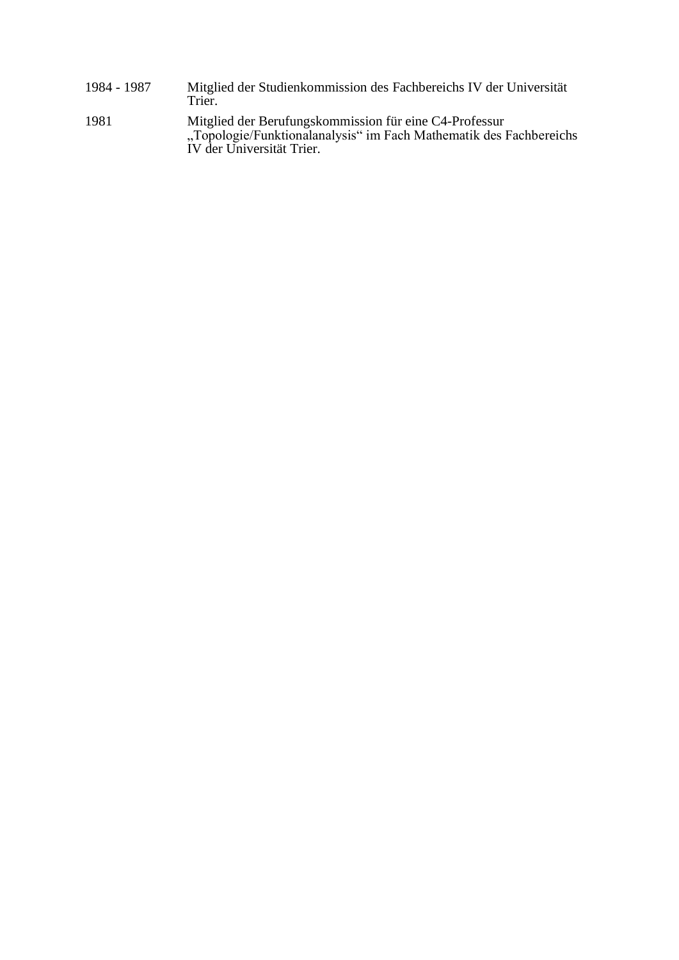1984 - 1987 Mitglied der Studienkommission des Fachbereichs IV der Universität Trier. 1981 Mitglied der Berufungskommission für eine C4-Professur "Topologie/Funktionalanalysis" im Fach Mathematik des Fachbereichs IV der Universität Trier.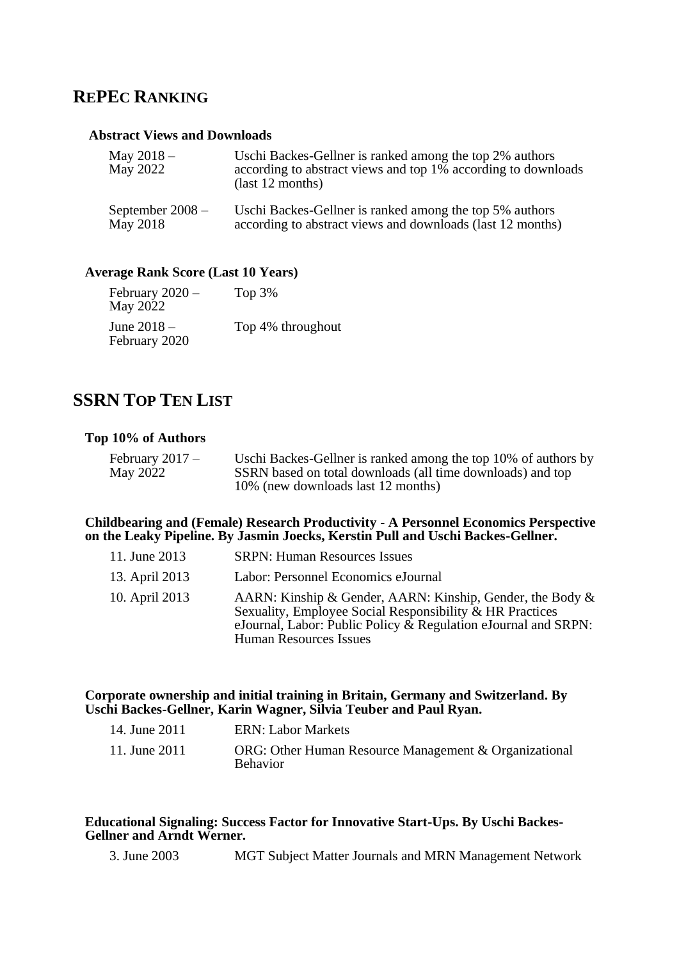### **REPEC RANKING**

#### **Abstract Views and Downloads**

| May $2018 -$<br>May 2022 | Uschi Backes-Gellner is ranked among the top 2% authors<br>according to abstract views and top 1% according to downloads<br>$\text{(last 12 months)}$ |
|--------------------------|-------------------------------------------------------------------------------------------------------------------------------------------------------|
| September $2008 -$       | Uschi Backes-Gellner is ranked among the top 5% authors                                                                                               |
| May 2018                 | according to abstract views and downloads (last 12 months)                                                                                            |

#### **Average Rank Score (Last 10 Years)**

| February 2020 –<br>May 2022  | Top $3%$          |
|------------------------------|-------------------|
| June 2018 –<br>February 2020 | Top 4% throughout |

### **SSRN TOP TEN LIST**

#### **Top 10% of Authors**

| February $2017 -$ | Uschi Backes-Gellner is ranked among the top 10% of authors by |
|-------------------|----------------------------------------------------------------|
| May 2022          | SSRN based on total downloads (all time downloads) and top     |
|                   | 10% (new downloads last 12 months)                             |

#### **Childbearing and (Female) Research Productivity - A Personnel Economics Perspective on the Leaky Pipeline. By Jasmin Joecks, Kerstin Pull and Uschi Backes-Gellner.**

| 11. June 2013  | <b>SRPN: Human Resources Issues</b>                                                                                                                                                                                      |
|----------------|--------------------------------------------------------------------------------------------------------------------------------------------------------------------------------------------------------------------------|
| 13. April 2013 | Labor: Personnel Economics eJournal                                                                                                                                                                                      |
| 10. April 2013 | AARN: Kinship & Gender, AARN: Kinship, Gender, the Body &<br>Sexuality, Employee Social Responsibility & HR Practices<br>eJournal, Labor: Public Policy & Regulation eJournal and SRPN:<br><b>Human Resources Issues</b> |

#### **Corporate ownership and initial training in Britain, Germany and Switzerland. By Uschi Backes-Gellner, Karin Wagner, Silvia Teuber and Paul Ryan.**

| 14. June 2011 | <b>ERN: Labor Markets</b>                                                |
|---------------|--------------------------------------------------------------------------|
| 11. June 2011 | ORG: Other Human Resource Management & Organizational<br><b>Behavior</b> |

#### **Educational Signaling: Success Factor for Innovative Start-Ups. By Uschi Backes-Gellner and Arndt Werner.**

3. June 2003 MGT Subject Matter Journals and MRN Management Network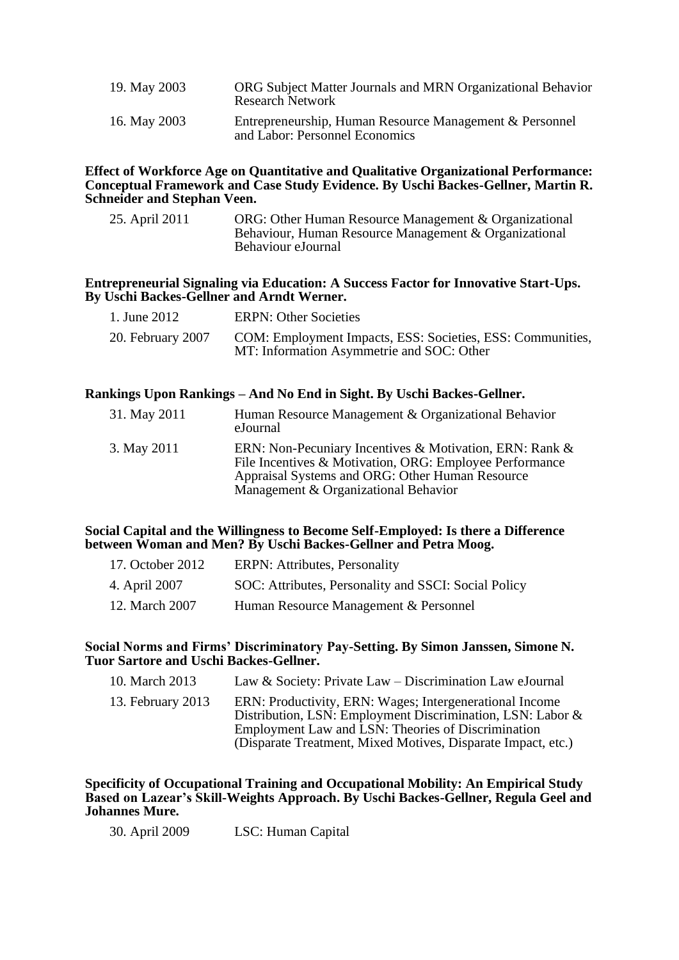| 19. May 2003 | ORG Subject Matter Journals and MRN Organizational Behavior<br><b>Research Network</b>    |
|--------------|-------------------------------------------------------------------------------------------|
| 16. May 2003 | Entrepreneurship, Human Resource Management & Personnel<br>and Labor: Personnel Economics |

#### **Effect of Workforce Age on Quantitative and Qualitative Organizational Performance: Conceptual Framework and Case Study Evidence. By Uschi Backes-Gellner, Martin R. Schneider and Stephan Veen.**

| 25. April 2011 | ORG: Other Human Resource Management & Organizational |
|----------------|-------------------------------------------------------|
|                | Behaviour, Human Resource Management & Organizational |
|                | Behaviour eJournal                                    |

#### **Entrepreneurial Signaling via Education: A Success Factor for Innovative Start-Ups. By Uschi Backes-Gellner and Arndt Werner.**

| 1. June 2012      | <b>ERPN: Other Societies</b>                                                                            |
|-------------------|---------------------------------------------------------------------------------------------------------|
| 20. February 2007 | COM: Employment Impacts, ESS: Societies, ESS: Communities,<br>MT: Information Asymmetrie and SOC: Other |

#### **Rankings Upon Rankings – And No End in Sight. By Uschi Backes-Gellner.**

| 31. May 2011 | Human Resource Management & Organizational Behavior<br>eJournal                                                                                                                                               |
|--------------|---------------------------------------------------------------------------------------------------------------------------------------------------------------------------------------------------------------|
| 3. May 2011  | ERN: Non-Pecuniary Incentives & Motivation, ERN: Rank &<br>File Incentives & Motivation, ORG: Employee Performance<br>Appraisal Systems and ORG: Other Human Resource<br>Management & Organizational Behavior |

#### **Social Capital and the Willingness to Become Self-Employed: Is there a Difference between Woman and Men? By Uschi Backes-Gellner and Petra Moog.**

| 17. October 2012 | <b>ERPN:</b> Attributes, Personality                 |
|------------------|------------------------------------------------------|
| 4. April 2007    | SOC: Attributes, Personality and SSCI: Social Policy |
| 12. March 2007   | Human Resource Management & Personnel                |

#### **Social Norms and Firms' Discriminatory Pay-Setting. By Simon Janssen, Simone N. Tuor Sartore and Uschi Backes-Gellner.**

| 10. March 2013    | Law & Society: Private Law $-$ Discrimination Law eJournal                                                                                                                                                                                  |
|-------------------|---------------------------------------------------------------------------------------------------------------------------------------------------------------------------------------------------------------------------------------------|
| 13. February 2013 | ERN: Productivity, ERN: Wages; Intergenerational Income<br>Distribution, LSN: Employment Discrimination, LSN: Labor &<br>Employment Law and LSN: Theories of Discrimination<br>(Disparate Treatment, Mixed Motives, Disparate Impact, etc.) |

#### **Specificity of Occupational Training and Occupational Mobility: An Empirical Study Based on Lazear's Skill-Weights Approach. By Uschi Backes-Gellner, Regula Geel and Johannes Mure.**

30. April 2009 LSC: Human Capital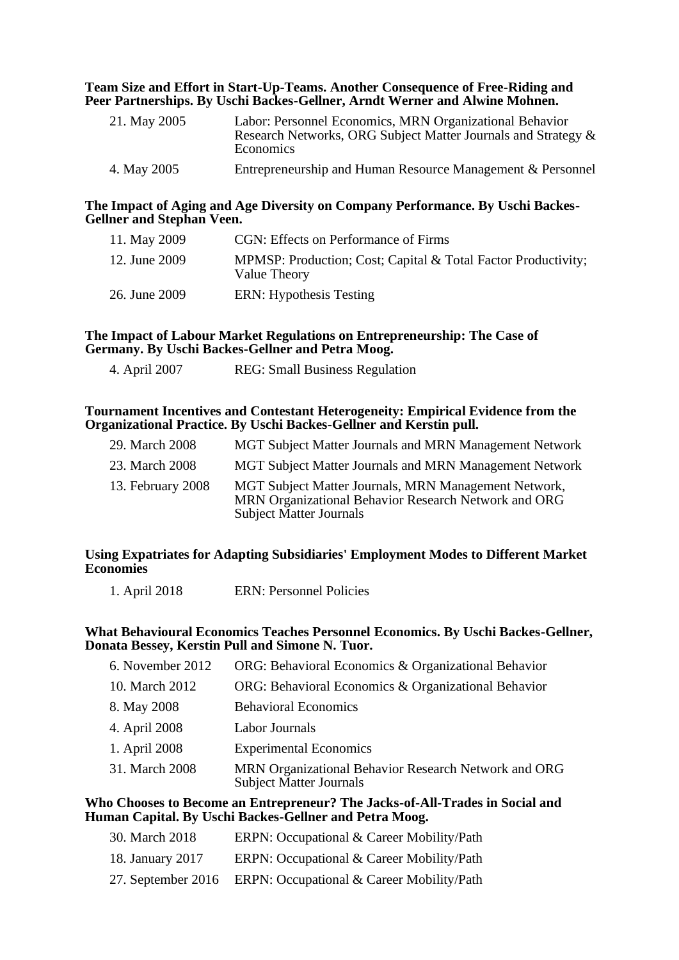#### **Team Size and Effort in Start-Up-Teams. Another Consequence of Free-Riding and Peer Partnerships. By Uschi Backes-Gellner, Arndt Werner and Alwine Mohnen.**

| 21. May 2005 | Labor: Personnel Economics, MRN Organizational Behavior<br>Research Networks, ORG Subject Matter Journals and Strategy &<br><b>Economics</b> |
|--------------|----------------------------------------------------------------------------------------------------------------------------------------------|
| 4. May 2005  | Entrepreneurship and Human Resource Management & Personnel                                                                                   |

#### **The Impact of Aging and Age Diversity on Company Performance. By Uschi Backes-Gellner and Stephan Veen.**

| 11. May 2009  | CGN: Effects on Performance of Firms                                          |
|---------------|-------------------------------------------------------------------------------|
| 12. June 2009 | MPMSP: Production; Cost; Capital & Total Factor Productivity;<br>Value Theory |
| 26. June 2009 | ERN: Hypothesis Testing                                                       |

#### **The Impact of Labour Market Regulations on Entrepreneurship: The Case of Germany. By Uschi Backes-Gellner and Petra Moog.**

| <b>REG:</b> Small Business Regulation<br>4. April 2007 |  |
|--------------------------------------------------------|--|
|--------------------------------------------------------|--|

#### **Tournament Incentives and Contestant Heterogeneity: Empirical Evidence from the Organizational Practice. By Uschi Backes-Gellner and Kerstin pull.**

| 29. March 2008    | <b>MGT Subject Matter Journals and MRN Management Network</b>                                                                                  |
|-------------------|------------------------------------------------------------------------------------------------------------------------------------------------|
| 23. March 2008    | <b>MGT Subject Matter Journals and MRN Management Network</b>                                                                                  |
| 13. February 2008 | MGT Subject Matter Journals, MRN Management Network,<br>MRN Organizational Behavior Research Network and ORG<br><b>Subject Matter Journals</b> |

#### **Using Expatriates for Adapting Subsidiaries' Employment Modes to Different Market Economies**

#### **What Behavioural Economics Teaches Personnel Economics. By Uschi Backes-Gellner, Donata Bessey, Kerstin Pull and Simone N. Tuor.**

| 6. November 2012 | ORG: Behavioral Economics & Organizational Behavior                                    |
|------------------|----------------------------------------------------------------------------------------|
| 10. March 2012   | ORG: Behavioral Economics & Organizational Behavior                                    |
| 8. May 2008      | <b>Behavioral Economics</b>                                                            |
| 4. April 2008    | Labor Journals                                                                         |
| 1. April 2008    | <b>Experimental Economics</b>                                                          |
| 31. March 2008   | MRN Organizational Behavior Research Network and ORG<br><b>Subject Matter Journals</b> |

#### **Who Chooses to Become an Entrepreneur? The Jacks-of-All-Trades in Social and Human Capital. By Uschi Backes-Gellner and Petra Moog.**

- 30. March 2018 ERPN: Occupational & Career Mobility/Path
- 18. January 2017 ERPN: Occupational & Career Mobility/Path
- 27. September 2016 ERPN: Occupational & Career Mobility/Path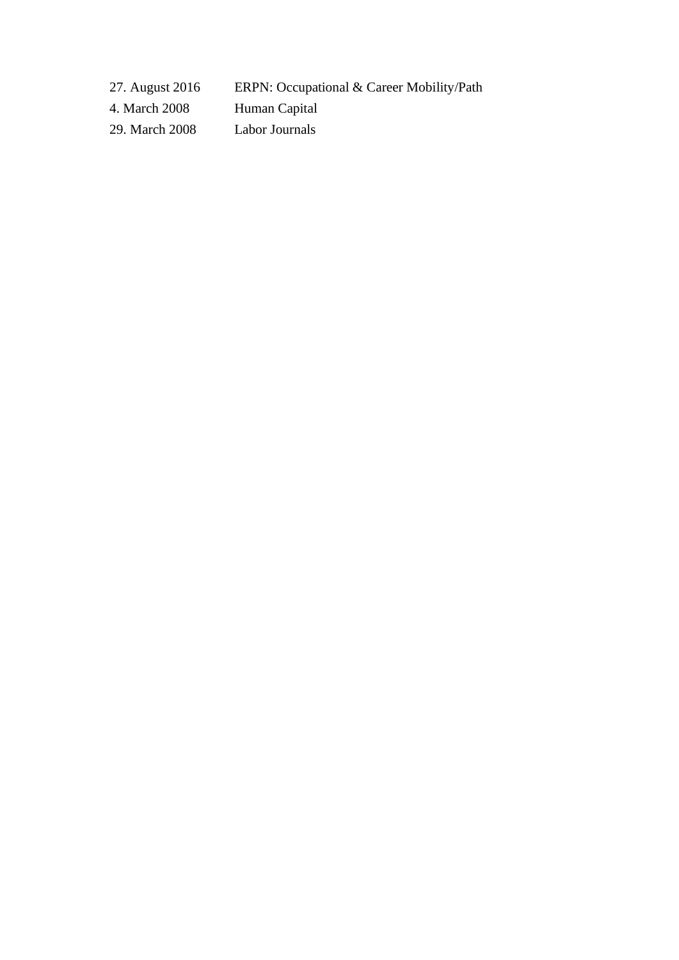27. August 2016 ERPN: Occupational & Career Mobility/Path

4. March 2008 Human Capital

29. March 2008 Labor Journals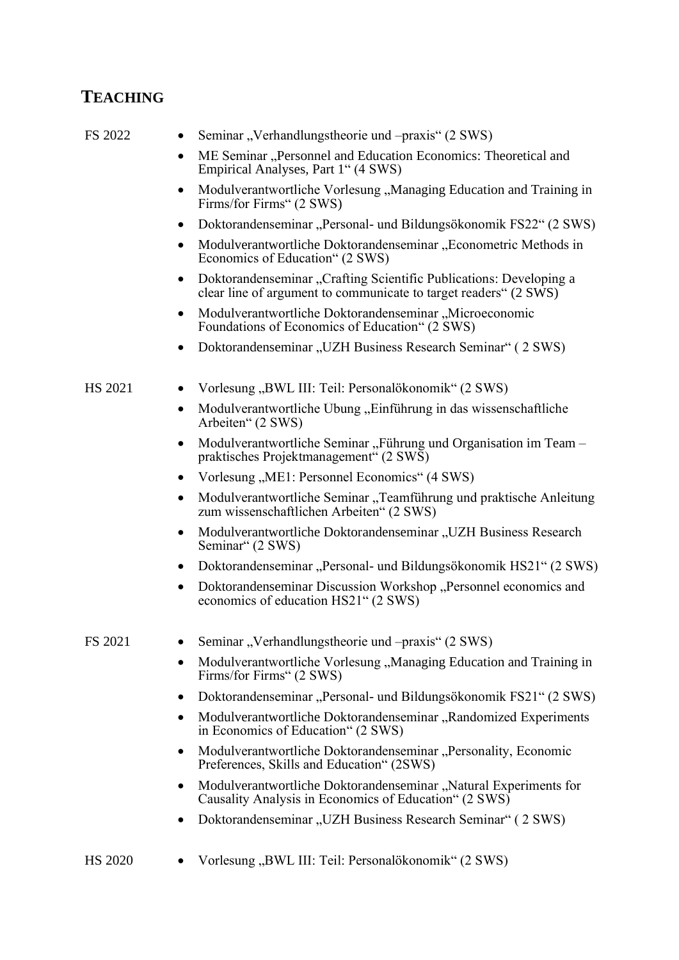## **TEACHING**

| FS 2022        | Seminar, Verhandlungstheorie und – praxis" (2 SWS)                                                                                     |
|----------------|----------------------------------------------------------------------------------------------------------------------------------------|
|                | ME Seminar "Personnel and Education Economics: Theoretical and<br>Empirical Analyses, Part 1" (4 SWS)                                  |
|                | Modulverantwortliche Vorlesung, Managing Education and Training in<br>$\bullet$<br>Firms/for Firms" (2 SWS)                            |
|                | Doktorandenseminar "Personal- und Bildungsökonomik FS22" (2 SWS)                                                                       |
|                | Modulverantwortliche Doktorandenseminar "Econometric Methods in<br>٠<br>Economics of Education" (2 SWS)                                |
|                | Doktorandenseminar "Crafting Scientific Publications: Developing a<br>clear line of argument to communicate to target readers" (2 SWS) |
|                | Modulverantwortliche Doktorandenseminar "Microeconomic<br>$\bullet$<br>Foundations of Economics of Education" (2 SWS)                  |
|                | Doktorandenseminar "UZH Business Research Seminar" (2 SWS)                                                                             |
| <b>HS 2021</b> | Vorlesung "BWL III: Teil: Personalökonomik" (2 SWS)                                                                                    |
|                | Modulverantwortliche Übung, Einführung in das wissenschaftliche<br>Arbeiten" (2 SWS)                                                   |
|                | Modulverantwortliche Seminar, Führung und Organisation im Team -<br>praktisches Projektmanagement" (2 SWS)                             |
|                | Vorlesung, ME1: Personnel Economics" (4 SWS)                                                                                           |
|                | Modulverantwortliche Seminar "Teamführung und praktische Anleitung<br>zum wissenschaftlichen Arbeiten" (2 SWS)                         |
|                | Modulverantwortliche Doktorandenseminar "UZH Business Research<br>$\bullet$<br>Seminar" (2 SWS)                                        |
|                | Doktorandenseminar "Personal- und Bildungsökonomik HS21" (2 SWS)                                                                       |
|                | Doktorandenseminar Discussion Workshop "Personnel economics and<br>٠<br>economics of education HS21" (2 SWS)                           |
| FS 2021        | Seminar, Verhandlungstheorie und – praxis" (2 SWS)                                                                                     |
|                | Modulverantwortliche Vorlesung "Managing Education and Training in<br>٠<br>Firms/for Firms" (2 SWS)                                    |
|                | Doktorandenseminar "Personal- und Bildungsökonomik FS21" (2 SWS)                                                                       |
|                | Modulverantwortliche Doktorandenseminar "Randomized Experiments<br>٠<br>in Economics of Education" (2 SWS)                             |
|                | Modulverantwortliche Doktorandenseminar, Personality, Economic<br>Preferences, Skills and Education" (2SWS)                            |
|                | Modulverantwortliche Doktorandenseminar, "Natural Experiments for<br>٠<br>Causality Analysis in Economics of Education" (2 SWS)        |
|                | Doktorandenseminar "UZH Business Research Seminar" (2 SWS)                                                                             |

HS 2020 • Vorlesung "BWL III: Teil: Personalökonomik" (2 SWS)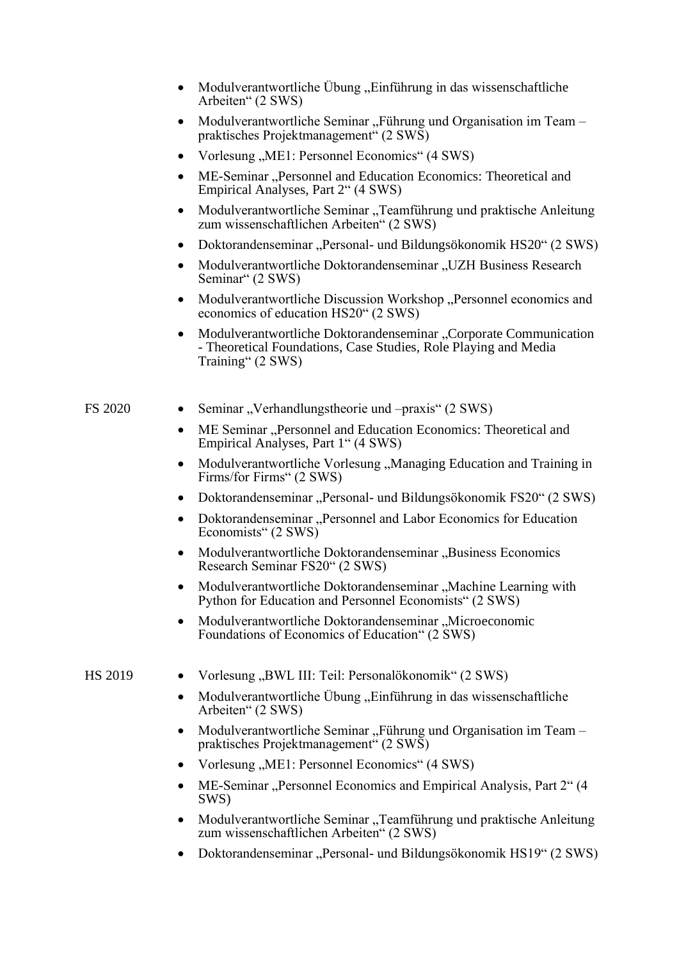|         | Modulverantwortliche Übung, Einführung in das wissenschaftliche<br>Arbeiten" (2 SWS)                                                                     |
|---------|----------------------------------------------------------------------------------------------------------------------------------------------------------|
|         | Modulverantwortliche Seminar, Führung und Organisation im Team -<br>praktisches Projektmanagement" (2 SWS)                                               |
|         | Vorlesung "ME1: Personnel Economics" (4 SWS)                                                                                                             |
|         | ME-Seminar "Personnel and Education Economics: Theoretical and<br>Empirical Analyses, Part 2" (4 SWS)                                                    |
|         | Modulverantwortliche Seminar "Teamführung und praktische Anleitung<br>zum wissenschaftlichen Arbeiten" (2 SWS)                                           |
|         | Doktorandenseminar "Personal- und Bildungsökonomik HS20" (2 SWS)                                                                                         |
|         | Modulverantwortliche Doktorandenseminar "UZH Business Research<br>Seminar" (2 SWS)                                                                       |
|         | Modulverantwortliche Discussion Workshop "Personnel economics and<br>economics of education HS20" (2 SWS)                                                |
|         | Modulverantwortliche Doktorandenseminar "Corporate Communication<br>- Theoretical Foundations, Case Studies, Role Playing and Media<br>Training" (2 SWS) |
| FS 2020 | Seminar, Verhandlungstheorie und – praxis" (2 SWS)                                                                                                       |
|         | ME Seminar "Personnel and Education Economics: Theoretical and<br>٠<br>Empirical Analyses, Part 1" (4 SWS)                                               |
|         | Modulverantwortliche Vorlesung, Managing Education and Training in<br>Firms/for Firms" (2 SWS)                                                           |
|         | Doktorandenseminar "Personal- und Bildungsökonomik FS20" (2 SWS)                                                                                         |
|         | Doktorandenseminar "Personnel and Labor Economics for Education<br>Economists" (2 SWS)                                                                   |
|         | Modulverantwortliche Doktorandenseminar, Business Economics<br>Research Seminar FS20" (2 SWS)                                                            |
|         | Modulverantwortliche Doktorandenseminar "Machine Learning with<br>Python for Education and Personnel Economists" (2 SWS)                                 |
|         | Modulverantwortliche Doktorandenseminar, Microeconomic<br>Foundations of Economics of Education" (2 SWS)                                                 |
| HS 2019 | Vorlesung "BWL III: Teil: Personalökonomik" (2 SWS)                                                                                                      |
|         | Modulverantwortliche Übung, Einführung in das wissenschaftliche<br>$\bullet$<br>Arbeiten" (2 SWS)                                                        |
|         | Modulverantwortliche Seminar "Führung und Organisation im Team-<br>praktisches Projektmanagement" (2 SWS)                                                |
|         | Vorlesung "ME1: Personnel Economics" (4 SWS)                                                                                                             |
|         | ME-Seminar "Personnel Economics and Empirical Analysis, Part 2" (4<br>SWS)                                                                               |
|         | Modulverantwortliche Seminar, Teamführung und praktische Anleitung<br>zum wissenschaftlichen Arbeiten" (2 SWS)                                           |
|         | Doktorandenseminar "Personal- und Bildungsökonomik HS19" (2 SWS)                                                                                         |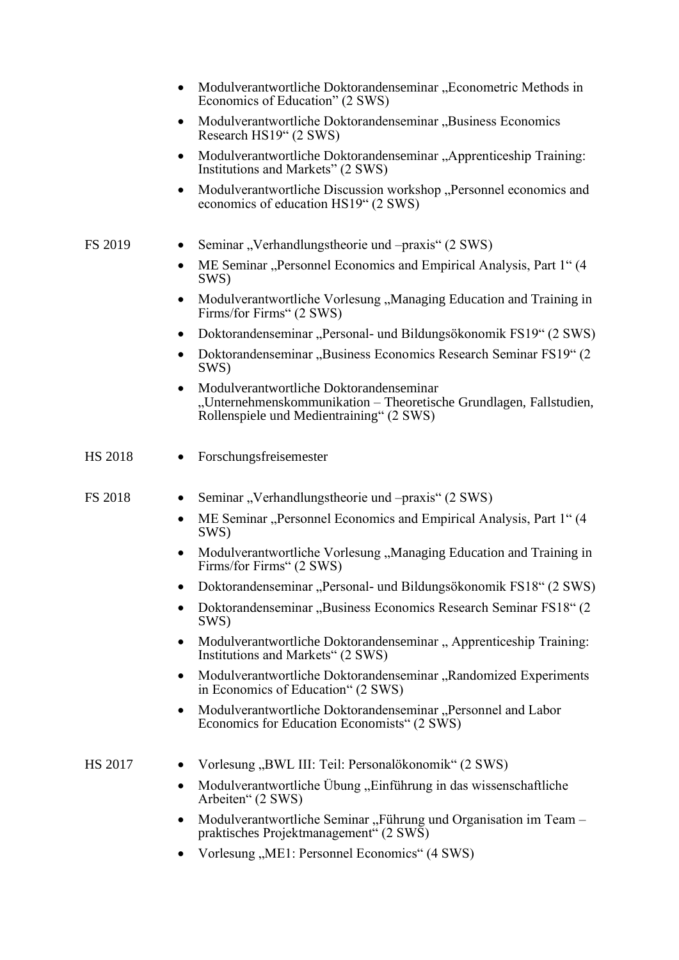|         | Modulverantwortliche Doktorandenseminar "Econometric Methods in<br>Economics of Education" (2 SWS)                                                             |
|---------|----------------------------------------------------------------------------------------------------------------------------------------------------------------|
|         | Modulverantwortliche Doktorandenseminar, Business Economics<br>٠<br>Research HS19" (2 SWS)                                                                     |
|         | Modulverantwortliche Doktorandenseminar "Apprenticeship Training:<br>٠<br>Institutions and Markets" (2 SWS)                                                    |
|         | Modulverantwortliche Discussion workshop "Personnel economics and<br>٠<br>economics of education HS19" (2 SWS)                                                 |
| FS 2019 | Seminar, Verhandlungstheorie und – praxis" (2 SWS)                                                                                                             |
|         | ME Seminar "Personnel Economics and Empirical Analysis, Part 1" (4)<br>٠<br>SWS)                                                                               |
|         | Modulverantwortliche Vorlesung "Managing Education and Training in<br>Firms/for Firms" (2 SWS)                                                                 |
|         | Doktorandenseminar "Personal- und Bildungsökonomik FS19" (2 SWS)<br>$\bullet$                                                                                  |
|         | Doktorandenseminar "Business Economics Research Seminar FS19" (2)<br>SWS)                                                                                      |
|         | Modulverantwortliche Doktorandenseminar<br>٠<br>"Unternehmenskommunikation - Theoretische Grundlagen, Fallstudien,<br>Rollenspiele und Medientraining" (2 SWS) |
| HS 2018 | Forschungsfreisemester                                                                                                                                         |
| FS 2018 | Seminar, Verhandlungstheorie und – praxis" (2 SWS)                                                                                                             |
|         | ME Seminar "Personnel Economics and Empirical Analysis, Part 1" (4)<br>٠<br>SWS)                                                                               |
|         | Modulverantwortliche Vorlesung "Managing Education and Training in<br>٠<br>Firms/for Firms" (2 SWS)                                                            |
|         | Doktorandenseminar "Personal- und Bildungsökonomik FS18" (2 SWS)                                                                                               |
|         | Doktorandenseminar "Business Economics Research Seminar FS18" (2)<br>SWS)                                                                                      |
|         | Modulverantwortliche Doktorandenseminar, Apprenticeship Training:<br>٠<br>Institutions and Markets" (2 SWS)                                                    |
|         | Modulverantwortliche Doktorandenseminar, Randomized Experiments<br>$\bullet$<br>in Economics of Education" (2 SWS)                                             |
|         | Modulverantwortliche Doktorandenseminar, Personnel and Labor<br>$\bullet$<br>Economics for Education Economists" (2 SWS)                                       |
| HS 2017 | Vorlesung "BWL III: Teil: Personalökonomik" (2 SWS)<br>$\bullet$                                                                                               |
|         | Modulverantwortliche Übung "Einführung in das wissenschaftliche<br>$\bullet$<br>Arbeiten" (2 SWS)                                                              |
|         | Modulverantwortliche Seminar, Führung und Organisation im Team -<br>$\bullet$<br>praktisches Projektmanagement" (2 SWS)                                        |
|         | Vorlesung "ME1: Personnel Economics" (4 SWS)<br>$\bullet$                                                                                                      |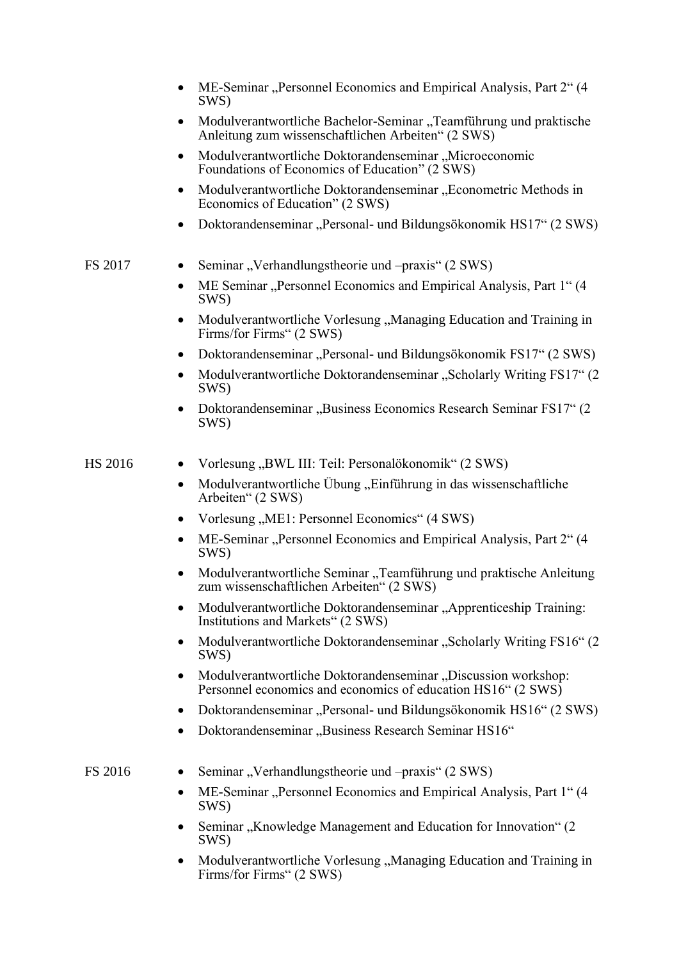|         | ME-Seminar "Personnel Economics and Empirical Analysis, Part 2" (4<br>SWS)                                                    |
|---------|-------------------------------------------------------------------------------------------------------------------------------|
|         | Modulverantwortliche Bachelor-Seminar "Teamführung und praktische<br>Anleitung zum wissenschaftlichen Arbeiten" (2 SWS)       |
|         | Modulverantwortliche Doktorandenseminar "Microeconomic<br>Foundations of Economics of Education" (2 SWS)                      |
|         | Modulverantwortliche Doktorandenseminar "Econometric Methods in<br>٠<br>Economics of Education" (2 SWS)                       |
|         | Doktorandenseminar "Personal- und Bildungsökonomik HS17" (2 SWS)                                                              |
| FS 2017 | Seminar, Verhandlungstheorie und – praxis" (2 SWS)                                                                            |
|         | ME Seminar "Personnel Economics and Empirical Analysis, Part 1" (4)<br>SWS)                                                   |
|         | Modulverantwortliche Vorlesung "Managing Education and Training in<br>٠<br>Firms/for Firms" (2 SWS)                           |
|         | Doktorandenseminar "Personal- und Bildungsökonomik FS17" (2 SWS)<br>$\bullet$                                                 |
|         | Modulverantwortliche Doktorandenseminar "Scholarly Writing FS17" (2<br>SWS)                                                   |
|         | Doktorandenseminar "Business Economics Research Seminar FS17" (2)<br>SWS)                                                     |
| HS 2016 | Vorlesung "BWL III: Teil: Personalökonomik" (2 SWS)                                                                           |
|         | Modulverantwortliche Übung "Einführung in das wissenschaftliche<br>Arbeiten" (2 SWS)                                          |
|         | Vorlesung "ME1: Personnel Economics" (4 SWS)                                                                                  |
|         | ME-Seminar "Personnel Economics and Empirical Analysis, Part 2" (4<br>SWS)                                                    |
|         | Modulverantwortliche Seminar "Teamführung und praktische Anleitung<br>zum wissenschaftlichen Arbeiten" (2 SWS)                |
|         | Modulverantwortliche Doktorandenseminar "Apprenticeship Training:<br>Institutions and Markets" (2 SWS)                        |
|         | Modulverantwortliche Doktorandenseminar "Scholarly Writing FS16" (2)<br>SWS)                                                  |
|         | Modulverantwortliche Doktorandenseminar "Discussion workshop:<br>Personnel economics and economics of education HS16" (2 SWS) |
|         | Doktorandenseminar "Personal- und Bildungsökonomik HS16" (2 SWS)                                                              |
|         | Doktorandenseminar "Business Research Seminar HS16"                                                                           |
| FS 2016 | Seminar, Verhandlungstheorie und – praxis" (2 SWS)                                                                            |
|         | ME-Seminar "Personnel Economics and Empirical Analysis, Part 1" (4<br>SWS)                                                    |
|         | Seminar "Knowledge Management and Education for Innovation" (2<br>SWS)                                                        |
|         | Modulverantwortliche Vorlesung "Managing Education and Training in<br>Firms/for Firms" (2 SWS)                                |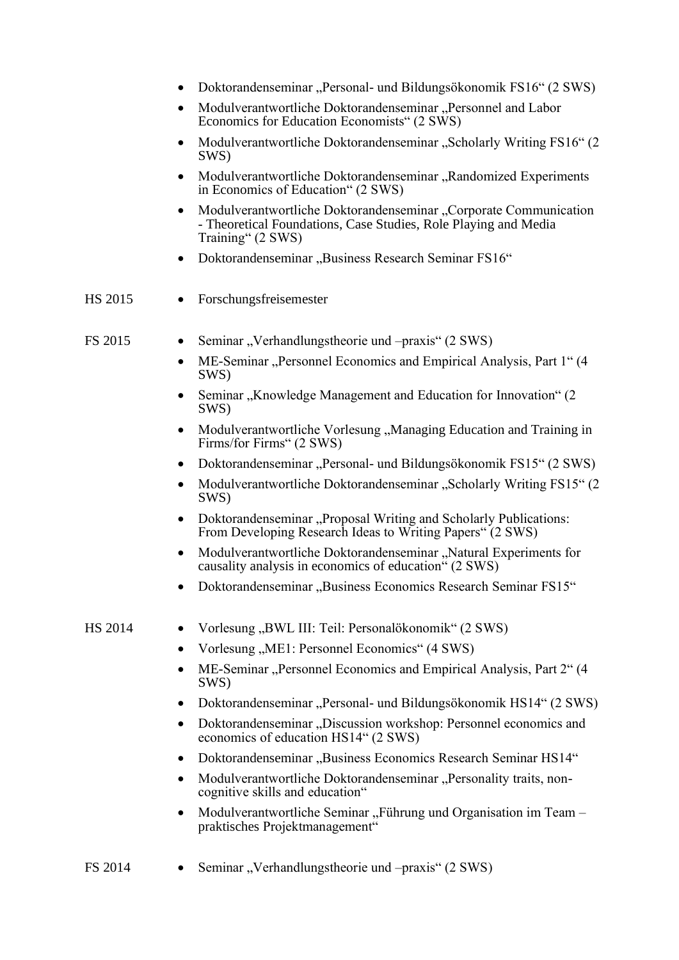|           | Doktorandenseminar "Personal- und Bildungsökonomik FS16" (2 SWS)                                                                                         |
|-----------|----------------------------------------------------------------------------------------------------------------------------------------------------------|
|           | Modulverantwortliche Doktorandenseminar "Personnel and Labor<br>Economics for Education Economists" (2 SWS)                                              |
| ٠         | Modulverantwortliche Doktorandenseminar, "Scholarly Writing FS16" (2)<br>SWS)                                                                            |
|           | Modulverantwortliche Doktorandenseminar, "Randomized Experiments<br>٠<br>in Economics of Education" (2 SWS)                                              |
|           | Modulverantwortliche Doktorandenseminar, Corporate Communication<br>- Theoretical Foundations, Case Studies, Role Playing and Media<br>Training" (2 SWS) |
|           | Doktorandenseminar "Business Research Seminar FS16"                                                                                                      |
| HS 2015   | Forschungsfreisemester                                                                                                                                   |
| FS 2015   | Seminar, Verhandlungstheorie und –praxis" (2 SWS)                                                                                                        |
|           | ME-Seminar "Personnel Economics and Empirical Analysis, Part 1" (4)<br>$\bullet$<br>SWS)                                                                 |
|           | Seminar, Knowledge Management and Education for Innovation" (2)<br>SWS)                                                                                  |
|           | Modulverantwortliche Vorlesung, Managing Education and Training in<br>Firms/for Firms" (2 SWS)                                                           |
|           | Doktorandenseminar "Personal- und Bildungsökonomik FS15" (2 SWS)                                                                                         |
|           | Modulverantwortliche Doktorandenseminar "Scholarly Writing FS15" (2<br>SWS)                                                                              |
|           | Doktorandenseminar "Proposal Writing and Scholarly Publications:<br>From Developing Research Ideas to Writing Papers" (2 SWS)                            |
|           | Modulverantwortliche Doktorandenseminar, "Natural Experiments for<br>٠<br>causality analysis in economics of education" (2 SWS)                          |
|           | Doktorandenseminar "Business Economics Research Seminar FS15"                                                                                            |
| HS 2014   | Vorlesung "BWL III: Teil: Personalökonomik" (2 SWS)                                                                                                      |
|           | Vorlesung "ME1: Personnel Economics" (4 SWS)                                                                                                             |
|           | ME-Seminar "Personnel Economics and Empirical Analysis, Part 2" (4<br>SWS)                                                                               |
|           | Doktorandenseminar "Personal- und Bildungsökonomik HS14" (2 SWS)                                                                                         |
|           | Doktorandenseminar "Discussion workshop: Personnel economics and<br>٠<br>economics of education HS14" (2 SWS)                                            |
|           | Doktorandenseminar "Business Economics Research Seminar HS14"                                                                                            |
|           | Modulverantwortliche Doktorandenseminar "Personality traits, non-<br>cognitive skills and education"                                                     |
| $\bullet$ | Modulverantwortliche Seminar, Führung und Organisation im Team -<br>praktisches Projektmanagement"                                                       |
| FS 2014   | Seminar, Verhandlungstheorie und -praxis" (2 SWS)                                                                                                        |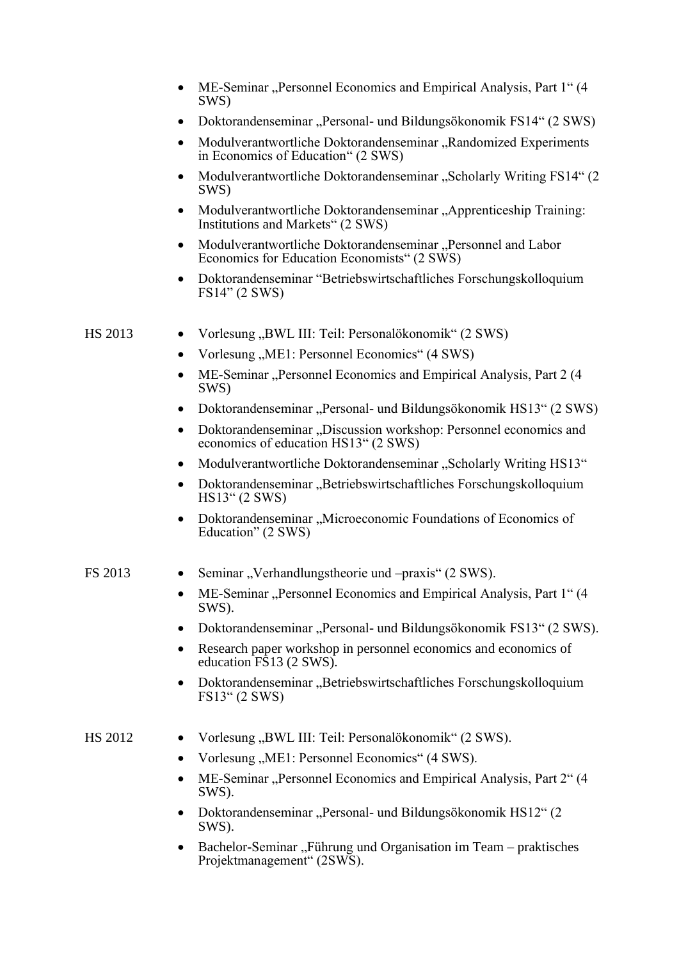|         | ME-Seminar "Personnel Economics and Empirical Analysis, Part 1" (4<br>SWS)                                            |
|---------|-----------------------------------------------------------------------------------------------------------------------|
|         | Doktorandenseminar "Personal- und Bildungsökonomik FS14" (2 SWS)                                                      |
|         | Modulverantwortliche Doktorandenseminar "Randomized Experiments<br>in Economics of Education" (2 SWS)                 |
|         | Modulverantwortliche Doktorandenseminar "Scholarly Writing FS14" (2<br>SWS)                                           |
|         | Modulverantwortliche Doktorandenseminar, Apprenticeship Training:<br>Institutions and Markets" (2 SWS)                |
|         | Modulverantwortliche Doktorandenseminar "Personnel and Labor<br>٠<br>Economics for Education Economists" (2 SWS)      |
|         | Doktorandenseminar "Betriebswirtschaftliches Forschungskolloquium<br>FS14" (2 SWS)                                    |
| HS 2013 | Vorlesung "BWL III: Teil: Personalökonomik" (2 SWS)                                                                   |
|         | Vorlesung, ME1: Personnel Economics" (4 SWS)<br>٠                                                                     |
|         | ME-Seminar "Personnel Economics and Empirical Analysis, Part 2 (4)<br>SWS)                                            |
|         | Doktorandenseminar "Personal- und Bildungsökonomik HS13" (2 SWS)                                                      |
|         | Doktorandenseminar "Discussion workshop: Personnel economics and<br>$\bullet$<br>economics of education HS13" (2 SWS) |
|         | Modulverantwortliche Doktorandenseminar "Scholarly Writing HS13"<br>$\bullet$                                         |
|         | Doktorandenseminar, Betriebswirtschaftliches Forschungskolloquium<br>$\bullet$<br>HS13" (2 SWS)                       |
|         | Doktorandenseminar "Microeconomic Foundations of Economics of<br>٠<br>Education" (2 SWS)                              |
| FS 2013 | Seminar, Verhandlungstheorie und –praxis" (2 SWS).                                                                    |
|         | ME-Seminar "Personnel Economics and Empirical Analysis, Part 1" (4<br>SWS).                                           |
|         | Doktorandenseminar "Personal- und Bildungsökonomik FS13" (2 SWS).                                                     |
|         | Research paper workshop in personnel economics and economics of<br>education FS13 (2 SWS).                            |
|         | Doktorandenseminar "Betriebswirtschaftliches Forschungskolloquium<br>FS13'' (2 SWS)                                   |
| HS 2012 | Vorlesung "BWL III: Teil: Personalökonomik" (2 SWS).                                                                  |
|         | Vorlesung "ME1: Personnel Economics" (4 SWS).                                                                         |
|         | ME-Seminar "Personnel Economics and Empirical Analysis, Part 2" (4<br>SWS).                                           |
|         | Doktorandenseminar "Personal- und Bildungsökonomik HS12" (2<br>SWS).                                                  |
|         | Bachelor-Seminar "Führung und Organisation im Team – praktisches<br>Projektmanagement" (2SWS).                        |
|         |                                                                                                                       |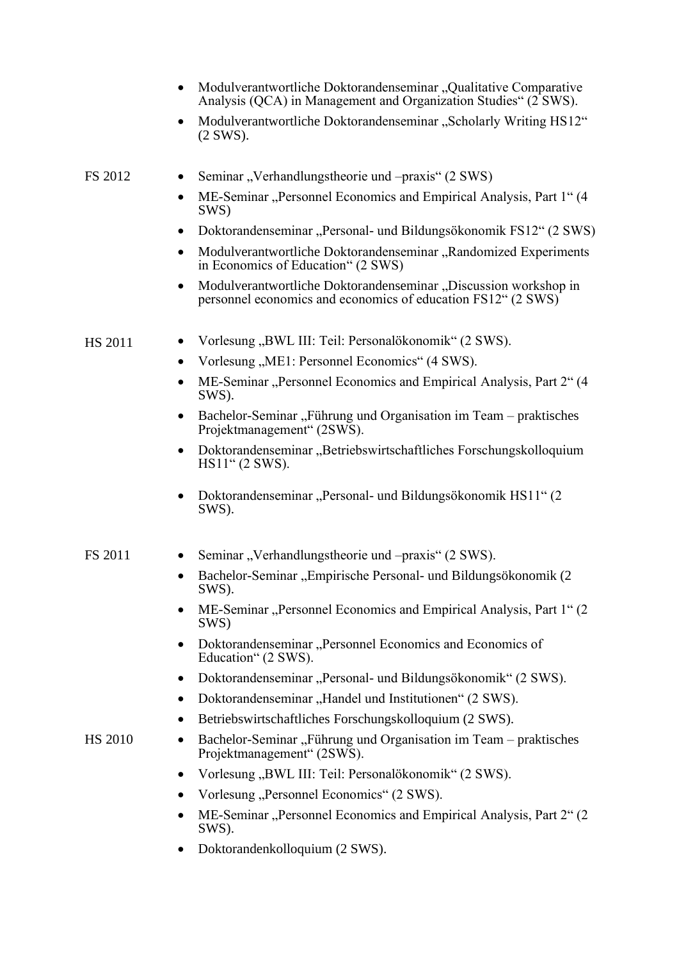|                | Modulverantwortliche Doktorandenseminar "Qualitative Comparative<br>$\bullet$<br>Analysis (QCA) in Management and Organization Studies" (2 SWS). |
|----------------|--------------------------------------------------------------------------------------------------------------------------------------------------|
|                | Modulverantwortliche Doktorandenseminar "Scholarly Writing HS12"<br>$\bullet$<br>$(2$ SWS).                                                      |
| FS 2012        | Seminar, Verhandlungstheorie und – praxis" (2 SWS)<br>$\bullet$                                                                                  |
|                | ME-Seminar "Personnel Economics and Empirical Analysis, Part 1" (4)<br>$\bullet$<br>SWS)                                                         |
|                | Doktorandenseminar "Personal- und Bildungsökonomik FS12" (2 SWS)<br>$\bullet$                                                                    |
|                | Modulverantwortliche Doktorandenseminar "Randomized Experiments<br>$\bullet$<br>in Economics of Education" (2 SWS)                               |
|                | Modulverantwortliche Doktorandenseminar "Discussion workshop in<br>$\bullet$<br>personnel economics and economics of education FS12" (2 SWS)     |
| <b>HS 2011</b> | Vorlesung "BWL III: Teil: Personalökonomik" (2 SWS).<br>$\bullet$                                                                                |
|                | Vorlesung "ME1: Personnel Economics" (4 SWS).<br>$\bullet$                                                                                       |
|                | ME-Seminar "Personnel Economics and Empirical Analysis, Part 2" (4<br>٠<br>SWS).                                                                 |
|                | Bachelor-Seminar "Führung und Organisation im Team – praktisches<br>$\bullet$<br>Projektmanagement" (2SWS).                                      |
|                | Doktorandenseminar, Betriebswirtschaftliches Forschungskolloquium<br>$\bullet$<br>$HS11$ " (2 SWS).                                              |
|                | Doktorandenseminar "Personal- und Bildungsökonomik HS11" (2<br>$\bullet$<br>SWS).                                                                |
| <b>FS 2011</b> | Seminar, Verhandlungstheorie und – praxis" (2 SWS).                                                                                              |
|                | Bachelor-Seminar "Empirische Personal- und Bildungsökonomik (2<br>SWS).                                                                          |
|                | ME-Seminar "Personnel Economics and Empirical Analysis, Part 1" (2<br>SWS)                                                                       |
|                | Doktorandenseminar "Personnel Economics and Economics of<br>Education" (2 SWS).                                                                  |
|                | Doktorandenseminar "Personal- und Bildungsökonomik" (2 SWS).                                                                                     |
|                | Doktorandenseminar, Handel und Institutionen" (2 SWS).                                                                                           |
|                | Betriebswirtschaftliches Forschungskolloquium (2 SWS).                                                                                           |
| <b>HS 2010</b> | Bachelor-Seminar "Führung und Organisation im Team - praktisches<br>Projektmanagement" (2SWS).                                                   |
|                | Vorlesung "BWL III: Teil: Personalökonomik" (2 SWS).<br>٠                                                                                        |
|                | Vorlesung "Personnel Economics" (2 SWS).                                                                                                         |
|                | ME-Seminar "Personnel Economics and Empirical Analysis, Part 2" (2)<br>SWS).                                                                     |
|                | Doktorandenkolloquium (2 SWS).                                                                                                                   |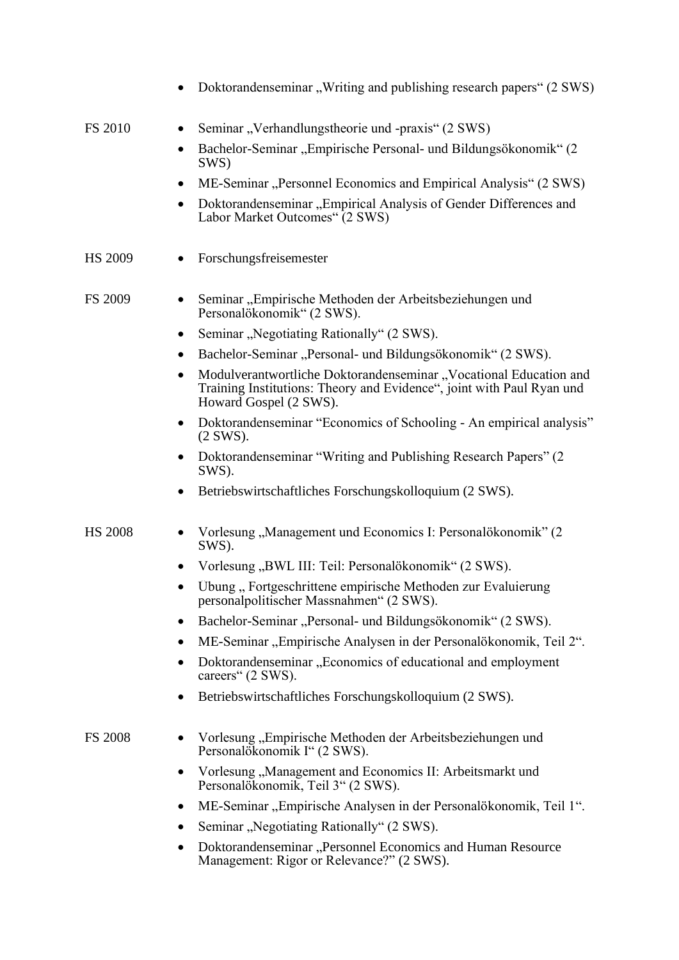|                | Doktorandenseminar, Writing and publishing research papers" (2 SWS)                                                                                                               |
|----------------|-----------------------------------------------------------------------------------------------------------------------------------------------------------------------------------|
| <b>FS 2010</b> | Seminar, Verhandlungstheorie und -praxis" (2 SWS)<br>$\bullet$                                                                                                                    |
|                | Bachelor-Seminar "Empirische Personal- und Bildungsökonomik" (2<br>$\bullet$<br>SWS)                                                                                              |
|                | ME-Seminar "Personnel Economics and Empirical Analysis" (2 SWS)<br>٠                                                                                                              |
|                | Doktorandenseminar "Empirical Analysis of Gender Differences and<br>٠<br>Labor Market Outcomes" (2 SWS)                                                                           |
| <b>HS 2009</b> | Forschungsfreisemester                                                                                                                                                            |
| <b>FS 2009</b> | Seminar "Empirische Methoden der Arbeitsbeziehungen und<br>٠<br>Personalökonomik" (2 SWS).                                                                                        |
|                | Seminar "Negotiating Rationally" (2 SWS).<br>٠                                                                                                                                    |
|                | Bachelor-Seminar "Personal- und Bildungsökonomik" (2 SWS).<br>٠                                                                                                                   |
|                | Modulverantwortliche Doktorandenseminar "Vocational Education and<br>$\bullet$<br>Training Institutions: Theory and Evidence", joint with Paul Ryan und<br>Howard Gospel (2 SWS). |
|                | Doktorandenseminar "Economics of Schooling - An empirical analysis"<br>٠<br>$(2$ SWS).                                                                                            |
|                | Doktorandenseminar "Writing and Publishing Research Papers" (2)<br>SWS).                                                                                                          |
|                | Betriebswirtschaftliches Forschungskolloquium (2 SWS).<br>٠                                                                                                                       |
| <b>HS 2008</b> | Vorlesung "Management und Economics I: Personalökonomik" (2<br>SWS).                                                                                                              |
|                | Vorlesung "BWL III: Teil: Personalökonomik" (2 SWS).<br>٠                                                                                                                         |
|                | Übung, Fortgeschrittene empirische Methoden zur Evaluierung<br>$\bullet$<br>personalpolitischer Massnahmen" (2 SWS).                                                              |
|                | Bachelor-Seminar "Personal- und Bildungsökonomik" (2 SWS).<br>٠                                                                                                                   |
|                | ME-Seminar "Empirische Analysen in der Personalökonomik, Teil 2".<br>$\bullet$                                                                                                    |
|                | Doktorandenseminar, Economics of educational and employment<br>$\bullet$<br>careers" (2 SWS).                                                                                     |
|                | Betriebswirtschaftliches Forschungskolloquium (2 SWS).                                                                                                                            |
| <b>FS 2008</b> | Vorlesung "Empirische Methoden der Arbeitsbeziehungen und<br>Personalökonomik I" (2 SWS).                                                                                         |
|                | Vorlesung "Management and Economics II: Arbeitsmarkt und<br>٠<br>Personalökonomik, Teil 3" (2 SWS).                                                                               |
|                | ME-Seminar "Empirische Analysen in der Personalökonomik, Teil 1".                                                                                                                 |
|                | Seminar "Negotiating Rationally" (2 SWS).<br>٠                                                                                                                                    |
|                | Doktorandenseminar "Personnel Economics and Human Resource<br>٠<br>Management: Rigor or Relevance?" (2 SWS).                                                                      |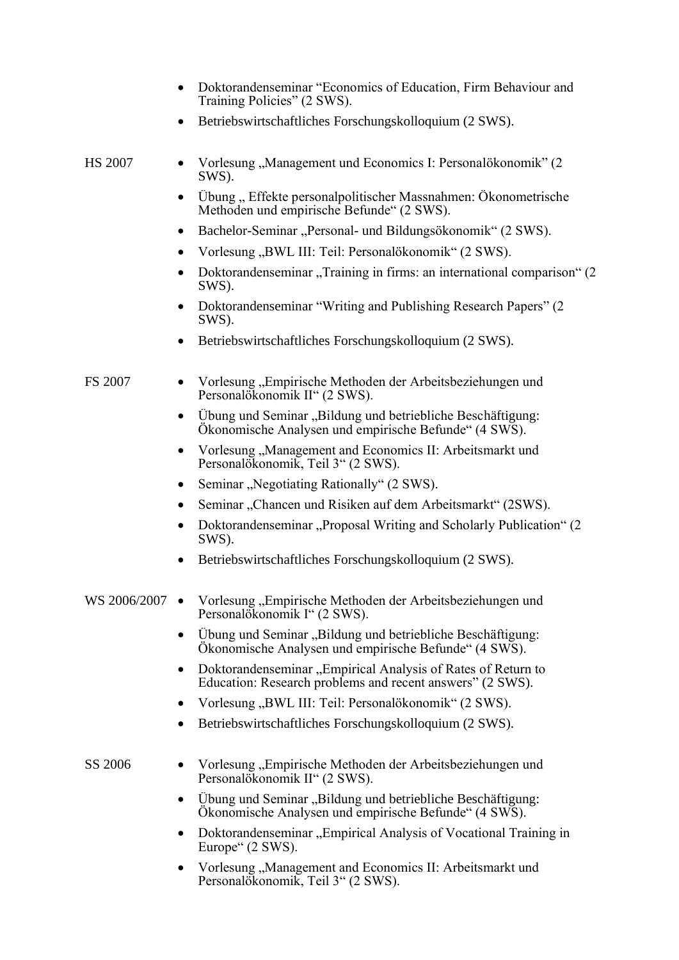|              | Doktorandenseminar "Economics of Education, Firm Behaviour and<br>Training Policies" (2 SWS).                                    |
|--------------|----------------------------------------------------------------------------------------------------------------------------------|
|              | Betriebswirtschaftliches Forschungskolloquium (2 SWS).<br>٠                                                                      |
| HS 2007      | Vorlesung "Management und Economics I: Personalökonomik" (2<br>SWS).                                                             |
|              | Übung, Effekte personalpolitischer Massnahmen: Ökonometrische<br>Methoden und empirische Befunde" (2 SWS).                       |
|              | Bachelor-Seminar "Personal- und Bildungsökonomik" (2 SWS).<br>٠                                                                  |
|              | Vorlesung "BWL III: Teil: Personalökonomik" (2 SWS).<br>٠                                                                        |
|              | Doktorandenseminar, Training in firms: an international comparison" (2<br>SWS).                                                  |
|              | Doktorandenseminar "Writing and Publishing Research Papers" (2)<br>SWS).                                                         |
|              | Betriebswirtschaftliches Forschungskolloquium (2 SWS).                                                                           |
| FS 2007      | Vorlesung, Empirische Methoden der Arbeitsbeziehungen und<br>Personalökonomik II" (2 SWS).                                       |
|              | Übung und Seminar "Bildung und betriebliche Beschäftigung:<br>$\bullet$<br>Ökonomische Analysen und empirische Befunde" (4 SWS). |
|              | Vorlesung "Management and Economics II: Arbeitsmarkt und<br>Personalökonomik, Teil 3" (2 SWS).                                   |
|              | Seminar "Negotiating Rationally" (2 SWS).                                                                                        |
|              | Seminar "Chancen und Risiken auf dem Arbeitsmarkt" (2SWS).                                                                       |
|              | Doktorandenseminar, Proposal Writing and Scholarly Publication" (2)<br>SWS).                                                     |
|              | Betriebswirtschaftliches Forschungskolloquium (2 SWS).                                                                           |
| WS 2006/2007 | Vorlesung "Empirische Methoden der Arbeitsbeziehungen und<br>$\bullet$<br>Personalökonomik I" (2 SWS).                           |
|              | Ubung und Seminar, Bildung und betriebliche Beschäftigung:<br>٠<br>Ökonomische Analysen und empirische Befunde" (4 SWS).         |
|              | Doktorandenseminar "Empirical Analysis of Rates of Return to<br>٠<br>Education: Research problems and recent answers" (2 SWS).   |
|              | Vorlesung "BWL III: Teil: Personalökonomik" (2 SWS).                                                                             |
|              | Betriebswirtschaftliches Forschungskolloquium (2 SWS).                                                                           |
| SS 2006      | Vorlesung "Empirische Methoden der Arbeitsbeziehungen und<br>Personalökonomik II" (2 SWS).                                       |
|              | Ubung und Seminar "Bildung und betriebliche Beschäftigung:<br>٠<br>Ökonomische Analysen und empirische Befunde" (4 SWS).         |
|              | Doktorandenseminar "Empirical Analysis of Vocational Training in<br>٠<br>Europe" (2 SWS).                                        |
|              | Vorlesung "Management and Economics II: Arbeitsmarkt und<br>Personalökonomik, Teil 3" (2 SWS).                                   |
|              |                                                                                                                                  |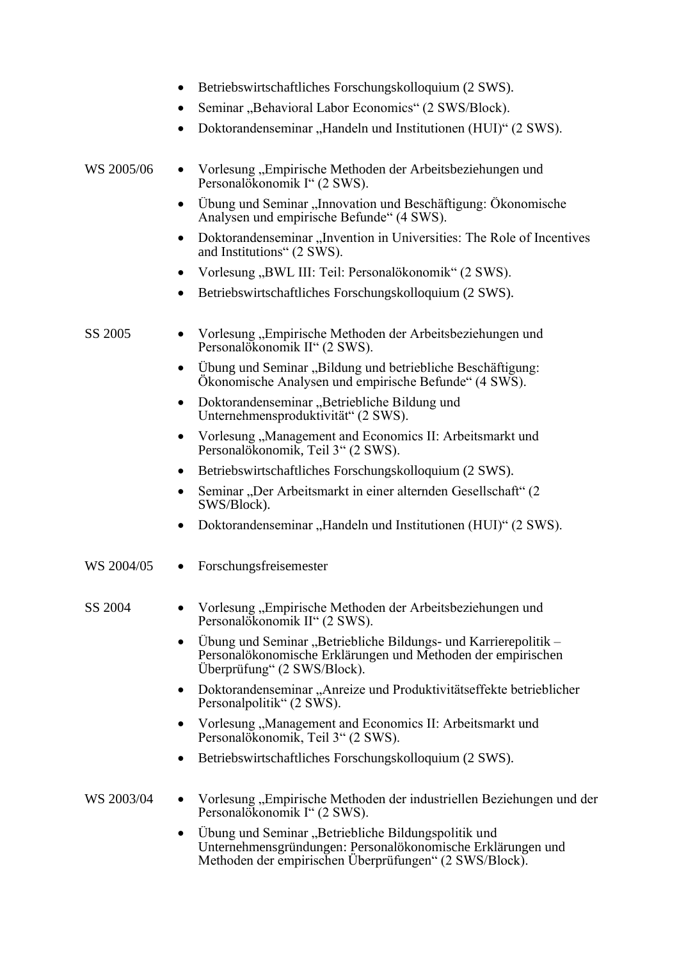|            | Betriebswirtschaftliches Forschungskolloquium (2 SWS).<br>٠                                                                                                                       |
|------------|-----------------------------------------------------------------------------------------------------------------------------------------------------------------------------------|
|            | Seminar "Behavioral Labor Economics" (2 SWS/Block).                                                                                                                               |
|            | Doktorandenseminar "Handeln und Institutionen (HUI)" (2 SWS).                                                                                                                     |
| WS 2005/06 | Vorlesung "Empirische Methoden der Arbeitsbeziehungen und<br>Personalökonomik I" (2 SWS).                                                                                         |
|            | Übung und Seminar "Innovation und Beschäftigung: Ökonomische<br>٠<br>Analysen und empirische Befunde" (4 SWS).                                                                    |
|            | Doktorandenseminar "Invention in Universities: The Role of Incentives<br>$\bullet$<br>and Institutions" (2 SWS).                                                                  |
|            | Vorlesung "BWL III: Teil: Personalökonomik" (2 SWS).<br>٠                                                                                                                         |
|            | Betriebswirtschaftliches Forschungskolloquium (2 SWS).                                                                                                                            |
| SS 2005    | Vorlesung "Empirische Methoden der Arbeitsbeziehungen und<br>٠<br>Personalökonomik II" (2 SWS).                                                                                   |
|            | Übung und Seminar "Bildung und betriebliche Beschäftigung:<br>٠<br>Ökonomische Analysen und empirische Befunde" (4 SWS).                                                          |
|            | Doktorandenseminar "Betriebliche Bildung und<br>٠<br>Unternehmensproduktivität" (2 SWS).                                                                                          |
|            | Vorlesung "Management and Economics II: Arbeitsmarkt und<br>$\bullet$<br>Personalökonomik, Teil 3" (2 SWS).                                                                       |
|            | Betriebswirtschaftliches Forschungskolloquium (2 SWS).<br>٠                                                                                                                       |
|            | Seminar "Der Arbeitsmarkt in einer alternden Gesellschaft" (2<br>٠<br>SWS/Block).                                                                                                 |
|            | Doktorandenseminar "Handeln und Institutionen (HUI)" (2 SWS).<br>$\bullet$                                                                                                        |
| WS 2004/05 | Forschungsfreisemester                                                                                                                                                            |
| SS 2004    | Vorlesung "Empirische Methoden der Arbeitsbeziehungen und<br>Personalökonomik II" (2 SWS).                                                                                        |
|            | Übung und Seminar "Betriebliche Bildungs- und Karrierepolitik -<br>٠<br>Personalökonomische Erklärungen und Methoden der empirischen<br>Überprüfung" (2 SWS/Block).               |
|            | Doktorandenseminar "Anreize und Produktivitätseffekte betrieblicher<br>$\bullet$<br>Personalpolitik" (2 SWS).                                                                     |
|            | Vorlesung, Management and Economics II: Arbeitsmarkt und<br>٠<br>Personalökonomik, Teil 3" (2 SWS).                                                                               |
|            | Betriebswirtschaftliches Forschungskolloquium (2 SWS).<br>٠                                                                                                                       |
| WS 2003/04 | Vorlesung "Empirische Methoden der industriellen Beziehungen und der<br>٠<br>Personalökonomik I" (2 SWS).                                                                         |
|            | Übung und Seminar "Betriebliche Bildungspolitik und<br>٠<br>Unternehmensgründungen: Personalökonomische Erklärungen und<br>Methoden der empirischen Überprüfungen" (2 SWS/Block). |
|            |                                                                                                                                                                                   |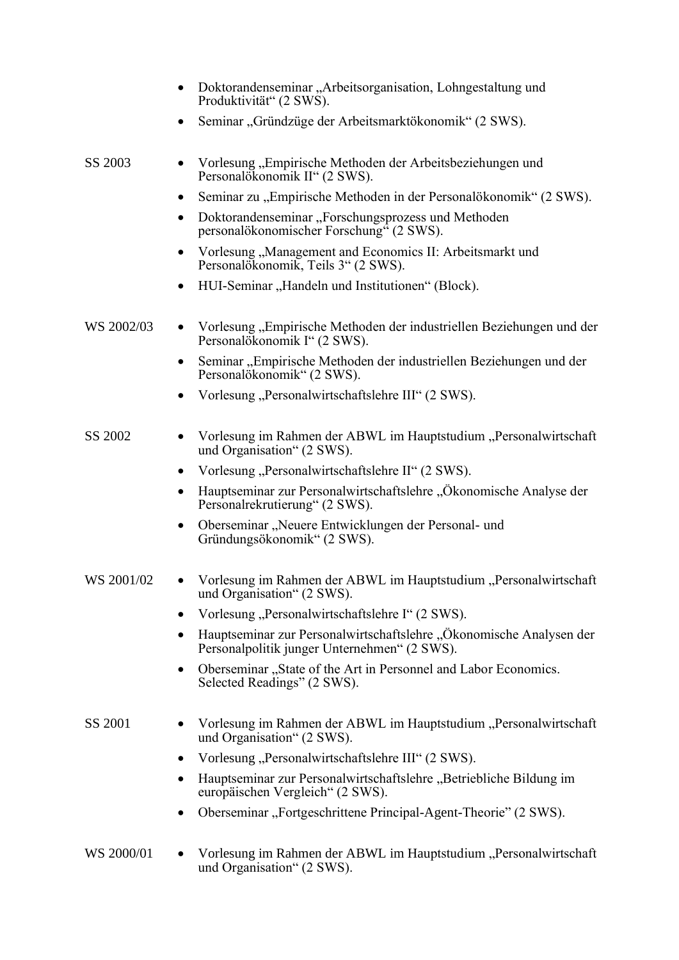|            | Doktorandenseminar "Arbeitsorganisation, Lohngestaltung und<br>Produktivität" (2 SWS).                              |
|------------|---------------------------------------------------------------------------------------------------------------------|
|            | Seminar "Gründzüge der Arbeitsmarktökonomik" (2 SWS).                                                               |
| SS 2003    | Vorlesung "Empirische Methoden der Arbeitsbeziehungen und<br>Personalökonomik II" (2 SWS).                          |
|            | Seminar zu "Empirische Methoden in der Personalökonomik" (2 SWS).<br>٠                                              |
|            | Doktorandenseminar, Forschungsprozess und Methoden<br>personalökonomischer Forschung" (2 SWS).                      |
|            | Vorlesung "Management and Economics II: Arbeitsmarkt und<br>Personalökonomik, Teils 3" (2 SWS).                     |
|            | HUI-Seminar "Handeln und Institutionen" (Block).                                                                    |
| WS 2002/03 | Vorlesung "Empirische Methoden der industriellen Beziehungen und der<br>Personalökonomik I" (2 SWS).                |
|            | Seminar, Empirische Methoden der industriellen Beziehungen und der<br>Personalökonomik" (2 SWS).                    |
|            | Vorlesung "Personalwirtschaftslehre III" (2 SWS).                                                                   |
| SS 2002    | Vorlesung im Rahmen der ABWL im Hauptstudium "Personalwirtschaft<br>und Organisation" (2 SWS).                      |
|            | Vorlesung "Personalwirtschaftslehre II" (2 SWS).<br>٠                                                               |
|            | Hauptseminar zur Personalwirtschaftslehre "Ökonomische Analyse der<br>Personalrekrutierung" (2 SWS).                |
|            | Oberseminar "Neuere Entwicklungen der Personal- und<br>٠<br>Gründungsökonomik" (2 SWS).                             |
| WS 2001/02 | Vorlesung im Rahmen der ABWL im Hauptstudium "Personalwirtschaft<br>und Organisation" (2 SWS).                      |
|            | Vorlesung, Personalwirtschaftslehre I" (2 SWS).                                                                     |
|            | Hauptseminar zur Personalwirtschaftslehre "Ökonomische Analysen der<br>Personalpolitik junger Unternehmen" (2 SWS). |
|            | Oberseminar "State of the Art in Personnel and Labor Economics.<br>٠<br>Selected Readings" (2 SWS).                 |
| SS 2001    | Vorlesung im Rahmen der ABWL im Hauptstudium "Personalwirtschaft<br>und Organisation" (2 SWS).                      |
|            | Vorlesung "Personalwirtschaftslehre III" (2 SWS).<br>٠                                                              |
|            | Hauptseminar zur Personalwirtschaftslehre "Betriebliche Bildung im<br>europäischen Vergleich" (2 SWS).              |
|            | Oberseminar "Fortgeschrittene Principal-Agent-Theorie" (2 SWS).                                                     |
| WS 2000/01 | Vorlesung im Rahmen der ABWL im Hauptstudium "Personalwirtschaft<br>und Organisation" (2 SWS).                      |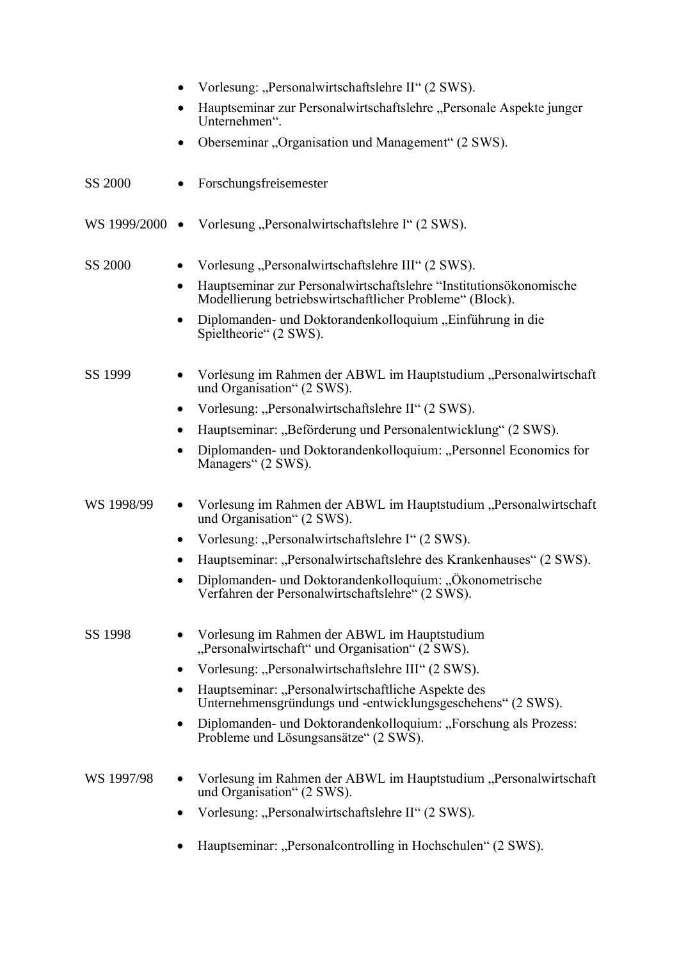|                | Vorlesung: "Personalwirtschaftslehre II" (2 SWS).                                                                              |
|----------------|--------------------------------------------------------------------------------------------------------------------------------|
|                | Hauptseminar zur Personalwirtschaftslehre "Personale Aspekte junger<br>Unternehmen".                                           |
|                | Oberseminar "Organisation und Management" (2 SWS).                                                                             |
| SS 2000        | Forschungsfreisemester                                                                                                         |
| WS 1999/2000 • | Vorlesung "Personalwirtschaftslehre I" (2 SWS).                                                                                |
| SS 2000        | Vorlesung, Personalwirtschaftslehre III" (2 SWS).                                                                              |
|                | Hauptseminar zur Personalwirtschaftslehre "Institutionsökonomische<br>Modellierung betriebswirtschaftlicher Probleme" (Block). |
|                | Diplomanden- und Doktorandenkolloquium "Einführung in die<br>Spieltheorie" (2 SWS).                                            |
| SS 1999        | Vorlesung im Rahmen der ABWL im Hauptstudium "Personalwirtschaft<br>und Organisation" (2 SWS).                                 |
|                | Vorlesung: "Personalwirtschaftslehre II" (2 SWS).<br>٠                                                                         |
|                | Hauptseminar: "Beförderung und Personalentwicklung" (2 SWS).<br>٠                                                              |
|                | Diplomanden- und Doktorandenkolloquium: "Personnel Economics for<br>Managers" (2 SWS).                                         |
| WS 1998/99     | Vorlesung im Rahmen der ABWL im Hauptstudium "Personalwirtschaft<br>und Organisation" (2 SWS).                                 |
|                | Vorlesung: "Personalwirtschaftslehre I" (2 SWS).<br>٠                                                                          |
|                | Hauptseminar: "Personalwirtschaftslehre des Krankenhauses" (2 SWS).                                                            |
|                | Diplomanden- und Doktorandenkolloquium: "Ökonometrische<br>Verfahren der Personalwirtschaftslehre" (2 SWS).                    |
| SS 1998        | Vorlesung im Rahmen der ABWL im Hauptstudium<br>"Personalwirtschaft" und Organisation" (2 SWS).                                |
|                | Vorlesung: "Personalwirtschaftslehre III" (2 SWS).<br>٠                                                                        |
|                | Hauptseminar: "Personalwirtschaftliche Aspekte des<br>٠<br>Unternehmensgründungs und -entwicklungsgeschehens" (2 SWS).         |
|                | Diplomanden- und Doktorandenkolloquium: "Forschung als Prozess:<br>٠<br>Probleme und Lösungsansätze" (2 SWS).                  |
| WS 1997/98     | Vorlesung im Rahmen der ABWL im Hauptstudium "Personalwirtschaft<br>und Organisation" (2 SWS).                                 |
|                | Vorlesung: "Personalwirtschaftslehre II" (2 SWS).                                                                              |
|                | Hauptseminar: "Personalcontrolling in Hochschulen" (2 SWS).                                                                    |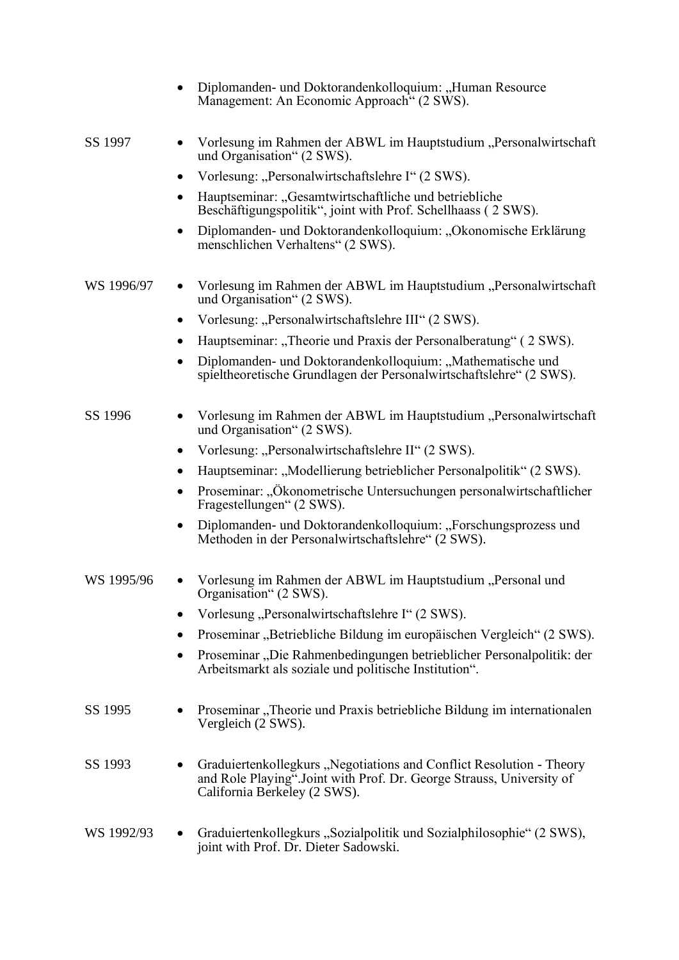|            | Diplomanden- und Doktorandenkolloquium: "Human Resource<br>Management: An Economic Approach" (2 SWS).                                                                         |
|------------|-------------------------------------------------------------------------------------------------------------------------------------------------------------------------------|
| SS 1997    | Vorlesung im Rahmen der ABWL im Hauptstudium "Personalwirtschaft<br>und Organisation" (2 SWS).                                                                                |
|            | Vorlesung: "Personalwirtschaftslehre I" (2 SWS).<br>٠                                                                                                                         |
|            | Hauptseminar: "Gesamtwirtschaftliche und betriebliche<br>$\bullet$<br>Beschäftigungspolitik", joint with Prof. Schellhaass (2 SWS).                                           |
|            | Diplomanden- und Doktorandenkolloquium: "Ökonomische Erklärung<br>٠<br>menschlichen Verhaltens" (2 SWS).                                                                      |
| WS 1996/97 | Vorlesung im Rahmen der ABWL im Hauptstudium "Personalwirtschaft<br>und Organisation" (2 SWS).                                                                                |
|            | Vorlesung: "Personalwirtschaftslehre III" (2 SWS).<br>٠                                                                                                                       |
|            | Hauptseminar: "Theorie und Praxis der Personalberatung" (2 SWS).<br>٠                                                                                                         |
|            | Diplomanden- und Doktorandenkolloquium: "Mathematische und<br>٠<br>spieltheoretische Grundlagen der Personalwirtschaftslehre" (2 SWS).                                        |
| SS 1996    | Vorlesung im Rahmen der ABWL im Hauptstudium "Personalwirtschaft<br>und Organisation" (2 SWS).                                                                                |
|            | Vorlesung: "Personalwirtschaftslehre II" (2 SWS).<br>$\bullet$                                                                                                                |
|            | Hauptseminar: "Modellierung betrieblicher Personalpolitik" (2 SWS).<br>٠                                                                                                      |
|            | Proseminar: "Ökonometrische Untersuchungen personalwirtschaftlicher<br>٠<br>Fragestellungen" (2 SWS).                                                                         |
|            | Diplomanden- und Doktorandenkolloquium: "Forschungsprozess und<br>٠<br>Methoden in der Personalwirtschaftslehre" (2 SWS).                                                     |
| WS 1995/96 | • Vorlesung im Rahmen der ABWL im Hauptstudium "Personal und<br>Organisation" (2 SWS).                                                                                        |
|            | Vorlesung, Personalwirtschaftslehre I" (2 SWS).                                                                                                                               |
|            | Proseminar "Betriebliche Bildung im europäischen Vergleich" (2 SWS).                                                                                                          |
|            | Proseminar "Die Rahmenbedingungen betrieblicher Personalpolitik: der<br>Arbeitsmarkt als soziale und politische Institution".                                                 |
| SS 1995    | Proseminar "Theorie und Praxis betriebliche Bildung im internationalen<br>Vergleich (2 SWS).                                                                                  |
| SS 1993    | Graduiertenkollegkurs "Negotiations and Conflict Resolution - Theory<br>and Role Playing". Joint with Prof. Dr. George Strauss, University of<br>California Berkeley (2 SWS). |
| WS 1992/93 | Graduiertenkollegkurs "Sozialpolitik und Sozialphilosophie" (2 SWS),<br>joint with Prof. Dr. Dieter Sadowski.                                                                 |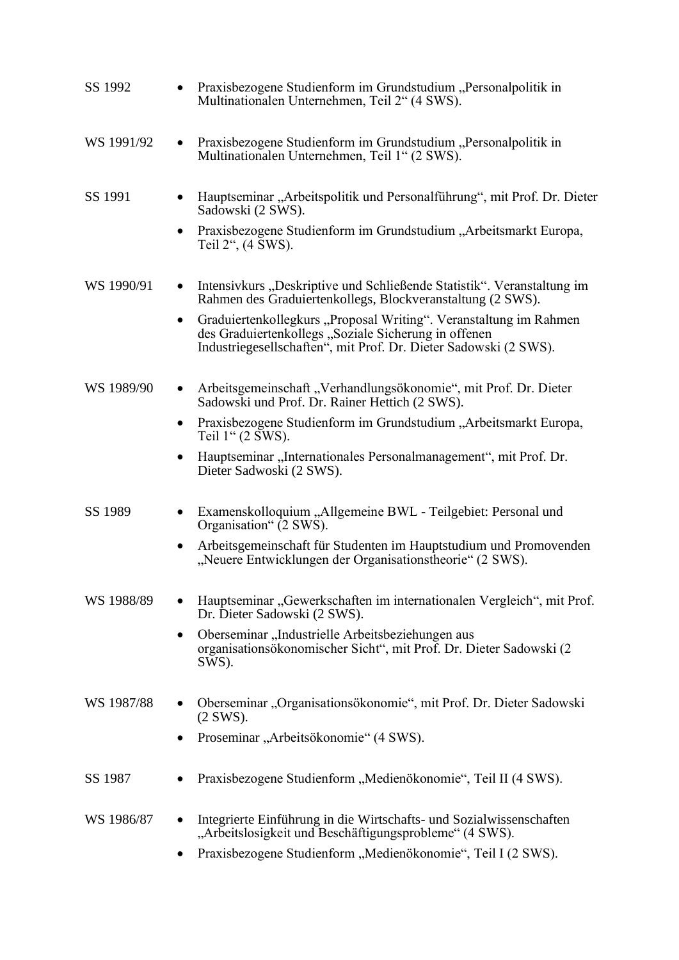| SS 1992    | Praxisbezogene Studienform im Grundstudium "Personalpolitik in<br>Multinationalen Unternehmen, Teil 2" (4 SWS).                                                                                            |
|------------|------------------------------------------------------------------------------------------------------------------------------------------------------------------------------------------------------------|
| WS 1991/92 | Praxisbezogene Studienform im Grundstudium "Personalpolitik in<br>$\bullet$<br>Multinationalen Unternehmen, Teil 1" (2 SWS).                                                                               |
| SS 1991    | Hauptseminar "Arbeitspolitik und Personalführung", mit Prof. Dr. Dieter<br>Sadowski (2 SWS).                                                                                                               |
|            | Praxisbezogene Studienform im Grundstudium "Arbeitsmarkt Europa,<br>$\bullet$<br>Teil 2", (4 SWS).                                                                                                         |
| WS 1990/91 | Intensivkurs "Deskriptive und Schließende Statistik". Veranstaltung im<br>$\bullet$<br>Rahmen des Graduiertenkollegs, Blockveranstaltung (2 SWS).                                                          |
|            | Graduiertenkollegkurs "Proposal Writing". Veranstaltung im Rahmen<br>$\bullet$<br>des Graduiertenkollegs "Soziale Sicherung in offenen<br>Industriegesellschaften", mit Prof. Dr. Dieter Sadowski (2 SWS). |
| WS 1989/90 | Arbeitsgemeinschaft "Verhandlungsökonomie", mit Prof. Dr. Dieter<br>$\bullet$<br>Sadowski und Prof. Dr. Rainer Hettich (2 SWS).                                                                            |
|            | Praxisbezogene Studienform im Grundstudium "Arbeitsmarkt Europa,<br>$\bullet$<br>Teil 1" (2 SWS).                                                                                                          |
|            | Hauptseminar "Internationales Personalmanagement", mit Prof. Dr.<br>٠<br>Dieter Sadwoski (2 SWS).                                                                                                          |
| SS 1989    | Examenskolloquium "Allgemeine BWL - Teilgebiet: Personal und<br>٠<br>Organisation" (2 SWS).                                                                                                                |
|            | Arbeitsgemeinschaft für Studenten im Hauptstudium und Promovenden<br>$\bullet$<br>"Neuere Entwicklungen der Organisationstheorie" (2 SWS).                                                                 |
| WS 1988/89 | Hauptseminar "Gewerkschaften im internationalen Vergleich", mit Prof.<br>Dr. Dieter Sadowski (2 SWS).                                                                                                      |
|            | Oberseminar "Industrielle Arbeitsbeziehungen aus<br>$\bullet$<br>organisationsökonomischer Sicht", mit Prof. Dr. Dieter Sadowski (2<br>SWS).                                                               |
| WS 1987/88 | Oberseminar "Organisationsökonomie", mit Prof. Dr. Dieter Sadowski<br>$(2$ SWS).                                                                                                                           |
|            | Proseminar "Arbeitsökonomie" (4 SWS).<br>$\bullet$                                                                                                                                                         |
| SS 1987    | Praxisbezogene Studienform "Medienökonomie", Teil II (4 SWS).                                                                                                                                              |
| WS 1986/87 | Integrierte Einführung in die Wirtschafts- und Sozialwissenschaften<br>"Arbeitslosigkeit und Beschäftigungsprobleme" (4 SWS).                                                                              |
|            | Praxisbezogene Studienform "Medienökonomie", Teil I (2 SWS).                                                                                                                                               |